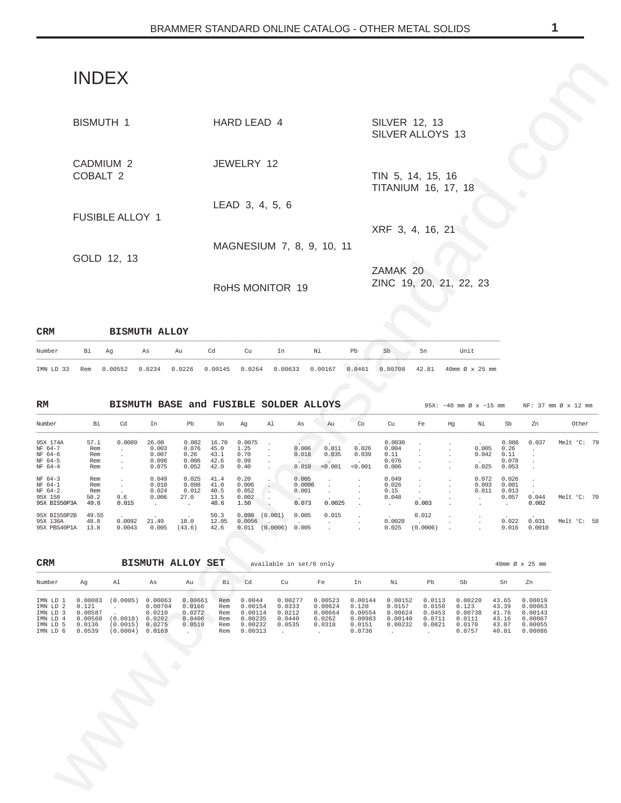# INDEX

|                                 |                                           | <b>INDEX</b>                                                                                                                   |                                           |                                                                           |                                       |                                                                                        |                                                 |                                   |                                                                                       |                           |                                                                                                                                          |                                                                             |    |                                                               |                                         |                                                                    |                     |  |
|---------------------------------|-------------------------------------------|--------------------------------------------------------------------------------------------------------------------------------|-------------------------------------------|---------------------------------------------------------------------------|---------------------------------------|----------------------------------------------------------------------------------------|-------------------------------------------------|-----------------------------------|---------------------------------------------------------------------------------------|---------------------------|------------------------------------------------------------------------------------------------------------------------------------------|-----------------------------------------------------------------------------|----|---------------------------------------------------------------|-----------------------------------------|--------------------------------------------------------------------|---------------------|--|
|                                 |                                           | <b>BISMUTH 1</b>                                                                                                               |                                           |                                                                           |                                       | HARD LEAD 4                                                                            |                                                 |                                   |                                                                                       |                           | SILVER 12, 13<br>SILVER ALLOYS 13                                                                                                        |                                                                             |    |                                                               |                                         |                                                                    |                     |  |
|                                 | COBALT 2                                  | CADMIUM 2                                                                                                                      |                                           |                                                                           |                                       | JEWELRY 12                                                                             |                                                 |                                   |                                                                                       |                           | TIN 5, 14, 15, 16<br><b>TITANIUM 16, 17, 18</b>                                                                                          |                                                                             |    |                                                               |                                         |                                                                    |                     |  |
|                                 |                                           | <b>FUSIBLE ALLOY 1</b>                                                                                                         |                                           |                                                                           |                                       | LEAD 3, 4, 5, 6                                                                        |                                                 |                                   |                                                                                       |                           | XRF 3, 4, 16, 21                                                                                                                         |                                                                             |    |                                                               |                                         |                                                                    |                     |  |
|                                 |                                           | GOLD 12, 13                                                                                                                    |                                           |                                                                           |                                       |                                                                                        |                                                 |                                   | MAGNESIUM 7, 8, 9, 10, 11                                                             |                           |                                                                                                                                          |                                                                             |    |                                                               |                                         |                                                                    |                     |  |
|                                 |                                           |                                                                                                                                |                                           |                                                                           |                                       | RoHS MONITOR 19                                                                        |                                                 |                                   |                                                                                       |                           | ZAMAK 20<br>ZINC 19, 20, 21, 22, 23                                                                                                      |                                                                             |    |                                                               |                                         |                                                                    |                     |  |
|                                 |                                           |                                                                                                                                | <b>BISMUTH ALLOY</b>                      |                                                                           |                                       |                                                                                        |                                                 |                                   |                                                                                       |                           |                                                                                                                                          |                                                                             |    |                                                               |                                         |                                                                    |                     |  |
| r<br>D 33                       | Bi<br>Rem                                 | Ag<br>0.00552                                                                                                                  | As<br>0.0234                              | Au<br>0.0226                                                              | Cd<br>0.00145                         | Cu<br>0.0264                                                                           | In<br>0.00633                                   |                                   | Νi<br>0.00167                                                                         | Pb<br>0.0461              | Sb<br>0.00708                                                                                                                            | Sn<br>42.81                                                                 |    | Unit<br>40mm Ø x 25 mm                                        |                                         |                                                                    |                     |  |
|                                 |                                           |                                                                                                                                | BISMUTH BASE and FUSIBLE SOLDER ALLOYS    |                                                                           |                                       |                                                                                        |                                                 |                                   |                                                                                       |                           |                                                                                                                                          |                                                                             |    | 95X: $\sim$ 40 mm Ø x $\sim$ 15 mm                            |                                         |                                                                    | NF: 37 mm Ø x 12 mm |  |
| r                               | Bi                                        | Cd                                                                                                                             | In                                        | Pb                                                                        | Sn                                    | Ag                                                                                     | Al                                              | As                                | Au                                                                                    | Co                        | Cu                                                                                                                                       | Fe                                                                          | Hg | Νi                                                            | Sb                                      | Zn                                                                 | Other               |  |
| 74A<br>$-7$<br>-6<br>-5<br>$-4$ | 57.1<br>Rem<br>Rem<br>Rem<br>Rem          | 0.0089                                                                                                                         | 26.08<br>0.003<br>0.007<br>0.098<br>0.075 | 0.082<br>0.076<br>0.26<br>0.006<br>0.052                                  | 16.70<br>45.0<br>43.1<br>42.6<br>42.0 | 0.0075<br>1.25<br>0.70<br>0.99<br>0.40                                                 |                                                 | 0.006<br>0.018<br>0.010           | 0.011<br>0.035<br>< 0.001                                                             | 0.026<br>0.039<br>< 0.001 | 0.0030<br>0.004<br>0.11<br>0.076<br>0.006                                                                                                |                                                                             |    | 0.005<br>0.042<br>0.025                                       | 0.086<br>0.26<br>0.11<br>0.078<br>0.053 | 0.037                                                              | Melt 'C: 79         |  |
| -3<br>-1<br>-2<br>58<br>IS50P3A | Rem<br>Rem<br>Rem<br>50.2<br>49.8         | 9.6<br>0.015                                                                                                                   | 0.049<br>0.010<br>0.024<br>0.006          | 0.025<br>0.098<br>0.012<br>27.0                                           | 41.4<br>41.0<br>40.5<br>13.5<br>48.6  | 0.20<br>0.006<br>0.052<br>0.002<br>1.50                                                |                                                 | 0.005<br>0.0006<br>0.001<br>0.073 | 0.0025                                                                                |                           | 0.049<br>0.026<br>0.15<br>0.048<br>$\ddot{\phantom{a}}$                                                                                  | 0.003                                                                       |    | 0.072<br>0.093<br>0.011                                       | 0.026<br>0.001<br>0.013<br>0.057        | 0.044<br>0.002                                                     | Melt 'C: 70         |  |
|                                 | IS50P2B 49.55<br>36A 48.8<br>BS40P1A 13.8 | 0.0092<br>0.0043                                                                                                               | 21.49<br>$0.005$ (43.6)                   | 18.0                                                                      | 42.6                                  | $50.3$ $0.090$ $(0.001)$ $0.005$<br>12.05 $0.0056$ .<br>$0.011$ $(0.0006)$ 0.005       |                                                 |                                   | $0.015$ .                                                                             |                           | $\begin{array}{ccc} . & 0.012 \ 0.0028 & . \ 0.025 & (0.0006) \end{array}$ .                                                             |                                                                             |    |                                                               |                                         | 0.022 0.031<br>$0.016$ $0.0010$                                    | Melt 'C: 58         |  |
|                                 |                                           |                                                                                                                                | <b>BISMUTH ALLOY SET</b>                  |                                                                           |                                       | available in set/6 only                                                                |                                                 |                                   |                                                                                       |                           |                                                                                                                                          |                                                                             |    |                                                               |                                         | 40mm Ø x 25 mm                                                     |                     |  |
| r                               | Ag                                        | Al                                                                                                                             | As                                        | Au                                                                        | Bi                                    | Cd                                                                                     | Cu                                              |                                   | Fe                                                                                    | In                        | Ni                                                                                                                                       | Pb                                                                          |    | Sb                                                            | Sn                                      | Zn                                                                 |                     |  |
| D 3                             | D 2 0.121<br>0.00587<br>D 6 0.0539        | D 1 0.00083 (0.0005) 0.00063 0.00661 Rem<br><b>Carl Committee</b><br>D 4 0.00560 (0.0018) 0.0202<br>D 5 0.0136 (0.0015) 0.0275 | 0.00704<br>0.0210<br>(0.0004) 0.0169      | 0.0166<br>0.0272<br>0.0406<br>0.0510<br><b>Contract Contract Contract</b> | Rem                                   | 0.0044<br>0.00154 0.0333<br>Rem  0.00114<br>Rem 0.00235<br>Rem 0.00232<br>Rem  0.00313 | 0.0212<br>0.0440<br>0.0535<br><b>Contractor</b> |                                   | 0.00277 0.00523<br>0.00624<br>0.00664<br>0.0262<br>0.0318<br><b>Contract Contract</b> | 0.120<br>0.0151<br>0.0736 | $0.00144$ $0.00152$ $0.0113$ $0.00220$ $43.65$ $0.00019$<br>0.0157<br>0.00554 0.00624<br>$0.00983$ $0.00140$<br><b>Contract Contract</b> | 0.0150<br>0.0453<br>$0.00232$ $0.0821$ $0.0170$<br><b>Contract Contract</b> |    | 0.123<br>0.00738 41.76 0.00143<br>$0.0711$ $0.0111$<br>0.0757 |                                         | 43.39 0.00063<br>43.16  0.00067<br>43.07 0.00055<br>40.81  0.00086 |                     |  |
|                                 |                                           |                                                                                                                                |                                           |                                                                           |                                       |                                                                                        |                                                 |                                   |                                                                                       |                           |                                                                                                                                          |                                                                             |    |                                                               |                                         |                                                                    |                     |  |
|                                 |                                           |                                                                                                                                |                                           |                                                                           |                                       |                                                                                        |                                                 |                                   |                                                                                       |                           |                                                                                                                                          |                                                                             |    |                                                               |                                         |                                                                    |                     |  |
|                                 |                                           |                                                                                                                                |                                           |                                                                           |                                       |                                                                                        |                                                 |                                   |                                                                                       |                           |                                                                                                                                          |                                                                             |    |                                                               |                                         |                                                                    |                     |  |
|                                 |                                           |                                                                                                                                |                                           |                                                                           |                                       |                                                                                        |                                                 |                                   |                                                                                       |                           |                                                                                                                                          |                                                                             |    |                                                               |                                         |                                                                    |                     |  |
|                                 |                                           |                                                                                                                                |                                           |                                                                           |                                       |                                                                                        |                                                 |                                   |                                                                                       |                           |                                                                                                                                          |                                                                             |    |                                                               |                                         |                                                                    |                     |  |

| <b>CRM</b> |    |    |    | <b>BISMUTH ALLOY</b> |    |    |    |    |    |    |    |      |
|------------|----|----|----|----------------------|----|----|----|----|----|----|----|------|
| Number     | Bi | Ag | As | Au                   | Cd | Cu | In | Νi | Pb | Sb | Sn | Unit |

| Number                                                       | Bi                                | Cd               | In                                        | Pb                                       | Sn                                    | Aq                                      | Al                  | As                                | Au                        | Co                        | Cu                                        | Fe                | Hq | Νi                      | Sb                                                       | Zn              | Other       |
|--------------------------------------------------------------|-----------------------------------|------------------|-------------------------------------------|------------------------------------------|---------------------------------------|-----------------------------------------|---------------------|-----------------------------------|---------------------------|---------------------------|-------------------------------------------|-------------------|----|-------------------------|----------------------------------------------------------|-----------------|-------------|
| 95X 174A<br>NF 64-7<br>NF 64-6<br>NF 64-5<br>$NF 64-4$       | 57.1<br>Rem<br>Rem<br>Rem<br>Rem  | 0.0089           | 26.08<br>0.003<br>0.007<br>0.098<br>0.075 | 0.082<br>0.076<br>0.26<br>0.006<br>0.052 | 16.70<br>45.0<br>43.1<br>42.6<br>42.0 | 0.0075<br>1.25<br>0.70<br>0.99<br>0.40  |                     | 0.006<br>0.018<br>0.010           | 0.011<br>0.035<br>< 0.001 | 0.026<br>0.039<br>< 0.001 | 0.0030<br>0.004<br>0.11<br>0.076<br>0.006 |                   |    | 0.005<br>0.042<br>0.025 | 0.086<br>0.26<br>0.11<br>0.078<br>0.053                  | 0.037           | Melt 'C: 79 |
| $NF 64-3$<br>NF 64-1<br>$NF 64-2$<br>95X 158<br>95X BIS50P3A | Rem<br>Rem<br>Rem<br>50.2<br>49.8 | 9.6<br>0.015     | 0.049<br>0.010<br>0.024<br>0.006          | 0.025<br>0.098<br>0.012<br>27.0          | 41.4<br>41.0<br>40.5<br>13.5<br>48.6  | 0.20<br>0.006<br>0.052<br>0.002<br>1.50 |                     | 0.005<br>0.0006<br>0.001<br>0.073 | 0.0025                    |                           | 0.049<br>0.026<br>0.15<br>0.048           | 0.003             |    | 0.072<br>0.093<br>0.011 | 0.026<br>0.001<br>0.013<br>0.057<br>$\ddot{\phantom{a}}$ | 0.044<br>0.002  | Melt 'C: 70 |
| 95X BIS50P2B<br>95X 136A<br>95X PBS40P1A                     | 49.55<br>48.8<br>13.8             | 0.0092<br>0.0043 | 21.49<br>0.005                            | 18.0<br>(43.6)                           | 50.3<br>12.05<br>42.6                 | 0.090<br>0.0056<br>0.011                | (0.001)<br>(0.0006) | 0.005<br>0.005                    | 0.015                     |                           | 0.0028<br>0.025                           | 0.012<br>(0.0006) |    |                         | 0.022<br>0.016                                           | 0.031<br>0.0010 | Melt 'C: 58 |

| <b>CRM</b>                                                           |                                                            |                                              | <b>BISMUTH ALLOY</b>                                       |                                                 | SET                                    |                                                               | available in set/6 only                         |                                                   |                                                            |                                                    |                                                |                                                           |                                                    | 40mm Ø x 25 mm                                                 |
|----------------------------------------------------------------------|------------------------------------------------------------|----------------------------------------------|------------------------------------------------------------|-------------------------------------------------|----------------------------------------|---------------------------------------------------------------|-------------------------------------------------|---------------------------------------------------|------------------------------------------------------------|----------------------------------------------------|------------------------------------------------|-----------------------------------------------------------|----------------------------------------------------|----------------------------------------------------------------|
| Number                                                               | Aq                                                         | Al                                           | As                                                         | Au                                              | Вi                                     | Cd                                                            | Cu                                              | Fe                                                | In                                                         | Νi                                                 | Pb                                             | Sb                                                        | Sn                                                 | Zn                                                             |
| IMN LD 1<br>IMN LD 2<br>IMN LD 3<br>IMN LD 4<br>IMN LD 5<br>IMN LD 6 | 0.00083<br>0.121<br>0.00587<br>0.00560<br>0.0136<br>0.0539 | (0.0005)<br>(0.0018)<br>(0.0015)<br>(0.0004) | 0.00063<br>0.00704<br>0.0210<br>0.0202<br>0.0275<br>0.0169 | 0.00661<br>0.0166<br>0.0272<br>0.0406<br>0.0510 | Rem<br>Rem<br>Rem<br>Rem<br>Rem<br>Rem | 0.0044<br>0.00154<br>0.00114<br>0.00235<br>0.00232<br>0.00313 | 0.00277<br>0.0333<br>0.0212<br>0.0440<br>0.0535 | 0.00523<br>0.00624<br>0.00664<br>0.0262<br>0.0318 | 0.00144<br>0.120<br>0.00554<br>0.00983<br>0.0151<br>0.0736 | 0.00152<br>0.0157<br>0.00624<br>0.00140<br>0.00232 | 0.0113<br>0.0150<br>0.0453<br>0.0711<br>0.0821 | 0.00220<br>0.123<br>0.00738<br>0.0111<br>0.0170<br>0.0757 | 43.65<br>43.39<br>41.76<br>43.16<br>43.07<br>40.81 | 0.00019<br>0.00063<br>0.00143<br>0.00067<br>0.00055<br>0.00086 |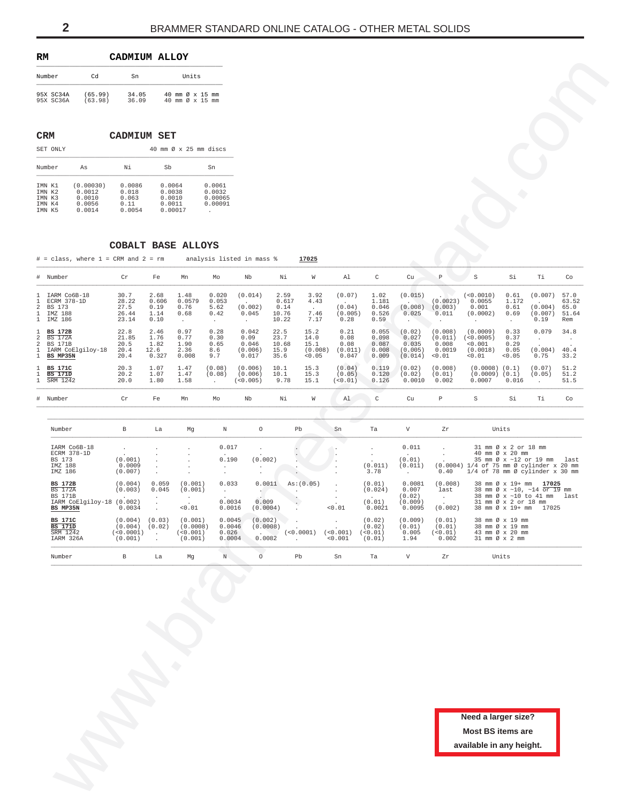<span id="page-1-0"></span>

| RМ                     |                    | CADMIUM ALLOY  |                                    |       |  |
|------------------------|--------------------|----------------|------------------------------------|-------|--|
| Number                 | Cd                 | Sn             |                                    | Units |  |
| 95X SC34A<br>95X SC36A | (65.99)<br>(63.98) | 34.05<br>36.09 | 40 mm Ø x 15 mm<br>40 mm Ø x 15 mm |       |  |

# **CRM CADMIUM SET**

| SET ONLY                                       |                                                   |                                            | 40 mm $\varnothing$ x 25 mm discs               |                                        |
|------------------------------------------------|---------------------------------------------------|--------------------------------------------|-------------------------------------------------|----------------------------------------|
| Number                                         | As                                                | Νi                                         | Sb                                              | Sn                                     |
| IMN K1<br>TMN K2<br>TMN K3<br>IMN K4<br>TMN K5 | (0.00030)<br>0.0012<br>0.0010<br>0.0056<br>0.0014 | 0.0086<br>0.018<br>0.063<br>0.11<br>0.0054 | 0.0064<br>0.0038<br>0.0010<br>0.0011<br>0.00017 | 0.0061<br>0.0032<br>0.00065<br>0.00091 |

## **COBALT BASE ALLOYS**

| Number                                                                                                                                              | Cd                                        | Sn                                             |                                               | Units                                            |                                              |                                                      |                                                |                                                 |                                                  |                                                    |                                                                        |                                               |                                                                               |                                                                         |                                                                                          |                                       |
|-----------------------------------------------------------------------------------------------------------------------------------------------------|-------------------------------------------|------------------------------------------------|-----------------------------------------------|--------------------------------------------------|----------------------------------------------|------------------------------------------------------|------------------------------------------------|-------------------------------------------------|--------------------------------------------------|----------------------------------------------------|------------------------------------------------------------------------|-----------------------------------------------|-------------------------------------------------------------------------------|-------------------------------------------------------------------------|------------------------------------------------------------------------------------------|---------------------------------------|
| 95X SC34A<br>95X SC36A                                                                                                                              | (65.99)<br>(63.98)                        | 34.05<br>36.09                                 |                                               | 40 mm Ø x 15 mm<br>40 mm Ø x 15 mm               |                                              |                                                      |                                                |                                                 |                                                  |                                                    |                                                                        |                                               |                                                                               |                                                                         |                                                                                          |                                       |
| <b>CRM</b>                                                                                                                                          |                                           | <b>CADMIUM SET</b>                             |                                               |                                                  |                                              |                                                      |                                                |                                                 |                                                  |                                                    |                                                                        |                                               |                                                                               |                                                                         |                                                                                          |                                       |
| SET ONLY                                                                                                                                            |                                           |                                                |                                               | 40 mm Ø x 25 mm discs                            |                                              |                                                      |                                                |                                                 |                                                  |                                                    |                                                                        |                                               |                                                                               |                                                                         |                                                                                          |                                       |
| Number                                                                                                                                              | As<br>(0.00030)                           | Νi<br>0.0086                                   | Sb<br>0.0064                                  |                                                  | Sn<br>0.0061                                 |                                                      |                                                |                                                 |                                                  |                                                    |                                                                        |                                               |                                                                               |                                                                         |                                                                                          |                                       |
| IMN K1<br>IMN K2<br>IMN K3<br>IMN K4<br>IMN K5                                                                                                      | 0.0012<br>0.0010<br>0.0056<br>0.0014      | 0.018<br>0.063<br>0.11<br>0.0054               | 0.0038<br>0.0010<br>0.0011                    | 0.00017                                          | 0.0032<br>0.00065<br>0.00091<br>$\cdot$      |                                                      |                                                |                                                 |                                                  |                                                    |                                                                        |                                               |                                                                               |                                                                         |                                                                                          |                                       |
|                                                                                                                                                     |                                           |                                                |                                               | COBALT BASE ALLOYS                               |                                              |                                                      |                                                |                                                 |                                                  |                                                    |                                                                        |                                               |                                                                               |                                                                         |                                                                                          |                                       |
| # Number                                                                                                                                            | $#$ = class, where $1$ = CRM and $2$ = rm | Cr                                             | Fe                                            | Mn                                               | Mo                                           | analysis listed in mass %<br>Nb                      | Νi                                             | 17025<br>W                                      | Al                                               | $\mathtt{C}$                                       | Cu                                                                     | $\, {\mathbb P}$                              | $\rm S$                                                                       | Si                                                                      | Τi                                                                                       | Co                                    |
| IARM Co6B-18<br>1<br>ECRM 378-1D<br>1<br>$\overline{c}$<br>BS 173<br>IMZ 188<br>$\mathbf{1}$                                                        |                                           | 30.7<br>28.22<br>27.5<br>26.44                 | 2.68<br>0.606<br>0.19<br>1.14                 | 1.48<br>0.0579<br>0.76<br>0.68                   | 0.020<br>0.053<br>5.62<br>0.42               | (0.014)<br>(0.002)<br>0.045                          | 2.59<br>0.617<br>0.14<br>10.76                 | 3.92<br>4.43<br>$\cdot$<br>7.46                 | (0.07)<br>(0.04)<br>(0.005)                      | 1.02<br>1.181<br>0.046<br>0.526                    | (0.015)<br>(0.008)<br>0.025                                            | (0.0023)<br>(0.003)<br>0.011                  | (<0.0010)<br>0.0055<br>0.001<br>(0.0002)                                      | 0.61<br>1.172<br>0.61<br>0.69                                           | (0.007)<br>(0.004)<br>(0.007)                                                            | 57.0<br>63.52<br>65.0<br>51.64        |
| $\mathbf{1}$<br>IMZ 186<br>$\mathbf{1}$<br><b>BS 172B</b><br>2<br><b>BS 172A</b><br>2<br><b>BS 171B</b><br>$\mathbf{1}$<br>$\mathbf{1}$<br>BS MP35N | IARM CoElgiloy-18                         | 23.14<br>22.8<br>21.85<br>20.5<br>20.4<br>20.4 | 0.10<br>2.46<br>1.76<br>1.82<br>12.6<br>0.327 | $\cdot$<br>0.97<br>0.77<br>1.90<br>2.36<br>0.008 | $\sim$<br>0.28<br>0.30<br>0.65<br>8.6<br>9.7 | $\sim$<br>0.042<br>0.09<br>0.046<br>(0.006)<br>0.017 | 10.22<br>22.5<br>23.7<br>10.68<br>15.9<br>35.6 | 7.17<br>15.2<br>14.0<br>15.1<br>(0.008)<br>0.05 | 0.28<br>0.21<br>0.08<br>0.08<br>(0.011)<br>0.047 | 0.59<br>0.055<br>0.098<br>0.087<br>0.008<br>0.009  | $\ddot{\phantom{a}}$<br>(0.02)<br>0.027<br>0.035<br>(0.005)<br>(0.014) | (0.008)<br>(0.011)<br>0.008<br>0.0019<br>0.01 | $\cdot$<br>(0.0009)<br>(<0.0005)<br>0.001<br>(0.0018)<br>0.01                 | $\cdot$<br>0.33<br>0.37<br>0.29<br>0.05<br>0.05                         | 0.19<br>0.079<br>$\sim$<br>(0.004)<br>0.75                                               | Rem<br>34.8<br>$\sim$<br>40.4<br>33.2 |
| 1<br><b>BS 171C</b><br><b>BS 171D</b><br>1<br>SRM 1242<br>$\mathbf{1}$                                                                              |                                           | 20.3<br>20.2<br>20.0                           | 1.07<br>1.07<br>1.80                          | 1.47<br>1.47<br>1.58                             | (0.08)<br>(0.08)<br>$\sim$                   | (0.006)<br>(0.006)<br>(< 0.005)                      | 10.1<br>10.1<br>9.78                           | 15.3<br>15.3<br>15.1                            | (0.04)<br>(0.05)<br>(0.01)                       | 0.119<br>0.120<br>0.126                            | (0.02)<br>(0.02)<br>0.0010                                             | (0.008)<br>(0.01)<br>0.002                    | $(0.0008)$ $(0.1)$<br>$(0.0009)$ $(0.1)$<br>0.0007                            | 0.016                                                                   | (0.07)<br>(0.05)<br>$\cdot$                                                              | 51.2<br>51.2<br>51.5                  |
| #<br>Number                                                                                                                                         |                                           | Cr                                             | Fe                                            | Mn                                               | Mo                                           | Nb                                                   | Νi                                             | W                                               | Al                                               | $\mathtt{C}$                                       | Cu                                                                     | $\, {\mathbb P}$                              | S                                                                             | Si                                                                      | Τi                                                                                       | Co                                    |
|                                                                                                                                                     |                                           |                                                |                                               |                                                  |                                              |                                                      |                                                |                                                 |                                                  |                                                    |                                                                        |                                               |                                                                               |                                                                         |                                                                                          |                                       |
| Number                                                                                                                                              | IARM Co6B-18                              | В                                              | La                                            | Mg                                               | $\mathbb N$<br>0.017                         | $\circ$                                              |                                                | Pb                                              | Sn                                               | Ta                                                 | $\boldsymbol{\mathrm{V}}$<br>0.011                                     | Zr                                            |                                                                               | Units<br>31 mm Ø x 2 or 18 mm                                           |                                                                                          |                                       |
| BS 173<br>IMZ 188<br>IMZ 186                                                                                                                        | ECRM 378-1D                               | $\cdot$<br>(0.001)<br>0.0009<br>(0.007)        | $\cdot$                                       | $\cdot$                                          | 0.190<br>$\cdot$<br>$\ddot{\phantom{a}}$     | $\cdot$<br>(0.002)<br>$\cdot$<br>$\cdot$             |                                                | $\cdot$                                         |                                                  | $\ddot{\phantom{a}}$<br>$\cdot$<br>(0.011)<br>3.78 | (0.01)<br>(0.011)<br>$\sim$                                            | 0.40                                          | (0.0004) 1/4 of 75 mm Ø cylinder x 20 mm<br>$1/4$ of 78 mm Ø cylinder x 30 mm | 40 mm Ø x 20 mm                                                         | 35 mm Ø x ~12 or 19 mm                                                                   | last                                  |
| <b>BS 172B</b><br><b>BS 172A</b><br><b>BS 171B</b><br>BS MP35N                                                                                      | IARM CoElgiloy-18 (0.002)                 | (0.004)<br>(0.003)<br>0.0034                   | 0.059<br>0.045<br>$\cdot$                     | (0.001)<br>(0.001)<br>$\cdot$<br>$<\!0$ . $01$   | 0.033<br>$\sim$<br>0.0034<br>0.0016          | 0.0011<br>$\cdot$<br>0.009<br>(0.0004)               |                                                | As: (0.05)                                      | 0.01                                             | (0.01)<br>(0.024)<br>(0.01)<br>0.0021              | 0.0081<br>0.007<br>(0.02)<br>(0.009)<br>0.0095                         | (0.008)<br>last<br>$\sim$<br>(0.002)          |                                                                               | 38 mm Ø x 19+ mm<br>31 mm Ø x 2 or 18 mm                                | 17025<br>38 mm Ø x ~10, ~14 or 19 mm<br>38 mm Ø x ~10 to 41 mm<br>38 mm Ø x 19+ mm 17025 | last                                  |
| <b>BS 171C</b><br><b>BS 171D</b><br>SRM 1242<br>IARM 326A                                                                                           |                                           | (0.004)<br>(0.004)<br>(<0.0001)<br>(0.001)     | (0.03)<br>(0.02)<br>$\cdot$                   | (0.001)<br>(0.0008)<br>( < 0.001)<br>(0.001)     | 0.0045<br>0.0046<br>0.026<br>0.0004          | (0.002)<br>(0.0008)<br>0.0082                        |                                                | (<0.0001)                                       | (<0.001)<br>0.001                                | (0.02)<br>(0.02)<br>( < 0.01)<br>(0.01)            | (0.009)<br>(0.01)<br>0.005<br>1.94                                     | (0.01)<br>(0.01)<br>(<0.01)<br>0.002          |                                                                               | 38 mm Ø x 19 mm<br>38 mm Ø x 19 mm<br>43 mm Ø x 20 mm<br>31 mm Ø x 2 mm |                                                                                          |                                       |
| Number                                                                                                                                              |                                           | $\, {\bf B}$                                   | La                                            | Mg                                               | $\mathbb N$                                  | $\circ$                                              |                                                | $_{\rm Pb}$                                     | ${\rm Sn}$                                       | Ta                                                 | $\boldsymbol{\mathrm{V}}$                                              | Zr                                            |                                                                               | Units                                                                   |                                                                                          |                                       |
|                                                                                                                                                     |                                           |                                                |                                               |                                                  |                                              |                                                      |                                                |                                                 |                                                  |                                                    |                                                                        |                                               |                                                                               |                                                                         |                                                                                          |                                       |
|                                                                                                                                                     |                                           |                                                |                                               |                                                  |                                              |                                                      |                                                |                                                 |                                                  |                                                    |                                                                        |                                               | Need a larger size?<br><b>Most BS items are</b><br>available in any height.   |                                                                         |                                                                                          |                                       |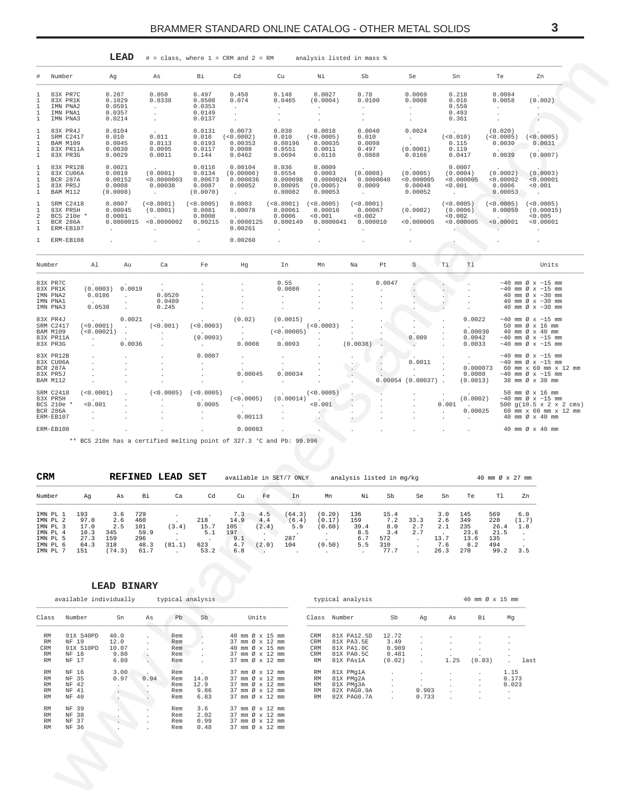<span id="page-2-0"></span>

|                                      |                                                                     |                                   | LEAD                                              |                                                                                  | $#$ = class, where $1$ = CRM and $2$ = RM          |                                                                      |                                                                    | analysis listed in mass %                            |                                              |           |                                                        |                   |                                                 |                                                    |                                                                                                                                                         |
|--------------------------------------|---------------------------------------------------------------------|-----------------------------------|---------------------------------------------------|----------------------------------------------------------------------------------|----------------------------------------------------|----------------------------------------------------------------------|--------------------------------------------------------------------|------------------------------------------------------|----------------------------------------------|-----------|--------------------------------------------------------|-------------------|-------------------------------------------------|----------------------------------------------------|---------------------------------------------------------------------------------------------------------------------------------------------------------|
| #                                    | Number                                                              | Ag                                |                                                   | As                                                                               | Βi                                                 | Cd                                                                   | Cu                                                                 | Νi                                                   | Sb                                           |           | Se                                                     | Sn                |                                                 | Te                                                 | Zn                                                                                                                                                      |
| 1<br>1<br>1<br>$\mathbf{1}$          | 83X PR7C<br>83X PR1K<br>IMN PNA2<br>IMN PNA1<br>IMN PNA3            | 0.287                             | 0.1029<br>0.0591<br>0.0357<br>0.0214              | 0.050<br>0.0338<br>$\sim$<br>$\ddot{\phantom{0}}$<br>$\mathcal{L}_{\mathcal{A}}$ | 0.497<br>0.0508<br>0.0353<br>0.0149<br>0.0137      | 0.450<br>0.074<br>$\sim$                                             | 0.148<br>0.0465<br>$\mathbf{r}$                                    | 0.0027<br>(0.0004)<br>$\ddot{\phantom{0}}$           | 0.78<br>0.0100<br>$\sim$                     |           | 0.0069<br>0.0008<br>$\sim$<br>$\ddot{\phantom{0}}$     | 0.559<br>0.361    | 0.218<br>0.016<br>0.493                         | 0.0094<br>0.0058<br>$\ddot{\phantom{0}}$           | (0.002)<br>$\sim$                                                                                                                                       |
| 1<br>$\mathbf{1}$<br>1<br>1<br>1     | 83X PR4J<br>SRM C2417<br>BAM M109<br>83X PR11A<br>83X PR3G          | 0.010                             | 0.0104<br>0.0045<br>0.0030<br>0.0029              | $\sim$<br>0.011<br>0.0113<br>0.0095<br>0.0011                                    | 0.0131<br>0.010<br>0.0193<br>0.0117<br>0.144       | 0.0073<br>(<0.0002)<br>0.00353<br>0.0008<br>0.0462                   | 0.038<br>0.010<br>0.00196<br>0.0551<br>0.0694                      | 0.0018<br>(<0.0005)<br>0.00035<br>0.0011<br>0.0116   | 0.0040<br>0.010<br>0.0098<br>0.497<br>0.0888 |           | 0.0024<br>$\Delta \sim 10^{-11}$<br>(0.0001)<br>0.0166 | (<0.010)          | $\sim$<br>0.115<br>0.119<br>0.0417              | (0.020)<br>(<0.0005)<br>0.0030<br>0.0039           | (<0.0005)<br>0.0031<br>(0.0007)                                                                                                                         |
| 1<br>1<br>1<br>1<br>1                | 83X PR12B<br>83X CU06A<br><b>BCR 287A</b><br>83X PR5J<br>BAM M112   |                                   | 0.0021<br>0.0019<br>0.00152<br>0.0008<br>(0.0008) | (0.0001)<br>< 0.0000003<br>0.00038<br><b>Service</b>                             | 0.0116<br>0.0134<br>0.00673<br>0.0087<br>(0.0070)  | 0.00104<br>(0.00006)<br>0.000036<br>0.00052<br><b>Allen Control</b>  | 0.036<br>0.0554<br>0.000098<br>0.00095<br>0.00082                  | 0.0009<br>0.0003<br>0.0000024<br>(0.0005)<br>0.00053 | (0.0008)<br>0.0009<br>$\sim$ 100 $\pm$       | 0.0000040 | (0.0005)<br>< 0.000005<br>0.00048<br>0.00052           | < 0.001<br>$\sim$ | 0.0007<br>(0.0004)<br>< 0.000005                | (0.0002)<br>< 0.00002<br>0.0006<br>0.00053         | (0.0003)<br>< 0.00001<br>< 0.001                                                                                                                        |
| 1<br>1<br>$\,2$<br>1<br>$\mathbf{1}$ | SRM C2418<br>83X PR5H<br>BCS 210e *<br><b>BCR 286A</b><br>ERM-EB107 |                                   | 0.0007<br>0.00045<br>0.0001<br>0.0000015          | (<0.0001)<br>(0.0001)<br>< 0.0000002                                             | (<0.0005)<br>0.0081<br>0.0008<br>0.00215<br>$\sim$ | 0.0003<br>0.00078<br><b>Carl Corporation</b><br>0.0000125<br>0.00261 | (<0.0001)<br>0.00061<br>0.0006<br>0.000149<br>$\ddot{\phantom{a}}$ | (<0.0005)<br>0.00016<br>< 0.001<br>0.0000041         | (<0.0001)<br>0.00067<br>< 0.002<br>0.000010  |           | (0.0002)<br><b>Contractor</b><br>< 0.000005            |                   | (<0.0005)<br>(0.0006)<br>< 0.002<br>< 0.000005  | (<0.0005)<br>0.00059<br>$\sim$ $\sim$<br>< 0.00001 | (<0.0005)<br>(0.00015)<br>< 0.005<br>< 0.00001<br>$\sim$                                                                                                |
| $\mathbf{1}$                         | ERM-EB108                                                           |                                   |                                                   |                                                                                  | ia.                                                | 0.00260                                                              |                                                                    |                                                      |                                              |           |                                                        |                   |                                                 |                                                    |                                                                                                                                                         |
| Number                               |                                                                     | Al                                | Au                                                | Ca                                                                               | Fe                                                 | Hg                                                                   | In                                                                 | Mn                                                   | Na                                           | Pt        | $\mathbf S$                                            | Ti                | Tl                                              |                                                    | Units                                                                                                                                                   |
|                                      | 83X PR7C<br>83X PR1K<br>IMN PNA2<br>IMN PNA1<br>IMN PNA3            | (0.0003)<br>0.0186<br>0.0538      | 0.0019<br>$\sim$                                  | $\sim$<br>0.0520<br>0.0480<br>0.245                                              |                                                    |                                                                      | 0.55<br>0.0080                                                     |                                                      |                                              | 0.0047    |                                                        |                   |                                                 |                                                    | $\sim$ 40 mm Ø x $\sim$ 15 mm<br>$\sim$ 40 mm Ø x $\sim$ 15 mm<br>40 mm Ø x ~30 mm<br>40 mm $\varnothing$ x ~30 mm<br>40 mm Ø x ~30 mm                  |
|                                      | 83X PR4J<br>SRM C2417<br><b>BAM M109</b><br>83X PR11A<br>83X PR3G   | $\sim$<br>(<0.0001)<br>(<0.00021) | 0.0021<br>$\ddot{\phantom{a}}$<br>0.0036          | (<0.001)<br>$\cdot$                                                              | (<0.0003)<br>(0.0003)<br>$\ddot{\phantom{a}}$      | (0.02)<br>0.0008                                                     | (0.0015)<br><b>Contract Contract</b><br>(<0.00005)<br>0.0093       | (<0.0003)                                            | $(0.0038)$ .                                 |           | 0.009                                                  |                   | 0.0022<br>$\sim$<br>0.00030<br>0.0042<br>0.0033 |                                                    | $\sim$ 40 mm Ø x $\sim$ 15 mm<br>50 mm Ø x 16 mm<br>40 mm Ø x 40 mm<br>$\sim$ 40 mm Ø x $\sim$ 15 mm<br>$\sim$ 40 mm Ø x $\sim$ 15 mm                   |
|                                      | 83X PR12B<br>83X CU06A<br>BCR 287A<br>83X PR5J<br>BAM M112          |                                   |                                                   |                                                                                  | 0.0007                                             | 0.00045<br>$\sim$                                                    | 0.00034                                                            |                                                      |                                              |           | 0.0011<br>$0.00054$ (0.00037).                         |                   | 0.000073<br>0.0008<br>(0.0013)                  |                                                    | $\sim$ 40 mm Ø x $\sim$ 15 mm<br>$\sim$ 40 mm Ø x $\sim$ 15 mm<br>60 mm x 60 mm x 12 mm<br>$\sim 40$ mm $\varnothing$ x $\sim 15$ mm<br>38 mm Ø x 38 mm |
|                                      | SRM C2418<br>83X PR5H<br>BCS 210e *<br><b>BCR 286A</b><br>ERM-EB107 | (<0.0001)<br>< 0.001              |                                                   | (< 0.0005)                                                                       | (<0.0005)<br><b>Contract Contract</b><br>0.0005    | (<0.0005)<br><b>Service</b><br>0.00113                               | (0.00014)<br>$\ddot{\phantom{a}}$                                  | (<0.0005)<br>< 0.001                                 |                                              |           |                                                        | 0.001             | (0.0002)<br><b>Contract Contract</b><br>0.00025 |                                                    | 50 mm Ø x 16 mm<br>$\sim$ 40 mm Ø x $\sim$ 15 mm<br>500 g(10.5 x 2 x 2 cms)<br>60 mm x 60 mm x 12 mm<br>40 mm Ø x 40 mm                                 |
|                                      | ERM-EB108                                                           |                                   |                                                   |                                                                                  |                                                    | 0.00083                                                              |                                                                    |                                                      |                                              |           |                                                        |                   |                                                 |                                                    | 40 mm Ø x 40 mm                                                                                                                                         |

\*\* BCS 210e has a certified melting point of 327.3 'C and Pb: 99.996

| <b>CRM</b>                                   |                             |                          | <b>REFINED</b>            | LEAD   | SET                |                           |                                | available in SET/7 ONLY |                            | analysis listed in mg/kg  |                           |                    |                     |                           | 40 mm Ø x 27 mm            |                     |
|----------------------------------------------|-----------------------------|--------------------------|---------------------------|--------|--------------------|---------------------------|--------------------------------|-------------------------|----------------------------|---------------------------|---------------------------|--------------------|---------------------|---------------------------|----------------------------|---------------------|
| Number                                       | Aq                          | As                       | Bi                        | Ca     | Cd                 | Cu                        | Fe                             | In                      | Mn                         | Νi                        | Sb                        | Se                 | Sn                  | Te                        | T1                         | Zn                  |
| IMN PL 1<br>IMN PL 2<br>IMN PL 3<br>IMN PL 4 | 193<br>97.0<br>17.0<br>10.3 | 3.6<br>2.6<br>2.5<br>345 | 729<br>460<br>101<br>59.9 | (3.4)  | 218<br>15.7<br>5.1 | 7.3<br>14.9<br>105<br>197 | 4.5<br>4.4<br>(2.4)<br>$\cdot$ | (64.3)<br>(6.4)<br>5.9  | (0.20)<br>(0.17)<br>(0.60) | 136<br>159<br>39.4<br>8.5 | 15.4<br>7.2<br>8.0<br>3.4 | 33.3<br>2.7<br>2.7 | 3.0<br>2.6<br>2.1   | 145<br>349<br>235<br>23.6 | 569<br>228<br>26.4<br>21.5 | 6.0<br>(1.7)<br>1.8 |
| IMN PL 5<br>IMN PL 6<br>IMN PL 7             | 27.3<br>64.3<br>151         | 159<br>318<br>(74.3)     | 296<br>48.3<br>61.7       | (81.1) | 623<br>53.2        | 9.1<br>4.7<br>6.8         | (2.0)                          | 287<br>104              | (0.50)                     | 6.7<br>5.5                | 572<br>310<br>77.7        |                    | 13.7<br>7.6<br>26.3 | 13.6<br>8.2<br>270        | 135<br>494<br>99.2         | 3.5                 |

# LEAD BINARY

|           | available individually |       |              |     | typical analysis |                 |           | typical analysis |                          |              |                      | $40$ mm $\varnothing$ x $15$ mm |                      |
|-----------|------------------------|-------|--------------|-----|------------------|-----------------|-----------|------------------|--------------------------|--------------|----------------------|---------------------------------|----------------------|
| Class     | Number                 | Sn    | As           | Pb  | Sb               | Units           |           | Class Number     | Sb                       | Αq           | As                   | Bi                              | Mq                   |
| RM        | 91X S40PD              | 40.0  |              | Rem |                  | 40 mm Ø x 15 mm | CRM       | 81X PA12.5D      | 12.72                    |              |                      |                                 |                      |
| <b>RM</b> | NF 19                  | 12.0  |              | Rem |                  | 37 mm Ø x 12 mm | CRM       | 81X PA3.5E       | 3.49                     |              |                      |                                 |                      |
| CRM       | 91X S10PD              | 10.07 |              | Rem |                  | 40 mm Ø x 15 mm | CRM       | 81X PA1.0C       | 0.989                    |              |                      | $\cdot$                         | $\mathbf{r}$         |
| RM        | NF 18                  | 9.80  |              | Rem | $\sim$           | 37 mm Ø x 12 mm | CRM       | 81X PA0.5C       | 0.481                    | $\mathbf{r}$ |                      |                                 |                      |
| RM        | NF 17                  | 6.80  |              | Rem |                  | 37 mm Ø x 12 mm | <b>RM</b> | 81X PAs1A        | (0.02)                   |              | 1.25                 | (0.03)                          | last<br>$\mathbf{r}$ |
| RM        | NF 16                  | 3.00  |              | Rem | $\cdot$          | 37 mm Ø x 12 mm | <b>RM</b> | 81X PMg1A        | $\cdot$                  |              |                      | $\cdot$                         | 1.15                 |
| RM        | NF 35                  | 0.97  | 0.94         | Rem | 14.0             | 37 mm Ø x 12 mm | RM        | 81X PMg2A        | $\cdot$                  |              | $\ddot{\phantom{0}}$ | $\cdot$                         | 0.173                |
| RM        | NF 42                  |       |              | Rem | 12.9             | 37 mm Ø x 12 mm | <b>RM</b> | 81X PMg3A        | $\overline{\phantom{a}}$ |              | $\ddot{\phantom{0}}$ | $\mathbf{r}$                    | 0.023                |
| RM        | NF 41                  |       |              | Rem | 9.86             | 37 mm Ø x 12 mm | <b>RM</b> | 82X PAGO.9A      | $\mathbf{r}$             | 0.903        | $\mathbf{r}$         | $\mathbf{r}$                    | $\cdot$              |
| RM        | NF 40                  |       |              | Rem | 6.83             | 37 mm Ø x 12 mm | <b>RM</b> | 82X PAGO.7A      | $\mathbf{r}$             | 0.733        |                      |                                 |                      |
| RM        | NF 39                  |       |              | Rem | 3.6              | 37 mm Ø x 12 mm |           |                  |                          |              |                      |                                 |                      |
| RM        | NF 38                  |       | $\mathbf{r}$ | Rem | 2.02             | 37 mm Ø x 12 mm |           |                  |                          |              |                      |                                 |                      |
| RM        | NF 37                  |       |              | Rem | 0.99             | 37 mm Ø x 12 mm |           |                  |                          |              |                      |                                 |                      |
| RM        | NF 36                  |       |              | Rem | 0.48             | 37 mm Ø x 12 mm |           |                  |                          |              |                      |                                 |                      |
|           |                        |       |              |     |                  |                 |           |                  |                          |              |                      |                                 |                      |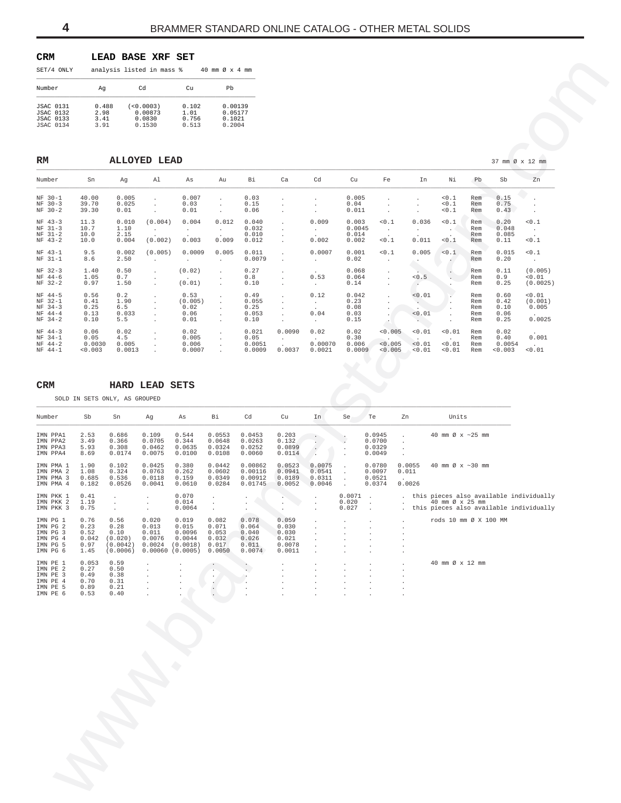<span id="page-3-0"></span>

| <b>CRM</b><br>LEAD BASE XRF SET |  |  |  |
|---------------------------------|--|--|--|
|---------------------------------|--|--|--|

| SET/4 ONLY                                                                   |                               | analysis listed in mass %                |                                 | 40 mm $\varnothing \times 4$ mm        |
|------------------------------------------------------------------------------|-------------------------------|------------------------------------------|---------------------------------|----------------------------------------|
| Number                                                                       | Aq                            | Cd                                       | $C_{11}$                        | Ph                                     |
| <b>JSAC 0131</b><br><b>JSAC 0132</b><br><b>JSAC 0133</b><br><b>JSAC 0134</b> | 0.488<br>2.98<br>3.41<br>3.91 | (<0.0003)<br>0.00873<br>0.0830<br>0.1530 | 0.102<br>1.01<br>0.756<br>0.513 | 0.00139<br>0.05177<br>0.1021<br>0.2004 |

| SET/4 ONLY                                                                              |                                               | analysis listed in mass %                               |                                                     |                                                                      | 40 mm Ø x 4 mm                                      |                                                     |                                                      |                                                        |                                          |                                                     |                                            |                                          |                                                                                                       |                                 |                                      |                                      |
|-----------------------------------------------------------------------------------------|-----------------------------------------------|---------------------------------------------------------|-----------------------------------------------------|----------------------------------------------------------------------|-----------------------------------------------------|-----------------------------------------------------|------------------------------------------------------|--------------------------------------------------------|------------------------------------------|-----------------------------------------------------|--------------------------------------------|------------------------------------------|-------------------------------------------------------------------------------------------------------|---------------------------------|--------------------------------------|--------------------------------------|
| Number                                                                                  | Ag                                            |                                                         | Cd                                                  | Cu                                                                   | Pb                                                  |                                                     |                                                      |                                                        |                                          |                                                     |                                            |                                          |                                                                                                       |                                 |                                      |                                      |
| <b>JSAC 0131</b><br><b>JSAC 0132</b><br><b>JSAC 0133</b><br><b>JSAC 0134</b>            | 0.488<br>2.98<br>3.41<br>3.91                 |                                                         | (<0.0003)<br>0.00873<br>0.0830<br>0.1530            | 0.102<br>1.01<br>0.756<br>0.513                                      | 0.00139<br>0.05177<br>0.1021<br>0.2004              |                                                     |                                                      |                                                        |                                          |                                                     |                                            |                                          |                                                                                                       |                                 |                                      |                                      |
| RM                                                                                      |                                               |                                                         | <b>ALLOYED LEAD</b>                                 |                                                                      |                                                     |                                                     |                                                      |                                                        |                                          |                                                     |                                            |                                          |                                                                                                       |                                 | 37 mm Ø x 12 mm                      |                                      |
| Number                                                                                  | Sn                                            | Ag                                                      | Al                                                  | As                                                                   | Au                                                  | Вi                                                  | Ca                                                   | Cd                                                     | Cu                                       | Fe                                                  |                                            | In                                       | Νi                                                                                                    | Pb                              | Sb                                   | Zn                                   |
| $NF 30-1$<br>$NF 30-3$<br>NF 30-2                                                       | 40.00<br>39.70<br>39.30                       | 0.005<br>0.025<br>0.01                                  | $\cdot$<br>$\cdot$<br>$\cdot$                       | 0.007<br>0.03<br>0.01                                                | $\cdot$<br>$\cdot$<br>$\cdot$                       | 0.03<br>0.15<br>0.06                                | $\cdot$                                              | $\cdot$<br>$\blacksquare$<br>$\overline{\phantom{a}}$  | 0.005<br>0.04<br>0.011                   | $\cdot$<br>$\cdot$<br>$\cdot$                       |                                            | $\cdot$                                  | 0.1<br>0.1<br>0.1                                                                                     | Rem<br>Rem<br>Rem               | 0.15<br>0.75<br>0.43                 | $\cdot$<br>$\cdot$                   |
| $NF 43-3$<br>$NF 31-3$<br>$NF$ 31-2<br>$NF 43-2$                                        | 11.3<br>10.7<br>10.0<br>10.0                  | 0.010<br>1.10<br>2.15<br>0.004                          | (0.004)<br>$\sim$<br>(0.002)                        | 0.004<br>$\sim$<br>0.003                                             | 0.012<br>$\sim$<br>0.009                            | 0.040<br>0.032<br>0.010<br>0.012                    | $\cdot$<br>$\cdot$<br>$\cdot$<br>$\cdot$             | 0.009<br>$\sim$<br>0.002                               | 0.003<br>0.0045<br>0.014<br>0.002        | 0.1<br>$\sim$<br>0.1                                |                                            | 0.036<br>$\cdot$<br>0.011                | 0.1<br>$\cdot$<br>0.1                                                                                 | Rem<br>Rem<br>Rem<br>Rem        | 0.20<br>0.048<br>0.085<br>0.11       | 0.1<br>$\sim$<br>0.1                 |
| NF 43-1<br>NF 31-1                                                                      | 9.5<br>8.6                                    | 0.002<br>2.50                                           | (0.005)<br>$\cdot$                                  | 0.0009<br>$\cdot$                                                    | 0.005<br>$\cdot$                                    | 0.011<br>0.0079                                     | $\cdot$<br>$\cdot$                                   | 0.0007<br>$\sim$                                       | 0.001<br>0.02                            | 0.1<br>$\cdot$                                      |                                            | 0.005<br>$\cdot$                         | < 0.1<br>$\sim$                                                                                       | Rem<br>Rem                      | 0.015<br>0.20                        | 0.1<br>$\sim$ $\sim$                 |
| NF 32-3<br>NF 44-6<br>NF 32-2                                                           | 1.40<br>1.05<br>0.97                          | 0.50<br>0.7<br>1.50                                     | $\cdot$<br>$\cdot$<br>$\cdot$                       | (0.02)<br>(0.01)                                                     | $\cdot$<br>$\cdot$<br>$\cdot$                       | 0.27<br>0.8<br>0.10                                 | $\cdot$<br>$\cdot$                                   | 0.53<br>$\sim$                                         | 0.068<br>0.064<br>0.14                   | $\cdot$<br>$\cdot$<br>$\cdot$                       |                                            | 0.5<br>$\cdot$                           | $\cdot$                                                                                               | Rem<br>Rem<br>Rem               | 0.11<br>0.9<br>0.25                  | (0.005)<br>0.01<br>(0.0025)          |
| NF 44-5<br>NF 32-1<br>$NF$ 34-3<br>$NF$ 44-4<br>$NF$ 34-2                               | 0.56<br>0.41<br>0.25<br>0.13<br>0.10          | 0.2<br>1.90<br>6.5<br>0.033<br>5.5                      | $\cdot$<br>$\cdot$<br>$\cdot$<br>$\cdot$<br>$\cdot$ | 0.53<br>(0.005)<br>0.02<br>0.06<br>0.01                              | $\cdot$<br>$\cdot$<br>$\cdot$<br>$\cdot$            | 0.49<br>0.055<br>0.25<br>0.053<br>0.10              | $\cdot$<br>$\cdot$<br>$\cdot$<br>$\cdot$<br>$\cdot$  | 0.12<br>$\sim$<br>0.04<br>$\sim$                       | 0.042<br>0.23<br>0.08<br>0.03<br>0.15    | $\cdot$<br>$\cdot$<br>$\cdot$<br>$\cdot$<br>$\cdot$ |                                            | 0.01<br>$\sim$<br>0.01<br>$\sim 10^{-1}$ |                                                                                                       | Rem<br>Rem<br>Rem<br>Rem<br>Rem | 0.60<br>0.42<br>0.10<br>0.06<br>0.25 | < 0.01<br>(0.001)<br>0.005<br>0.0025 |
| $NF 44-3$<br>$NF$ 34-1<br>$NF 44-2$<br>$NF$ 44-1                                        | 0.06<br>0.05<br>0.0030<br>0.003               | 0.02<br>4.5<br>0.005<br>0.0013                          | $\cdot$<br>$\cdot$<br>$\cdot$<br>$\cdot$            | 0.02<br>0.005<br>0.006<br>0.0007                                     | $\cdot$<br>$\cdot$<br>$\cdot$<br>$\cdot$            | 0.021<br>0.05<br>0.0051<br>0.0009                   | 0.0090<br>$\sim$<br>0.0037                           | 0.02<br>0.00070<br>0.0021                              | 0.02<br>0.30<br>0.006<br>0.0009          | 0.005<br>< 0.005<br>0.005                           |                                            | 0.01<br>< 0.01<br>0.01                   | 0.01<br>< 0.01<br>< 0.01                                                                              | Rem<br>Rem<br>Rem<br>Rem        | 0.02<br>0.40<br>0.0054<br>0.003      | 0.001<br>0.01                        |
| <b>CRM</b>                                                                              |                                               | SOLD IN SETS ONLY, AS GROUPED                           | <b>HARD LEAD</b>                                    | SETS                                                                 |                                                     |                                                     |                                                      |                                                        |                                          |                                                     |                                            |                                          |                                                                                                       |                                 |                                      |                                      |
| Number                                                                                  | Sb                                            | Sn                                                      | Ag                                                  | As                                                                   | Вi                                                  | Cd                                                  | ${\rm cu}$                                           | In                                                     | Se                                       | Te                                                  | Zn                                         |                                          | Units                                                                                                 |                                 |                                      |                                      |
| IMN PPA1<br>IMN PPA2<br>IMN PPA3<br>IMN PPA4                                            | 2.53<br>3.49<br>5.93<br>8.69                  | 0.686<br>0.366<br>0.308<br>0.0174                       | 0.109<br>0.0705<br>0.0462<br>0.0075                 | 0.544<br>0.344<br>0.0635<br>0.0100                                   | 0.0553<br>0.0648<br>0.0324<br>0.0108                | 0.0453<br>0.0263<br>0.0252<br>0.0060                | 0.203<br>0.132<br>0.0899<br>0.0114                   | $\bullet$<br>$\sim$<br>$\ddot{\phantom{0}}$<br>$\cdot$ |                                          | 0.0945<br>0.0700<br>0.0329<br>0.0049                | $\cdot$<br>$\ddot{\phantom{a}}$<br>$\cdot$ |                                          | 40 mm Ø x ~25 mm                                                                                      |                                 |                                      |                                      |
| IMN PMA 1<br>IMN PMA 2<br>IMN PMA 3<br>IMN PMA 4                                        | 1.90<br>1.08<br>0.685<br>0.182                | 0.102<br>0.324<br>0.536<br>0.0526                       | 0.0425<br>0.0763<br>0.0118<br>0.0041                | 0.380<br>0.262<br>0.159<br>0.0610                                    | 0.0442<br>0.0602<br>0.0349<br>0.0284                | 0.00862<br>0.00116<br>0.00912<br>0.01745            | 0.0523<br>0.0941<br>0.0189<br>0.0052                 | 0.0075<br>0.0541<br>0.0311<br>0.0046                   | $\cdot$<br>$\cdot$<br>$\cdot$<br>$\cdot$ | 0.0780<br>0.0097<br>0.0521<br>0.0374                | 0.0055<br>0.011<br>0.0026                  |                                          | 40 mm Ø x ~30 mm                                                                                      |                                 |                                      |                                      |
| IMN PKK 1<br>IMN PKK 2<br>IMN PKK 3                                                     | 0.41<br>1.19<br>0.75                          | $\cdot$<br>$\cdot$<br>$\cdot$                           | $\cdot$<br>$\cdot$<br>$\cdot$                       | 0.070<br>0.014<br>0.0064                                             | $\cdot$<br>$\cdot$<br>$\cdot$                       | $\ddot{\phantom{0}}$<br>$\cdot$                     |                                                      | $\cdot$<br>$\blacksquare$                              | 0.0071<br>0.020<br>0.027                 | $\cdot$<br>$\cdot$                                  |                                            |                                          | this pieces also available individually<br>40 mm Ø x 25 mm<br>this pieces also available individually |                                 |                                      |                                      |
| IMN PG 1<br>IMN PG 2<br>3<br>IMN PG<br>IMN PG<br>$\overline{4}$<br>IMN PG 5<br>IMN PG 6 | 0.76<br>0.23<br>0.52<br>0.042<br>0.97<br>1.45 | 0.56<br>0.28<br>0.10<br>(0.020)<br>(0.0042)<br>(0.0006) | 0.020<br>0.013<br>0.011<br>0.0076<br>0.0024         | 0.019<br>0.015<br>0.0096<br>0.0044<br>(0.0018)<br>$0.00060$ (0.0005) | 0.082<br>0.071<br>0.053<br>0.032<br>0.017<br>0.0050 | 0.078<br>0.064<br>0.040<br>0.026<br>0.011<br>0.0074 | 0.059<br>0.030<br>0.030<br>0.021<br>0.0078<br>0.0011 | $\cdot$                                                |                                          |                                                     |                                            |                                          | rods 10 mm Ø X 100 MM                                                                                 |                                 |                                      |                                      |
| IMN PE 1<br>IMN PE 2<br>IMN PE 3<br>IMN PE 4<br>IMN PE 5<br>IMN PE 6                    | 0.053<br>0.27<br>0.49<br>0.70<br>0.89<br>0.53 | 0.59<br>0.50<br>0.38<br>0.31<br>0.21<br>0.40            |                                                     |                                                                      |                                                     |                                                     |                                                      |                                                        |                                          |                                                     |                                            |                                          | 40 mm Ø x 12 mm                                                                                       |                                 |                                      |                                      |
|                                                                                         |                                               |                                                         |                                                     |                                                                      |                                                     |                                                     |                                                      |                                                        |                                          |                                                     |                                            |                                          |                                                                                                       |                                 |                                      |                                      |

# **CRM HARD LEAD SETS**

| Number                                                               | Sb                                            | Sn                                                      | Ag                                          | As                                                                     | Βi                                                  | Cd                                                  | Cu                                                   | In                                   | Se                       | Te                                   | Zn<br>Units                                                                                             |
|----------------------------------------------------------------------|-----------------------------------------------|---------------------------------------------------------|---------------------------------------------|------------------------------------------------------------------------|-----------------------------------------------------|-----------------------------------------------------|------------------------------------------------------|--------------------------------------|--------------------------|--------------------------------------|---------------------------------------------------------------------------------------------------------|
| IMN PPA1<br>IMN PPA2<br>IMN PPA3<br>IMN PPA4                         | 2.53<br>3.49<br>5.93<br>8.69                  | 0.686<br>0.366<br>0.308<br>0.0174                       | 0.109<br>0.0705<br>0.0462<br>0.0075         | 0.544<br>0.344<br>0.0635<br>0.0100                                     | 0.0553<br>0.0648<br>0.0324<br>0.0108                | 0.0453<br>0.0263<br>0.0252<br>0.0060                | 0.203<br>0.132<br>0.0899<br>0.0114                   | t.                                   |                          | 0.0945<br>0.0700<br>0.0329<br>0.0049 | 40 mm $\varnothing$ x ~25 mm<br>$\overline{\phantom{a}}$<br>$\cdot$<br>$\cdot$                          |
| IMN PMA 1<br>IMN PMA 2<br>IMN PMA 3<br>IMN PMA 4                     | 1.90<br>1.08<br>0.685<br>0.182                | 0.102<br>0.324<br>0.536<br>0.0526                       | 0.0425<br>0.0763<br>0.0118<br>0.0041        | 0.380<br>0.262<br>0.159<br>0.0610                                      | 0.0442<br>0.0602<br>0.0349<br>0.0284                | 0.00862<br>0.00116<br>0.00912<br>0.01745            | 0.0523<br>0.0941<br>0.0189<br>0.0052                 | 0.0075<br>0.0541<br>0.0311<br>0.0046 | $\ddot{\phantom{a}}$     | 0.0780<br>0.0097<br>0.0521<br>0.0374 | 0.0055<br>40 mm $\varnothing$ x ~30 mm<br>0.011<br>$\ddot{\phantom{a}}$<br>0.0026                       |
| IMN PKK 1<br>IMN PKK 2<br>IMN PKK 3                                  | 0.41<br>1.19<br>0.75                          | $\ddot{\phantom{a}}$<br>$\lambda$                       | $\mathbf{r}$                                | 0.070<br>0.014<br>0.0064                                               | ٠                                                   | $\cdot$                                             | $\cdot$                                              |                                      | 0.0071<br>0.020<br>0.027 |                                      | . this pieces also available individually<br>40 mm Ø x 25 mm<br>this pieces also available individually |
| IMN PG 1<br>IMN PG 2<br>IMN PG 3<br>IMN PG 4<br>IMN PG 5<br>IMN PG 6 | 0.76<br>0.23<br>0.52<br>0.042<br>0.97<br>1.45 | 0.56<br>0.28<br>0.10<br>(0.020)<br>(0.0042)<br>(0.0006) | 0.020<br>0.013<br>0.011<br>0.0076<br>0.0024 | 0.019<br>0.015<br>0.0096<br>0.0044<br>(0.0018)<br>$0.00060$ $(0.0005)$ | 0.082<br>0.071<br>0.053<br>0.032<br>0.017<br>0.0050 | 0.078<br>0.064<br>0.040<br>0.026<br>0.011<br>0.0074 | 0.059<br>0.030<br>0.030<br>0.021<br>0.0078<br>0.0011 | $\ddot{\phantom{a}}$                 |                          |                                      | rods 10 mm Ø X 100 MM<br>$\mathbf{r}$<br>$\cdot$                                                        |
| IMN PE 1<br>IMN PE 2<br>IMN PE 3<br>IMN PE 4<br>IMN PE 5<br>IMN PE 6 | 0.053<br>0.27<br>0.49<br>0.70<br>0.89<br>0.53 | 0.59<br>0.50<br>0.38<br>0.31<br>0.21<br>0.40            | $\mathbf{r}$<br>$\lambda$                   |                                                                        | $\cdot$<br>٠                                        |                                                     |                                                      |                                      |                          | $\cdot$                              | 40 mm Ø x 12 mm                                                                                         |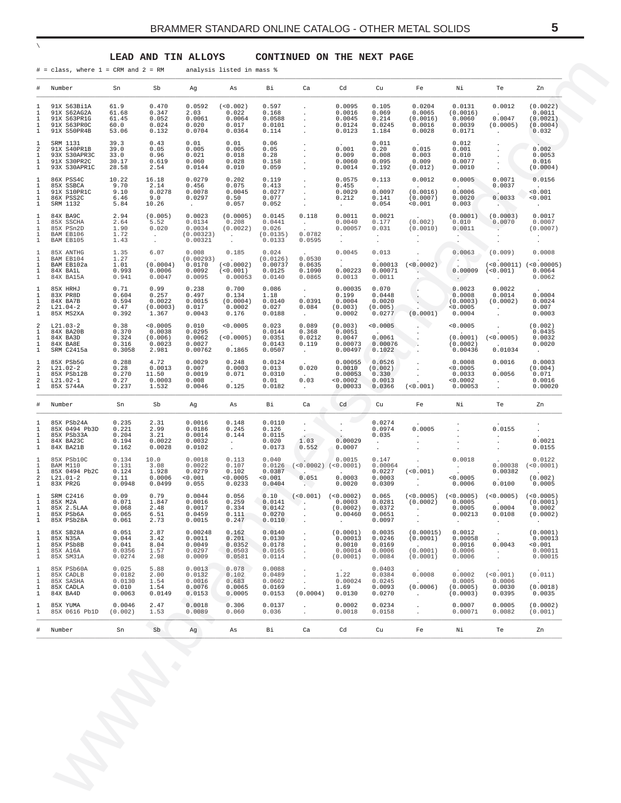<span id="page-4-0"></span>

| #                                  | Number                                                                  | Sn                                           | Sb                                                              | Ag                                                 | As                                                          | Bi                                               | Ca                                                                     | Cd                                                   | Cu                                                            | Fe                                                      | Νi                                                              | Te                                                                             | Zn                                                   |
|------------------------------------|-------------------------------------------------------------------------|----------------------------------------------|-----------------------------------------------------------------|----------------------------------------------------|-------------------------------------------------------------|--------------------------------------------------|------------------------------------------------------------------------|------------------------------------------------------|---------------------------------------------------------------|---------------------------------------------------------|-----------------------------------------------------------------|--------------------------------------------------------------------------------|------------------------------------------------------|
| 1<br>1<br>ı<br>ı<br>1              | 91X S63Bi1A<br>91X S62AG2A<br>91X S63PR1G<br>91X S63PROC<br>91X S50PR4B | 61.9<br>61.68<br>61.45<br>60.0<br>53.06      | 0.470<br>0.347<br>0.052<br>0.024<br>0.132                       | 0.0592<br>2.03<br>0.0061<br>0.020<br>0.0704        | (< 0.002)<br>0.022<br>0.0064<br>0.017<br>0.0364             | 0.597<br>0.168<br>0.0588<br>0.0101<br>0.114      | $\bullet$<br>$\cdot$<br>$\cdot$<br>$\cdot$                             | 0.0095<br>0.0016<br>0.0045<br>0.0124<br>0.0123       | 0.105<br>0.069<br>0.214<br>0.0245<br>1.184                    | 0.0204<br>0.0065<br>(0.0016)<br>0.0016<br>0.0028        | 0.0131<br>(0.0016)<br>0.0060<br>0.0039<br>0.0171                | 0.0012<br>$\sim$ $\sim$<br>0.0047<br>(0.0005)<br>$\sim$                        | (0.0022)<br>0.0011<br>(0.0021)<br>(0.0004)<br>0.032  |
| -1.<br>2<br>ı<br>ı<br>1            | SRM 1131<br>91X S40PR1B<br>93X S30APR3C<br>91X S30PR2C<br>93X S30APR1C  | 39.3<br>39.0<br>33.0<br>30.17<br>28.58       | 0.43<br>0.05<br>0.96<br>0.619<br>2.54                           | 0.01<br>0.005<br>0.021<br>0.060<br>0.0144          | 0.01<br>0.005<br>0.018<br>0.028<br>0.010                    | 0.06<br>0.05<br>0.28<br>0.158<br>0.059           | $\bullet$<br>$\bullet$<br>$\bullet$<br>$\bullet$                       | 0.001<br>0.009<br>0.0060<br>0.0014                   | 0.011<br>0.20<br>0.008<br>0.095<br>0.192                      | 0.015<br>0.003<br>0.009<br>(0.012)                      | 0.012<br>0.001<br>0.010<br>0.0077<br>0.0010                     | $\cdot$<br>$\cdot$                                                             | 0.002<br>0.0053<br>0.016<br>(0.0004)                 |
| -1<br>1<br>ı<br>1<br>1             | 86X PSS4C<br>85X SSBCA<br>91X S10PR1C<br>86X PSS2C<br>SRM 1132          | 10.22<br>9.70<br>9.10<br>6.46<br>5.84        | 16.18<br>2.14<br>0.0278<br>9.0<br>10.26                         | 0.0279<br>0.456<br>0.0078<br>0.0297<br>$\sim 100$  | 0.202<br>0.075<br>0.0045<br>0.50<br>0.057                   | 0.119<br>0.413<br>0.0277<br>0.077<br>0.052       | $\bullet$<br>$\bullet$<br>$\cdot$<br>$\bullet$<br>$\ddot{\phantom{a}}$ | 0.0575<br>0.455<br>0.0029<br>0.212                   | 0.113<br><b>Contract Contract</b><br>0.0097<br>0.141<br>0.054 | 0.0012<br>(0.0016)<br>(0.0007)<br>0.001                 | 0.0005<br><b>Contract Contract</b><br>0.0006<br>0.0020<br>0.003 | 0.0071<br>0.0037<br>$\Delta \sim 10^{-11}$<br>0.0033<br><b>SALES</b>           | 0.0156<br>< 0.001<br>0.001                           |
| -1<br>ı<br>1<br>-1<br>1            | 84X BA9C<br>85X SSCHA<br>85X PSn2D<br>BAM EB106<br>BAM EB105            | 2.94<br>2.64<br>1.90<br>1.72<br>1.43         | (0.005)<br>5.52<br>0.020<br>$\sim$ $\sim$<br>$\sim 10^{-11}$    | 0.0023<br>0.0134<br>0.0034<br>(0.00323)<br>0.00321 | (0.0005)<br>0.208<br>(0.0022)<br>$\sim$<br>$\sim$           | 0.0145<br>0.0441<br>0.026<br>(0.0135)<br>0.0133  | 0.118<br>$\sim 10^{-11}$<br>0.0782<br>0.0595                           | 0.0011<br>0.0040<br>0.00057<br>$\sim$<br>$\sim$      | 0.0021<br>0.177<br>0.031<br>$\sim$<br>$\sim$                  | (0.002)<br>(0.0010)<br>$\sim$<br>$\sim$                 | (0.0001)<br>0.010<br>0.0011<br><b>Contract</b>                  | (0.0003)<br>0.0070                                                             | 0.0017<br>0.0007<br>(0.0007)<br>$\sim$<br>$\sim$     |
| -1.<br>ı<br>ı<br>1<br>1            | 85X ANTHG<br>BAM EB104<br>BAM EB102a<br>84X BA1L<br>84X BA15A           | 1.35<br>1.27<br>1.01<br>0.993<br>0.941       | 6.07<br>$\sim 100$ km s $^{-1}$<br>(0.0004)<br>0.0006<br>0.0047 | 0.008<br>(0.00293)<br>0.0170<br>0.0092<br>0.0095   | 0.185<br>(<0.0002)<br>( < 0.001 )<br>0.00053                | 0.024<br>(0.0126)<br>0.00737<br>0.0125<br>0.0140 | 0.0530<br>0.0635<br>0.1090<br>0.0865                                   | 0.0045<br><b>Contract</b><br>0.00223<br>0.0013       | 0.013<br>0.00013<br>0.00071<br>0.0011                         | $\blacksquare$<br>(<0.0002)<br><b>Contract Contract</b> | 0.0063<br>$\triangle$ =<br>0.00009<br>$\sim$ 100 $\pm$          | (0.009)<br>$(<0.00011)$ $(<0.00005)$<br>(< 0.001)<br>$\sim$                    | 0.0008<br>0.0064<br>0.0062                           |
| $\mathbf{1}$<br>1<br>ı<br>2<br>1   | 85X HRHJ<br>83X PR8D<br>84X BA7B<br>$L21.04-2$<br>85X MS2XA             | 0.71<br>0.604<br>0.594<br>0.47<br>0.392      | 0.99<br>0.257<br>0.0022<br>(0.0003)<br>1.367                    | 0.238<br>0.497<br>0.0015<br>0.017<br>0.0043        | 0.700<br>0.134<br>(0.0004)<br>0.0002<br>0.176               | 0.086<br>1.18<br>0.0140<br>0.027<br>0.0188       | $\sim$<br>0.0391<br>0.084<br>$\sim 10^{-11}$                           | 0.00035<br>0.199<br>0.0004<br>(0.003)<br>0.0002      | 0.070<br>0.0448<br>0.0020<br>(0.005)<br>0.0277                | $\sim$<br>(0.0001)                                      | 0.0023<br>0.0008<br>(0.0003)<br>0.0005<br>0.0004                | 0.0022<br>0.0014<br>(0.0002)<br>$\sim$<br>$\cdot$                              | 0.0004<br>0.0024<br>0.007<br>0.0003                  |
| 2<br>ı<br>ı<br>1<br>1              | $L21.03-2$<br>84X BA20B<br>84X BA3D<br>84X BA8E<br>SRM C2415a           | 0.38<br>0.370<br>0.324<br>0.316<br>0.3058    | < 0.0005<br>0.0038<br>(0.006)<br>0.0023<br>2.981                | 0.010<br>0.0295<br>0.0062<br>0.0027<br>0.00762     | < 0.0005<br><b>Contract Contract</b><br>(<0.0005)<br>0.1865 | 0.023<br>0.0144<br>0.0351<br>0.0143<br>0.0507    | 0.089<br>0.368<br>0.0212<br>0.119                                      | (0.003)<br>0.0051<br>0.0047<br>0.00073<br>0.00497    | < 0.0005<br>0.0061<br>0.00076<br>0.1022                       |                                                         | 0.0005<br>(0.0001)<br>(0.0002)<br>0.00436                       | $\cdot$<br>(<0.0005)<br><b>Contract Contract Contract</b><br>0.01034           | (0.002)<br>0.0435<br>0.0032<br>0.0020<br>$\sim$      |
| -1<br>2<br>ı<br>2<br>1             | 85X PSb5G<br>$L21.02-2$<br>85X PSb12B<br>$L21.02-1$<br>85X S744A        | 0.288<br>0.28<br>0.270<br>0.27<br>0.237      | 4.72<br>0.0013<br>11.50<br>0.0003<br>1.532                      | 0.0029<br>0.007<br>0.0019<br>0.008<br>0.0046       | 0.248<br>0.0003<br>0.071<br>0.125                           | 0.0124<br>0.013<br>0.0310<br>0.01<br>0.0182      | 0.020<br>$\sim$<br>0.03<br>$\sim$                                      | 0.00055<br>0.0010<br>0.00053<br>< 0.0002<br>0.00033  | 0.0526<br>(0.002)<br>0.330<br>0.0013<br>0.0366                | ( < 0.001 )                                             | 0.0008<br>0.0005<br>0.0033<br>< 0.0002<br>0.00053               | 0.0016<br><b>Contract Contract Contract</b><br>0.0056<br>$\sim$<br>$\sim$      | 0.0003<br>(0.004)<br>0.071<br>0.0016<br>0.00020      |
| #                                  | Number                                                                  | Sn                                           | Sb                                                              | Ag                                                 | As                                                          | Bi                                               | Ca                                                                     | Cd                                                   | Cu                                                            | Fe                                                      | Νi                                                              | Te                                                                             | Zn                                                   |
| 1<br>ı<br>ı<br>1<br>-1             | 85X PSb24A<br>85X 0494 Pb3D<br>85X PSb33A<br>84X BA23C<br>84X BA21B     | 0.235<br>0.221<br>0.204<br>0.194<br>0.162    | 2.31<br>2.99<br>3.21<br>0.0022<br>0.0028                        | 0.0016<br>0.0186<br>0.0014<br>0.0032<br>0.0102     | 0.148<br>0.245<br>0.144<br>$\sim$<br>$\sim$                 | 0.0110<br>0.126<br>0.0115<br>0.020<br>0.0173     | $\cdot$<br>$\bullet$<br>1.03<br>0.552                                  | 0.00029<br>0.0007                                    | 0.0274<br>0.0974<br>0.035<br>$\sim$                           | 0.0005<br>$\sim$                                        | $\cdot$                                                         | 0.0155<br>$\cdot$<br>$\cdot$                                                   | $\cdot$<br>0.0021<br>0.0155                          |
| -1.<br>1<br>-1<br>2<br>1           | 85X PSb10C<br>BAM M110<br>85X 0494 Pb2C<br>$L21.01-2$<br>83X PR2G       | 0.134<br>0.131<br>0.124<br>0.11<br>0.0948    | 10.0<br>3.08<br>1.928<br>0.0006<br>0.0499                       | 0.0018<br>0.0022<br>0.0279<br>0.001<br>0.055       | 0.113<br>0.107<br>0.102<br>0.0005<br>0.0233                 | 0.040<br>0.0126<br>0.0387<br>0.001<br>0.0404     | $(<0.0002)$ $(<0.0001)$<br>0.051<br>$\lambda$                          | 0.0015<br>0.0003<br>0.0020                           | 0.147<br>0.00064<br>0.0227<br>0.0003<br>0.0309                | ( < 0.001 )<br><b>Contract Contract</b>                 | 0.0018<br><b>Contractor</b><br>0.0005<br>0.0006                 | 0.00038<br>0.00382<br>0.0100                                                   | 0.0122<br>(< 0.0001)<br>(0.002)<br>0.0005            |
| $\mathbf{1}$<br>1<br>1<br>1        | SRM C2416<br>85X M2A<br>85X 2.5LAA<br>85X PSb6A<br>85X PSb28A           | 0.09<br>0.071<br>0.068<br>0.065<br>0.061     | 0.79<br>1.847<br>2.48<br>6.51<br>2.73                           | 0.0044<br>0.0016<br>0.0017<br>0.0459<br>0.0015     | 0.056<br>0.259<br>0.334<br>0.111<br>0.247                   | 0.0141<br>0.0142<br>0.0270<br>0.0110             | $0.10$ (<0.001) (<0.0002)<br>$\cdot$<br>$\cdot$                        | 0.0003<br>(0.0002)<br>0.00460                        | 0.0281<br>0.0372<br>0.0651<br>0.0097                          | (0.0002)<br>$\cdot$<br>$\cdot$                          | 0.0005<br>0.0005<br>0.00213<br>$\cdot$                          | $0.065$ (<0.0005) (<0.0005) (<0.0005) (<0.0005)<br>0.0004<br>0.0108<br>$\cdot$ | (0.0001)<br>0.0002<br>(0.0002)<br>$\bullet$          |
| -1<br>1<br>1<br>-1<br>$\mathbf{1}$ | 85X SB28A<br>85X N35A<br>85X PSb8B<br>85X A16A<br>85X SM31A             | 0.051<br>0.044<br>0.041<br>0.0356<br>0.0274  | 2.87<br>3.42<br>8.04<br>1.57<br>2.98                            | 0.00248<br>0.0011<br>0.0049<br>0.0297<br>0.0009    | 0.162<br>0.201<br>0.0352<br>0.0503<br>0.0581                | 0.0140<br>0.0130<br>0.0178<br>0.0165<br>0.0114   | $\cdot$<br>$\cdot$<br>$\cdot$<br>$\cdot$                               | (0.0001)<br>0.00013<br>0.0010<br>0.00014<br>(0.0001) | 0.0035<br>0.0246<br>0.0169<br>0.0006<br>0.0084                | (0.00015)<br>(0.0001)<br>(0.0001)<br>(0.0001)           | 0.0012<br>0.00058<br>0.0016<br>0.0006<br>0.0006                 | $\cdot$<br>0.0043<br>$\sim$<br>$\cdot$                                         | (0.0001)<br>0.00013<br>< 0.001<br>0.00011<br>0.00015 |
| 1<br>1<br>1<br>-1<br>1             | 85X PSb60A<br>85X CADLB<br>85X SASHA<br>85X CADLA<br>84X BA4D           | 0.025<br>0.0182<br>0.0130<br>0.010<br>0.0063 | 5.88<br>2.00<br>1.54<br>1.54<br>0.0149                          | 0.0013<br>0.0132<br>0.0016<br>0.0076<br>0.0153     | 0.078<br>0.102<br>0.683<br>0.0065<br>0.0005                 | 0.0088<br>0.0489<br>0.0602<br>0.0169<br>0.0153   | $\cdot$<br>$\cdot$<br>(0.0004)                                         | 1.22<br>0.00024<br>1.69<br>0.0130                    | 0.0403<br>0.0384<br>0.0245<br>0.0093<br>0.0270                | 0.0008<br>(0.0006)<br>$\cdot$                           | 0.0002<br>0.0005<br>(0.0005)<br>(0.0003)                        | ( < 0.001)<br>0.0006<br>0.0030<br>0.0395                                       | (0.011)<br>(0.0018)<br>0.0035                        |
| 1<br>1                             | 85X YUMA<br>85X 0616 Pb1D                                               | 0.0046<br>(0.002)                            | 2.47<br>1.53                                                    | 0.0018<br>0.0089                                   | 0.306<br>0.060                                              | 0.0137<br>0.036                                  | $\cdot$<br>$\cdot$                                                     | 0.0002<br>0.0018                                     | 0.0234<br>0.0158                                              | $\cdot$<br>$\cdot$                                      | 0.0007<br>0.00071                                               | 0.0005<br>0.0082                                                               | (0.0002)<br>(0.001)                                  |
|                                    | Number                                                                  | Sn                                           | Sb                                                              | Αg                                                 | As                                                          | Вi                                               | Ca                                                                     | Cd                                                   | cu                                                            | Fe                                                      | Νi                                                              | Te                                                                             | Zn                                                   |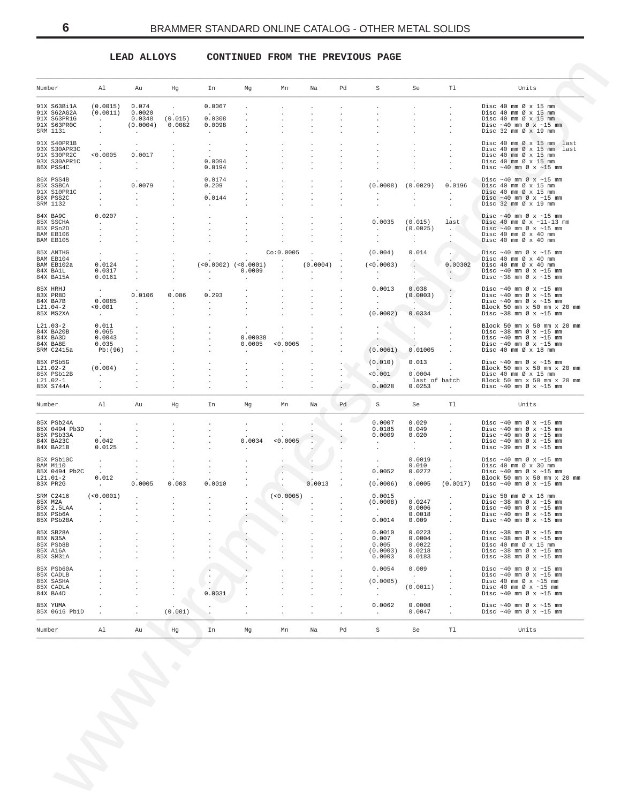# **LEAD ALLOYS CONTINUED FROM THE PREVIOUS PAGE**

<span id="page-5-0"></span>

|                                      | Al                            | Au                          | Hg                   | In                                | Mg                                | Mn                                 | Na                                | Pd                   | $\rm S$                           | Se                          | Tl                                      | Units                                                                                                                                              |
|--------------------------------------|-------------------------------|-----------------------------|----------------------|-----------------------------------|-----------------------------------|------------------------------------|-----------------------------------|----------------------|-----------------------------------|-----------------------------|-----------------------------------------|----------------------------------------------------------------------------------------------------------------------------------------------------|
| 91X S63Bi1A<br>91X S62AG2A           | (0.0015)<br>(0.0011)          | 0.074<br>0.0020             | $\ddot{\phantom{a}}$ | 0.0067<br><b>Carl Corporation</b> |                                   |                                    |                                   |                      |                                   | $\cdot$                     |                                         | Disc $40 \text{ mm}$ $\varnothing$ x $15 \text{ mm}$<br>Disc 40 mm $\varnothing$ x 15 mm                                                           |
| 91X S63PR1G<br>91X S63PR0C           | $\sim$ $\sim$                 | 0.0348<br>(0.0004)          | (0.015)<br>0.0082    | 0.0308<br>0.0098                  | $\cdot$                           |                                    |                                   |                      |                                   | $\sim$<br>$\sim$            |                                         | Disc 40 mm $\varnothing$ x 15 mm<br>Disc $\sim 40$ mm $\varnothing$ x $\sim 15$ mm                                                                 |
| SRM 1131                             | $\cdot$                       | $\sim$                      | $\ddot{\phantom{a}}$ | $\sim$                            |                                   |                                    |                                   |                      |                                   |                             |                                         | Disc $32 \text{ mm } \emptyset \times 19 \text{ mm}$                                                                                               |
| 91X S40PR1B<br>93X S30APR3C          | $\cdot$                       | $\sim$                      |                      | $\sim$<br>$\ddot{\phantom{0}}$    |                                   |                                    |                                   |                      |                                   | $\cdot$<br>$\cdot$          |                                         | Disc 40 mm Ø x 15 mm last<br>Disc 40 mm Ø x 15 mm last                                                                                             |
| 91X S30PR2C<br>93X S30APR1C          | < 0.0005<br><b>Carl Corp.</b> | 0.0017<br><b>Carl Corp.</b> |                      | 0.0094                            |                                   |                                    |                                   |                      |                                   | $\cdot$                     |                                         | Disc $40 \text{ mm}$ $\varnothing$ x $15 \text{ mm}$<br>Disc $40 \text{ mm}$ $\varnothing$ x $15 \text{ mm}$                                       |
| 86X PSS4C                            |                               |                             |                      | 0.0194                            |                                   |                                    |                                   |                      |                                   |                             |                                         | Disc $\sim$ 40 mm Ø x $\sim$ 15 mm                                                                                                                 |
| 86X PSS4B<br>85X SSBCA               |                               | 0.0079                      |                      | 0.0174<br>0.209                   |                                   |                                    | $\bullet$<br>$\ddot{\phantom{0}}$ |                      |                                   | $(0.0008)$ $(0.0029)$       | 0.0196                                  | Disc $~10$ mm $\varnothing$ x $~15$ mm<br>Disc 40 mm $\varnothing$ x 15 mm                                                                         |
| 91X S10PR1C<br>86X PSS2C             |                               | <b>Contract</b><br>$\cdot$  |                      | 0.0144                            |                                   |                                    |                                   |                      | $\sim$<br>$\cdot$                 | $\sim 10^{-11}$<br>$\cdot$  | <b>Contract</b><br>$\ddot{\phantom{a}}$ | Disc $40 \text{ mm}$ $\emptyset$ x 15 mm<br>Disc $\sim 40$ mm $\varnothing$ x $\sim 15$ mm                                                         |
| SRM 1132                             |                               | $\ddot{\phantom{a}}$        |                      | $\sim$                            |                                   |                                    |                                   |                      | $\cdot$                           |                             | $\cdot$                                 | Disc $32 \text{ mm } \emptyset \times 19 \text{ mm}$                                                                                               |
| 84X BA9C<br>85X SSCHA                | 0.0207<br>$\sim$              | $\cdot$<br>$\cdot$          |                      | $\cdot$<br>$\ddot{\phantom{a}}$   |                                   |                                    |                                   |                      | 0.0035                            | (0.015)                     | last                                    | Disc $\sim 40$ mm $\varnothing$ x $\sim 15$ mm<br>Disc 40 mm $\varnothing$ x ~11-13 mm                                                             |
| 85X PSn2D<br>BAM EB106               |                               |                             |                      |                                   |                                   |                                    |                                   |                      | <b>Contract</b>                   | (0.0025)<br>$\sim$          | <b>ALC</b>                              | Disc $\sim 40$ mm $\varnothing$ x $\sim 15$ mm<br>Disc 40 mm $\varnothing$ x 40 mm                                                                 |
| BAM EB105                            |                               |                             |                      |                                   |                                   |                                    |                                   |                      | $\cdot$                           | $\sim$                      |                                         | Disc 40 mm Ø x 40 mm                                                                                                                               |
| 85X ANTHG<br>BAM EB104               | $\cdot$                       |                             |                      |                                   |                                   | Co:0.0005                          | $\sim$                            | $\cdot$              | (0.004)                           | 0.014                       | $\sim$                                  | Disc $\sim 40$ mm $\varnothing$ x $\sim 15$ mm<br>Disc 40 mm Ø x 40 mm                                                                             |
| BAM EB102a<br>84X BA1L               | 0.0124<br>0.0317              |                             |                      | <b>Contractor</b>                 | $(<0.0002)$ $(<0.0001)$<br>0.0009 | $\cdot$                            | (0.0004)<br><b>Contractor</b>     |                      | (<0.0003)<br><b>Contractor</b>    | G.<br>$\sim$                | 0.00302<br>$\sim$ $\sim$                | Disc 40 mm Ø x 40 mm<br>Disc $\sim 40$ mm $\varnothing$ x $\sim 15$ mm                                                                             |
| 84X BA15A                            | 0.0161                        |                             |                      |                                   | $\cdot$                           |                                    |                                   |                      | $\sim$<br>0.0013                  | $\sim$ $-$                  | $\mathcal{L}_{\mathcal{A}}$             | Disc $\sim$ 38 mm Ø x $\sim$ 15 mm                                                                                                                 |
| 85X HRHJ<br>83X PR8D<br>84X BA7B     | $\sim$<br>0.0085              | 0.0106                      | 0.086                | 0.293                             | $\cdot$                           |                                    |                                   |                      | <b>Contract Contract</b>          | 0.038<br>(0.0003)           |                                         | Disc $\sim 40$ mm $\varnothing$ x $\sim 15$ mm<br>Disc $\sim 40$ mm $\varnothing$ x $\sim 15$ mm<br>Disc $\sim 40$ mm $\varnothing$ x $\sim 15$ mm |
| $L21.04-2$<br>85X MS2XA              | < 0.001                       | $\sim 10^{-10}$<br>$\cdot$  | $\sim$<br>$\cdot$    | $\sim$<br>$\cdot$                 |                                   |                                    |                                   | $\bullet$            | $\sim$<br>(0.0002)                | <b>CONTRACTOR</b><br>0.0334 |                                         | Block 50 mm x 50 mm x 20 mm<br>Disc $\sim$ 38 mm Ø x $\sim$ 15 mm                                                                                  |
| $L21.03-2$                           | <b>Contract</b><br>0.011      |                             |                      | $\cdot$                           |                                   |                                    |                                   |                      |                                   |                             |                                         | Block 50 mm x 50 mm x 20 mm                                                                                                                        |
| 84X BA20B<br>84X BA3D                | 0.065<br>0.0043               | $\cdot$<br>$\cdot$          | $\cdot$<br>$\cdot$   | $\bullet$<br>$\cdot$              | $\cdot$<br>0.00038                |                                    | $\ddot{\phantom{a}}$<br>$\Delta$  |                      | $\sim$<br>$\sim$                  |                             |                                         | Disc $\sim$ 38 mm Ø x $\sim$ 15 mm<br>Disc $\sim 40$ mm $\varnothing$ x $\sim 15$ mm                                                               |
| 84X BA8E<br>SRM C2415a               | 0.035<br>Pb:(96)              | $\cdot$                     |                      |                                   | 0.0005<br>$\ddot{\phantom{a}}$    | < 0.0005<br>$\cdot$                | $\cdot$<br>$\ddot{\phantom{a}}$   |                      | $\sim$<br>(0.0061)                | $\sim$<br>0.01005           |                                         | Disc $\sim 40$ mm $\varnothing$ x $\sim 15$ mm<br>Disc 40 mm $\varnothing$ x 18 mm                                                                 |
| 85X PSb5G                            |                               |                             |                      |                                   | $\cdot$                           |                                    |                                   | $\sim 100$           | (0.010)                           | 0.013                       |                                         | Disc $\sim 40$ mm $\varnothing$ x $\sim 15$ mm                                                                                                     |
| $L21.02-2$<br>85X PSb12B             | (0.004)<br><b>Service</b>     |                             |                      |                                   | $\cdot$                           |                                    | $\ddot{\phantom{a}}$<br>$\cdot$   |                      | < 0.001                           | 0.0004                      |                                         | Block 50 mm x 50 mm x 20 mm<br>Disc 40 mm $\varnothing$ x 15 mm                                                                                    |
| $L21.02-1$<br>85X S744A              |                               |                             | $\cdot$              |                                   |                                   |                                    | $\ddot{\phantom{a}}$              | $\cdot$<br>$\sim$    | 0.0028                            | last of batch<br>0.0253     | $\ddot{\phantom{0}}$                    | Block 50 mm x 50 mm x 20 mm<br>Disc $\sim 40$ mm $\varnothing$ x $\sim 15$ mm                                                                      |
| Number                               | Al                            | Au                          | Hg                   | In                                | Mg                                | Mn                                 | Na                                | Pd                   | S                                 | Se                          | Tl                                      | Units                                                                                                                                              |
|                                      |                               |                             |                      |                                   |                                   |                                    |                                   |                      |                                   |                             |                                         |                                                                                                                                                    |
| 85X PSb24A<br>85X 0494 Pb3D          | $\cdot$                       |                             |                      |                                   | $\cdot$                           |                                    | $\ddot{\phantom{1}}$              |                      | 0.0007<br>0.0185                  | 0.029<br>0.049              |                                         | Disc $\sim 40$ mm $\varnothing$ x $\sim 15$ mm<br>Disc $\sim 40$ mm $\varnothing$ x $\sim 15$ mm                                                   |
| 85X PSb33A<br>84X BA23C              | 0.042                         |                             |                      |                                   | 0.0034                            | < 0.0005                           | $\bullet$                         |                      | 0.0009<br>$\sim 100$ km s $^{-1}$ | 0.020<br><b>Contract</b>    |                                         | Disc $\sim 40$ mm $\varnothing$ x $\sim 15$ mm<br>Disc $\sim 40$ mm $\varnothing$ x $\sim 15$ mm                                                   |
| 84X BA21B                            | 0.0125                        |                             |                      |                                   | $\cdot$                           | $\cdot$                            |                                   |                      | $\sim$                            | $\sim$ $-$                  | $\cdot$                                 | Disc $\sim$ 39 mm Ø x $\sim$ 15 mm                                                                                                                 |
| 85X PSb10C<br>BAM M110               | $\sim$<br>$\sim$              |                             |                      |                                   |                                   |                                    |                                   |                      | $\blacksquare$                    | 0.0019<br>0.010             |                                         | Disc $\sim 40$ mm $\varnothing$ x $\sim 15$ mm<br>Disc $40 \text{ mm } \varnothing \times 30 \text{ mm}$                                           |
| 85X 0494 Pb2C<br>$L21.01-2$          | 0.012                         |                             |                      |                                   |                                   |                                    |                                   |                      | 0.0052                            | 0.0272                      |                                         | Disc $\sim 40$ mm $\varnothing$ x $\sim 15$ mm<br>Block 50 mm x 50 mm x 20 mm                                                                      |
| 83X PR2G                             | $\sim 100$                    | 0.0005                      | 0.003                | 0.0010                            |                                   |                                    | 0.0013                            |                      | (0.0006)                          | 0.0005                      |                                         | $(0.0017)$ Disc ~40 mm Ø x ~15 mm                                                                                                                  |
| SRM C2416<br>85X M2A                 | (<0.0001)<br>$\sim 100$       |                             |                      | $\cdot$                           |                                   | $(<0.0005)$ .<br><b>CONTRACTOR</b> | $\ddot{\phantom{a}}$              | $\ddot{\phantom{1}}$ | 0.0015<br>(0.0008)                | 0.0247                      | $\cdot$                                 | Disc 50 mm $\varnothing$ x 16 mm<br>Disc $\sim$ 38 mm Ø x $\sim$ 15 mm                                                                             |
| 85X 2.5LAA<br>85X PSb6A              |                               |                             |                      |                                   |                                   | $\cdot$                            |                                   |                      | <b>Contract Contract</b>          | 0.0006<br>0.0018            | $\sim$                                  | Disc $\sim 40$ mm $\varnothing$ x $\sim 15$ mm<br>Disc $\sim 40$ mm $\varnothing$ x $\sim 15$ mm                                                   |
| 85X PSb28A                           |                               |                             |                      |                                   |                                   |                                    |                                   |                      | 0.0014                            | 0.009                       |                                         | Disc $\sim 40$ mm $\varnothing$ x $\sim 15$ mm                                                                                                     |
| 85X SB28A<br>85X N35A                |                               |                             |                      |                                   |                                   |                                    |                                   |                      | 0.0010<br>0.007                   | 0.0223<br>0.0004            |                                         | Disc $\sim$ 38 mm Ø x $\sim$ 15 mm<br>Disc $\sim$ 38 mm Ø x $\sim$ 15 mm                                                                           |
| 85X PSb8B<br>85X A16A                |                               |                             |                      |                                   |                                   |                                    |                                   |                      | 0.005<br>(0.0003)                 | 0.0022<br>0.0218            |                                         | Disc $40 \text{ mm } \emptyset \times 15 \text{ mm}$<br>Disc $\sim$ 38 mm Ø x $\sim$ 15 mm                                                         |
| 85X SM31A                            |                               |                             |                      |                                   |                                   |                                    |                                   |                      | 0.0003                            | 0.0183                      | $\cdot$                                 | Disc $\sim$ 38 mm $\varnothing$ x $\sim$ 15 mm                                                                                                     |
| 85X PSb60A<br>85X CADLB<br>85X SASHA |                               |                             |                      |                                   |                                   |                                    |                                   |                      | 0.0054                            | 0.009<br>$\sim$             |                                         | Disc $\sim 40$ mm $\varnothing$ x $\sim 15$ mm<br>Disc $\sim 40$ mm $\varnothing$ x $\sim 15$ mm                                                   |
| 85X CADLA                            |                               |                             |                      | 0.0031                            |                                   |                                    |                                   |                      | (0.0005)<br>$\cdot$               | (0.0011)                    |                                         | Disc 40 mm $\varnothing$ x ~15 mm<br>Disc 40 mm $\varnothing$ x ~15 mm<br>Disc $\sim 40$ mm $\varnothing$ x $\sim 15$ mm                           |
| 84X BA4D<br>85X YUMA                 |                               |                             |                      |                                   |                                   |                                    |                                   |                      | $\cdot$<br>0.0062                 | $\sim$<br>0.0008            |                                         | Disc $\sim 40$ mm $\varnothing$ x $\sim 15$ mm                                                                                                     |
| 85X 0616 Pb1D                        |                               |                             | (0.001)              |                                   |                                   |                                    |                                   |                      | $\sim$                            | 0.0047                      |                                         | Disc $\sim 40$ mm $\varnothing$ x $\sim 15$ mm                                                                                                     |
| Number                               | Al                            | Au                          | Hg                   | In                                | Mg                                | Mn                                 | Na                                | Pd                   | $\rm S$                           | Se                          | Tl                                      | Units                                                                                                                                              |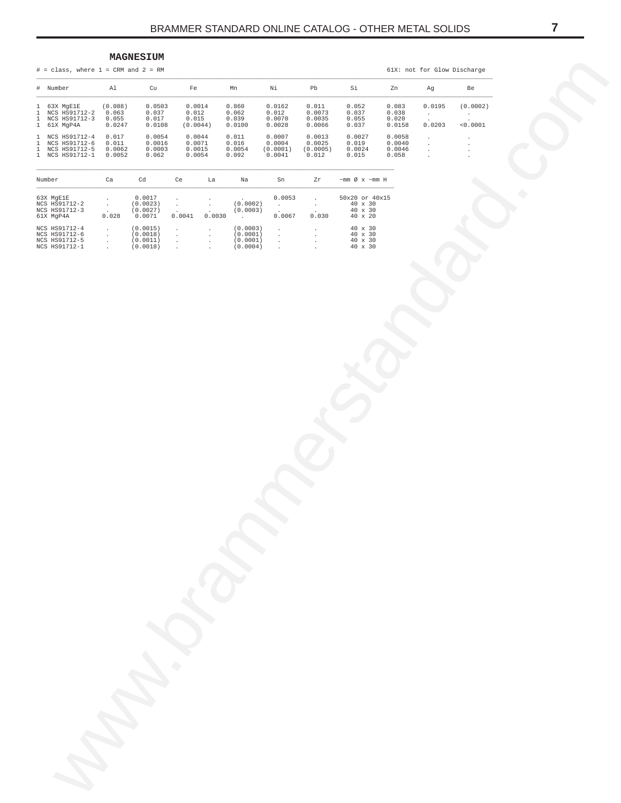### MAGNESIUM

 $#$  = class, where 1 = CRM and 2 = RM

 $\#$ 

 $\frac{1}{1}$ 

 $\frac{1}{1}$ 

 $\begin{smallmatrix}1\\1\\1\end{smallmatrix}$ 

 $\frac{1}{1}$ 

<span id="page-6-0"></span>61X: not for Glow Discharge  $\mathtt{Al}$  $cu$  $_{\rm Fe}$  $Mn$  $\overline{\text{Ni}}$  $_{\rm Pb}$  $Si$ Zn Be Number Ag  $\begin{array}{c} 0.0162 \\ 0.012 \\ 0.0070 \\ 0.0028 \end{array}$ 63X MgE1E<br>NCS HS91712-2<br>NCS HS91712-3  $(0.088)$ <br>0.063<br>0.055  $0.0503$ <br>0.037<br>0.017  $0.0014$ <br>0.012<br>0.015  $0.860$ <br>0.062<br>0.039  $\begin{array}{c} 0.011 \\ 0.0073 \\ 0.0035 \end{array}$  $0.052$ <br>0.037<br>0.055  $0.083$ <br> $0.038$ <br> $0.020$  $0.0195$  $(0.0002)$  $\cdot$  $61X$  MgP4A  $0.0247$  $0.0108$  $(0.0044)$  $0.0100$  $0.0066$  $0.037$  $0.0158$  $0.0203$  $< 0.0001$  $\begin{array}{c} 0.0044 \\ 0.0071 \\ 0.0015 \\ 0.0054 \end{array}$ NCS HS91712-4  $0.017$  $0.0054$  $0.011$  $0.0007$  $0.0013$  $0.0027$  $0.0058$ NCS HS91712-4<br>NCS HS91712-5<br>NCS HS91712-1  $0.011$ <br>0.0062<br>0.0052  $0.0016$ <br>0.0003<br>0.062  $0.016$ <br>0.0054<br>0.092  $0.0004$ <br> $(0.0001)$ <br> $0.0041$  $0.0025$ <br>(0.0005)<br>0.012  $0.019$ <br>0.0024<br>0.015  $0.0040$ <br>0.0046<br>0.058  $\frac{1}{2}$  $\frac{1}{2}$  $z<sub>r</sub>$  $\sim \hspace{-.05cm} \min \hspace{.05cm} \varnothing \hspace{.1cm} \times \hspace{.1cm} \sim \hspace{-.05cm} \min \hspace{.1cm} H$ Number  $<sub>ca</sub>$ </sub>  $\operatorname{\mathsf{Cd}}$  $ce$  $La$  $Na$  $\mathrm{Sn}$ 63X MgE1E<br>NCS HS91712-2<br>NCS HS91712-3  $\begin{array}{c} 0.0017\\ (0.0023)\\ (0.0027)\\ 0.0071 \end{array}$  $\begin{array}{r} 50 \text{x} 20 \text{ or } 40 \text{x} 15 \\ 40 \text{ x } 30 \\ 40 \text{ x } 30 \\ 40 \text{ x } 20 \end{array}$  $0.0053$  $\ddot{\phantom{a}}$  $\mathbb{R}^2$  $\overline{\phantom{a}}$  $\ddot{\phantom{a}}$ ÷,  $(0.0002)$  $\bar{z}$  $\ddot{\phantom{a}}$  $\overline{a}$  $(0.0003)$ 61X MgP4A  $0.028$  $0.0041$  $0.0030$  $0.0067$  $0.030$  $\cdot$ NCS HS91712-4<br>NCS HS91712-6<br>NCS HS91712-5<br>NCS HS91712-1  $(0.0015)$ <br> $(0.0018)$ <br> $(0.0011)$ <br> $(0.0018)$  $(0.0003)$ <br> $(0.0001)$ <br> $(0.0001)$ <br> $(0.0004)$  $\begin{array}{ccc} 40 & \times & 30 \\ 40 & \times & 30 \\ 40 & \times & 30 \\ 40 & \times & 30 \end{array}$  $\ddot{\phantom{a}}$  $\begin{array}{c} 1 \\ 1 \\ 2 \end{array}$  $\begin{array}{c} \frac{1}{2} \\ \frac{1}{2} \end{array}$  $\frac{1}{2}$  $\frac{1}{2}$  $\frac{1}{2}$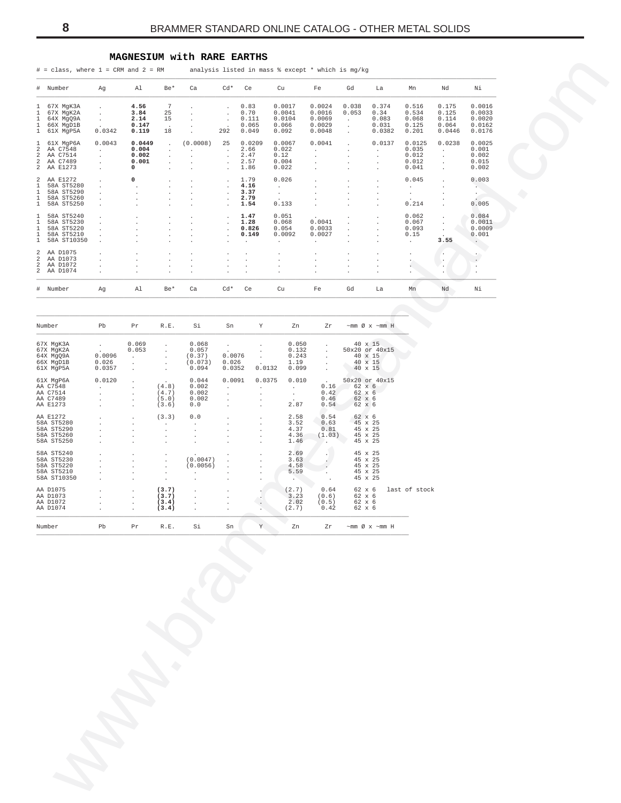# MAGNESIUM with RARE EARTHS

 $#$  = class, where 1 = CRM and 2 = RM analysis listed in mass % except \* which is mg/kg

|                                  | # Number                                                            | Aq                                 | Al                                     | $Be*$                         | Ca                                       | $Cd*$                                                                        | Ce                                        | Cu                                             | Fe                                                 | Gd                                                  | La                                                                      | Mn                                         | Nd                                         | Νi                                                  |
|----------------------------------|---------------------------------------------------------------------|------------------------------------|----------------------------------------|-------------------------------|------------------------------------------|------------------------------------------------------------------------------|-------------------------------------------|------------------------------------------------|----------------------------------------------------|-----------------------------------------------------|-------------------------------------------------------------------------|--------------------------------------------|--------------------------------------------|-----------------------------------------------------|
| $\mathbf{1}$<br>1<br>1<br>1<br>1 | 67X MqK3A<br>67X MqK2A<br>64X Mq09A<br>66X MqD1B<br>61X MqP5A       | $\lambda$<br>$\cdot$<br>0.0342     | 4.56<br>3.84<br>2.14<br>0.147<br>0.119 | 7<br>25<br>15<br>$\sim$<br>18 |                                          | $\ddot{\phantom{0}}$<br>$\cdot$<br>$\cdot$<br>$\cdot$<br>292                 | 0.83<br>0.70<br>0.111<br>0.065<br>0.049   | 0.0017<br>0.0041<br>0.0104<br>0.066<br>0.092   | 0.0024<br>0.0016<br>0.0069<br>0.0029<br>0.0048     | 0.038<br>0.053<br>$\ddot{\phantom{a}}$              | 0.374<br>0.34<br>0.083<br>0.031<br>0.0382                               | 0.516<br>0.534<br>0.068<br>0.125<br>0.201  | 0.175<br>0.125<br>0.114<br>0.064<br>0.0446 | 0.0016<br>0.0033<br>0.0020<br>0.0162<br>0.0176      |
| 1<br>2<br>2<br>2<br>2.           | 61X MqP6A<br>AA C7548<br>AA C7514<br>AA C7489<br>AA E1273           | 0.0043<br>$\overline{a}$<br>÷<br>÷ | 0.0449<br>0.004<br>0.002<br>0.001<br>0 |                               | (0.0008)<br>$\mathbf{r}$<br>$\mathbf{r}$ | 25<br>$\mathbf{r}$<br>$\mathbf{r}$<br>$\mathbf{r}$                           | 0.0209<br>2.66<br>2.47<br>2.57<br>1.86    | 0.0067<br>0.022<br>0.12<br>0.004<br>0.022      | 0.0041                                             | $\lambda$<br>$\overline{a}$<br>$\overline{a}$<br>i. | 0.0137<br>$\cdot$<br>$\overline{a}$<br>$\overline{a}$<br>$\overline{a}$ | 0.0125<br>0.035<br>0.012<br>0.012<br>0.041 | 0.0238                                     | 0.0025<br>0.001<br>0.002<br>0.015<br>0.002          |
| 2<br>1<br>1<br>1<br>$\mathbf{1}$ | AA E1272<br>58A ST5280<br>58A ST5290<br>58A ST5260<br>58A ST5250    | $\overline{a}$<br>$\lambda$        | 0<br>$\overline{a}$                    |                               |                                          | $\ddot{\phantom{0}}$<br>$\mathbf{r}$<br>$\mathbf{r}$<br>$\ddot{\phantom{0}}$ | 1.79<br>4.16<br>3.37<br>2.79<br>1.54      | 0.026<br>$\mathbf{r}$<br>$\mathbf{r}$<br>0.133 |                                                    | . п.                                                | ÷                                                                       | 0.045<br>0.214                             |                                            | 0.003<br>$\sim$<br>0.005                            |
| 1<br>1<br>1<br>1<br>1            | 58A ST5240<br>58A ST5230<br>58A ST5220<br>58A ST5210<br>58A ST10350 | $\ddot{\phantom{0}}$               |                                        |                               |                                          | $\ddot{\phantom{0}}$<br>$\ddot{\phantom{0}}$<br>$\mathbf{r}$<br>$\cdot$      | 1.47<br>1.28<br>0.826<br>0.149<br>$\cdot$ | 0.051<br>0.068<br>0.054<br>0.0092<br>$\cdot$   | 0.0041<br>0.0033<br>0.0027<br>$\ddot{\phantom{0}}$ | $\cdot$<br>$\lambda$                                | $\lambda$<br>٠                                                          | 0.062<br>0.067<br>0.093<br>0.15            | 3.55                                       | 0.084<br>0.0011<br>0.0009<br>0.001<br>$\sim$ $\sim$ |
| 2<br>2<br>2.                     | 2 AA D1075<br>AA D1073<br>AA D1072<br>AA D1074                      |                                    |                                        |                               |                                          | $\lambda$                                                                    |                                           | $\lambda$                                      |                                                    |                                                     |                                                                         |                                            | ٠                                          | $\ddot{\phantom{0}}$                                |
|                                  | # Number                                                            | Aq                                 | A1                                     | Be*                           | Ca                                       | $Cd*$                                                                        | Ce                                        | Cu                                             | Fe                                                 | Gd                                                  | La                                                                      | Mn                                         | Nd                                         | Νi                                                  |

| Number      | Pb           | Pr           | R.E.                 | Si                   | Sn           | Y            | Zn                   | Zr           | $~\sim$ mm Ø x $~\sim$ mm H |               |
|-------------|--------------|--------------|----------------------|----------------------|--------------|--------------|----------------------|--------------|-----------------------------|---------------|
| 67X MqK3A   | $\mathbf{r}$ | 0.069        | $\mathbf{r}$         | 0.068                |              |              | 0.050                | $\mathbf{r}$ | $40 \times 15$              |               |
| 67X MqK2A   | $\sim$       | 0.053        |                      | 0.057                | $\mathbf{r}$ |              | 0.132                | ÷.           | 50x20 or 40x15              |               |
| 64X Mq09A   | 0.0096       | $\mathbf{r}$ |                      | (0.37)               | 0.0076       |              | 0.243                | $\mathbf{r}$ | $40 \times 15$              |               |
| 66X MqD1B   | 0.026        |              |                      | (0.073)              | 0.026        |              | 1.19                 |              | 40 x 15                     |               |
| 61X MqP5A   | 0.0357       | $\mathbf{r}$ |                      | 0.094                | 0.0352       | 0.0132       | 0.099                |              | $40 \times 15$              |               |
| 61X MqP6A   | 0.0120       |              | $\sim$               | 0.044                | 0.0091       | 0.0375       | 0.010                | $\sim$       | 50x20 or 40x15              |               |
| AA C7548    |              |              | (4.8)                | 0.002                |              |              |                      | 0.16         | 62 x 6                      |               |
| AA C7514    |              |              | (4.7)                | 0.002                |              |              |                      | 0.42         | 62 x 6                      |               |
| AA C7489    |              |              | (5.0)                | 0.002                |              | $\mathbf{r}$ | $\ddot{\phantom{0}}$ | 0.46         | 62 x 6                      |               |
| AA E1273    |              |              | (3.6)                | 0.0                  | $\mathbf{r}$ |              | 2.87                 | 0.54         | $62 \times 6$               |               |
| AA E1272    |              | $\mathbf{r}$ | (3.3)                | 0.0                  |              | $\mathbf{r}$ | 2.58                 | 0.54         | 62 x 6                      |               |
| 58A ST5280  |              | $\mathbf{r}$ | $\ddot{\phantom{0}}$ | $\ddot{\phantom{a}}$ | $\mathbf{r}$ | $\mathbf{r}$ | 3.52                 | 0.63         | 45 x 25                     |               |
| 58A ST5290  |              |              | $\mathbf{r}$         |                      |              | $\mathbf{r}$ | 4.37                 | 0.81         | 45 x 25                     |               |
| 58A ST5260  |              |              |                      |                      |              | $\mathbf{r}$ | 4.36                 | (1.03)       | 45 x 25                     |               |
| 58A ST5250  |              |              |                      |                      |              |              | 1.46                 |              | 45 x 25                     |               |
| 58A ST5240  |              |              | $\cdot$              |                      |              |              | 2.69                 |              | 45 x 25                     |               |
| 58A ST5230  |              |              | $\mathbf{r}$         | (0.0047)             |              |              | 3.63                 |              | 45 x 25                     |               |
| 58A ST5220  |              |              | $\mathbf{r}$         | (0.0056)             |              |              | 4.58                 |              | 45 x 25                     |               |
| 58A ST5210  |              |              | $\ddot{\phantom{a}}$ | $\mathbf{r}$         |              |              | 5.59                 |              | 45 x 25                     |               |
| 58A ST10350 |              |              | $\ddot{\phantom{a}}$ | $\mathbf{r}$         |              |              | $\sim$               |              | 45 x 25                     |               |
| AA D1075    |              | $\mathbf{r}$ | (3.7)                |                      |              |              | (2.7)                | 0.64         | 62 x 6                      | last of stock |
| AA D1073    |              |              | (3.7)                |                      |              |              | 3.23                 | (0.6)        | 62 x 6                      |               |
| AA D1072    |              |              | (3.4)                |                      |              |              | 2.02                 | (0.5)        | 62 x 6                      |               |
| AA D1074    |              | $\mathbf{r}$ | (3.4)                |                      |              |              | (2.7)                | 0.42         | 62 x 6                      |               |
| Number      | Pb           | Pr           | R.E.                 | Si                   | Sn           | Y            | Zn                   | Zr           | $~\sim$ mm Ø x $~\sim$ mm H |               |

<span id="page-7-0"></span> $\boldsymbol{8}$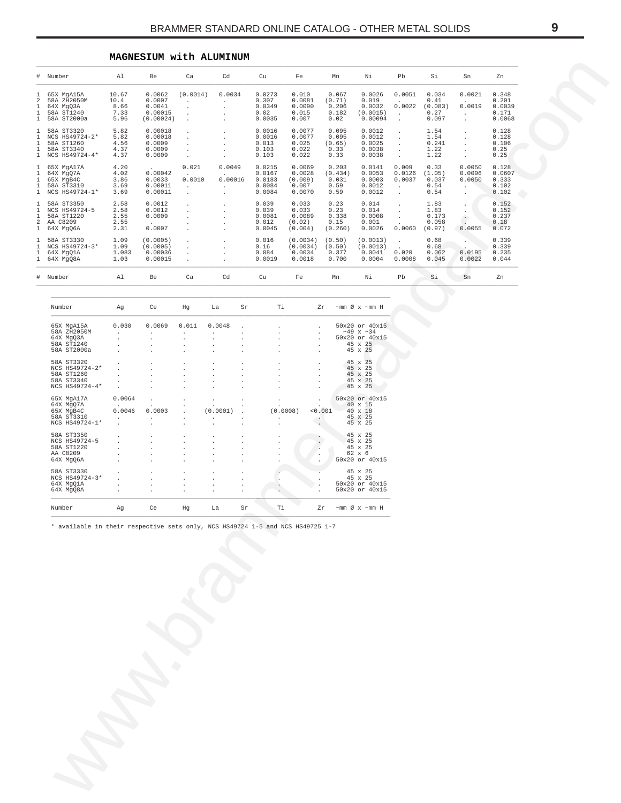# **MAGNESIUM with ALUMINUM**

<span id="page-8-0"></span>

|                                                                   | # Number                                                                       | Al                                    | Be                                                           | Ca                                                               | Cd                                                                            |                                                                  | Cu                                             | Fe                                             | Mn                                                               | Νi                                                                             | Pb                                                | Si                                        | Sn                                                            | Zn                                          |  |  |
|-------------------------------------------------------------------|--------------------------------------------------------------------------------|---------------------------------------|--------------------------------------------------------------|------------------------------------------------------------------|-------------------------------------------------------------------------------|------------------------------------------------------------------|------------------------------------------------|------------------------------------------------|------------------------------------------------------------------|--------------------------------------------------------------------------------|---------------------------------------------------|-------------------------------------------|---------------------------------------------------------------|---------------------------------------------|--|--|
| $\mathbf{1}$<br>2<br>$\mathbf{1}$<br>$\mathbf{1}$<br>$\mathbf{1}$ | 65X MgA15A<br>58A ZH2050M<br>64X MgQ3A<br>58A ST1240<br>58A ST2000a            | 10.67<br>10.4<br>8.66<br>7.33<br>5.96 | 0.0062<br>0.0007<br>0.0041<br>0.00015<br>(0.00024)           | (0.0014)<br>$\sim$<br>$\cdot$<br>$\cdot$<br>$\cdot$              | 0.0034<br>$\sim 10^{-11}$<br>$\cdot$<br>$\cdot$<br>$\cdot$                    |                                                                  | 0.0273<br>0.307<br>0.0349<br>0.02<br>0.0035    | 0.010<br>0.0081<br>0.0090<br>0.015<br>0.007    | 0.067<br>(0.71)<br>0.206<br>0.182<br>0.02                        | 0.0026<br>0.019<br>0.0032<br>(0.0015)<br>0.00094                               | 0.0051<br>$\sim$<br>0.0022<br>$\sim$<br>$\cdot$   | 0.034<br>0.41<br>(0.083)<br>0.27<br>0.097 | 0.0021<br>$\sim$<br>0.0019<br>$\cdot$<br>$\ddot{\phantom{a}}$ | 0.348<br>0.201<br>0.0039<br>0.171<br>0.0068 |  |  |
| $\mathbf{1}$<br>$\mathbf{1}$<br>$\mathbf{1}$<br>$\mathbf{1}$      | 58A ST3320<br>NCS HS49724-2*<br>58A ST1260<br>58A ST3340<br>1 NCS HS49724-4*   | 5.82<br>5.82<br>4.56<br>4.37<br>4.37  | 0.00018<br>0.00018<br>0.0009<br>0.0009<br>0.0009             | $\cdot$<br>$\sim$<br>$\sim$<br>$\cdot$<br>$\sim$                 | $\cdot$<br>$\cdot$<br>$\cdot$<br>$\cdot$<br>$\cdot$                           |                                                                  | 0.0016<br>0.0016<br>0.013<br>0.103<br>0.103    | 0.0077<br>0.0077<br>0.025<br>0.022<br>0.022    | 0.095<br>0.095<br>(0.65)<br>0.33<br>0.33                         | 0.0012<br>0.0012<br>0.0025<br>0.0038<br>0.0038                                 | $\cdot$<br>$\cdot$<br>$\sim$<br>$\cdot$<br>$\sim$ | 1.54<br>1.54<br>0.241<br>1.22<br>1.22     | $\cdot$<br>$\cdot$<br>$\cdot$<br>$\cdot$                      | 0.128<br>0.128<br>0.106<br>0.25<br>0.25     |  |  |
| $\mathbf{1}$<br>$\mathbf{1}$<br>$\mathbf{1}$<br>$\mathbf{1}$      | 65X MgA17A<br>64X MgQ7A<br>65X MgB4C<br>58A ST3310<br>1 NCS HS49724-1*         | 4.20<br>4.02<br>3.86<br>3.69<br>3.69  | 0.00042<br>0.0033<br>0.00011<br>0.00011                      | 0.021<br><b>Contract Contract</b><br>0.0010<br>$\sim$<br>$\cdot$ | 0.0049<br>0.00016<br>$\cdot$<br>$\cdot$                                       |                                                                  | 0.0215<br>0.0167<br>0.0183<br>0.0084<br>0.0084 | 0.0069<br>0.0028<br>(0.009)<br>0.007<br>0.0070 | 0.203<br>(0.434)<br>0.031<br>0.59<br>0.59                        | 0.0141<br>0.0053<br>0.0003<br>0.0012<br>0.0012                                 | 0.009<br>0.0126<br>0.0037<br>$\sim$<br>$\sim$     | 0.33<br>(1.05)<br>0.037<br>0.54<br>0.54   | 0.0050<br>0.0096<br>0.0050<br>$\cdot$<br>$\cdot$              | 0.128<br>0.0607<br>0.333<br>0.102<br>0.102  |  |  |
| $\mathbf{1}$<br>$\mathbf{1}$<br>$\mathbf{1}$<br>$\overline{a}$    | 58A ST3350<br>NCS HS49724-5<br>58A ST1220<br>AA C8209<br>1 64X MgQ6A           | 2.58<br>2.58<br>2.55<br>2.55<br>2.31  | 0.0012<br>0.0012<br>0.0009<br>0.0007                         | $\cdot$<br>$\cdot$<br>$\cdot$<br>$\cdot$<br>$\cdot$              | $\cdot$<br>$\cdot$<br>$\cdot$<br>$\cdot$<br>$\cdot$                           |                                                                  | 0.039<br>0.039<br>0.0081<br>0.012<br>0.0045    | 0.033<br>0.033<br>0.0089<br>(0.02)<br>(0.004)  | 0.23<br>0.23<br>0.338<br>0.15<br>(0.260)                         | 0.014<br>0.014<br>0.0008<br>0.001<br>0.0026                                    | $\cdot$<br>$\cdot$<br>$\sim$<br>0.0060            | 1.83<br>1.83<br>0.173<br>0.058<br>(0.97)  | $\cdot$<br>$\cdot$<br>$\cdot$<br>0.0055                       | 0.152<br>0.152<br>0.237<br>0.18<br>0.072    |  |  |
| $\mathbf{1}$<br>$\mathbf{1}$<br>$\mathbf{1}$                      | 58A ST3330<br>NCS HS49724-3*<br>64X MgQ1A<br>1 64X MgQ8A                       | 1.09<br>1.09<br>1.083<br>1.03         | (0.0005)<br>(0.0005)<br>0.00036<br>0.00015                   | $\cdot$<br>$\cdot$<br>$\cdot$<br>$\cdot$                         | $\cdot$<br>$\cdot$<br>$\cdot$<br>$\cdot$                                      |                                                                  | 0.016<br>0.16<br>0.084<br>0.0019               | (0.0034)<br>(0.0034)<br>0.0034<br>0.0018       | (0.50)<br>(0.50)<br>0.377<br>0.700                               | (0.0013)<br>(0.0013)<br>0.0041<br>0.0004                                       | $\sim$<br>0.020<br>0.0008                         | 0.68<br>0.68<br>0.062<br>0.045            | 0.0195<br>0.0022                                              | 0.339<br>0.339<br>0.235<br>0.044            |  |  |
|                                                                   | # Number                                                                       | Al                                    | Be                                                           | Ca                                                               | Cd                                                                            |                                                                  | Cu                                             | Fe                                             | Mn                                                               | Νi                                                                             | Pb                                                | Si                                        | Sn                                                            | Zn                                          |  |  |
|                                                                   |                                                                                |                                       |                                                              |                                                                  |                                                                               |                                                                  |                                                |                                                |                                                                  |                                                                                |                                                   |                                           |                                                               |                                             |  |  |
|                                                                   | Number                                                                         | Ag                                    | Ce                                                           | Hg                                                               | La                                                                            | Sr                                                               | Тi                                             |                                                | Zr                                                               | $\sim$ mm Ø x $\sim$ mm H                                                      |                                                   |                                           |                                                               |                                             |  |  |
|                                                                   | 65X MgA15A<br>58A ZH2050M<br>64X MgQ3A<br>58A ST1240<br>58A ST2000a            | 0.030<br>$\sim$                       | 0.0069<br>$\sim$<br>$\cdot$<br>$\cdot$<br>$\cdot$            | 0.011<br>$\sim$<br>$\cdot$<br>$\cdot$<br>$\cdot$                 | 0.0048<br>$\sim$<br>$\cdot$<br>$\cdot$<br>$\cdot$                             | $\ddot{\phantom{a}}$<br>$\cdot$<br>$\cdot$<br>$\cdot$<br>$\cdot$ | $\cdot$<br>$\cdot$<br>$\cdot$                  |                                                | $\cdot$<br>$\cdot$<br>$\cdot$<br>$\cdot$<br>$\cdot$              | 50x20 or 40x15<br>$~10^{-49}$ x $~134$<br>50x20 or 40x15<br>45 x 25<br>45 x 25 |                                                   |                                           |                                                               |                                             |  |  |
|                                                                   | 58A ST3320<br>NCS HS49724-2*<br>58A ST1260<br>58A ST3340<br>NCS HS49724-4*     | $\sim$                                | $\cdot$<br>$\cdot$                                           | $\cdot$<br>$\cdot$                                               | $\cdot$<br>$\cdot$<br>$\sim$<br>$\cdot$                                       | $\cdot$<br>$\cdot$<br>$\cdot$<br>$\cdot$                         | $\cdot$<br>$\cdot$<br>$\cdot$<br>$\cdot$       |                                                | $\cdot$<br>$\cdot$<br>$\cdot$<br>$\cdot$<br>$\ddot{\phantom{0}}$ | 45 x 25<br>45 x 25<br>45 x 25<br>45 x 25<br>45 x 25                            |                                                   |                                           |                                                               |                                             |  |  |
|                                                                   | 65X MgA17A<br>64X MgQ7A<br>65X MgB4C<br>58A ST3310<br>NCS HS49724-1*           | 0.0064<br>0.0046<br>$\sim$<br>$\cdot$ | $\cdot$<br>0.0003<br>$\cdot$<br>$\cdot$                      | $\cdot$<br>$\cdot$<br>$\cdot$<br>$\cdot$<br>$\cdot$              | $\cdot$<br>(0.0001)<br>$\cdot$<br>$\cdot$                                     | $\cdot$<br>$\cdot$<br>$\cdot$                                    | $\cdot$<br>(0.0008)<br>$\cdot$<br>$\cdot$      |                                                | $\cdot$<br>< 0.001<br>$\Delta \Delta \phi$<br>v.                 | 50x20 or 40x15<br>40 x 15<br>40 x 18<br>45 x 25<br>45 x 25                     |                                                   |                                           |                                                               |                                             |  |  |
|                                                                   | 58A ST3350<br>NCS HS49724-5<br>58A ST1220<br>AA C8209<br>64X MgQ6A             |                                       | $\cdot$<br>$\cdot$<br>$\cdot$<br>$\cdot$                     | $\cdot$<br>$\cdot$<br>$\cdot$<br>$\cdot$                         | $\cdot$<br>$\star$<br>$\ddot{\phantom{a}}$<br>$\ddot{\phantom{a}}$<br>$\cdot$ | $\bullet$<br>$\cdot$<br>$\cdot$<br>$\cdot$                       | $\cdot$                                        | $\sim$                                         | $\cdot$<br>$\cdot$                                               | 45 x 25<br>45 x 25<br>45 x 25<br>62 x 6<br>50x20 or 40x15                      |                                                   |                                           |                                                               |                                             |  |  |
|                                                                   | 58A ST3330<br>NCS HS49724-3*<br>64X MgQ1A<br>64X MgQ8A                         | $\cdot$                               | $\cdot$<br>$\cdot$<br>$\cdot$<br>$\mathcal{L}_{\mathcal{A}}$ | $\cdot$<br>$\cdot$<br>$\cdot$                                    | $\cdot$<br>$\cdot$<br>$\cdot$<br>$\sim$                                       | $\cdot$<br>$\cdot$<br>$\cdot$<br>$\cdot$                         | $\cdot$                                        |                                                |                                                                  | 45 x 25<br>45 x 25<br>50x20 or 40x15<br>50x20 or 40x15                         |                                                   |                                           |                                                               |                                             |  |  |
|                                                                   | Number                                                                         | Ag                                    | Ce                                                           | Hg                                                               | La                                                                            | Sr                                                               | Тi                                             |                                                | Zr                                                               | ~mm Ø x ~mm H                                                                  |                                                   |                                           |                                                               |                                             |  |  |
|                                                                   | * available in their respective sets only, NCS HS49724 1-5 and NCS HS49725 1-7 |                                       |                                                              |                                                                  |                                                                               |                                                                  |                                                |                                                |                                                                  |                                                                                |                                                   |                                           |                                                               |                                             |  |  |
|                                                                   |                                                                                |                                       |                                                              |                                                                  |                                                                               |                                                                  |                                                |                                                |                                                                  |                                                                                |                                                   |                                           |                                                               |                                             |  |  |

| Number         | Αq           | Ce                   | Hq                   | La       | Sr                   | Τi       | 7.r     | $~\sim$ mm Ø x $~\sim$ mm H |
|----------------|--------------|----------------------|----------------------|----------|----------------------|----------|---------|-----------------------------|
| 65X MgA15A     | 0.030        | 0.0069               | 0.011                | 0.0048   | $\mathbf{r}$         |          |         | 50x20 or 40x15              |
| 58A ZH2050M    |              | $\cdot$              |                      | ٠        | $\mathbf{r}$         |          |         | $~149 \times ~134$          |
| 64X Mq03A      |              |                      |                      |          |                      |          |         | 50x20 or 40x15              |
| 58A ST1240     |              | $\mathbf{r}$         | $\mathbf{r}$         | ÷.       |                      |          |         | $45 \times 25$              |
| 58A ST2000a    |              |                      |                      |          |                      |          |         | 45 x 25                     |
| 58A ST3320     |              |                      |                      | ×.       |                      |          |         | 45 x 25                     |
| NCS HS49724-2* |              |                      |                      | ä.       | $\mathbf{r}$         |          |         | 45 x 25                     |
| 58A ST1260     |              |                      | $\mathbf{r}$         | ä.       | $\mathbf{r}$         |          |         | 45 x 25                     |
| 58A ST3340     |              |                      | $\mathbf{r}$         | ÷.       | $\mathbf{r}$         |          |         | 45 x 25                     |
| NCS HS49724-4* |              |                      |                      |          |                      |          |         | 45 x 25                     |
| 65X MgA17A     | 0.0064       | $\ddot{\phantom{a}}$ | $\mathbf{r}$         | $\cdot$  |                      |          |         | 50x20 or 40x15              |
| 64X MqO7A      | $\cdot$      |                      |                      |          |                      |          |         | 40 x 15                     |
| 65X MqB4C      | 0.0046       | 0.0003               |                      | (0.0001) | $\mathbf{r}$         | (0.0008) | < 0.001 | $40 \times 18$              |
| 58A ST3310     |              |                      |                      |          |                      |          |         | 45 x 25                     |
| NCS HS49724-1* | $\mathbf{r}$ |                      |                      | ×.       | $\mathbf{r}$         |          |         | 45 x 25                     |
| 58A ST3350     |              |                      | $\ddot{\phantom{0}}$ | ٠        |                      |          |         | 45 x 25                     |
| NCS HS49724-5  |              | $\mathbf{r}$         | $\mathbf{r}$         | ÷.       |                      |          |         | $45 \times 25$              |
| 58A ST1220     |              |                      |                      |          |                      |          |         | 45 x 25                     |
| AA C8209       |              |                      |                      |          |                      |          |         | 62 x 6                      |
| 64X Mq06A      |              |                      |                      |          |                      |          |         | 50x20 or 40x15              |
| 58A ST3330     |              |                      | $\mathbf{r}$         | ٠        |                      |          |         | 45 x 25                     |
| NCS HS49724-3* |              | $\ddot{\phantom{0}}$ | $\cdot$              | ٠        | $\ddot{\phantom{0}}$ |          |         | 45 x 25                     |
| 64X MgO1A      |              |                      |                      |          |                      |          |         | 50x20 or 40x15              |
| 64X Mg08A      |              | $\mathbf{r}$         | $\mathbf{r}$         | ٠        |                      |          |         | 50x20 or 40x15              |
| Number         | Αq           | Ce                   | Hq                   | La       | Sr                   | Тi       | Zr      | $~\sim$ mm Ø x $~\sim$ mm H |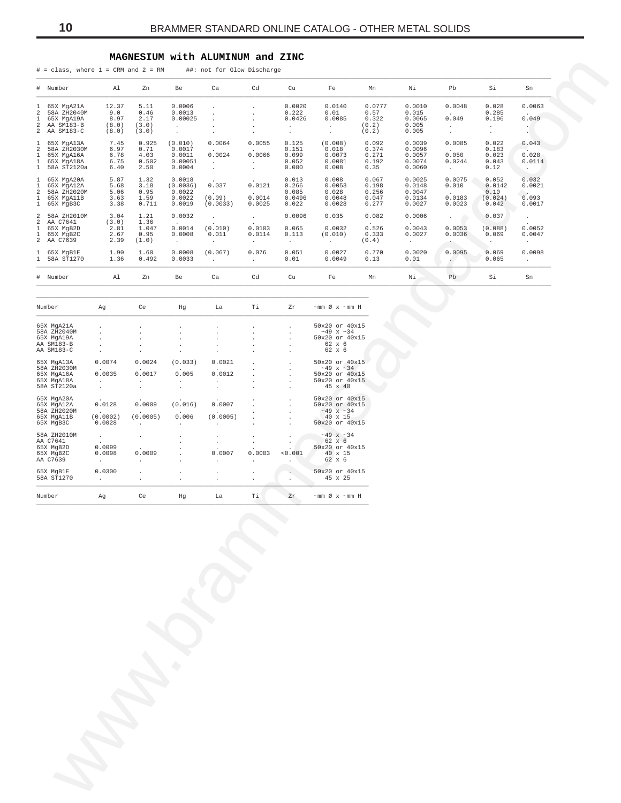# MAGNESIUM with ALUMINUM and ZINC

|                                                                                | $#$ = class, where $1$ = CRM and $2$ = RM                                 |                                        |                                        |                                                     | ##: not for Glow Discharge                                |                                                                             |                                                 |                                                                |                                            |                                                |                                                             |                                                   |                                                                  |
|--------------------------------------------------------------------------------|---------------------------------------------------------------------------|----------------------------------------|----------------------------------------|-----------------------------------------------------|-----------------------------------------------------------|-----------------------------------------------------------------------------|-------------------------------------------------|----------------------------------------------------------------|--------------------------------------------|------------------------------------------------|-------------------------------------------------------------|---------------------------------------------------|------------------------------------------------------------------|
|                                                                                | # Number                                                                  | Al                                     | Zn                                     | Be                                                  | Ca                                                        | Cd                                                                          | Cu                                              | Fe                                                             | Mn                                         | Νi                                             | Pb                                                          | Si                                                | Sn                                                               |
| $\overline{a}$<br>$\mathbf{1}$                                                 | 1 65X MgA21A<br>58A ZH2040M<br>65X MgA19A<br>2 AA SM183-B<br>2 AA SM183-C | 12.37<br>9.0<br>8.97<br>(8.0)<br>(8.0) | 5.11<br>0.46<br>2.17<br>(3.0)<br>(3.0) | 0.0006<br>0.0013<br>0.00025<br>$\sim$<br>$\epsilon$ |                                                           | $\lambda$<br>$\mathbf{r}$<br>$\mathbf{r}$<br>$\ddot{\phantom{0}}$<br>$\sim$ | 0.0020<br>0.222<br>0.0426<br>$\cdot$<br>$\cdot$ | 0.0140<br>0.01<br>0.0085<br>$\epsilon$<br>$\ddot{\phantom{a}}$ | 0.0777<br>0.57<br>0.322<br>(0.2)<br>(0.2)  | 0.0010<br>0.015<br>0.0065<br>0.005<br>0.005    | 0.0048<br>0.049<br>$\mathcal{L}^{\text{max}}$<br>$\epsilon$ | 0.028<br>0.285<br>0.196<br>$\cdot$<br>$\cdot$     | 0.0063<br>0.049                                                  |
| $\overline{a}$<br>$\mathbf{1}$<br>$\mathbf{1}$<br>$\mathbf{1}$                 | 1 65X MgA13A<br>58A ZH2030M<br>65X MgA16A<br>65X MgA18A<br>58A ST2120a    | 7.45<br>6.97<br>6.78<br>6.75<br>6.40   | 0.925<br>0.71<br>4.03<br>0.502<br>2.50 | (0.010)<br>0.0017<br>0.0011<br>0.00051<br>0.0004    | 0.0064<br>0.0024<br>$\mathcal{L}_{\mathcal{A}}$<br>$\sim$ | 0.0055<br>0.0066<br>$\ddot{\phantom{0}}$<br>$\mathbf{r}$                    | 0.125<br>0.151<br>0.099<br>0.052<br>0.080       | (0.008)<br>0.018<br>0.0073<br>0.0081<br>0.008                  | 0.092<br>0.374<br>0.271<br>0.192<br>0.35   | 0.0039<br>0.0096<br>0.0057<br>0.0074<br>0.0060 | 0.0085<br>0.050<br>0.0244<br>$\sim$                         | 0.022<br>0.183<br>0.023<br>0.043<br>0.12          | 0.043<br>0.028<br>0.0114                                         |
| $\mathbf{1}$<br>$\mathbf{1}$<br>$\overline{a}$<br>$\mathbf{1}$<br>$\mathbf{1}$ | 65X MgA20A<br>65X MgA12A<br>58A ZH2020M<br>65X MgA11B<br>65X MqB3C        | 5.87<br>5.68<br>5.06<br>3.63<br>3.38   | 1.32<br>3.18<br>0.95<br>1.59<br>0.711  | 0.0018<br>(0.0036)<br>0.0022<br>0.0022<br>0.0019    | $\ddot{\phantom{0}}$<br>0.037<br>(0.09)<br>(0.0033)       | $\cdot$<br>0.0121<br>0.0014<br>0.0025                                       | 0.013<br>0.266<br>0.085<br>0.0496<br>0.022      | 0.008<br>0.0053<br>0.028<br>0.0048<br>0.0028                   | 0.067<br>0.198<br>0.256<br>0.047<br>0.277  | 0.0025<br>0.0148<br>0.0047<br>0.0134<br>0.0027 | 0.0075<br>0.010<br>0.0183<br>0.0023                         | 0.052<br>0.0142<br>0.10<br>(0.024)<br>0.042       | 0.032<br>0.0021<br>$\sim$<br>0.093<br>0.0017                     |
| $\overline{a}$<br>$\mathbf{1}$<br>$\mathbf{1}$                                 | 2 58A ZH2010M<br>AA C7641<br>65X MqB2D<br>65X MqB2C<br>2 AA C7639         | 3.04<br>(3.0)<br>2.81<br>2.67<br>2.39  | 1.21<br>1.36<br>1.047<br>0.95<br>(1.0) | 0.0032<br>0.0014<br>0.0008<br>$\epsilon$            | (0.010)<br>0.011<br>$\ddot{\phantom{a}}$                  | $\overline{a}$<br>0.0103<br>0.0114<br>$\blacksquare$                        | 0.0096<br>0.065<br>0.113<br>$\blacksquare$      | 0.035<br>0.0032<br>(0.010)<br>$\bullet$                        | 0.082<br>$\sim$<br>0.526<br>0.333<br>(0.4) | 0.0006<br>0.0043<br>0.0027<br>$\sim$ 100 $\mu$ | <b>All Control</b><br>0.0053<br>0.0036<br>$\sim$            | 0.037<br>(0.088)<br>0.069<br>$\ddot{\phantom{0}}$ | $\ddot{\phantom{0}}$<br>0.0052<br>0.0047<br>$\ddot{\phantom{0}}$ |
|                                                                                | 1 65X MgB1E<br>1 58A ST1270                                               | 1.90<br>1.36                           | 1.60<br>0.492                          | 0.0008<br>0.0033                                    | (0.067)<br>$\mathbf{r}$                                   | 0.076<br>$\ddot{\phantom{0}}$                                               | 0.051<br>0.01                                   | 0.0027<br>0.0049                                               | 0.770<br>0.13                              | 0.0020<br>0.01                                 | 0.0095<br>$\sim$                                            | 0.069<br>0.065                                    | 0.0098<br>$\ddot{\phantom{0}}$                                   |
|                                                                                | # Number                                                                  | Al                                     | Zn                                     | Be                                                  | Ca                                                        | Cd                                                                          | Cu                                              | Fe                                                             | Mn                                         | Νi                                             | Pb                                                          | Si                                                | Sn                                                               |

| Number      | Aq           | Ce                   | Hq                                | La           | Τi           | Zr           | $\sim$ mm Ø x $\sim$ mm H |
|-------------|--------------|----------------------|-----------------------------------|--------------|--------------|--------------|---------------------------|
| 65X MgA21A  |              | $\ddot{\phantom{0}}$ | $\ddot{\phantom{0}}$              | $\cdot$      | $\cdot$      |              | 50x20 or 40x15            |
| 58A ZH2040M |              | $\sim$               | $\sim$                            |              | $\sim$       |              | $~10^{-49}$ x $~134$      |
| 65X MgA19A  |              | $\sim$               |                                   |              |              |              | 50x20 or 40x15            |
| AA SM183-B  |              |                      |                                   | $\mathbf{r}$ |              |              | 62 x 6                    |
| AA SM183-C  |              |                      |                                   |              |              |              | 62 x 6                    |
| 65X MgA13A  | 0.0074       | 0.0024               | (0.033)                           | 0.0021       |              |              | 50x20 or 40x15            |
| 58A ZH2030M | $\cdot$      |                      |                                   |              |              |              | $~149$ x $~134$           |
| 65X MgA16A  | 0.0035       | 0.0017               | 0.005                             | 0.0012       |              |              | 50x20 or 40x15            |
| 65X MgA18A  | $\mathbf{r}$ | $\mathbf{r}$         | $\mathbf{r}$                      | $\cdot$      |              |              | 50x20 or 40x15            |
| 58A ST2120a |              |                      |                                   |              |              |              | $45 \times 40$            |
| 65X MgA20A  | $\sim$       | $\sim$               | $\sim$                            | $\sim$       |              |              | 50x20 or 40x15            |
| 65X MgA12A  | 0.0128       | 0.0009               | (0.016)                           | 0.0007       |              |              | 50x20 or 40x15            |
| 58A ZH2020M |              |                      |                                   |              |              | $\mathbf{r}$ | $~149 \times ~134$        |
| 65X MgA11B  | (0.0002)     | (0.0005)             | 0.006                             | (0.0005)     |              |              | $40 \times 15$            |
| 65X MqB3C   | 0.0028       | $\sim$ $\sim$        | <b>Contract Contract Contract</b> |              |              |              | 50x20 or 40x15            |
| 58A ZH2010M | $\mathbf{r}$ | $\sim$               |                                   | $\cdot$      | $\mathbf{r}$ |              | $~149 \times ~134$        |
| AA C7641    | $\sim$       |                      |                                   | $\cdot$      | $\mathbf{r}$ |              | $62 \times 6$             |
| 65X MqB2D   | 0.0099       |                      |                                   |              |              |              | 50x20 or 40x15            |
| 65X MqB2C   | 0.0098       | 0.0009               |                                   | 0.0007       | 0.0003       | < 0.001      | $40 \times 15$            |
| AA C7639    | $\mathbf{r}$ | $\mathbf{r}$         | $\cdot$                           | $\mathbf{r}$ |              |              | $62 \times 6$             |
| 65X MqB1E   | 0.0300       | $\mathbf{r}$         |                                   | $\cdot$      | $\mathbf{r}$ |              | 50x20 or 40x15            |
| 58A ST1270  | $\cdot$      | $\ddot{\phantom{0}}$ | $\cdot$                           | $\cdot$      | $\cdot$      |              | 45 x 25                   |
| Number      | Aq           | Ce                   | Hq                                | La           | Τi           | Zr           | $\sim$ mm Ø x $\sim$ mm H |

<span id="page-9-0"></span>10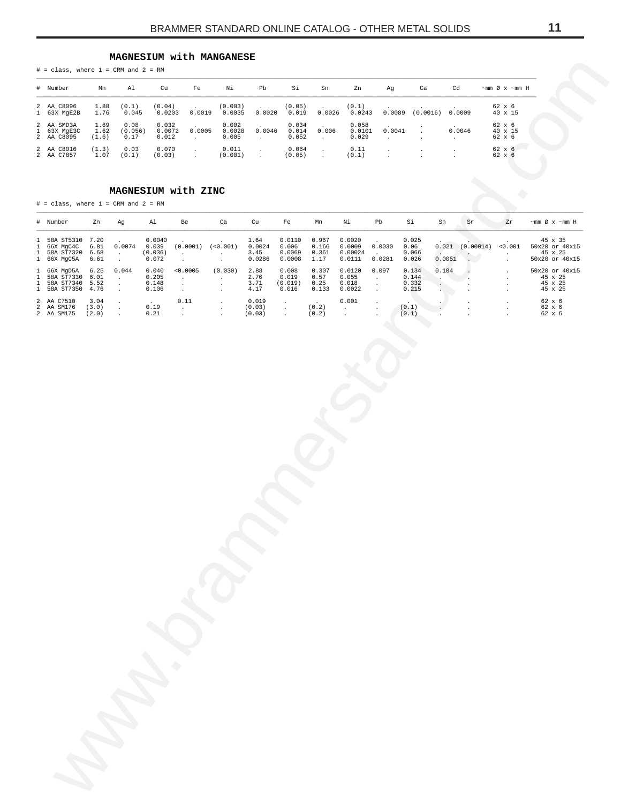# **MAGNESIUM with MANGANESE**

| $#$ = class, where $1$ = CRM and $2$ = RM |  |  |  |  |  |
|-------------------------------------------|--|--|--|--|--|
|-------------------------------------------|--|--|--|--|--|

| # Number                                | Mn                    | Al                      | Cu                       | Fe               | Νi                       | Pb                                 | Si                      | Sn     | Zn                       | Αq     | Ca       | Cd     | $\sim$ mm Ø x $\sim$ mm H   |
|-----------------------------------------|-----------------------|-------------------------|--------------------------|------------------|--------------------------|------------------------------------|-------------------------|--------|--------------------------|--------|----------|--------|-----------------------------|
| 2 AA C8096<br>1 63X MgE2B               | 1.88<br>1.76          | (0.1)<br>0.045          | (0.04)<br>0.0203         | $\sim$<br>0.0019 | (0.003)<br>0.0035        | <b>Contract Contract</b><br>0.0020 | (0.05)<br>0.019         | 0.0026 | (0.1)<br>0.0243          | 0.0089 | (0.0016) | 0.0009 | 62 x 6<br>$40 \times 15$    |
| 2 AA SMD3A<br>1 63X MgE3C<br>2 AA C8095 | 1.69<br>1.62<br>(1.6) | 0.08<br>(0.056)<br>0.17 | 0.032<br>0.0072<br>0.012 | 0.0005           | 0.002<br>0.0028<br>0.005 | 0.0046                             | 0.034<br>0.014<br>0.052 | 0.006  | 0.058<br>0.0101<br>0.029 | 0.0041 |          | 0.0046 | 62 x 6<br>40 x 15<br>62 x 6 |
| 2 AA C8016<br>2 AA C7857                | (1.3)<br>1.07         | 0.03<br>(0.1)           | 0.070<br>(0.03)          |                  | 0.011<br>(0.001)         |                                    | 0.064<br>(0.05)         |        | 0.11<br>(0.1)            |        |          |        | 62 x 6<br>62 x 6            |

# **MAGNESIUM with ZINC**

<span id="page-10-0"></span>

| # Number                                               |                                                         | Mn                           | Al                                        | Cu                                  | Fe                                         | Νi                                             | Pb                                                      | Si                                   | Sn                              | Zn                                    | Αg                                      | $\mathtt{Ca}$                                            | Cd                                              | $\sim$ mm Ø x $\sim$ mm H                |                                                        |
|--------------------------------------------------------|---------------------------------------------------------|------------------------------|-------------------------------------------|-------------------------------------|--------------------------------------------|------------------------------------------------|---------------------------------------------------------|--------------------------------------|---------------------------------|---------------------------------------|-----------------------------------------|----------------------------------------------------------|-------------------------------------------------|------------------------------------------|--------------------------------------------------------|
|                                                        | 2 AA C8096<br>1 63X MgE2B                               | 1.88<br>1.76                 | (0.1)<br>0.045                            | (0.04)<br>0.0203                    |                                            | (0.003)<br>$0.0019$ $0.0035$                   | 0.0020                                                  | (0.05)<br>0.019                      | 0.0026                          | (0.1)<br>0.0243                       |                                         | $0.0089$ $(0.0016)$                                      | 0.0009                                          | 62 x 6<br>40 x 15                        |                                                        |
|                                                        | AA SMD3A<br>63X MgE3C                                   | 1.69<br>1.62                 | 0.08<br>(0.056)                           | 0.032<br>0.0072                     | 0.0005                                     | 0.002<br>0.0028                                | 0.0046                                                  | 0.034<br>0.014                       | 0.006                           | 0.058<br>0.0101                       | 0.0041                                  |                                                          | 0.0046                                          | 62 x 6<br>40 x 15                        |                                                        |
|                                                        | 2 AA C8095<br>2 AA C8016<br>2 AA C7857                  | (1.6)<br>(1.3)<br>1.07       | 0.17<br>0.03<br>(0.1)                     | 0.012<br>0.070<br>(0.03)            | $\sim 10^{-1}$<br>$\sim$<br>$\sim$         | 0.005<br>0.011<br>(0.001)                      | $\sim$<br>$\blacksquare$<br>$\mathcal{L}_{\mathcal{A}}$ | 0.052<br>0.064<br>(0.05)             | $\sim$ $-$<br>$\Box$<br>$\Box$  | 0.029<br>0.11<br>(0.1)                | $\sim$<br>$\cdot$                       | $\cdot$                                                  | $\sim$<br>$\cdot$<br>$\ddot{\phantom{a}}$       | 62 x 6<br>62 x 6<br>62 x 6               |                                                        |
|                                                        |                                                         |                              |                                           |                                     |                                            |                                                |                                                         |                                      |                                 |                                       |                                         |                                                          |                                                 |                                          |                                                        |
|                                                        |                                                         |                              | $#$ = class, where $1$ = CRM and $2$ = RM |                                     | MAGNESIUM with ZINC                        |                                                |                                                         |                                      |                                 |                                       |                                         |                                                          |                                                 |                                          |                                                        |
| # Number                                               |                                                         | Zn                           | Ag                                        | Al                                  | Be                                         | Ca                                             | Cu                                                      | Fe                                   | Mn                              | Νi                                    | Pb                                      | Si                                                       | ${\rm Sn}$<br>Sr                                | Zr                                       | $\sim$ mm Ø x $\sim$ mm H                              |
|                                                        | 58A ST5310 7.20<br>66X MgC4C<br>58A ST7320<br>66X MgC5A | 6.81<br>6.68<br>6.61         | 0.0074<br>$\sim$<br>$\sim$                | 0.0040<br>0.039<br>(0.036)<br>0.072 | $(0.0001)$ $(<0.001)$<br>$\sim$<br>$\cdot$ | $\sim$<br>$\mathcal{L}^{\pm}$                  | 1.64<br>0.0024<br>3.45<br>0.0286                        | 0.0110<br>0.006<br>0.0069<br>0.0008  | 0.967<br>0.166<br>0.361<br>1.17 | 0.0020<br>0.0009<br>0.00024<br>0.0111 | 0.0030<br>0.0281                        | 0.025<br>0.06<br>0.066<br>0.026                          | $0.021$ $(0.00014)$<br>0.0051<br>$\mathbf{L}$ . | < 0.001<br>$\cdot$<br>$\blacksquare$     | 45 x 35<br>50x20 or 40x15<br>45 x 25<br>50x20 or 40x15 |
|                                                        | 66X MgD5A<br>58A ST7330<br>58A ST7340<br>58A ST7350     | 6.25<br>6.01<br>5.52<br>4.76 | 0.044<br>$\sim$<br>$\sim$<br>$\sim$       | 0.040<br>0.205<br>0.148<br>0.106    | < 0.0005<br>$\sim$<br>$\bullet$<br>$\sim$  | (0.030)<br>$\sim$<br>$\cdot$<br>$\blacksquare$ | 2.88<br>2.76<br>3.71<br>4.17                            | 0.008<br>0.019<br>(0.019)<br>0.016   | 0.307<br>0.57<br>0.25<br>0.133  | 0.0120<br>0.055<br>0.018<br>0.0022    | 0.097<br>$\sim$<br>$\bullet$<br>$\cdot$ | 0.134<br>0.144<br>$\ddot{\phantom{0}}$<br>0.332<br>0.215 | 0.104<br>$\cdot$<br>$\cdot$                     | $\cdot$<br>$\cdot$<br>$\cdot$<br>$\cdot$ | 50x20 or 40x15<br>45 x 25<br>45 x 25<br>45 x 25        |
| $\mathbf{1}$<br>2 AA C7510<br>2 AA SM176<br>2 AA SM175 |                                                         | 3.04<br>(3.0)<br>(2.0)       | $\sim$<br>$\blacksquare$<br>$\Delta$      | 0.19<br>0.21                        | 0.11<br>$\sim$<br>$\sim$                   | $\sim$<br>$\sim$<br>$\Box$                     | 0.019<br>(0.03)<br>(0.03)                               | $\cdot$<br>$\cdot$<br>$\blacksquare$ | (0.2)<br>(0.2)                  | 0.001<br>$\sim 100$<br>$\Box$         | $\cdot$<br>$\cdot$                      | (0.1)<br>(0.1)                                           | $\ddot{\phantom{a}}$                            | $\cdot$<br>$\cdot$                       | 62 x 6<br>62 x 6<br>62 x 6                             |
|                                                        |                                                         |                              |                                           |                                     |                                            |                                                |                                                         |                                      |                                 |                                       |                                         |                                                          |                                                 |                                          |                                                        |
|                                                        |                                                         |                              |                                           |                                     |                                            |                                                |                                                         |                                      |                                 |                                       |                                         |                                                          |                                                 |                                          |                                                        |
|                                                        |                                                         |                              |                                           |                                     |                                            |                                                |                                                         |                                      |                                 |                                       |                                         |                                                          |                                                 |                                          |                                                        |
|                                                        |                                                         |                              |                                           |                                     |                                            |                                                |                                                         |                                      |                                 |                                       |                                         |                                                          |                                                 |                                          |                                                        |
|                                                        |                                                         |                              |                                           |                                     |                                            |                                                |                                                         |                                      |                                 |                                       |                                         |                                                          |                                                 |                                          |                                                        |
|                                                        |                                                         |                              |                                           |                                     |                                            |                                                |                                                         |                                      |                                 |                                       |                                         |                                                          |                                                 |                                          |                                                        |
|                                                        |                                                         |                              |                                           |                                     |                                            |                                                |                                                         |                                      |                                 |                                       |                                         |                                                          |                                                 |                                          |                                                        |
|                                                        |                                                         |                              |                                           |                                     |                                            |                                                |                                                         |                                      |                                 |                                       |                                         |                                                          |                                                 |                                          |                                                        |
|                                                        |                                                         |                              |                                           |                                     |                                            |                                                |                                                         |                                      |                                 |                                       |                                         |                                                          |                                                 |                                          |                                                        |
|                                                        |                                                         |                              |                                           |                                     |                                            |                                                |                                                         |                                      |                                 |                                       |                                         |                                                          |                                                 |                                          |                                                        |
|                                                        |                                                         |                              |                                           |                                     |                                            |                                                |                                                         |                                      |                                 |                                       |                                         |                                                          |                                                 |                                          |                                                        |
|                                                        |                                                         |                              |                                           |                                     |                                            |                                                |                                                         |                                      |                                 |                                       |                                         |                                                          |                                                 |                                          |                                                        |
|                                                        |                                                         |                              |                                           |                                     |                                            |                                                |                                                         |                                      |                                 |                                       |                                         |                                                          |                                                 |                                          |                                                        |
|                                                        |                                                         |                              |                                           |                                     |                                            |                                                |                                                         |                                      |                                 |                                       |                                         |                                                          |                                                 |                                          |                                                        |
|                                                        |                                                         |                              |                                           |                                     |                                            |                                                |                                                         |                                      |                                 |                                       |                                         |                                                          |                                                 |                                          |                                                        |
|                                                        |                                                         |                              |                                           |                                     |                                            |                                                |                                                         |                                      |                                 |                                       |                                         |                                                          |                                                 |                                          |                                                        |
|                                                        |                                                         |                              |                                           |                                     |                                            |                                                |                                                         |                                      |                                 |                                       |                                         |                                                          |                                                 |                                          |                                                        |
|                                                        |                                                         |                              |                                           |                                     |                                            |                                                |                                                         |                                      |                                 |                                       |                                         |                                                          |                                                 |                                          |                                                        |
|                                                        |                                                         |                              |                                           |                                     |                                            |                                                |                                                         |                                      |                                 |                                       |                                         |                                                          |                                                 |                                          |                                                        |
|                                                        |                                                         |                              |                                           |                                     |                                            |                                                |                                                         |                                      |                                 |                                       |                                         |                                                          |                                                 |                                          |                                                        |
|                                                        |                                                         |                              |                                           |                                     |                                            |                                                |                                                         |                                      |                                 |                                       |                                         |                                                          |                                                 |                                          |                                                        |
|                                                        |                                                         |                              |                                           |                                     |                                            |                                                |                                                         |                                      |                                 |                                       |                                         |                                                          |                                                 |                                          |                                                        |
|                                                        |                                                         |                              |                                           |                                     |                                            |                                                |                                                         |                                      |                                 |                                       |                                         |                                                          |                                                 |                                          |                                                        |
|                                                        |                                                         |                              |                                           |                                     |                                            |                                                |                                                         |                                      |                                 |                                       |                                         |                                                          |                                                 |                                          |                                                        |
|                                                        |                                                         |                              |                                           |                                     |                                            |                                                |                                                         |                                      |                                 |                                       |                                         |                                                          |                                                 |                                          |                                                        |
|                                                        |                                                         |                              |                                           |                                     |                                            |                                                |                                                         |                                      |                                 |                                       |                                         |                                                          |                                                 |                                          |                                                        |
|                                                        |                                                         |                              |                                           |                                     |                                            |                                                |                                                         |                                      |                                 |                                       |                                         |                                                          |                                                 |                                          |                                                        |
|                                                        |                                                         |                              |                                           |                                     |                                            |                                                |                                                         |                                      |                                 |                                       |                                         |                                                          |                                                 |                                          |                                                        |
|                                                        |                                                         |                              |                                           |                                     |                                            |                                                |                                                         |                                      |                                 |                                       |                                         |                                                          |                                                 |                                          |                                                        |
|                                                        |                                                         |                              |                                           |                                     |                                            |                                                |                                                         |                                      |                                 |                                       |                                         |                                                          |                                                 |                                          |                                                        |
|                                                        |                                                         |                              |                                           |                                     |                                            |                                                |                                                         |                                      |                                 |                                       |                                         |                                                          |                                                 |                                          |                                                        |
|                                                        |                                                         |                              |                                           |                                     |                                            |                                                |                                                         |                                      |                                 |                                       |                                         |                                                          |                                                 |                                          |                                                        |
|                                                        |                                                         |                              |                                           |                                     |                                            |                                                |                                                         |                                      |                                 |                                       |                                         |                                                          |                                                 |                                          |                                                        |
|                                                        |                                                         |                              |                                           |                                     |                                            |                                                |                                                         |                                      |                                 |                                       |                                         |                                                          |                                                 |                                          |                                                        |
|                                                        |                                                         |                              |                                           |                                     |                                            |                                                |                                                         |                                      |                                 |                                       |                                         |                                                          |                                                 |                                          |                                                        |
|                                                        |                                                         |                              |                                           |                                     |                                            |                                                |                                                         |                                      |                                 |                                       |                                         |                                                          |                                                 |                                          |                                                        |
|                                                        |                                                         |                              |                                           |                                     |                                            |                                                |                                                         |                                      |                                 |                                       |                                         |                                                          |                                                 |                                          |                                                        |
|                                                        |                                                         |                              |                                           |                                     |                                            |                                                |                                                         |                                      |                                 |                                       |                                         |                                                          |                                                 |                                          |                                                        |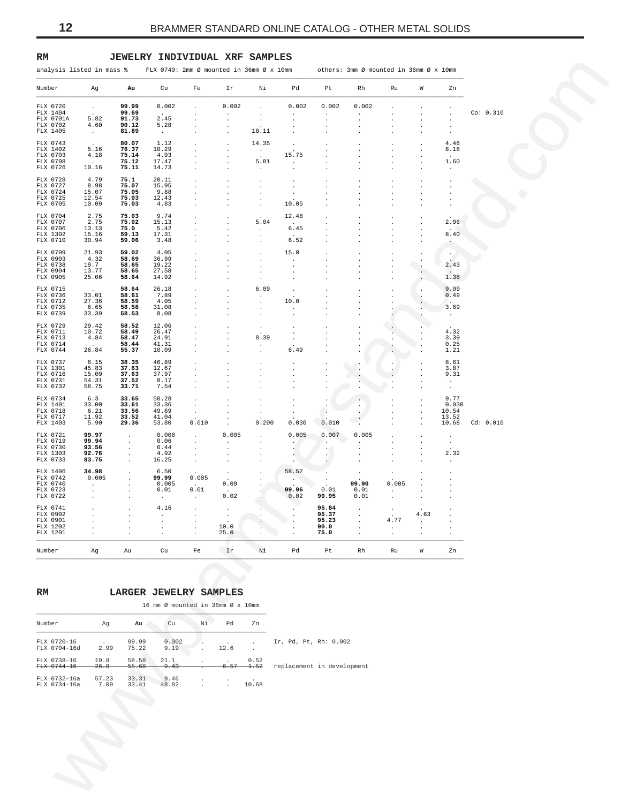| analysis listed in mass %         |                          |                               | FLX 0740: 2mm Ø mounted in 36mm Ø x 10mm |                                                         |                               |                               |                               |                                 | others: 3mm Ø mounted in 36mm Ø x 10mm |                    |                      |                               |           |
|-----------------------------------|--------------------------|-------------------------------|------------------------------------------|---------------------------------------------------------|-------------------------------|-------------------------------|-------------------------------|---------------------------------|----------------------------------------|--------------------|----------------------|-------------------------------|-----------|
| Number                            | Ag                       | Au                            | Cu                                       | Fe                                                      | Ir                            | Νi                            | Pd                            | Pt                              | Rh                                     | Ru                 | W                    | Zn                            |           |
| FLX 0720<br>FLX 1404              | $\sim$                   | 99.99<br>99.69                | 0.002<br>$\sim$                          |                                                         | 0.002<br>$\cdot$              |                               | 0.002<br>$\cdot$              | 0.002<br>$\cdot$                | 0.002<br>$\ddot{\phantom{a}}$          |                    |                      | $\cdot$                       | Co: 0.310 |
| FLX 0701A<br>FLX 0702<br>FLX 1405 | 5.82<br>4.60<br>$\sim$   | 91.73<br>90.12<br>81.89       | 2.45<br>5.28<br>$\sim$                   | $\cdot$<br>$\cdot$<br>$\cdot$                           | $\cdot$<br>$\cdot$<br>$\cdot$ | $\cdot$<br>18.11              | $\cdot$                       |                                 |                                        | $\cdot$            |                      | $\cdot$<br>$\cdot$<br>$\cdot$ |           |
| FLX 0743                          |                          | 80.07                         | 1.12                                     | $\cdot$                                                 | $\cdot$                       | 14.35                         | $\cdot$                       | $\cdot$                         |                                        | $\cdot$            |                      | 4.46                          |           |
| FLX 1402<br>FLX 0703<br>FLX 0708  | 5.16<br>4.18             | 76.37<br>75.14<br>75.12       | 10.29<br>4.93<br>17.47                   | $\cdot$<br>$\cdot$<br>$\cdot$                           | $\cdot$<br>$\cdot$            | $\sim$<br>5.81                | 15.75<br>$\sim$               |                                 |                                        |                    |                      | 8.18<br>1.60                  |           |
| FLX 0726                          | 10.16                    | 75.11                         | 14.73                                    | $\cdot$                                                 |                               | $\cdot$                       | $\cdot$                       |                                 |                                        |                    |                      | $\cdot$                       |           |
| FLX 0728<br>FLX 0727<br>FLX 0724  | 4.79<br>8.98<br>15.07    | 75.1<br>75.07<br>75.05        | 20.11<br>15.95<br>9.88                   | $\cdot$<br>$\ddot{\phantom{0}}$<br>$\cdot$              | $\cdot$<br>$\cdot$            | $\cdot$<br>$\cdot$<br>$\cdot$ | $\cdot$<br>$\cdot$<br>$\cdot$ |                                 |                                        |                    |                      | $\ddot{\phantom{1}}$          |           |
| FLX 0725<br>FLX 0705              | 12.54<br>10.09           | 75.03<br>75.03                | 12.43<br>4.83                            | $\cdot$<br>$\cdot$                                      |                               | $\cdot$<br>$\cdot$            | 10.05                         |                                 |                                        |                    |                      | $\bullet$<br>$\cdot$          |           |
| FLX 0704<br>FLX 0707              | 2.75<br>2.75             | 75.03<br>75.02                | 9.74<br>15.13                            | $\cdot$<br>$\cdot$                                      |                               | 5.04                          | 12.48                         |                                 |                                        |                    |                      | 2.06                          |           |
| FLX 0706<br>FLX 1302              | 13.13<br>15.16           | 75.0<br>59.13                 | 5.42<br>17.31                            | $\cdot$<br>$\cdot$                                      |                               | $\cdot$<br>$\cdot$            | 6.45                          |                                 |                                        |                    |                      | 8.40                          |           |
| FLX 0710<br>FLX 0709              | 30.94<br>21.93           | 59.06<br>59.02                | 3.48<br>4.05                             | $\cdot$<br>$\cdot$                                      | $\cdot$                       | $\blacksquare$<br>$\cdot$     | 6.52<br>15.0                  |                                 |                                        |                    |                      | $\cdot$<br>$\sim$             |           |
| FLX 0903<br>FLX 0738              | 4.32<br>19.7             | 58.69<br>58.65                | 36.99<br>19.22                           | $\ddot{\phantom{0}}$<br>$\cdot$                         |                               | $\cdot$<br>$\cdot$            | $\cdot$<br>$\cdot$            |                                 |                                        | $\cdot$<br>$\cdot$ | $\bullet$<br>$\cdot$ | 2.43                          |           |
| FLX 0904<br>FLX 0905              | 13.77<br>25.06           | 58.65<br>58.64                | 27.58<br>14.92                           | $\cdot$<br>$\cdot$                                      |                               | $\cdot$<br>$\cdot$            | $\cdot$<br>$\cdot$            |                                 |                                        | $\cdot$            | $\ddot{\phantom{0}}$ | 1.38                          |           |
| FLX 0715<br>FLX 0736              | 33.01                    | 58.64<br>58.61                | 26.18<br>7.89                            | $\cdot$<br>$\ddot{\phantom{0}}$                         | $\cdot$<br>$\cdot$            | 6.09<br>$\cdot$               | $\cdot$                       |                                 |                                        |                    | $\cdot$              | 9.09<br>0.49                  |           |
| FLX 0712<br>FLX 0735<br>FLX 0739  | 27.36<br>6.65<br>33.39   | 58.59<br>58.58<br>58.53       | 4.05<br>31.08<br>8.08                    | $\cdot$<br>$\cdot$<br>$\blacksquare$                    |                               | $\cdot$<br>$\cdot$<br>$\cdot$ | 10.0<br>$\cdot$<br>$\cdot$    |                                 |                                        |                    | $\cdot$              | 3.69<br>$\sim$                |           |
| FLX 0729                          | 29.42                    | 58.52                         | 12.06                                    | $\cdot$                                                 | $\cdot$                       | $\cdot$                       | $\cdot$                       |                                 |                                        |                    |                      |                               |           |
| FLX 0711<br>FLX 0713<br>FLX 0714  | 10.72<br>4.84            | 58.49<br>58.47<br>58.44       | 26.47<br>24.91<br>41.31                  | $\ddot{\phantom{0}}$<br>$\ddot{\phantom{1}}$<br>$\cdot$ |                               | 8.39<br>$\cdot$               | $\cdot$<br>$\cdot$            |                                 |                                        |                    |                      | 4.32<br>3.39<br>0.25          |           |
| FLX 0744                          | 26.84                    | 55.37                         | 10.09                                    | $\cdot$                                                 | $\cdot$                       | $\blacksquare$                | 6.49                          |                                 |                                        |                    |                      | 1.21                          |           |
| FLX 0737<br>FLX 1301<br>FLX 0716  | 6.15<br>45.83<br>15.09   | 38.35<br>37.63<br>37.63       | 46.89<br>12.67<br>37.97                  | $\cdot$                                                 |                               | $\cdot$<br>$\cdot$            |                               |                                 |                                        |                    |                      | 8.61<br>3.87<br>9.31          |           |
| FLX 0731<br>FLX 0732              | 54.31<br>58.75           | 37.52<br>33.71                | 8.17<br>7.54                             | $\cdot$<br>$\cdot$                                      |                               | $\cdot$<br>$\cdot$            |                               |                                 |                                        |                    |                      | $\cdot$<br>$\sim$             |           |
| FLX 0734<br>FLX 1401              | 6.3<br>33.00             | 33.65<br>33.61                | 50.28<br>33.36                           | $\ddot{\phantom{a}}$<br>$\cdot$                         | $\cdot$                       | $\bullet$<br>$\cdot$          |                               |                                 | $\cdot$                                |                    |                      | 9.77<br>0.030                 |           |
| FLX 0718<br>FLX 0717<br>FLX 1403  | 6.21<br>11.92<br>5.90    | 33.56<br>33.52<br>29.36       | 49.69<br>41.04<br>53.80                  | $\blacksquare$<br>0.010                                 |                               | $\cdot$<br>0.200              | $\cdot$<br>0.030              | $\cdot$<br>0.010                |                                        |                    |                      | 10.54<br>13.52<br>10.68       | Cd: 0.010 |
| FLX 0721                          | 99.97                    | $\cdot$                       | 0.008                                    | $\cdot$                                                 | $\cdot$<br>0.005              | $\cdot$                       | 0.005                         | 0.007                           | 0.005                                  |                    |                      | $\cdot$                       |           |
| FLX 0719<br>FLX 0730<br>FLX 1303  | 99.94<br>93.56<br>92.76  | $\cdot$<br>$\cdot$<br>$\cdot$ | 0.06<br>6.44<br>4.92                     | $\cdot$<br>$\cdot$<br>$\cdot$                           | $\cdot$<br>$\cdot$            | $\cdot$<br>$\cdot$            | $\bullet$ .                   | $\cdot$<br>$\epsilon$<br>$\sim$ |                                        |                    |                      | $\sim$<br>2.32                |           |
| FLX 0733                          | 83.75                    | $\sim$                        | 16.25                                    | $\cdot$                                                 | $\cdot$                       | $\cdot$                       | $\sim$ $\sim$                 |                                 |                                        | $\cdot$            |                      | $\cdot$                       |           |
| FLX 1406<br>FLX 0742<br>FLX 0740  | 34.98<br>0.005<br>$\sim$ | $\cdot$<br>$\cdot$            | 6.50<br>99.99<br>0.005                   | 0.005<br>$\sim$                                         | $\sim$<br>0.09                |                               | 58.52<br><b>COLL</b>          | $\cdot$                         | $\bullet$<br>99.90                     | 0.005              |                      |                               |           |
| FLX 0723<br>FLX 0722              | $\cdot$<br>$\cdot$       | $\cdot$<br>$\cdot$            | 0.01<br>$\sim$                           | 0.01<br>$\sim$                                          | $\sim$<br>0.02                |                               | 99.96<br>0.02                 | 0.01<br>99.95                   | 0.01<br>0.01                           | $\cdot$            |                      |                               |           |
| FLX 0741<br>FLX 0902              | $\cdot$                  | $\cdot$                       | 4.16                                     | $\blacksquare$                                          | $\sim$<br>$\bullet$           | $\mathcal{L}_{\mathcal{A}}$   | $\sim$                        | 95.84<br>95.37                  | $\sim$                                 | $\cdot$            | 4.63                 |                               |           |
| FLX 0901<br>FLX 1202              |                          |                               |                                          |                                                         | 10.0                          |                               |                               | 95.23<br>90.0                   |                                        | 4.77<br>$\cdot$    | $\cdot$              |                               |           |
| FLX 1201                          |                          |                               |                                          |                                                         | 25.0                          |                               |                               | 75.0                            |                                        | $\cdot$            |                      |                               |           |
| Number                            | Αg                       | Au                            | Cu                                       | Fe                                                      | Ir                            | Νi                            | Pd                            | Pt                              | Rh                                     | Ru                 | W                    | Zn                            |           |
|                                   |                          |                               |                                          |                                                         |                               |                               |                               |                                 |                                        |                    |                      |                               |           |
| RM                                |                          |                               | LARGER JEWELRY SAMPLES                   |                                                         |                               |                               |                               |                                 |                                        |                    |                      |                               |           |
|                                   |                          |                               | 16 mm Ø mounted in 36mm Ø x 10mm         |                                                         |                               |                               |                               |                                 |                                        |                    |                      |                               |           |
| Number                            | Ag                       | Au                            | Cu                                       | Νi                                                      | Pd                            | Zn                            |                               |                                 |                                        |                    |                      |                               |           |
| FLX 0720-16<br>FLX 0704-16d       | 2.99                     | 99.99<br>75.22                | 0.002                                    |                                                         | 12.6                          |                               | Ir, Pd, Pt, Rh: 0.002         |                                 |                                        |                    |                      |                               |           |
|                                   | 19.8                     | 58.58                         | 9.19<br>21.1                             |                                                         |                               | 0.52                          |                               |                                 |                                        |                    |                      |                               |           |
| FLX 0738-16                       |                          | <del>55.68</del>              | 9.43                                     |                                                         | <del>6.57</del>               | 1.52                          | replacement in development    |                                 |                                        |                    |                      |                               |           |
| FLX 0744-16<br>FLX 0732-16a       | 26.8<br>57.23            | 33.31                         | 9.46                                     |                                                         |                               |                               |                               |                                 |                                        |                    |                      |                               |           |

# <span id="page-11-0"></span>**RM JEWELRY INDIVIDUAL XRF SAMPLES**

## **RM LARGER JEWELRY SAMPLES**

|                              |                       |                   | 16 mm Ø mounted in 36mm Ø x 10mm |    |                              |                 |                            |
|------------------------------|-----------------------|-------------------|----------------------------------|----|------------------------------|-----------------|----------------------------|
| Number                       | Ag                    | Au .              | Cu                               | Νi | Pd                           | Zn              |                            |
| FLX 0720-16<br>FLX 0704-16d  | $\sim$ $\sim$<br>2.99 | 99.99<br>75.22    | 0.002<br>9.19                    |    | $\ddot{\phantom{0}}$<br>12.6 | $\mathbf{r}$    | Ir, Pd, Pt, Rh: 0.002      |
| FLX 0738-16<br>FLX 0744-16   | 19.8<br>26.8          | 58.58<br>$-55.68$ | 21.1<br>9.43                     |    | 6.57                         | 0.52<br>1.52    | replacement in development |
| FLX 0732-16a<br>FLX 0734-16a | 57.23<br>7.09         | 33.31<br>33.41    | 9.46<br>48.82                    |    | $\cdot$<br>$\mathbf{r}$      | $\sim$<br>10.68 |                            |
|                              |                       |                   |                                  |    |                              |                 |                            |
|                              |                       |                   |                                  |    |                              |                 |                            |
|                              |                       |                   |                                  |    |                              |                 |                            |
|                              |                       |                   |                                  |    |                              |                 |                            |
|                              |                       |                   |                                  |    |                              |                 |                            |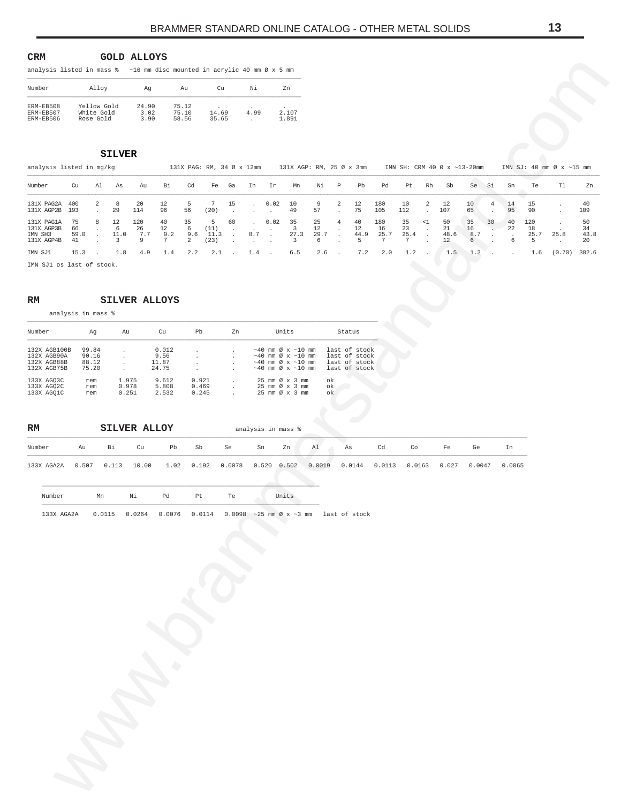<span id="page-12-0"></span>

| <b>CRM</b>                                                                          |  |  |  | <b>GOLD ALLOYS</b> |  |  |  |  |  |
|-------------------------------------------------------------------------------------|--|--|--|--------------------|--|--|--|--|--|
| analysis listed in mass $\frac{1}{6}$ ~16 mm disc mounted in acrylic 40 mm Ø x 5 mm |  |  |  |                    |  |  |  |  |  |

| Number                              | Alloy                                  | Aq                    | Au                      | Cи                  | Νi         | Zn                  |
|-------------------------------------|----------------------------------------|-----------------------|-------------------------|---------------------|------------|---------------------|
| ERM-EB508<br>ERM-EB507<br>ERM-EB506 | Yellow Gold<br>White Gold<br>Rose Gold | 24.90<br>3.02<br>3.90 | 75.12<br>75.10<br>58.56 | ٠<br>14.69<br>35.65 | ٠.<br>4.99 | ٠<br>2.107<br>1.891 |

| Alloy<br>Cu<br>Νi<br>Number<br>Ag<br>Au<br>Zn<br>Yellow Gold<br>24.90<br>ERM-EB508<br>75.12<br>ERM-EB507<br>White Gold<br>3.02<br>75.10<br>4.99<br>2.107<br>14.69<br>58.56<br>ERM-EB506<br>Rose Gold<br>3.90<br>35.65<br>1.891<br>$\cdot$<br><b>SILVER</b><br>analysis listed in mg/kg<br>131X AGP: RM, 25 Ø x 3mm<br>IMN SH: CRM 40 Ø x ~13-20mm<br>131X PAG: RM, 34 Ø x 12mm<br>$\mathtt{T}1$<br>Cd<br>$\, {\mathbb P}$<br>Rh<br>Te<br>Number<br>Cu<br>Al<br>As<br>Au<br>Вi<br>Fe<br>Ir<br>Mn<br>Νi<br>Pb<br>Pd<br>Pt<br>Sb<br>Se<br>Si<br>Sn<br>Ga<br>In<br>8<br>7<br>$\overline{a}$<br>131X PAG2A<br>400<br>2<br>20<br>5<br>15<br>0.02<br>10<br>9<br>2<br>12<br>180<br>10<br>12<br>10<br>14<br>15<br>12<br>4<br>$\ddot{\phantom{a}}$<br>$\cdot$<br>131X AGP2B<br>29<br>114<br>96<br>56<br>75<br>105<br>107<br>90<br>193<br>(20)<br>49<br>57<br>112<br>65<br>95<br>$\cdot$<br>$\cdot$<br>$\cdot$<br>$\cdot$<br>$\cdot$<br>75<br>8<br>12<br>120<br>40<br>35<br>5<br>60<br>0.02<br>35<br>25<br>40<br>180<br>35<br>50<br>35<br>40<br>120<br>131X PAG1A<br>$\overline{4}$<br>$\leq$ 1<br>30<br>$\cdot$<br>131X AGP3B<br>6<br>$\overline{\mathbf{3}}$<br>12<br>23<br>$21\,$<br>22<br>$18\,$<br>66<br>26<br>12<br>6<br>(11)<br>12<br>16<br>16<br>$\cdot$<br>$\cdot$<br>$\cdot$<br>$\cdot$<br>25.7<br>25.4<br>IMN SH3<br>11.0<br>7.7<br>9.2<br>11.3<br>$8.7\,$<br>27.3<br>29.7<br>44.9<br>48.6<br>8.7<br>25.7<br>25.8<br>59.0<br>9.6<br>$\cdot$<br>$\cdot$<br>$\cdot$<br>$\cdot$<br>$\cdot$<br>$\cdot$<br>$\overline{7}$<br>$7\phantom{.0}$<br>$\overline{3}$<br>9<br>$\overline{c}$<br>(23)<br>5<br>$7\phantom{.0}$<br>12<br>6<br>131X AGP4B<br>41<br>$\overline{\mathbf{3}}$<br>6<br>6<br>5<br>$\ddot{\phantom{a}}$<br>$\cdot$<br>$\cdot$<br>15.3<br>2.2<br>2.1<br>6.5<br>2.6<br>7.2<br>(0.70)<br>1.8<br>4.9<br>1.4<br>2.0<br>1.2<br>1.5<br>1.2<br>1.6<br>IMN SJ1<br>1.4<br>$\ddot{\phantom{1}}$<br>$\ddot{\phantom{a}}$<br>IMN SJ1 os last of stock.<br>SILVER ALLOYS<br>RM<br>analysis in mass %<br>$_{\rm Pb}$<br>Cu<br>Zn<br>Units<br>Status<br>Number<br>Ag<br>Au<br>99.84<br>0.012<br>$\sim$ 40 mm Ø x $\sim$ 10 mm<br>132X AGB100B<br>last of stock<br>132X AGB90A<br>$~\sim 40$ mm Ø x $~\sim 10$ mm<br>last of stock<br>90.16<br>9.56<br>$\cdot$<br>$\cdot$<br>$\sim\!40\,$ mm $\,\varnothing\,$ x $\,\sim\!10\,$ mm<br>132X AGB88B<br>88.12<br>11.87<br>last of stock<br>$\cdot$<br>$\cdot$<br>$\sim\!40\,$ mm $\,\varnothing\,$ x $\,\sim\!10\,$ mm<br>24.75<br>last of stock<br>132X AGB75B<br>75.20<br>$\cdot$<br>$\cdot$<br>1.975<br>9.612<br>0.921<br>$25$ mm $\varnothing$ x 3 mm<br>133X AGQ3C<br>rem<br>ok<br>133X AGQ2C<br>0.978<br>0.469<br>$25$ mm $\varnothing$ x 3 mm<br>ok<br>5.808<br>rem<br>$\cdot$<br>133X AGQ1C<br>0.245<br>$25$ mm $\varnothing$ x 3 mm<br>0.251<br>2.532<br>rem<br>ok<br>SILVER ALLOY<br>RM<br>analysis in mass %<br>Bi<br>Cu<br>Pb<br>Sb<br>Cd<br>Co<br>Ge<br>Number<br>Au<br>Se<br>Sn<br>Zn<br>Al<br>As<br>Fe<br>In<br>0.0078<br>0.0019<br>0.0113<br>133X AGA2A<br>0.507<br>0.113<br>10.00<br>1.02<br>0.192<br>0.520<br>0.502<br>0.0144<br>0.0163<br>0.027<br>0.0047<br>0.0065<br>Units<br>Number<br>Νi<br>Pd<br>Pt<br>Mn<br>Te<br>133X AGA2A<br>0.0115<br>0.0264<br>0.0076<br>0.0114<br>0.0098<br>last of stock<br>$mm \oslash x \sim 3 mm$ | IMN SJ: 40 mm Ø x ~15 mm<br>109<br>20 | analysis listed in mass $% -16$ mm disc mounted in acrylic 40 mm $\emptyset$ x 5 mm |  |  |  |  |  |  |  |  |  |  |  |                  |
|--------------------------------------------------------------------------------------------------------------------------------------------------------------------------------------------------------------------------------------------------------------------------------------------------------------------------------------------------------------------------------------------------------------------------------------------------------------------------------------------------------------------------------------------------------------------------------------------------------------------------------------------------------------------------------------------------------------------------------------------------------------------------------------------------------------------------------------------------------------------------------------------------------------------------------------------------------------------------------------------------------------------------------------------------------------------------------------------------------------------------------------------------------------------------------------------------------------------------------------------------------------------------------------------------------------------------------------------------------------------------------------------------------------------------------------------------------------------------------------------------------------------------------------------------------------------------------------------------------------------------------------------------------------------------------------------------------------------------------------------------------------------------------------------------------------------------------------------------------------------------------------------------------------------------------------------------------------------------------------------------------------------------------------------------------------------------------------------------------------------------------------------------------------------------------------------------------------------------------------------------------------------------------------------------------------------------------------------------------------------------------------------------------------------------------------------------------------------------------------------------------------------------------------------------------------------------------------------------------------------------------------------------------------------------------------------------------------------------------------------------------------------------------------------------------------------------------------------------------------------------------------------------------------------------------------------------------------------------------------------------------------------------------------------------------------------------------------------------------------------------------------------------------------------------------------------------------------------------------------------------------------------------------------------|---------------------------------------|-------------------------------------------------------------------------------------|--|--|--|--|--|--|--|--|--|--|--|------------------|
|                                                                                                                                                                                                                                                                                                                                                                                                                                                                                                                                                                                                                                                                                                                                                                                                                                                                                                                                                                                                                                                                                                                                                                                                                                                                                                                                                                                                                                                                                                                                                                                                                                                                                                                                                                                                                                                                                                                                                                                                                                                                                                                                                                                                                                                                                                                                                                                                                                                                                                                                                                                                                                                                                                                                                                                                                                                                                                                                                                                                                                                                                                                                                                                                                                                                                            |                                       |                                                                                     |  |  |  |  |  |  |  |  |  |  |  |                  |
|                                                                                                                                                                                                                                                                                                                                                                                                                                                                                                                                                                                                                                                                                                                                                                                                                                                                                                                                                                                                                                                                                                                                                                                                                                                                                                                                                                                                                                                                                                                                                                                                                                                                                                                                                                                                                                                                                                                                                                                                                                                                                                                                                                                                                                                                                                                                                                                                                                                                                                                                                                                                                                                                                                                                                                                                                                                                                                                                                                                                                                                                                                                                                                                                                                                                                            |                                       |                                                                                     |  |  |  |  |  |  |  |  |  |  |  |                  |
|                                                                                                                                                                                                                                                                                                                                                                                                                                                                                                                                                                                                                                                                                                                                                                                                                                                                                                                                                                                                                                                                                                                                                                                                                                                                                                                                                                                                                                                                                                                                                                                                                                                                                                                                                                                                                                                                                                                                                                                                                                                                                                                                                                                                                                                                                                                                                                                                                                                                                                                                                                                                                                                                                                                                                                                                                                                                                                                                                                                                                                                                                                                                                                                                                                                                                            |                                       |                                                                                     |  |  |  |  |  |  |  |  |  |  |  |                  |
|                                                                                                                                                                                                                                                                                                                                                                                                                                                                                                                                                                                                                                                                                                                                                                                                                                                                                                                                                                                                                                                                                                                                                                                                                                                                                                                                                                                                                                                                                                                                                                                                                                                                                                                                                                                                                                                                                                                                                                                                                                                                                                                                                                                                                                                                                                                                                                                                                                                                                                                                                                                                                                                                                                                                                                                                                                                                                                                                                                                                                                                                                                                                                                                                                                                                                            |                                       |                                                                                     |  |  |  |  |  |  |  |  |  |  |  | Zn               |
|                                                                                                                                                                                                                                                                                                                                                                                                                                                                                                                                                                                                                                                                                                                                                                                                                                                                                                                                                                                                                                                                                                                                                                                                                                                                                                                                                                                                                                                                                                                                                                                                                                                                                                                                                                                                                                                                                                                                                                                                                                                                                                                                                                                                                                                                                                                                                                                                                                                                                                                                                                                                                                                                                                                                                                                                                                                                                                                                                                                                                                                                                                                                                                                                                                                                                            |                                       |                                                                                     |  |  |  |  |  |  |  |  |  |  |  | 40               |
|                                                                                                                                                                                                                                                                                                                                                                                                                                                                                                                                                                                                                                                                                                                                                                                                                                                                                                                                                                                                                                                                                                                                                                                                                                                                                                                                                                                                                                                                                                                                                                                                                                                                                                                                                                                                                                                                                                                                                                                                                                                                                                                                                                                                                                                                                                                                                                                                                                                                                                                                                                                                                                                                                                                                                                                                                                                                                                                                                                                                                                                                                                                                                                                                                                                                                            |                                       |                                                                                     |  |  |  |  |  |  |  |  |  |  |  | 50<br>34<br>43.8 |
|                                                                                                                                                                                                                                                                                                                                                                                                                                                                                                                                                                                                                                                                                                                                                                                                                                                                                                                                                                                                                                                                                                                                                                                                                                                                                                                                                                                                                                                                                                                                                                                                                                                                                                                                                                                                                                                                                                                                                                                                                                                                                                                                                                                                                                                                                                                                                                                                                                                                                                                                                                                                                                                                                                                                                                                                                                                                                                                                                                                                                                                                                                                                                                                                                                                                                            |                                       |                                                                                     |  |  |  |  |  |  |  |  |  |  |  | 382.6            |
|                                                                                                                                                                                                                                                                                                                                                                                                                                                                                                                                                                                                                                                                                                                                                                                                                                                                                                                                                                                                                                                                                                                                                                                                                                                                                                                                                                                                                                                                                                                                                                                                                                                                                                                                                                                                                                                                                                                                                                                                                                                                                                                                                                                                                                                                                                                                                                                                                                                                                                                                                                                                                                                                                                                                                                                                                                                                                                                                                                                                                                                                                                                                                                                                                                                                                            |                                       |                                                                                     |  |  |  |  |  |  |  |  |  |  |  |                  |
|                                                                                                                                                                                                                                                                                                                                                                                                                                                                                                                                                                                                                                                                                                                                                                                                                                                                                                                                                                                                                                                                                                                                                                                                                                                                                                                                                                                                                                                                                                                                                                                                                                                                                                                                                                                                                                                                                                                                                                                                                                                                                                                                                                                                                                                                                                                                                                                                                                                                                                                                                                                                                                                                                                                                                                                                                                                                                                                                                                                                                                                                                                                                                                                                                                                                                            |                                       |                                                                                     |  |  |  |  |  |  |  |  |  |  |  |                  |
|                                                                                                                                                                                                                                                                                                                                                                                                                                                                                                                                                                                                                                                                                                                                                                                                                                                                                                                                                                                                                                                                                                                                                                                                                                                                                                                                                                                                                                                                                                                                                                                                                                                                                                                                                                                                                                                                                                                                                                                                                                                                                                                                                                                                                                                                                                                                                                                                                                                                                                                                                                                                                                                                                                                                                                                                                                                                                                                                                                                                                                                                                                                                                                                                                                                                                            |                                       |                                                                                     |  |  |  |  |  |  |  |  |  |  |  |                  |
|                                                                                                                                                                                                                                                                                                                                                                                                                                                                                                                                                                                                                                                                                                                                                                                                                                                                                                                                                                                                                                                                                                                                                                                                                                                                                                                                                                                                                                                                                                                                                                                                                                                                                                                                                                                                                                                                                                                                                                                                                                                                                                                                                                                                                                                                                                                                                                                                                                                                                                                                                                                                                                                                                                                                                                                                                                                                                                                                                                                                                                                                                                                                                                                                                                                                                            |                                       |                                                                                     |  |  |  |  |  |  |  |  |  |  |  |                  |
|                                                                                                                                                                                                                                                                                                                                                                                                                                                                                                                                                                                                                                                                                                                                                                                                                                                                                                                                                                                                                                                                                                                                                                                                                                                                                                                                                                                                                                                                                                                                                                                                                                                                                                                                                                                                                                                                                                                                                                                                                                                                                                                                                                                                                                                                                                                                                                                                                                                                                                                                                                                                                                                                                                                                                                                                                                                                                                                                                                                                                                                                                                                                                                                                                                                                                            |                                       |                                                                                     |  |  |  |  |  |  |  |  |  |  |  |                  |
|                                                                                                                                                                                                                                                                                                                                                                                                                                                                                                                                                                                                                                                                                                                                                                                                                                                                                                                                                                                                                                                                                                                                                                                                                                                                                                                                                                                                                                                                                                                                                                                                                                                                                                                                                                                                                                                                                                                                                                                                                                                                                                                                                                                                                                                                                                                                                                                                                                                                                                                                                                                                                                                                                                                                                                                                                                                                                                                                                                                                                                                                                                                                                                                                                                                                                            |                                       |                                                                                     |  |  |  |  |  |  |  |  |  |  |  |                  |
|                                                                                                                                                                                                                                                                                                                                                                                                                                                                                                                                                                                                                                                                                                                                                                                                                                                                                                                                                                                                                                                                                                                                                                                                                                                                                                                                                                                                                                                                                                                                                                                                                                                                                                                                                                                                                                                                                                                                                                                                                                                                                                                                                                                                                                                                                                                                                                                                                                                                                                                                                                                                                                                                                                                                                                                                                                                                                                                                                                                                                                                                                                                                                                                                                                                                                            |                                       |                                                                                     |  |  |  |  |  |  |  |  |  |  |  |                  |
|                                                                                                                                                                                                                                                                                                                                                                                                                                                                                                                                                                                                                                                                                                                                                                                                                                                                                                                                                                                                                                                                                                                                                                                                                                                                                                                                                                                                                                                                                                                                                                                                                                                                                                                                                                                                                                                                                                                                                                                                                                                                                                                                                                                                                                                                                                                                                                                                                                                                                                                                                                                                                                                                                                                                                                                                                                                                                                                                                                                                                                                                                                                                                                                                                                                                                            |                                       |                                                                                     |  |  |  |  |  |  |  |  |  |  |  |                  |
|                                                                                                                                                                                                                                                                                                                                                                                                                                                                                                                                                                                                                                                                                                                                                                                                                                                                                                                                                                                                                                                                                                                                                                                                                                                                                                                                                                                                                                                                                                                                                                                                                                                                                                                                                                                                                                                                                                                                                                                                                                                                                                                                                                                                                                                                                                                                                                                                                                                                                                                                                                                                                                                                                                                                                                                                                                                                                                                                                                                                                                                                                                                                                                                                                                                                                            |                                       |                                                                                     |  |  |  |  |  |  |  |  |  |  |  |                  |
|                                                                                                                                                                                                                                                                                                                                                                                                                                                                                                                                                                                                                                                                                                                                                                                                                                                                                                                                                                                                                                                                                                                                                                                                                                                                                                                                                                                                                                                                                                                                                                                                                                                                                                                                                                                                                                                                                                                                                                                                                                                                                                                                                                                                                                                                                                                                                                                                                                                                                                                                                                                                                                                                                                                                                                                                                                                                                                                                                                                                                                                                                                                                                                                                                                                                                            |                                       |                                                                                     |  |  |  |  |  |  |  |  |  |  |  |                  |
|                                                                                                                                                                                                                                                                                                                                                                                                                                                                                                                                                                                                                                                                                                                                                                                                                                                                                                                                                                                                                                                                                                                                                                                                                                                                                                                                                                                                                                                                                                                                                                                                                                                                                                                                                                                                                                                                                                                                                                                                                                                                                                                                                                                                                                                                                                                                                                                                                                                                                                                                                                                                                                                                                                                                                                                                                                                                                                                                                                                                                                                                                                                                                                                                                                                                                            |                                       |                                                                                     |  |  |  |  |  |  |  |  |  |  |  |                  |
|                                                                                                                                                                                                                                                                                                                                                                                                                                                                                                                                                                                                                                                                                                                                                                                                                                                                                                                                                                                                                                                                                                                                                                                                                                                                                                                                                                                                                                                                                                                                                                                                                                                                                                                                                                                                                                                                                                                                                                                                                                                                                                                                                                                                                                                                                                                                                                                                                                                                                                                                                                                                                                                                                                                                                                                                                                                                                                                                                                                                                                                                                                                                                                                                                                                                                            |                                       |                                                                                     |  |  |  |  |  |  |  |  |  |  |  |                  |
|                                                                                                                                                                                                                                                                                                                                                                                                                                                                                                                                                                                                                                                                                                                                                                                                                                                                                                                                                                                                                                                                                                                                                                                                                                                                                                                                                                                                                                                                                                                                                                                                                                                                                                                                                                                                                                                                                                                                                                                                                                                                                                                                                                                                                                                                                                                                                                                                                                                                                                                                                                                                                                                                                                                                                                                                                                                                                                                                                                                                                                                                                                                                                                                                                                                                                            |                                       |                                                                                     |  |  |  |  |  |  |  |  |  |  |  |                  |
|                                                                                                                                                                                                                                                                                                                                                                                                                                                                                                                                                                                                                                                                                                                                                                                                                                                                                                                                                                                                                                                                                                                                                                                                                                                                                                                                                                                                                                                                                                                                                                                                                                                                                                                                                                                                                                                                                                                                                                                                                                                                                                                                                                                                                                                                                                                                                                                                                                                                                                                                                                                                                                                                                                                                                                                                                                                                                                                                                                                                                                                                                                                                                                                                                                                                                            |                                       |                                                                                     |  |  |  |  |  |  |  |  |  |  |  |                  |
|                                                                                                                                                                                                                                                                                                                                                                                                                                                                                                                                                                                                                                                                                                                                                                                                                                                                                                                                                                                                                                                                                                                                                                                                                                                                                                                                                                                                                                                                                                                                                                                                                                                                                                                                                                                                                                                                                                                                                                                                                                                                                                                                                                                                                                                                                                                                                                                                                                                                                                                                                                                                                                                                                                                                                                                                                                                                                                                                                                                                                                                                                                                                                                                                                                                                                            |                                       |                                                                                     |  |  |  |  |  |  |  |  |  |  |  |                  |

# **RM SILVER ALLOYS**

| Number                                                    | Αq                               | Au                      | Cu                              | Рb                      | 7.n | Units                                                                                                                                               | Status                                                           |
|-----------------------------------------------------------|----------------------------------|-------------------------|---------------------------------|-------------------------|-----|-----------------------------------------------------------------------------------------------------------------------------------------------------|------------------------------------------------------------------|
| 132X AGB100B<br>132X AGB90A<br>132X AGB88B<br>132X AGB75B | 99.84<br>90.16<br>88.12<br>75.20 |                         | 0.012<br>9.56<br>11.87<br>24.75 |                         |     | $\sim$ 40 mm Ø x $\sim$ 10 mm<br>$\sim$ 40 mm Ø x $\sim$ 10 mm<br>$\sim$ 40 mm Ø x $\sim$ 10 mm<br>$\sim$ 40 mm Ø x $\sim$ 10 mm                    | last of stock<br>last of stock<br>last of stock<br>last of stock |
| 133X AGO3C<br>133X AGO2C<br>133X AGO1C                    | rem<br>rem<br>rem                | 1.975<br>0.978<br>0.251 | 9.612<br>5.808<br>2.532         | 0.921<br>0.469<br>0.245 |     | $25 \text{ mm}$ $\varnothing$ $\times$ 3 mm<br>$25 \text{ mm}$ $\varnothing$ $\times$ $3 \text{ mm}$<br>$25 \text{ mm}$ $\varnothing$ $\times$ 3 mm | ok<br>ok<br>ok                                                   |

| $_{\rm RM}$ |    |                         | SILVER ALLOY |    |      |                                   | analysis in mass % |    |        |    |                               |    |    |    |               |
|-------------|----|-------------------------|--------------|----|------|-----------------------------------|--------------------|----|--------|----|-------------------------------|----|----|----|---------------|
| Number      | Au | Bi                      | Cu           | Pb | – Sb | Se                                | Sn                 | Zn | Al     | As | Cd                            | Co | Fe | Ge | Ιn            |
| 133X AGA2A  |    | $0.507$ $0.113$ $10.00$ |              |    |      | 1.02  0.192  0.0078  0.520  0.502 |                    |    | 0.0019 |    | 0.0144  0.0113  0.0163  0.027 |    |    |    | 0.0047 0.0065 |

| M | __ |  |  |
|---|----|--|--|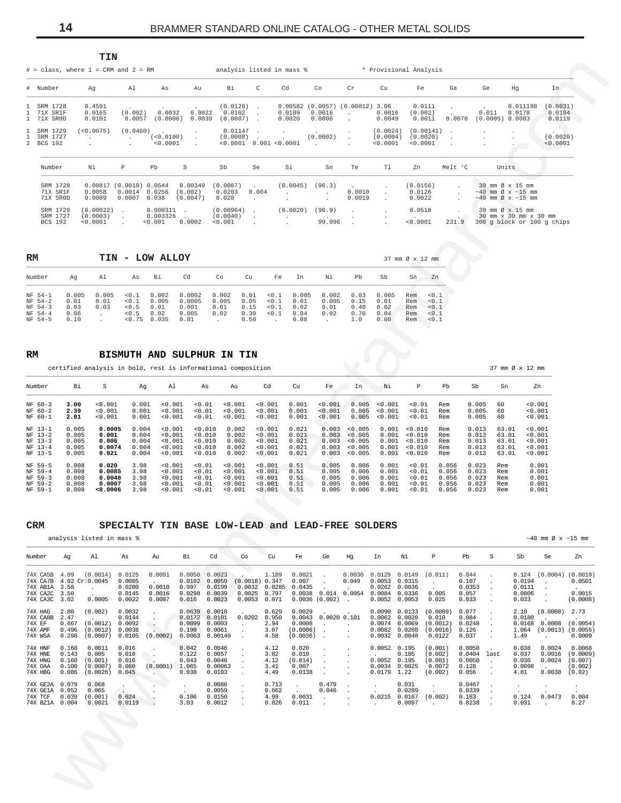<span id="page-13-0"></span>

|                                                                            | ᆠᅶᄭ                                                              |                                                                       |                                                    |                                                    |                                                                 |                                                     |                                                                              |                                                                  |                                                                     |                                                      |                                                                                                  |                           |                                      |                                                                                                                                                             |                                 |
|----------------------------------------------------------------------------|------------------------------------------------------------------|-----------------------------------------------------------------------|----------------------------------------------------|----------------------------------------------------|-----------------------------------------------------------------|-----------------------------------------------------|------------------------------------------------------------------------------|------------------------------------------------------------------|---------------------------------------------------------------------|------------------------------------------------------|--------------------------------------------------------------------------------------------------|---------------------------|--------------------------------------|-------------------------------------------------------------------------------------------------------------------------------------------------------------|---------------------------------|
| $#$ = class, where $1$ = CRM and $2$ = RM                                  |                                                                  |                                                                       |                                                    |                                                    |                                                                 |                                                     | analysis listed in mass %                                                    |                                                                  |                                                                     |                                                      | * Provisional Analysis                                                                           |                           |                                      |                                                                                                                                                             |                                 |
| # Number                                                                   | Aq                                                               | Al                                                                    | As                                                 | Au                                                 | Bi                                                              | C                                                   | Cd                                                                           | Co                                                               | Cr                                                                  | Cu                                                   | Fe                                                                                               | Ga                        | Ge                                   | Hq                                                                                                                                                          | In                              |
| 1 SRM 1728<br>1 71X SR1F<br>1 71X SROD                                     | 0.4591<br>0.0165<br>0.0101                                       | (0.002)<br>0.0057                                                     | 0.0032<br>(0.0006)                                 | $\sim$<br>0.0022<br>0.0039                         | (0.0128)<br>0.0102<br>(0.0007)                                  | $\sim$<br>$\sim$<br>$\sim$                          | 0.00582<br>0.0109<br>0.0020                                                  | (0.0057)<br>0.0016<br>0.0006                                     | (0.00012)<br>$\mathbf{r}$<br>$\mathbf{r}$                           | 3.06<br>0.0016<br>0.0049                             | 0.0111<br>(0.002)<br>0.0011                                                                      | 0.0070                    | $\sim$<br>0.011<br>$(0.0005)$ 0.0083 | 0.011198<br>0.0178                                                                                                                                          | (0.0031)<br>0.0104<br>0.0119    |
| SRM 1729<br>SRM 1727<br>2 BCS 192                                          | (<0.0075)<br>$\mathbf{r}$<br>$\sim$                              | (0.0460)<br>$\sim$<br>$\mathbf{r}$                                    | $\sim$<br>(<0.0100)<br>< 0.0001                    | $\sim$<br>$\ddot{\phantom{0}}$                     | 0.01147<br>(0.0008)                                             | $\sim$<br>$\sim$                                    | $\ddot{\phantom{0}}$<br>$< 0.0001$ 0.001 $< 0.0001$                          | $\sim$<br>(0.0002)<br>$\sim$                                     | $\mathbf{r}$                                                        | (0.0024)<br>(0.0004)<br>< 0.0001                     | (0.00141)<br>(0.0020)<br>< 0.0001                                                                |                           | $\overline{a}$                       | $\bullet$                                                                                                                                                   | $\cdot$<br>(0.0020)<br>< 0.0001 |
| Number                                                                     | Νi                                                               | P                                                                     | Pb                                                 | S                                                  | Sb                                                              | Se                                                  | Si                                                                           | Sn                                                               | Te                                                                  | T1                                                   | Zn                                                                                               | Melt 'C                   |                                      | Units                                                                                                                                                       |                                 |
| SRM 1728<br>71X SR1F<br>71X SROD<br>SRM 1729<br>SRM 1727<br><b>BCS 192</b> | 0.00817<br>0.0058<br>0.0009<br>(0.00022)<br>(0.0003)<br>< 0.0001 | (0.0010) 0.0544<br>0.0014<br>0.0007<br>$\sim$<br>$\ddot{\phantom{0}}$ | 0.0256<br>0.038<br>0.000311<br>0.003326<br>< 0.001 | 0.00349<br>(0.002)<br>(0.0047)<br>$\sim$<br>0.0002 | (0.0087)<br>0.0203<br>0.028<br>(0.00964)<br>(0.0040)<br>< 0.001 | 0.004<br>$\mathbf{r}$<br>$\sim$<br>$\sim$<br>$\sim$ | (0.0045)<br>$\mathbf{r}$<br>(0.0020)<br>$\ddot{\phantom{0}}$<br>$\mathbf{r}$ | (96.3)<br>$\sim$<br>$\sim$<br>(96.9)<br>$\overline{a}$<br>99.996 | $\ddot{\phantom{a}}$<br>0.0010<br>0.0019<br>$\mathbf{r}$<br>$\cdot$ | $\mathbf{r}$<br>$\mathbf{r}$<br>$\ddot{\phantom{0}}$ | (0.0156)<br>0.0126<br>0.0022<br>0.0518<br><b>Contract Contract Contract Contract</b><br>< 0.0001 | $\sim$<br>$\sim$<br>231.9 |                                      | 39 mm Ø x 15 mm<br>$\sim$ 40 mm Ø x $\sim$ 15 mm<br>$\sim$ 40 mm Ø x $\sim$ 15 mm<br>39 mm Ø x 15 mm<br>30 mm x 30 mm x 30 mm<br>300 g block or 100 g chips |                                 |

| RM                                                  |                                       | TIN                   | $\overline{\phantom{a}}$                 | LOW ALLOY                               |                                            |                                |                                      |                                  |                                       |                                |                                     |                                       | 37 mm Ø x 12 mm                 |                                         |
|-----------------------------------------------------|---------------------------------------|-----------------------|------------------------------------------|-----------------------------------------|--------------------------------------------|--------------------------------|--------------------------------------|----------------------------------|---------------------------------------|--------------------------------|-------------------------------------|---------------------------------------|---------------------------------|-----------------------------------------|
| Number                                              | Aq                                    | A1                    | As                                       | Bi                                      | Cd                                         | Co                             | Cu                                   | Fe                               | In                                    | Νi                             | Pb                                  | Sb                                    | Sn                              | Zn                                      |
| NF 54-1<br>NF 54-2<br>NF 54-3<br>NF 54-4<br>NF 54-5 | 0.005<br>0.01<br>0.03<br>0.06<br>0.10 | 0.005<br>0.01<br>0.03 | < 0.1<br>0.1<br>< 0.5<br>< 0.5<br>< 0.75 | 0.002<br>0.005<br>0.01<br>0.02<br>0.035 | 0.0002<br>0.0005<br>0.001<br>0.005<br>0.01 | 0.002<br>0.005<br>0.01<br>0.02 | 0.01<br>0.05<br>0.15<br>0.30<br>0.50 | < 0.1<br>< 0.1<br>< 0.1<br>< 0.1 | 0.005<br>0.01<br>0.02<br>0.04<br>0.08 | 0.002<br>0.005<br>0.01<br>0.02 | 0.03<br>0.15<br>0.40<br>0.70<br>1.0 | 0.005<br>0.01<br>0.02<br>0.04<br>0.08 | Rem<br>Rem<br>Rem<br>Rem<br>Rem | < 0.1<br>< 0.1<br>< 0.1<br>0.1<br>< 0.1 |

 $\mathbf{RM}$ BISMUTH AND SULPHUR IN TIN

certified analysis in bold, rest is informational composition

| Number    | Bi    | S       | Aq    | Al      | As      | Au      | Cd      | Cu    | Fe      | In      | Νi      | P       | Pb    | Sb    | Sn    | Zn      |
|-----------|-------|---------|-------|---------|---------|---------|---------|-------|---------|---------|---------|---------|-------|-------|-------|---------|
| $NF 60-3$ | 3.00  | 0.001   | 0.001 | < 0.001 | < 0.01  | < 0.001 | < 0.001 | 0.001 | 0.001   | 0.005   | < 0.001 | 0.01    | Rem   | 0.005 | 60    | < 0.001 |
| $NF 60-2$ | 2.39  | < 0.001 | 0.001 | < 0.001 | < 0.01  | < 0.001 | < 0.001 | 0.001 | < 0.001 | 0.005   | < 0.001 | 0.01    | Rem   | 0.005 | 60    | < 0.001 |
| NF 60-1   | 2.01  | 0.001   | 0.001 | 0.001   | < 0.01  | 0.001   | < 0.001 | 0.001 | < 0.001 | 0.005   | < 0.001 | 0.01    | Rem   | 0.005 | 60    | < 0.001 |
| NF 13-1   | 0.005 | 0.0005  | 0.004 | < 0.001 | < 0.010 | 0.002   | < 0.001 | 0.021 | 0.003   | < 0.005 | 0.001   | < 0.010 | Rem   | 0.013 | 63.01 | 0.001   |
| $NF 13-2$ | 0.005 | 0.001   | 0.004 | < 0.001 | < 0.010 | 0.002   | < 0.001 | 0.021 | 0.003   | < 0.005 | 0.001   | 0.010   | Rem   | 0.013 | 63.01 | < 0.001 |
| $NF$ 13-3 | 0.005 | 0.006   | 0.004 | < 0.001 | < 0.010 | 0.002   | < 0.001 | 0.021 | 0.003   | < 0.005 | 0.001   | < 0.010 | Rem   | 0.013 | 63.01 | < 0.001 |
| $NF$ 13-4 | 0.005 | 0.0074  | 0.004 | < 0.001 | < 0.010 | 0.002   | < 0.001 | 0.021 | 0.003   | < 0.005 | 0.001   | < 0.010 | Rem   | 0.013 | 63.01 | < 0.001 |
| NF 13-5   | 0.005 | 0.021   | 0.004 | < 0.001 | < 0.010 | 0.002   | < 0.001 | 0.021 | 0.003   | < 0.005 | 0.001   | < 0.010 | Rem   | 0.013 | 63.01 | < 0.001 |
| NF 59-5   | 0.008 | 0.020   | 3.98  | < 0.001 | < 0.01  | 0.001   | < 0.001 | 0.51  | 0.005   | 0.006   | 0.001   | 0.01    | 0.056 | 0.023 | Rem   | 0.001   |
| NF 59-4   | 0.008 | 0.0085  | 3.98  | < 0.001 | < 0.01  | < 0.001 | < 0.001 | 0.51  | 0.005   | 0.006   | 0.001   | 0.01    | 0.056 | 0.023 | Rem   | 0.001   |
| NF 59-3   | 0.008 | 0.0048  | 3.98  | < 0.001 | < 0.01  | 0.001   | < 0.001 | 0.51  | 0.005   | 0.006   | 0.001   | < 0.01  | 0.056 | 0.023 | Rem   | 0.001   |
| NF 59-2   | 0.008 | 0.0007  | 3.98  | < 0.001 | < 0.01  | < 0.001 | < 0.001 | 0.51  | 0.005   | 0.006   | 0.001   | 0.01    | 0.056 | 0.023 | Rem   | 0.001   |
| NF 59-1   | 0.008 | 0.0006  | 3.98  | < 0.001 | 0.01    | < 0.001 | < 0.001 | 0.51  | 0.005   | 0.006   | 0.001   | 0.01    | 0.056 | 0.023 | Rem   | 0.001   |

#### $\mathop{\mathsf{CRM}}$ SPECIALTY TIN BASE LOW-LEAD and LEAD-FREE SOLDERS

analysis listed in mass %

 $~10$  mm Ø x  $~15$  mm

| Number                                                   | Aq                                        | Al                                                 | As                                             | Au                                          | Вi                                            | Cd                                                                 | Co                                           | Cu                                     | Fe                                                       | Ge                                             | Hq                                                                                   | In                                             | Νi                                             | P                                                   | Pb                                           | S                                                                    | Sb                                        | Se                                                                  | Zn                                                 |
|----------------------------------------------------------|-------------------------------------------|----------------------------------------------------|------------------------------------------------|---------------------------------------------|-----------------------------------------------|--------------------------------------------------------------------|----------------------------------------------|----------------------------------------|----------------------------------------------------------|------------------------------------------------|--------------------------------------------------------------------------------------|------------------------------------------------|------------------------------------------------|-----------------------------------------------------|----------------------------------------------|----------------------------------------------------------------------|-------------------------------------------|---------------------------------------------------------------------|----------------------------------------------------|
| 74X CA5B<br>74X CA7B<br>74X AB1A<br>74X CA2C<br>74X CA3C | 4.09<br>3.58<br>3.50<br>3.02              | (0.0014)<br>4.02 Cr:0.0045<br>$\cdot$<br>0.0005    | 0.0125<br>0.0085<br>0.0280<br>0.0145<br>0.0022 | 0.0091<br>0.0010<br>0.0016<br>0.0087        | 0.997<br>0.0298<br>0.016                      | $0.0050$ $0.0023$<br>$0.0102$ 0.0059<br>0.0199<br>0.0039<br>0.0023 | (0.0018) 0.347<br>0.0032<br>0.0025<br>0.0053 | 1.189<br>0.0285<br>0.797<br>0.071      | 0.0021<br>0.007<br>0.0435<br>0.0038<br>$0.0036(0.002)$ . | 0.014                                          | 0.0030<br>0.049<br>0.0054                                                            | 0.0129<br>0.0053<br>0.0262<br>0.0084<br>0.0052 | 0.0149<br>0.0315<br>0.0036<br>0.0336<br>0.0053 | (0.011)<br>0.005<br>0.025                           | 0.044<br>0.107<br>0.0353<br>0.057<br>0.033   | $\ddot{\phantom{a}}$                                                 | 0.0194<br>0.0111<br>0.0806<br>0.033       | $0.124$ $(0.0004)$ $(0.0019)$<br>$\mathbf{r}$<br>$\cdot$            | 0.0501<br><b>Service</b><br>0.0015<br>(0.0008)     |
| 74X HAG<br>74X CA8B<br>74X EF<br>74X AMF<br>74X WSA      | 2.80<br>2.47<br>0.667<br>0.496<br>0.298   | (0.002)<br>(0.0012)<br>(0.0012)<br>(0.0007)        | 0.0032<br>0.0144<br>0.0092<br>0.0038<br>0.0105 | $\cdot$<br>$\ddot{\phantom{1}}$<br>(0.0002) | 0.0639<br>0.0172<br>0.0099<br>0.190<br>0.0063 | 0.0018<br>0.0101<br>0.0003<br>0.0061<br>0.00140                    | 0.0202<br>$\sim$                             | 0.629<br>0.950<br>2.94<br>3.07<br>4.58 | 0.0029<br>0.0043<br>0.0008<br>(0.0006)<br>(0.0036)       | 0.002000.101<br>$\ddot{\phantom{a}}$<br>$\sim$ | $\blacksquare$<br>$\ddot{\phantom{a}}$<br>$\ddot{\phantom{a}}$                       | 0.0090<br>0.0062<br>0.0074<br>0.0082<br>0.0032 | 0.0133<br>0.0020<br>0.0069<br>0.0260<br>0.0048 | (0.0009)<br>0.010<br>(0.0012)<br>(0.0016)<br>0.0122 | 0.077<br>0.084<br>0.0248<br>0.126<br>0.037   | $\mathbf{r}$                                                         | 2.10<br>0.0180<br>0.0168<br>1.064<br>1.49 | (0.0008)<br>0.0008<br>$(0.0013)$ $(0.0055)$<br>$\ddot{\phantom{0}}$ | 2.73<br>(0.0054)<br>0.0009                         |
| 74X HNF<br>74X HNE<br>74X HNG<br>74X OAA<br>74X HBG      | 0.160<br>0.143<br>0.160<br>0.100<br>0.086 | 0.0011<br>0.005<br>(0.001)<br>(0.0007)<br>(0.0026) | 0.016<br>0.010<br>0.016<br>0.080<br>0.045      | $\ddot{\phantom{0}}$<br>(0.0001)            | 0.042<br>0.122<br>0.043<br>1.065<br>0.038     | 0.0046<br>0.0057<br>0.0046<br>0.00063<br>0.0103                    | $\ddot{\phantom{a}}$<br>$\cdot$              | 4.12<br>3.82<br>4.12<br>3.41<br>4.49   | 0.020<br>0.010<br>(0.014)<br>0.007<br>0.0138             | $\cdot$<br>$\cdot$<br>$\cdot$                  | $\cdot$<br>$\cdot$<br>$\overline{a}$<br>$\ddot{\phantom{0}}$<br>$\ddot{\phantom{a}}$ | $0.0052$ $0.195$<br>0.0052<br>0.0034<br>0.0179 | 0.185<br>0.195<br>0.0025<br>1.22               | (0.001)<br>(0.002)<br>(0.001)<br>0.0072<br>(0.002)  | 0.0050<br>0.0404<br>0.0050<br>0.128<br>0.056 | last<br>$\mathbf{r}$<br>$\ddot{\phantom{a}}$<br>$\ddot{\phantom{a}}$ | 0.038<br>0.037<br>0.036<br>0.0098<br>4.81 | 0.0024<br>0.0016<br>0.0024<br>$\sim$<br>0.0038                      | 0.0068<br>(0.0009)<br>(0.007)<br>(0.002)<br>(0.02) |
| 74X GE2A<br>74X GE1A<br>74X TCF<br>74X BZ1A              | 0.079<br>0.052<br>0.039<br>0.004          | 0.068<br>0.065<br>(0.001)<br>0.0021                | $\bullet$<br>$\sim$<br>0.024<br>0.0119         |                                             | $\cdot$<br>0.106<br>3.03                      | 0.0086<br>0.0059<br>0.0150<br>0.0012                               | $\cdot$<br>$\cdot$<br>$\cdot$                | 0.713<br>0.662<br>4.99<br>0.026        | 0.0031<br>0.011                                          | 0.479<br>0.046<br>$\sim$<br>$\sim$             | $\ddot{\phantom{a}}$<br>$\cdot$<br>$\cdot$<br>$\ddot{\phantom{a}}$                   | $\cdot$<br>0.0215<br>$\ddot{\phantom{0}}$      | 0.031<br>0.0289<br>0.0167<br>0.0097            | $\cdot$<br>(0.002)<br>$\cdot$                       | 0.0467<br>0.0339<br>0.183<br>0.0238          | $\ddot{\phantom{a}}$<br>$\ddot{\phantom{a}}$<br>$\overline{a}$       | 0.124<br>0.031                            | 0.0473<br>$\sim$                                                    | $\bullet$<br>0.004<br>8.27                         |
|                                                          |                                           |                                                    |                                                |                                             |                                               |                                                                    |                                              |                                        |                                                          |                                                |                                                                                      |                                                |                                                |                                                     |                                              |                                                                      |                                           |                                                                     |                                                    |

 $m + M$ 

37 mm  $\varnothing$  x 12 mm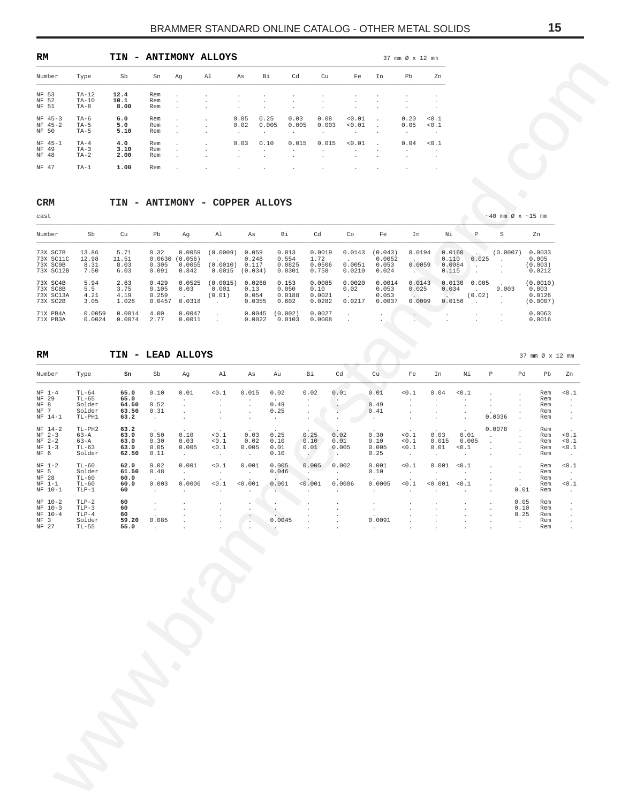<span id="page-14-0"></span>

| RM                              |                              | TIN<br>$\overline{\phantom{0}}$ |                   |                                              | <b>ANTIMONY ALLOYS</b>                       |                                                              |                                |                                                         |                                               |                                              |                                              | 37 mm Ø x 12 mm                 |                               |
|---------------------------------|------------------------------|---------------------------------|-------------------|----------------------------------------------|----------------------------------------------|--------------------------------------------------------------|--------------------------------|---------------------------------------------------------|-----------------------------------------------|----------------------------------------------|----------------------------------------------|---------------------------------|-------------------------------|
| Number                          | Type                         | Sb                              | Sn                | Αq                                           | A1                                           | As                                                           | Bi                             | Cd                                                      | Cu                                            | Fe                                           | In                                           | Pb                              | Zn                            |
| NF 53<br>NF 52<br>NF 51         | $TA-12$<br>$TA-10$<br>$TA-8$ | 12.4<br>10.1<br>8.00            | Rem<br>Rem<br>Rem | $\lambda$<br>$\mathbf{r}$<br>$\mathbf{r}$    | $\cdot$<br>$\cdot$<br>$\mathbf{r}$           | $\ddot{\phantom{0}}$<br>$\ddot{\phantom{0}}$<br>$\mathbf{r}$ | $\cdot$<br>$\cdot$<br>$\cdot$  | $\cdot$<br>$\ddot{\phantom{0}}$<br>$\ddot{\phantom{0}}$ | $\cdot$<br>$\cdot$<br>٠                       | $\cdot$<br>$\cdot$<br>$\cdot$                | $\cdot$<br>$\cdot$<br>$\cdot$                | $\cdot$<br>$\cdot$              | $\cdot$<br>$\cdot$<br>$\cdot$ |
| $NF 45-3$<br>$NF$ 45-2<br>NF 50 | $TA-6$<br>$TA-5$<br>$TA-5$   | 6.0<br>5.0<br>5.10              | Rem<br>Rem<br>Rem | ×.<br>×.<br>$\mathbf{r}$                     | $\mathbf{r}$<br>$\mathbf{r}$<br>$\mathbf{r}$ | 0.05<br>0.02<br>$\mathbf{r}$                                 | 0.25<br>0.005<br>$\mathbf{r}$  | 0.03<br>0.005<br>$\mathbf{r}$                           | 0.08<br>0.003<br>$\mathbf{r}$                 | < 0.01<br>< 0.01<br>$\overline{\phantom{a}}$ | $\sim$<br>$\sim$<br>$\overline{\phantom{a}}$ | 0.20<br>0.05<br>$\cdot$         | 0.1<br>0.1<br>$\cdot$         |
| NF 45-1<br>NF 49<br>NF 48       | $TA-4$<br>$TA-3$<br>$TA-2$   | 4.0<br>3.10<br>2.00             | Rem<br>Rem<br>Rem | $\mathbf{r}$<br>$\mathbf{r}$<br>$\mathbf{r}$ | $\mathbf{r}$<br>$\cdot$                      | 0.03<br>$\ddot{\phantom{0}}$<br>$\mathbf{r}$                 | 0.10<br>$\sim$<br>$\mathbf{r}$ | 0.015<br>$\ddot{\phantom{0}}$<br>$\mathbf{r}$           | 0.015<br>$\ddot{\phantom{0}}$<br>$\mathbf{r}$ | < 0.01<br>$\cdot$<br>$\cdot$                 | $\sim$<br>$\cdot$<br>$\cdot$                 | 0.04<br>$\cdot$<br>$\mathbf{r}$ | 0.1<br>$\cdot$<br>$\cdot$     |
| NF 47                           | $TA-1$                       | 1.00                            | Rem               | $\cdot$                                      | $\cdot$                                      | $\cdot$                                                      | $\cdot$                        | $\cdot$                                                 | ٠                                             | $\cdot$                                      | $\cdot$                                      | $\cdot$                         | $\cdot$                       |

# **CRM TIN - ANTIMONY - COPPER ALLOYS**

| cast                                           |                                |                               |                                   |                                      |                                |                                    |                                    |                                    |                            |                                     |                            |                                    |                 | $\sim$ 40 mm Ø x $\sim$ 15 mm |                                         |
|------------------------------------------------|--------------------------------|-------------------------------|-----------------------------------|--------------------------------------|--------------------------------|------------------------------------|------------------------------------|------------------------------------|----------------------------|-------------------------------------|----------------------------|------------------------------------|-----------------|-------------------------------|-----------------------------------------|
| Number                                         | Sb                             | Cu                            | Pb                                | Aq                                   | Al                             | As                                 | Bi                                 | Cd                                 | Co                         | Fe                                  | In                         | Νi                                 | P               | S                             | Zn                                      |
| 73X SC7B<br>73X SC11C<br>73X SC9B<br>73X SC12B | 13.86<br>12.98<br>8.31<br>7.50 | 5.71<br>11.51<br>8.03<br>6.03 | 0.32<br>0.0630<br>0.305<br>0.091  | 0.0059<br>(0.056)<br>0.0055<br>0.842 | (0.0009)<br>(0.0010)<br>0.0015 | 0.059<br>0.248<br>0.117<br>(0.034) | 0.013<br>0.554<br>0.0825<br>0.0301 | 0.0019<br>1.72<br>0.0506<br>0.758  | 0.0143<br>0.0051<br>0.0210 | (0.043)<br>0.0052<br>0.053<br>0.024 | 0.0194<br>0.0059<br>$\sim$ | 0.0160<br>0.110<br>0.0084<br>0.115 | 0.025           | (0.0007)                      | 0.0033<br>0.005<br>(0.003)<br>0.0212    |
| 73X SC4B<br>73X SC8B<br>73X SC13A<br>73X SC2B  | 5.94<br>5.5<br>4.21<br>3.05    | 2.63<br>3.75<br>4.19<br>1.028 | 0.429<br>0.105<br>0.259<br>0.0457 | 0.0525<br>0.03<br>0.0318             | (0.0015)<br>0.001<br>(0.01)    | 0.0268<br>0.13<br>0.054<br>0.0355  | 0.153<br>0.050<br>0.0188<br>0.602  | 0.0085<br>0.10<br>0.0021<br>0.0282 | 0.0020<br>0.02<br>0.0217   | 0.0014<br>0.053<br>0.053<br>0.0037  | 0.0143<br>0.025<br>0.0099  | 0.0130<br>0.034<br>0.0156          | 0.005<br>(0.02) | 0.003                         | (0.0010)<br>0.003<br>0.0126<br>(0.0007) |
| 71X PB4A<br>71X PB3A                           | 0.0059<br>0.0024               | 0.0014<br>0.0074              | 4.00<br>2.77                      | 0.0047<br>0.0011                     |                                | 0.0045<br>0.0022                   | (0.002)<br>0.0103                  | 0.0027<br>0.0008                   |                            |                                     |                            |                                    |                 |                               | 0.0063<br>0.0016                        |

# **RM TIN - LEAD ALLOYS** 37 mm Ø x 12 mm

| Sb<br>Вi<br>Cd<br>Cu<br>Type<br>Sn<br>Al<br>Fe<br>Number<br>Ag<br>As<br>NF 53<br>$TA-12$<br>12.4<br>Rem<br>$\cdot$<br>$\cdot$<br>NF 52<br>$TA-10$<br>10.1<br>Rem<br>$\cdot$<br>$\cdot$<br>$\cdot$<br>$\ddot{\phantom{0}}$<br>NF 51<br>8.00<br>$TA-8$<br>Rem<br>$\cdot$<br>$\cdot$<br>$\cdot$<br>$\ddot{\phantom{0}}$<br>$\cdot$<br>0.25<br>0.03<br>0.08<br>0.01<br>6.0<br>0.05<br>$NF$ 45-3<br>$TA-6$<br>Rem<br>$\cdot$<br>٠<br>$NF 45-2$<br>5.0<br>0.02<br>0.005<br>0.005<br>0.003<br>< 0.01<br>$TA-5$<br>Rem<br>$\cdot$<br>NF 50<br>5.10<br>$TA-5$<br>Rem<br>$\cdot$<br>$\cdot$<br>$\cdot$<br>$\cdot$<br>$\cdot$<br>$\cdot$<br>0.015<br>0.015<br>0.01<br>4.0<br>0.03<br>0.10<br>$NF 45-1$<br>$TA-4$<br>Rem<br>$\cdot$<br>NF 49<br>$TA-3$<br>3.10<br>Rem<br>$\cdot$<br>$\cdot$<br>$\cdot$<br>$\cdot$<br>٠<br>$\cdot$<br>NF 48<br>$TA-2$<br>2.00<br>Rem<br>$\cdot$<br>$\cdot$<br>$\cdot$<br>$\cdot$<br>$\cdot$<br>NF 47<br>1.00<br>TA-1<br>Rem<br><b>CRM</b><br>TIN - ANTIMONY - COPPER ALLOYS<br>cast<br>Sb<br>Cd<br>Cu<br>Pb<br>Al<br>Bi<br>Co<br>Number<br>Ag<br>As<br>73X SC7B<br>13.86<br>5.71<br>0.32<br>0.0059<br>(0.0009)<br>0.059<br>0.013<br>0.0019<br>0.0143<br>73X SC11C<br>12.98<br>1.72<br>11.51<br>0.0630<br>(0.056)<br>0.248<br>0.554<br>$\cdot$<br>8.31<br>0.0051<br>73X SC9B<br>8.03<br>0.305<br>0.0055<br>(0.0010)<br>0.117<br>0.0825<br>0.0506<br>73X SC12B<br>7.50<br>0.091<br>0.842<br>0.0015<br>(0.034)<br>0.758<br>0.0210<br>6.03<br>0.0301<br>73X SC4B<br>5.94<br>2.63<br>0.429<br>0.0525<br>(0.0015)<br>0.0268<br>0.153<br>0.0085<br>0.0020<br>$5.5$<br>3.75<br>0.105<br>73X SC8B<br>0.03<br>0.001<br>0.13<br>0.050<br>0.10<br>0.02<br>73X SC13A<br>4.21<br>0.259<br>0.054<br>0.0188<br>0.0021<br>4.19<br>(0.01)<br>$\ddot{\phantom{a}}$<br>73X SC2B<br>3.05<br>1.028<br>0.0457<br>0.0282<br>0.0217<br>0.0318<br>0.0355<br>0.602<br>$\cdot$<br>4.00<br>0.0059<br>0.0014<br>0.0047<br>0.0045<br>(0.002)<br>0.0027<br>71X PB4A<br>$\cdot$<br>$\cdot$<br>0.0024<br>2.77<br>0.0074<br>0.0011<br>0.0022<br>0.0008<br>71X PB3A<br>0.0103<br>$\ddot{\phantom{a}}$<br>$\cdot$<br>TIN - LEAD ALLOYS<br>RM<br>Sb<br>Sn<br>Al<br>Вi<br>Cd<br>Cu<br>Number<br>Type<br>Ag<br>As<br>Au | In<br>$\cdot$<br>$\cdot$<br>$\cdot$<br>$\cdot$<br>$\cdot$<br>$\cdot$<br>Fe<br>(0.043)<br>0.0052<br>0.053<br>0.024<br>0.0014<br>0.053<br>0.053<br>0.0037 | Pb<br>Zn<br>$\cdot$<br>$\cdot$<br>$\cdot$<br>0.20<br>0.1<br>0.05<br>0.1<br>$\cdot$<br>0.04<br>0.1<br>$\cdot$<br>In<br>0.0194<br>0.0059<br><b>Alberta</b><br>0.0143<br>0.025<br>$\sim$ $^{-1}$ | $\, {\mathbb P}$<br>Νi<br>0.0160<br>0.025<br>0.110<br>0.0084<br>$\cdot$<br>0.115<br>$\cdot$ | $\sim$ 40 mm Ø x $\sim$ 15 mm<br>$\rm S$<br>Zn<br>(0.0007)<br>0.0033<br>0.005<br>$\cdot$                               |                                                        |
|----------------------------------------------------------------------------------------------------------------------------------------------------------------------------------------------------------------------------------------------------------------------------------------------------------------------------------------------------------------------------------------------------------------------------------------------------------------------------------------------------------------------------------------------------------------------------------------------------------------------------------------------------------------------------------------------------------------------------------------------------------------------------------------------------------------------------------------------------------------------------------------------------------------------------------------------------------------------------------------------------------------------------------------------------------------------------------------------------------------------------------------------------------------------------------------------------------------------------------------------------------------------------------------------------------------------------------------------------------------------------------------------------------------------------------------------------------------------------------------------------------------------------------------------------------------------------------------------------------------------------------------------------------------------------------------------------------------------------------------------------------------------------------------------------------------------------------------------------------------------------------------------------------------------------------------------------------------------------------------------------------------------------------------------------------------------------------------------------------------------------------------------------------------------------------------------------|---------------------------------------------------------------------------------------------------------------------------------------------------------|-----------------------------------------------------------------------------------------------------------------------------------------------------------------------------------------------|---------------------------------------------------------------------------------------------|------------------------------------------------------------------------------------------------------------------------|--------------------------------------------------------|
|                                                                                                                                                                                                                                                                                                                                                                                                                                                                                                                                                                                                                                                                                                                                                                                                                                                                                                                                                                                                                                                                                                                                                                                                                                                                                                                                                                                                                                                                                                                                                                                                                                                                                                                                                                                                                                                                                                                                                                                                                                                                                                                                                                                                    |                                                                                                                                                         |                                                                                                                                                                                               |                                                                                             |                                                                                                                        |                                                        |
|                                                                                                                                                                                                                                                                                                                                                                                                                                                                                                                                                                                                                                                                                                                                                                                                                                                                                                                                                                                                                                                                                                                                                                                                                                                                                                                                                                                                                                                                                                                                                                                                                                                                                                                                                                                                                                                                                                                                                                                                                                                                                                                                                                                                    |                                                                                                                                                         |                                                                                                                                                                                               |                                                                                             |                                                                                                                        |                                                        |
|                                                                                                                                                                                                                                                                                                                                                                                                                                                                                                                                                                                                                                                                                                                                                                                                                                                                                                                                                                                                                                                                                                                                                                                                                                                                                                                                                                                                                                                                                                                                                                                                                                                                                                                                                                                                                                                                                                                                                                                                                                                                                                                                                                                                    |                                                                                                                                                         |                                                                                                                                                                                               |                                                                                             |                                                                                                                        |                                                        |
|                                                                                                                                                                                                                                                                                                                                                                                                                                                                                                                                                                                                                                                                                                                                                                                                                                                                                                                                                                                                                                                                                                                                                                                                                                                                                                                                                                                                                                                                                                                                                                                                                                                                                                                                                                                                                                                                                                                                                                                                                                                                                                                                                                                                    |                                                                                                                                                         |                                                                                                                                                                                               |                                                                                             |                                                                                                                        |                                                        |
|                                                                                                                                                                                                                                                                                                                                                                                                                                                                                                                                                                                                                                                                                                                                                                                                                                                                                                                                                                                                                                                                                                                                                                                                                                                                                                                                                                                                                                                                                                                                                                                                                                                                                                                                                                                                                                                                                                                                                                                                                                                                                                                                                                                                    |                                                                                                                                                         |                                                                                                                                                                                               |                                                                                             |                                                                                                                        |                                                        |
|                                                                                                                                                                                                                                                                                                                                                                                                                                                                                                                                                                                                                                                                                                                                                                                                                                                                                                                                                                                                                                                                                                                                                                                                                                                                                                                                                                                                                                                                                                                                                                                                                                                                                                                                                                                                                                                                                                                                                                                                                                                                                                                                                                                                    |                                                                                                                                                         |                                                                                                                                                                                               |                                                                                             |                                                                                                                        |                                                        |
|                                                                                                                                                                                                                                                                                                                                                                                                                                                                                                                                                                                                                                                                                                                                                                                                                                                                                                                                                                                                                                                                                                                                                                                                                                                                                                                                                                                                                                                                                                                                                                                                                                                                                                                                                                                                                                                                                                                                                                                                                                                                                                                                                                                                    |                                                                                                                                                         |                                                                                                                                                                                               |                                                                                             |                                                                                                                        |                                                        |
|                                                                                                                                                                                                                                                                                                                                                                                                                                                                                                                                                                                                                                                                                                                                                                                                                                                                                                                                                                                                                                                                                                                                                                                                                                                                                                                                                                                                                                                                                                                                                                                                                                                                                                                                                                                                                                                                                                                                                                                                                                                                                                                                                                                                    |                                                                                                                                                         |                                                                                                                                                                                               |                                                                                             |                                                                                                                        |                                                        |
|                                                                                                                                                                                                                                                                                                                                                                                                                                                                                                                                                                                                                                                                                                                                                                                                                                                                                                                                                                                                                                                                                                                                                                                                                                                                                                                                                                                                                                                                                                                                                                                                                                                                                                                                                                                                                                                                                                                                                                                                                                                                                                                                                                                                    |                                                                                                                                                         |                                                                                                                                                                                               |                                                                                             |                                                                                                                        |                                                        |
|                                                                                                                                                                                                                                                                                                                                                                                                                                                                                                                                                                                                                                                                                                                                                                                                                                                                                                                                                                                                                                                                                                                                                                                                                                                                                                                                                                                                                                                                                                                                                                                                                                                                                                                                                                                                                                                                                                                                                                                                                                                                                                                                                                                                    |                                                                                                                                                         |                                                                                                                                                                                               |                                                                                             | (0.003)<br>$\cdot$<br>0.0212<br>$\cdot$                                                                                |                                                        |
|                                                                                                                                                                                                                                                                                                                                                                                                                                                                                                                                                                                                                                                                                                                                                                                                                                                                                                                                                                                                                                                                                                                                                                                                                                                                                                                                                                                                                                                                                                                                                                                                                                                                                                                                                                                                                                                                                                                                                                                                                                                                                                                                                                                                    |                                                                                                                                                         |                                                                                                                                                                                               | 0.0130<br>0.005<br>0.034<br>$\ddot{\phantom{a}}$<br>(0.02)<br>$\sim$ $\geq$                 | (0.0010)<br>0.003<br>0.003<br>0.0126<br>$\cdot$                                                                        |                                                        |
|                                                                                                                                                                                                                                                                                                                                                                                                                                                                                                                                                                                                                                                                                                                                                                                                                                                                                                                                                                                                                                                                                                                                                                                                                                                                                                                                                                                                                                                                                                                                                                                                                                                                                                                                                                                                                                                                                                                                                                                                                                                                                                                                                                                                    |                                                                                                                                                         | 0.0099<br>$\sim$<br>$\cdot$                                                                                                                                                                   | 0.0156<br>$\cdot$<br>$\cdot$                                                                | (0.0007)<br>$\cdot$<br>0.0063<br>$\cdot$                                                                               |                                                        |
|                                                                                                                                                                                                                                                                                                                                                                                                                                                                                                                                                                                                                                                                                                                                                                                                                                                                                                                                                                                                                                                                                                                                                                                                                                                                                                                                                                                                                                                                                                                                                                                                                                                                                                                                                                                                                                                                                                                                                                                                                                                                                                                                                                                                    |                                                                                                                                                         |                                                                                                                                                                                               | $\cdot$<br>٠                                                                                | 0.0016                                                                                                                 |                                                        |
|                                                                                                                                                                                                                                                                                                                                                                                                                                                                                                                                                                                                                                                                                                                                                                                                                                                                                                                                                                                                                                                                                                                                                                                                                                                                                                                                                                                                                                                                                                                                                                                                                                                                                                                                                                                                                                                                                                                                                                                                                                                                                                                                                                                                    |                                                                                                                                                         |                                                                                                                                                                                               |                                                                                             | 37 mm Ø x 12 mm                                                                                                        |                                                        |
|                                                                                                                                                                                                                                                                                                                                                                                                                                                                                                                                                                                                                                                                                                                                                                                                                                                                                                                                                                                                                                                                                                                                                                                                                                                                                                                                                                                                                                                                                                                                                                                                                                                                                                                                                                                                                                                                                                                                                                                                                                                                                                                                                                                                    |                                                                                                                                                         | Fe<br>In                                                                                                                                                                                      | Νi                                                                                          | $\mathbb P$<br>Pd                                                                                                      | Pb<br>Zn                                               |
| $NF$ 1-4<br>65.0<br>0.10<br>0.01<br>0.1<br>0.015<br>0.02<br>0.02<br>0.01<br>$TL-64$<br>NF 29<br>$TL-65$<br>65.0<br>$\cdot$<br>$\cdot$<br>$\cdot$<br>$\cdot$<br>$\cdot$<br>$\cdot$<br>0.49<br>64.50<br>0.52<br>0.49<br>NF 8<br>Solder<br>$\cdot$<br>$\cdot$<br>$\cdot$<br>$\cdot$<br>$\cdot$<br>NF 7<br>63.50<br>0.31<br>0.25<br>0.41<br>Solder<br>l.<br>$\cdot$<br>$\cdot$<br>$\cdot$<br>$\cdot$<br>$NF 14-1$<br>TL-PH1<br>63.2<br>$\cdot$<br>$\cdot$<br>$\cdot$<br>$\cdot$<br>$\cdot$<br>$\cdot$<br>$\cdot$                                                                                                                                                                                                                                                                                                                                                                                                                                                                                                                                                                                                                                                                                                                                                                                                                                                                                                                                                                                                                                                                                                                                                                                                                                                                                                                                                                                                                                                                                                                                                                                                                                                                                       | 0.01                                                                                                                                                    | 0.1<br>0.04<br>$\cdot$<br>$\cdot$<br>$\cdot$<br>$\cdot$<br>$\cdot$<br>$\cdot$<br>$\cdot$<br>$\cdot$                                                                                           | 0.1<br>$\cdot$<br>$\cdot$<br>$\cdot$<br>$\cdot$                                             | Rem<br>$\ddot{\phantom{0}}$<br>Rem<br>$\cdot$<br>Rem<br>$\cdot$<br>Rem<br>$\cdot$<br>0.0036<br>Rem<br>$\cdot$          | 0.1<br>$\cdot$<br>$\cdot$<br>$\cdot$<br>$\blacksquare$ |
| $NF 14-2$<br>TL-PH2<br>63.2<br>0.03<br>0.25<br>0.30<br>$NF$ 2-3<br>$63 - A$<br>0.50<br>0.10<br>0.1<br>0.25<br>0.02<br>63.0<br>0.03<br>0.02<br>0.10<br>$NF$ 2-2<br>$63 - A$<br>0.30<br>< 0.1<br>0.10<br>0.01<br>63.0<br>0.10<br>$NF$ 1-3<br>0.05<br>0.005<br>< 0.1<br>0.005<br>0.01<br>0.01<br>0.005<br>$TL-63$<br>63.0<br>NF 6<br>0.25<br>Solder<br>62.50<br>0.11<br>0.10<br>$\cdot$<br>$\cdot$<br>$\sim$<br>$\cdot$                                                                                                                                                                                                                                                                                                                                                                                                                                                                                                                                                                                                                                                                                                                                                                                                                                                                                                                                                                                                                                                                                                                                                                                                                                                                                                                                                                                                                                                                                                                                                                                                                                                                                                                                                                               | 0.005                                                                                                                                                   | $< 0$ . $\mathbbm{1}$<br>0.03<br>0.015<br>0.1<br>0.01<br>0.1<br>$\cdot$<br>$\cdot$                                                                                                            | 0.01<br>0.005<br>0.1                                                                        | 0.0078<br>Rem<br>$\cdot$<br>Rem<br>$\cdot$<br>$\cdot$<br>Rem<br>$\cdot$<br>$\cdot$<br>Rem<br>$\cdot$<br>$\cdot$<br>Rem | $\blacksquare$<br>0.1<br>0.1<br>0.1<br>$\sim$          |
| $\mathcal{L}_{\mathcal{A}}$<br>0.02<br>0.001<br>$<0.1$<br>0.001<br>0.005<br>0.005<br>0.002<br>$NF$ 1-2<br>62.0<br>$TL-60$<br>NF 5<br>Solder<br>61.50<br>0.48<br>0.046<br>0.10<br>$\sim$<br>$\cdot$<br>$\cdot$<br>$\cdot$<br>$\cdot$                                                                                                                                                                                                                                                                                                                                                                                                                                                                                                                                                                                                                                                                                                                                                                                                                                                                                                                                                                                                                                                                                                                                                                                                                                                                                                                                                                                                                                                                                                                                                                                                                                                                                                                                                                                                                                                                                                                                                                | 0.001                                                                                                                                                   | < 0.1<br>0.001<br>$\cdot$<br>$\cdot$                                                                                                                                                          | $\cdot$<br>0.1<br>$\cdot$                                                                   | $\ddot{\phantom{0}}$<br>Rem<br>$\cdot$<br>Rem<br>$\cdot$                                                               | 0.1<br>$\sim$                                          |
| $TL-60$<br>NF 28<br>60.0<br>0.003<br>0.0006<br>$<0.1$<br>0.001<br>0.001<br>0.0006<br>0.001<br>$NF$ 1-1<br>$TL-60$<br>60.0<br>$NF 10-1$<br>$TLP-1$<br>60<br>$\cdot$<br>$\cdot$<br>$\cdot$<br>$\cdot$<br>$\cdot$<br>$\cdot$                                                                                                                                                                                                                                                                                                                                                                                                                                                                                                                                                                                                                                                                                                                                                                                                                                                                                                                                                                                                                                                                                                                                                                                                                                                                                                                                                                                                                                                                                                                                                                                                                                                                                                                                                                                                                                                                                                                                                                          | 0.0005                                                                                                                                                  | 0.001<br>0.1<br>$\cdot$<br>$\cdot$                                                                                                                                                            | 0.1<br>$\cdot$                                                                              | Rem<br>$\cdot$<br>Rem<br>0.01<br>Rem                                                                                   | 0.1<br>$\blacksquare$                                  |
| $NF 10-2$<br>$TLP-2$<br>60<br>$\cdot$<br>$\cdot$<br>$\ddot{\phantom{0}}$<br>$\cdot$<br>$\cdot$<br>$\cdot$<br>$NF 10-3$<br>$TLP-3$<br>60<br>$\cdot$<br>$\cdot$                                                                                                                                                                                                                                                                                                                                                                                                                                                                                                                                                                                                                                                                                                                                                                                                                                                                                                                                                                                                                                                                                                                                                                                                                                                                                                                                                                                                                                                                                                                                                                                                                                                                                                                                                                                                                                                                                                                                                                                                                                      |                                                                                                                                                         | $\cdot$<br>$\cdot$                                                                                                                                                                            | $\cdot$<br>$\cdot$                                                                          | 0.05<br>Rem<br>0.10<br>Rem<br>0 25                                                                                     | $\cdot$<br>$\cdot$                                     |
| $NF 10-4$<br>$TLP-4$<br>60<br>NF <sub>3</sub><br>59.20<br>Solder<br>0.085<br>0.0045<br>NF 27<br>$TL-55$<br>55.0                                                                                                                                                                                                                                                                                                                                                                                                                                                                                                                                                                                                                                                                                                                                                                                                                                                                                                                                                                                                                                                                                                                                                                                                                                                                                                                                                                                                                                                                                                                                                                                                                                                                                                                                                                                                                                                                                                                                                                                                                                                                                    | 0.0091                                                                                                                                                  |                                                                                                                                                                                               |                                                                                             | Rem<br>Rem<br>Rem                                                                                                      |                                                        |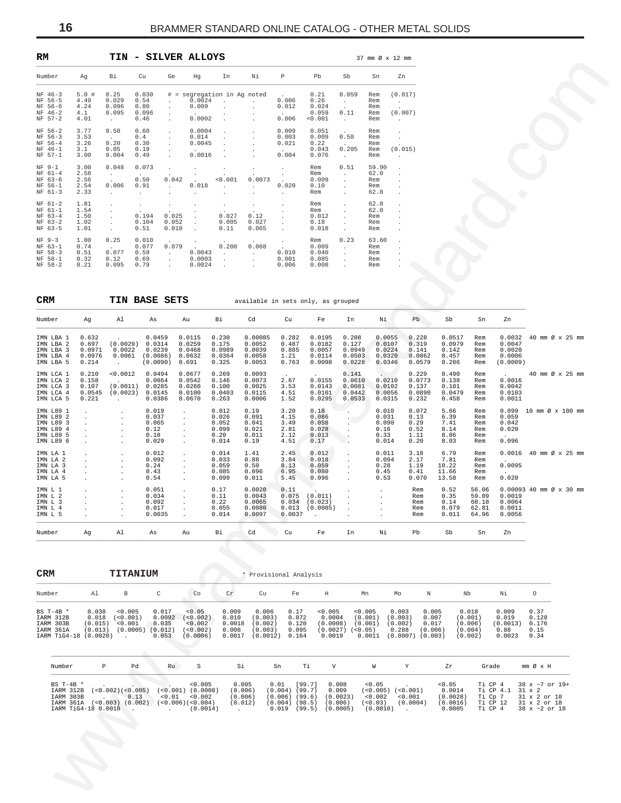| RM                                                          |                                      |                                           | <b>TIN - SILVER ALLOYS</b>                     |                                                                               |                                                |                                                                 |                                                           |                                                                        |                                           |                                                           |                                     | 37 mm Ø x 12 mm                                                  |
|-------------------------------------------------------------|--------------------------------------|-------------------------------------------|------------------------------------------------|-------------------------------------------------------------------------------|------------------------------------------------|-----------------------------------------------------------------|-----------------------------------------------------------|------------------------------------------------------------------------|-------------------------------------------|-----------------------------------------------------------|-------------------------------------|------------------------------------------------------------------|
| Number                                                      | Aq                                   | Вi                                        | Cu                                             | Ge                                                                            | Hq                                             | In                                                              | Νi                                                        | P                                                                      | Pb                                        | Sb                                                        | Sn                                  | Zn                                                               |
| $NF 46-3$<br>NF 56-5<br>NF 56-6<br>$NF 46-2$<br>$NF 57-2$   | 5.0#<br>4.49<br>4.24<br>4.1<br>4.01  | 0.25<br>0.029<br>0.096<br>0.095<br>$\sim$ | 0.030<br>0.54<br>0.80<br>0.096<br>0.46         | #<br>$\equiv$<br>$\mathbf{r}$<br>$\mathbf{r}$<br>$\mathbf{r}$<br>$\mathbf{r}$ | 0.0024<br>0.009<br>$\cdot$<br>0.0002           | segregation in Ag noted<br>$\mathbf{r}$                         | $\mathbf{r}$<br>$\mathbf{r}$                              | <b>Contract Contract Contract</b><br>0.006<br>0.012<br>$\sim$<br>0.006 | 0.21<br>0.26<br>0.024<br>0.059<br>< 0.001 | 0.059<br>$\sim$<br>$\sim$<br>0.11<br>$\sim$               | Rem<br>Rem<br>Rem<br>Rem<br>Rem     | (0.017)<br><b>Contract Contract</b><br>$\overline{a}$<br>(0.007) |
| NF 56-2<br>NF 56-3<br>NF 56-4<br>NF 46-1<br>$NF 57-1$       | 3.77<br>3.53<br>3.26<br>3.1<br>3.00  | 0.50<br>$\sim$<br>0.20<br>0.05<br>0.004   | 0.60<br>0.4<br>0.30<br>0.19<br>0.49            | $\mathbf{r}$                                                                  | 0.0004<br>0.014<br>0.0045<br>$\cdot$<br>0.0016 |                                                                 |                                                           | 0.009<br>0.003<br>0.021<br>$\cdot$<br>0.004                            | 0.051<br>0.009<br>0.22<br>0.043<br>0.076  | $\sim$<br>0.50<br>$\ddot{\phantom{a}}$<br>0.205<br>$\sim$ | Rem<br>Rem<br>Rem<br>Rem<br>Rem     | $\mathbf{r}$<br>(0.015)                                          |
| $NF 9-1$<br>$NF 61-4$<br>NF 63-6<br>NF 56-1<br>$NF 61-3$    | 3.00<br>2.58<br>2.56<br>2.54<br>2.33 | 0.048<br>$\sim$<br>0.006<br>$\sim$        | 0.073<br>$\sim$<br>0.50<br>0.91<br>$\sim$      | 0.042<br><b>College</b>                                                       | 0.018<br>$\mathbf{r}$                          | < 0.001<br>$\mathbf{r}$                                         | 0.0073<br>and the state                                   | 0.020<br>$\cdot$                                                       | Rem<br>Rem<br>0.009<br>0.10<br>Rem        | 0.51<br>$\mathbf{r}$<br>$\mathbf{r}$<br>÷.                | 59.90<br>62.0<br>Rem<br>Rem<br>62.0 | $\ddot{\phantom{0}}$<br>÷.<br>$\ddot{\phantom{a}}$               |
| $NF 61-2$<br>$NF 61-1$<br>$NF 63-4$<br>$NF 63-2$<br>NF 63-5 | 1.81<br>1.54<br>1.50<br>1.02<br>1.01 |                                           | $\lambda$<br>$\cdot$<br>0.194<br>0.104<br>0.51 | $\cdot$<br>$\cdot$<br>0.025<br>0.052<br>0.010                                 | ٠<br>$\cdot$<br>$\mathbf{r}$                   | $\overline{\phantom{a}}$<br>$\bullet$<br>0.027<br>0.005<br>0.11 | $\ddot{\phantom{0}}$<br>$\cdot$<br>0.12<br>0.027<br>0.065 | $\lambda$                                                              | Rem<br>Rem<br>0.012<br>0.18<br>0.018      |                                                           | 62.0<br>62.0<br>Rem<br>Rem<br>Rem   | ÷.                                                               |
| $NF$ 9-3<br>$NF 63-1$<br>NF 58-3<br>NF 58-1<br>NF 58-2      | 1.00<br>0.74<br>0.51<br>0.32<br>0.21 | 0.25<br>$\sim$<br>0.077<br>0.12<br>0.095  | 0.010<br>0.077<br>0.59<br>0.69<br>0.79         | $\mathbf{r}$<br>0.079<br>$\mathbf{r}$<br>$\mathbf{r}$<br>$\overline{a}$       | $\mathbf{r}$<br>0.0043<br>0.0003<br>0.0024     | 0.200<br>$\mathbf{r}$<br>$\overline{a}$<br>÷                    | 0.068<br>$\mathbf{r}$                                     | 0.010<br>0.001<br>0.006                                                | Rem<br>0.009<br>0.040<br>0.085<br>0.008   | 0.23<br>$\sim$<br>$\mathbf{r}$                            | 63.60<br>Rem<br>Rem<br>Rem<br>Rem   | i.<br>¥.<br>$\mathbf{r}$                                         |

Ww.brammerstandard.com **CRM TIN BASE SETS** available in sets only, as grouped \_\_\_\_\_\_\_\_\_\_\_\_\_\_\_\_\_\_\_\_\_\_\_\_\_\_\_\_\_\_\_\_\_\_\_\_\_\_\_\_\_\_\_\_\_\_\_\_\_\_\_\_\_\_\_\_\_\_\_\_\_\_\_\_\_\_\_\_\_\_\_\_\_\_\_\_\_\_\_\_\_\_\_\_\_\_\_\_\_\_\_\_\_\_\_\_\_\_\_\_\_\_\_\_\_\_\_\_\_\_\_\_\_\_\_\_\_\_\_\_\_\_\_\_\_\_\_\_\_\_\_\_\_\_ Number Ag Al As Au Bi Cd Cu Fe In Ni Pb Sb Sn Zn \_\_\_\_\_\_\_\_\_\_\_\_\_\_\_\_\_\_\_\_\_\_\_\_\_\_\_\_\_\_\_\_\_\_\_\_\_\_\_\_\_\_\_\_\_\_\_\_\_\_\_\_\_\_\_\_\_\_\_\_\_\_\_\_\_\_\_\_\_\_\_\_\_\_\_\_\_\_\_\_\_\_\_\_\_\_\_\_\_\_\_\_\_\_\_\_\_\_\_\_\_\_\_\_\_\_\_\_\_\_\_\_\_\_\_\_\_\_\_\_\_\_\_\_\_\_\_\_\_\_\_\_\_\_ IMN LBA 1 0.632 . 0.0459 0.0115 0.230 0.00085 0.282 0.0195 0.208 0.0055 0.228 0.0517 Rem 0.0032 40 mm Ø x 25 mm IMN LBA 2 0.697 (0.0029) 0.0314 0.0259 0.175 0.0052 0.487 0.0182 0.127 0.0107 0.319 0.0979 Rem 0.0047 IMN LBA 3 0.0971 0.0022 0.0239 0.0468 0.0989 0.0039 0.885 0.0057 0.0949 0.0224 0.141 0.142 Rem 0.0020 IMN LBA 4 0.0976 0.0061 (0.0086) 0.0632 0.0364 0.0058 1.21 0.0114 0.0503 0.0320 0.0862 0.457 Rem 0.0006 IMN LBA 5 0.214 . (0.0090) 0.691 0.325 0.0053 0.763 0.0098 0.0228 0.0346 0.0579 0.286 Rem (0.0009)  $\begin{array}{cccccccccccccccc} \texttt{IMN} \text{ LCA} & 1 & 0.210 & <0.0102 & 0.0494 & 0.0677 & 0.269 & 0.0093 & 0.141 & 0.0219 & 0.490 & \text{Rem} & . & 40 & \text{mm} & \text{Ø x 25 mm} \\ \texttt{IMN} \text{ LCA} & 2 & 0.158 & . & 0.010 & 0.0864 & 0.0542 & 0.146 & 0.0073 & 2.67 & 0.0155 & 0.0610 & 0.0210 & 0$ IMN LCA 2 0.158 . 0.0864 0.0542 0.146 0.0073 2.67 0.0155 0.0610 0.0210 0.0773 0.138 Rem 0.0016 IMN LCA 3 0.107 (0.0011) 0.0285 0.0260 0.100 0.0025 3.53 0.0143 0.0081 0.0102 0.137 0.101 Rem 0.0042 IMN LCA 4 0.0545 (0.0023) 0.0145 0.0100 0.0403 0.0115 4.51 0.0101 0.0442 0.0056 0.0890 0.0479 Rem 0.0103 IMN LCA 5 0.221 . 0.0386 0.0670 0.263 0.0006 1.52 0.0295 0.0533 0.0315 0.232 0.458 Rem 0.0011 IMN L89 1 . . 0.019 . 0.012 0.19 3.20 0.18 . 0.010 0.072 5.66 Rem 0.099 10 mm Ø x 100 mm IMN L89 2 . . 0.037 . 0.026 0.091 4.15 0.086 . 0.031 0.13 6.39 Rem 0.059 IMN L89 3 . . 0.065 . 0.052 0.041 3.49 0.058 . 0.090 0.29 7.41 Rem 0.042 IMN L89 4 . . 0.12 . 0.099 0.021 2.81 0.028 . 0.16 0.52 8.14 Rem 0.020 IMN L89 5 . . 0.18 . 0.20 0.011 2.12 0.013 . 0.33 1.11 8.86 Rem . IMN L89 6 . . 0.029 . 0.014 0.19 4.51 0.17 . 0.014 0.20 8.03 Rem 0.096 IMN LA 1 . . 0.012 . 0.014 1.41 2.45 0.012 . 0.011 3.18 6.79 Rem 0.0016 40 mm Ø x 25 mm IMN LA 2 . . 0.092 . 0.033 0.88 3.84 0.018 . 0.094 2.17 7.81 Rem . IMN LA 3 . . 0.24 . 0.059 0.50 8.13 0.059 . 0.28 1.19 10.22 Rem 0.0095 IMN LA 4 . . 0.43 . 0.085 0.096 6.95 0.080 . 0.45 0.41 11.66 Rem . IMN LA 5 . . 0.54 . 0.099 0.011 5.45 0.096 . 0.53 0.070 13.58 Rem 0.020 IMN L 1 . . 0.051 . 0.17 0.0020 0.11 . . . Rem 0.52 56.06 0.00093 40 mm Ø x 30 mm IMN L 2 . . 0.034 . 0.11 0.0043 0.075 (0.011) . . Rem 0.35 59.09 0.0019 IMN L 3 . . 0.092 . 0.22 0.0065 0.034 (0.023) . . Rem 0.14 60.18 0.0064 IMN L 4 . . 0.017 . 0.055 0.0080 0.013 (0.0085) . . Rem 0.079 62.81 0.0011 IMN L 5 . . 0.0035 . 0.014 0.0097 0.0037 . . . Rem 0.011 64.96 0.0056 \_\_\_\_\_\_\_\_\_\_\_\_\_\_\_\_\_\_\_\_\_\_\_\_\_\_\_\_\_\_\_\_\_\_\_\_\_\_\_\_\_\_\_\_\_\_\_\_\_\_\_\_\_\_\_\_\_\_\_\_\_\_\_\_\_\_\_\_\_\_\_\_\_\_\_\_\_\_\_\_\_\_\_\_\_\_\_\_\_\_\_\_\_\_\_\_\_\_\_\_\_\_\_\_\_\_\_\_\_\_\_\_\_\_\_\_\_\_\_\_\_\_\_\_\_\_\_\_\_\_\_\_\_\_ Number Ag Al As Au Bi Cd Cu Fe In Ni Pb Sb Sn Zn

| <b>CRM</b>                                                         |                                                  | TITANIUM                                   |                                              |                                                         |                                             | * Provisional Analysis                             |                                          |                                                     |                                                       |                                                  |                                               |                                                   |                                              |                                        |
|--------------------------------------------------------------------|--------------------------------------------------|--------------------------------------------|----------------------------------------------|---------------------------------------------------------|---------------------------------------------|----------------------------------------------------|------------------------------------------|-----------------------------------------------------|-------------------------------------------------------|--------------------------------------------------|-----------------------------------------------|---------------------------------------------------|----------------------------------------------|----------------------------------------|
| Number                                                             | A1                                               | B                                          | C                                            | Co                                                      | Cr.                                         | Cu                                                 | Fe                                       | H                                                   | Mn                                                    | Mo                                               | N                                             | Nb                                                | Νi                                           | 0                                      |
| BS $T-4B$ *<br>IARM 312B<br>IARM 303B<br>IARM 361A<br>IARM TiG4-18 | 0.038<br>0.018<br>(0.015)<br>(0.013)<br>(0.0020) | < 0.005<br>(<0.001)<br>< 0.001<br>(0.0005) | 0.017<br>0.0092<br>0.035<br>(0.012)<br>0.053 | < 0.05<br>(< 0.002)<br>< 0.002<br>(< 0.002)<br>(0.0006) | 0.009<br>0.010<br>0.0018<br>0.008<br>0.0017 | 0.006<br>(0.003)<br>(0.002)<br>(0.003)<br>(0.0012) | 0.17<br>0.072<br>0.120<br>0.095<br>0.164 | < 0.005<br>0.0004<br>(0.0008)<br>(0.0027)<br>0.0019 | < 0.005<br>(0.001)<br>(0.001)<br>$< 0.05$ )<br>0.0011 | 0.003<br>(0.003)<br>(0.002)<br>0.288<br>(0.0007) | 0.005<br>0.007<br>0.017<br>(0.006)<br>(0.003) | 0.018<br>(0.001)<br>(0.006)<br>(0.004)<br>(0.002) | 0.009<br>0.019<br>(0.0013)<br>0.88<br>0.0023 | 0.37<br>0.128<br>0.176<br>0.15<br>0.34 |
| Number                                                             | $\mathbb{P}$                                     | Pd                                         | Ru                                           | S                                                       | Si                                          | Sn                                                 | Тi                                       | V                                                   | W                                                     | Υ                                                | Zr                                            |                                                   | Grade                                        | mm Ø x H                               |

\_\_\_\_\_\_\_\_\_\_\_\_\_\_\_\_\_\_\_\_\_\_\_\_\_\_\_\_\_\_\_\_\_\_\_\_\_\_\_\_\_\_\_\_\_\_\_\_\_\_\_\_\_\_\_\_\_\_\_\_\_\_\_\_\_\_\_\_\_\_\_\_\_\_\_\_\_\_\_\_\_\_\_\_\_\_\_\_\_\_\_\_\_\_\_\_\_\_\_\_\_\_\_\_\_\_\_\_\_\_\_\_\_\_\_\_\_\_\_\_\_\_\_\_\_\_\_\_\_\_\_\_\_\_

| $BS T-4B$ * |                     | < 0.005                                           | 0.005   | 0.01 [99.7]                   | 0.008 | < 0.05                |          | < 0.05 |                  | Ti CP 4 38 $x \sim 7$ or 19+     |
|-------------|---------------------|---------------------------------------------------|---------|-------------------------------|-------|-----------------------|----------|--------|------------------|----------------------------------|
| IARM 312B   |                     | $(<0.002)(<0.005)$ $(<0.001)(0.0008)$             | (0.006) | $(0.004)$ (99.7)              | 0.009 | $(<0.005)$ $(<0.001)$ |          | 0.0014 | Ti CP 4.1 31 x 2 |                                  |
| TARM 303B   | 0.13                | $< 0.01$ $< 0.002$                                | (0.006) | $(0.006)$ $(99.6)$ $(0.0023)$ |       | < 0.002               | < 0.001  |        |                  | $(0.0028)$ Ti Cp 7 31 x 2 or 18  |
|             |                     | $IARM 361A ( <0.003) (0.002) ( <0.006) ( <0.004)$ | (0.012) | $(0.004)$ (98.5) (0.006)      |       | (< 0.03)              | (0.0004) |        |                  | $(0.0016)$ Ti CP 12 31 x 2 or 18 |
|             | IARM TiG4-18 0.0010 | (0.0014)                                          |         | $0.019$ (99.5) (0.0005)       |       | $\cdots$ (0.0010) .   |          | 0.0005 |                  | Ti CP $4$ 38 $x \sim 2$ or 18    |

<span id="page-15-0"></span>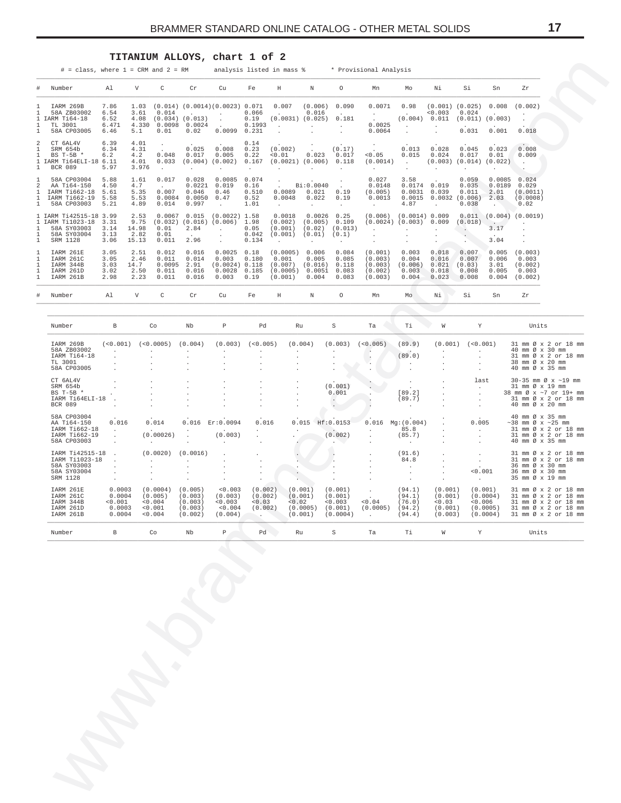# **TITANIUM ALLOYS, chart 1 of 2**

| * Provisional Analysis<br>$\#$ = class, where 1 = CRM and 2 = RM |  |  |  |  |  | analysis listed in mass % |  |  |  |  |
|------------------------------------------------------------------|--|--|--|--|--|---------------------------|--|--|--|--|
|------------------------------------------------------------------|--|--|--|--|--|---------------------------|--|--|--|--|

| #                                                          | Number                                                                          | A1                                    | V                                      | C                                          | $\operatorname{Cr}$                               | Cu                                                             | Fe                                      | Η                                                               | N                                                             | $\circ$                                                                  | Mn                                                               | Mo                                                                     | Νi                                        | Si                                          | Sn                                                          | Zr                                                    |
|------------------------------------------------------------|---------------------------------------------------------------------------------|---------------------------------------|----------------------------------------|--------------------------------------------|---------------------------------------------------|----------------------------------------------------------------|-----------------------------------------|-----------------------------------------------------------------|---------------------------------------------------------------|--------------------------------------------------------------------------|------------------------------------------------------------------|------------------------------------------------------------------------|-------------------------------------------|---------------------------------------------|-------------------------------------------------------------|-------------------------------------------------------|
|                                                            | IARM 269B<br>58A ZB03002<br>IARM Ti64-18<br>TL 3001<br>58A CP03005              | 7.86<br>6.54<br>6.52<br>6.471<br>6.46 | 1.03<br>3.61<br>4.08<br>4.330<br>5.1   | 0.014<br>(0.034)<br>0.0098<br>0.01         | (0.013)<br>0.0024<br>0.02                         | $(0.014)$ $(0.0014)$ $(0.0023)$ 0.071<br>0.0099                | 0.066<br>0.19<br>0.1993<br>0.231        | 0.007<br>$\sim$<br>(0.0031)<br>$\mathbf{r}$                     | (0.006)<br>0.016<br>(0.025)                                   | 0.090<br>$\sim$<br>0.181<br>$\mathcal{L}^{\text{max}}$                   | 0.0071<br>$\frac{1}{2}$ , $\frac{1}{2}$<br>0.0025<br>0.0064      | 0.98<br><b>Contractor</b><br>(0.004)<br>$\sim$<br>$\ddot{\phantom{a}}$ | (0.001)<br>< 0.003<br>0.011<br>$\cdot$    | (0.025)<br>0.024<br>(0.011)<br>0.031        | 0.008<br>(0.003)<br>0.001                                   | (0.002)<br>0.018                                      |
| $\mathbf{1}$<br>1                                          | CT 6AL4V<br>SRM 654b<br>BS T-5B $*$<br>IARM T164ELI-18<br><b>BCR 089</b>        | 6.39<br>6.34<br>6.2<br>6.11<br>5.97   | 4.01<br>4.31<br>4.2<br>4.01<br>3.976   | $\blacksquare$<br>0.048<br>0.033<br>$\sim$ | 0.025<br>0.017<br>(0.004)<br>$\ddot{\phantom{0}}$ | $\cdot$<br>0.008<br>0.005<br>(0.002)                           | 0.14<br>0.23<br>0.22<br>0.167<br>$\sim$ | $\cdot$<br>(0.002)<br>< 0.01<br>(0.0021)<br>$\mathbf{r}$        | $\sim$ $-$<br>0.023<br>(0.006)                                | $\ddot{\phantom{a}}$<br>(0.17)<br>0.017<br>0.118<br>$\ddot{\phantom{0}}$ | $\sim 10^{-11}$<br>< 0.05<br>(0.0014)<br>$\sim$                  | 0.013<br>0.015<br>$\sim$ $-$<br>$\cdot$                                | 0.028<br>0.024<br>(0.003)                 | 0.045<br>0.017<br>(0.014)                   | 0.023<br>0.01<br>(0.022)                                    | $\sim$ $\sim$<br>0.008<br>0.009<br>$\sim$<br>$\sim$ . |
| 1<br>$\mathfrak{D}$<br>1<br>$\overline{1}$<br>$\mathbf{1}$ | 58A CP03004<br>AA Ti64-150<br>IARM T1662-18<br>IARM T1662-19<br>58A CP03003     | 5.88<br>4.50<br>5.61<br>5.58<br>5.21  | 1.61<br>4.7<br>5.35<br>5.53<br>4.89    | 0.017<br>0.007<br>0.0084<br>0.014          | 0.028<br>0.0221<br>0.046<br>0.0050<br>0.997       | 0.0085<br>0.019<br>0.46<br>0.47<br>$\mathcal{L}^{\mathcal{L}}$ | 0.074<br>0.16<br>0.510<br>0.52<br>1.01  | $\cdot$<br>$\mathbf{r}$<br>0.0089<br>0.0048<br>$\sim$           | Bi:0.0040<br>0.021<br>0.022<br>$\sim$                         | $\ddot{\phantom{0}}$<br>$\mathbf{r}$<br>0.19<br>0.19<br>$\epsilon$       | 0.027<br>0.0148<br>(0.005)<br>0.0013<br><b>Contract Contract</b> | 3.58<br>0.0174<br>0.0031<br>0.0015<br>4.87                             | 0.019<br>0.039<br>0.0032<br>$\sim$        | 0.059<br>0.035<br>0.011<br>(0.006)<br>0.038 | 0.0085<br>0.0189<br>2.01<br>2.03<br>$\sim$                  | 0.024<br>0.029<br>(0.0011)<br>(0.0008)<br>0.02        |
| 1                                                          | 1 IARM T142515-18<br>1 IARM Ti1023-18<br>58A SY03003<br>58A SY03004<br>SRM 1128 | 3.99<br>3.31<br>3.14<br>3.13<br>3.06  | 2.53<br>9.75<br>14.98<br>2.82<br>15.13 | 0.0067<br>(0.032)<br>0.01<br>0.01<br>0.011 | 0.015<br>(0.016)<br>2.84<br>$\sim$<br>2.96        | $(0.0022)$ 1.58<br>(0.006)                                     | 1.98<br>0.05<br>0.042<br>0.134          | 0.0018<br>(0.002)<br>(0.001)<br>(0.001)<br>$\ddot{\phantom{a}}$ | 0.0026<br>(0.005)<br>(0.02)<br>(0.01)<br>$\ddot{\phantom{0}}$ | 0.25<br>0.109<br>(0.013)<br>(0.1)<br>$\ddot{\phantom{0}}$                | (0.006)<br>(0.0024)                                              | (0.0014) 0.009<br>(0.003)<br>$\mathbf{r}$                              | 0.009                                     | 0.011<br>(0.018)                            | <b>Contract Contract Contract</b><br>3.17<br>$\sim$<br>3.04 | $(0.004)$ $(0.0019)$                                  |
| 1<br>1<br>1<br>1<br>$\mathbf{1}$                           | IARM 261E<br>IARM 261C<br>IARM 344B<br>IARM 261D<br>IARM 261B                   | 3.05<br>3.05<br>3.03<br>3.02<br>2.98  | 2.51<br>2.46<br>14.7<br>2.50<br>2.23   | 0.012<br>0.011<br>0.0095<br>0.011<br>0.011 | 0.016<br>0.014<br>2.91<br>0.016<br>0.016          | 0.0025<br>0.003<br>(0.0024) 0.118<br>0.0028<br>0.003           | 0.18<br>0.180<br>0.185<br>0.19          | (0.0005)<br>0.001<br>(0.007)<br>(0.0005)<br>(0.001)             | 0.006<br>0.005<br>(0.016)<br>0.0051<br>0.004                  | 0.084<br>0.085<br>0.118<br>0.083<br>0.083                                | (0.001)<br>(0.003)<br>(0.003)<br>(0.002)<br>(0.003)              | 0.003<br>0.004<br>(0.006)<br>0.003<br>0.004                            | 0.018<br>0.016<br>0.021<br>0.018<br>0.023 | 0.007<br>0.007<br>(0.03)<br>0.008<br>0.008  | 0.005<br>0.006<br>3.01<br>0.005<br>0.004                    | (0.003)<br>0.003<br>(0.002)<br>0.003<br>(0.002)       |
| #                                                          | Number                                                                          | Al                                    | V                                      | C                                          | Cr                                                | Cu                                                             | Fe                                      | Η                                                               | N                                                             | $\circ$                                                                  | Mn                                                               | Mo                                                                     | Νi                                        | Si                                          | Sn                                                          | Zr                                                    |

<span id="page-16-0"></span>

| ⋕<br>Number<br>IARM 269B<br>58A ZB03002<br>IARM Ti64-18<br>1<br>TL 3001<br>58A CP03005<br>2<br>CT 6AL4V<br>SRM 654b<br>BS T-5B *<br>1.<br><b>BCR 089</b><br>58A CP03004<br>AA Ti64-150<br>IARM T1662-18<br>IARM Ti662-19<br>58A CP03003<br>Т.<br>1<br>1<br>58A SY03003<br>58A SY03004<br>SRM 1128<br>IARM 261E<br>IARM 261C<br>IARM 344B<br>IARM 261D<br>IARM 261B<br>Number<br>Number | Al<br>7.86<br>6.54<br>6.52<br>6.471<br>6.46<br>6.39<br>6.34<br>6.2<br>IARM Ti64ELI-18 6.11<br>5.97<br>5.88<br>4.50<br>5.61<br>5.58<br>5.21<br>IARM Ti42515-18 3.99<br>IARM Ti1023-18 3.31<br>3.14<br>3.13<br>3.06<br>3.05<br>3.05<br>3.03<br>3.02<br>2.98<br>Al | V<br>1.03<br>3.61<br>4.08<br>4.330<br>5.1<br>4.01<br>4.31<br>4.2<br>4.01<br>3.976<br>1.61<br>4.7<br>5.35<br>5.53<br>4.89<br>2.53<br>9.75<br>14.98<br>2.82<br>15.13<br>2.51<br>2.46<br>14.7<br>2.50<br>2.23 | C<br>0.014<br>$(0.034)$ $(0.013)$<br>0.0098<br>0.01<br>$\cdot$<br>0.048<br>0.033<br>$\sim$<br>0.017<br><b>Carlos</b><br>0.007<br>0.0084<br>0.014<br>$0.0067$ 0.015<br>$(0.032)$ $(0.016)$<br>0.01<br>0.01<br>0.011<br>0.012<br>0.011<br>0.0095<br>0.011 | Cr<br><b>Service</b><br>0.0024<br>0.02<br>0.025<br>0.017<br>$(0.004)$ $(0.002)$<br>$\sim$<br>0.028<br>0.0221<br>0.046<br>0.0050<br>0.997<br>2.84<br>$\sim$ $-$<br>2.96<br>0.016<br>0.014 | Cu<br>$(0.014)$ $(0.0014)$ $(0.0023)$ 0.071<br><b>Contractor</b><br>$\sim$<br>$\sim 10^{-11}$<br>0.0099 0.231<br>0.008<br>0.005<br>$\ddot{\phantom{0}}$<br>0.0085<br>0.019<br>0.46<br>0.47<br>$\sim$<br>$(0.0022)$ 1.58<br>$(0.006)$ 1.98<br>$\sim 10^{-11}$<br>$\cdot$<br>$\sim$<br>0.0025 | Fe<br>0.066<br>0.19<br>0.1993<br>0.14<br>0.23<br>0.22<br>0.167<br>$\cdot$<br>0.074<br>0.16<br>0.510<br>0.52<br>1.01<br>0.05<br>0.042<br>0.134 | Η<br>0.007<br><b>Contractor</b><br>$(0.0031)$ $(0.025)$<br>$\sim 100$<br>(0.002)<br>< 0.01<br>$(0.0021)$ $(0.006)$ 0.118<br>$\cdot$<br>$\cdot$<br>$\sim$<br>0.0089<br>0.0048<br>$\sim 10^{-11}$<br>0.0018<br>(0.002)<br>(0.001)<br>(0.001) | Ν<br>(0.006)<br>0.016<br><b>Carlos</b><br>$\sim$<br>0.023<br>$\ddot{\phantom{0}}$<br>Bi:0.0040<br>0.021<br>0.022<br>$\sim$<br>$0.0026$ 0.25 | $\circ$<br>0.090<br><b>Contract</b><br>0.181<br>$\sim 10^{-10}$<br>(0.17)<br>0.017<br>$\sim$<br>$\sim$<br>$\sim 10^{-1}$<br>0.19<br>0.19<br>$\sim$ | Mn<br>0.0071<br><b>Contractor</b><br>0.0025<br>0.0064<br>< 0.05<br>(0.0014)<br>$\sim$<br>0.027<br>0.0148<br>(0.005)<br>0.0013<br>$\sim$ $-$ | Mo<br>0.98<br>$\sim 10^{-11}$<br>(0.004)<br>$\sim$<br>0.013<br>0.015<br><b>Contract</b><br>$\cdot$<br>3.58<br>$0.0174$ 0.019<br>$0.0031$ $0.039$<br>4.87 | Νi<br>$(0.001)$ $(0.025)$<br>0.003<br>0.011<br>$\cdot$<br>0.028<br>0.024<br>$(0.003)$ $(0.014)$ $(0.022)$ .<br>$\cdot$<br>$0.0015$ $0.0032$ $(0.006)$<br>$\sim$ | Si<br>0.024<br>(0.011)<br>0.031<br>0.045<br>0.017<br>$\blacksquare$<br>0.059<br>0.035<br>0.011 | Sn<br>0.008<br>(0.003)<br>0.001<br>0.023<br>0.01<br>0.0085<br>0.0189<br>2.01<br>2.03 | Zr<br>(0.002)<br>$\ddot{\phantom{a}}$<br>$\ddot{\phantom{a}}$<br>0.018<br>0.008<br>0.009<br>$\cdot$<br>0.024<br>0.029<br>(0.0011)<br>(0.0008) |  |
|----------------------------------------------------------------------------------------------------------------------------------------------------------------------------------------------------------------------------------------------------------------------------------------------------------------------------------------------------------------------------------------|-----------------------------------------------------------------------------------------------------------------------------------------------------------------------------------------------------------------------------------------------------------------|------------------------------------------------------------------------------------------------------------------------------------------------------------------------------------------------------------|---------------------------------------------------------------------------------------------------------------------------------------------------------------------------------------------------------------------------------------------------------|------------------------------------------------------------------------------------------------------------------------------------------------------------------------------------------|---------------------------------------------------------------------------------------------------------------------------------------------------------------------------------------------------------------------------------------------------------------------------------------------|-----------------------------------------------------------------------------------------------------------------------------------------------|--------------------------------------------------------------------------------------------------------------------------------------------------------------------------------------------------------------------------------------------|---------------------------------------------------------------------------------------------------------------------------------------------|----------------------------------------------------------------------------------------------------------------------------------------------------|---------------------------------------------------------------------------------------------------------------------------------------------|----------------------------------------------------------------------------------------------------------------------------------------------------------|-----------------------------------------------------------------------------------------------------------------------------------------------------------------|------------------------------------------------------------------------------------------------|--------------------------------------------------------------------------------------|-----------------------------------------------------------------------------------------------------------------------------------------------|--|
|                                                                                                                                                                                                                                                                                                                                                                                        |                                                                                                                                                                                                                                                                 |                                                                                                                                                                                                            |                                                                                                                                                                                                                                                         |                                                                                                                                                                                          |                                                                                                                                                                                                                                                                                             |                                                                                                                                               |                                                                                                                                                                                                                                            |                                                                                                                                             |                                                                                                                                                    |                                                                                                                                             |                                                                                                                                                          |                                                                                                                                                                 |                                                                                                |                                                                                      |                                                                                                                                               |  |
|                                                                                                                                                                                                                                                                                                                                                                                        |                                                                                                                                                                                                                                                                 |                                                                                                                                                                                                            |                                                                                                                                                                                                                                                         |                                                                                                                                                                                          |                                                                                                                                                                                                                                                                                             |                                                                                                                                               |                                                                                                                                                                                                                                            |                                                                                                                                             |                                                                                                                                                    |                                                                                                                                             |                                                                                                                                                          |                                                                                                                                                                 |                                                                                                |                                                                                      |                                                                                                                                               |  |
|                                                                                                                                                                                                                                                                                                                                                                                        |                                                                                                                                                                                                                                                                 |                                                                                                                                                                                                            |                                                                                                                                                                                                                                                         |                                                                                                                                                                                          |                                                                                                                                                                                                                                                                                             |                                                                                                                                               |                                                                                                                                                                                                                                            |                                                                                                                                             |                                                                                                                                                    |                                                                                                                                             |                                                                                                                                                          |                                                                                                                                                                 |                                                                                                |                                                                                      |                                                                                                                                               |  |
|                                                                                                                                                                                                                                                                                                                                                                                        |                                                                                                                                                                                                                                                                 |                                                                                                                                                                                                            |                                                                                                                                                                                                                                                         |                                                                                                                                                                                          |                                                                                                                                                                                                                                                                                             |                                                                                                                                               |                                                                                                                                                                                                                                            |                                                                                                                                             |                                                                                                                                                    |                                                                                                                                             |                                                                                                                                                          |                                                                                                                                                                 | 0.038                                                                                          | $\ddot{\phantom{0}}$                                                                 | 0.02                                                                                                                                          |  |
|                                                                                                                                                                                                                                                                                                                                                                                        |                                                                                                                                                                                                                                                                 |                                                                                                                                                                                                            |                                                                                                                                                                                                                                                         |                                                                                                                                                                                          |                                                                                                                                                                                                                                                                                             |                                                                                                                                               | $\sim$                                                                                                                                                                                                                                     | (0.02)<br>$(0.01)$ $(0.1)$<br>$\cdot$                                                                                                       | (0.005) 0.109<br>(0.013)<br>$\sim$                                                                                                                 | (0.006)<br>$\sim 100$ km s $^{-1}$<br>$\ddot{\phantom{a}}$<br>$\cdot$                                                                       | (0.0014) 0.009<br>$(0.0024)$ $(0.003)$ 0.009<br>$\sim$<br>$\ddot{\phantom{a}}$<br>$\cdot$                                                                | $\sim$<br>$\cdot$<br>$\ddot{\phantom{a}}$                                                                                                                       | (0.018)<br>$\sim$                                                                              | $\sim$ 100 $\sim$ 100 $\sim$<br>3.17<br>3.04                                         | $0.011$ $(0.004)$ $(0.0019)$<br>$\ddot{\phantom{a}}$<br>$\cdot$                                                                               |  |
|                                                                                                                                                                                                                                                                                                                                                                                        |                                                                                                                                                                                                                                                                 |                                                                                                                                                                                                            | 0.011                                                                                                                                                                                                                                                   | 2.91<br>0.016<br>0.016                                                                                                                                                                   | 0.003<br>(0.0024) 0.118<br>0.0028<br>0.003                                                                                                                                                                                                                                                  | 0.18<br>0.180<br>0.185<br>0.19                                                                                                                | (0.0005) 0.006<br>0.001<br>(0.007)<br>(0.0005) 0.0051<br>(0.001)                                                                                                                                                                           | 0.005<br>(0.016)<br>0.004                                                                                                                   | 0.084<br>0.085<br>0.118<br>0.083<br>0.083                                                                                                          | (0.001)<br>(0.003)<br>(0.003)<br>(0.002)<br>(0.003)                                                                                         | 0.003<br>0.004<br>(0.006)<br>0.003<br>0.004                                                                                                              | 0.018<br>0.016<br>0.021<br>0.018<br>0.023                                                                                                                       | 0.007<br>0.007<br>(0.03)<br>0.008<br>0.008                                                     | 0.005<br>0.006<br>3.01<br>0.005<br>0.004                                             | (0.003)<br>0.003<br>(0.002)<br>0.003<br>(0.002)                                                                                               |  |
|                                                                                                                                                                                                                                                                                                                                                                                        |                                                                                                                                                                                                                                                                 | V                                                                                                                                                                                                          | $\mathtt{C}$                                                                                                                                                                                                                                            | $\operatorname{\sf Cr}$                                                                                                                                                                  | Cu                                                                                                                                                                                                                                                                                          | Fe                                                                                                                                            | Н                                                                                                                                                                                                                                          | Ν                                                                                                                                           | $\circ$                                                                                                                                            | Mn                                                                                                                                          | Mo                                                                                                                                                       | Νi                                                                                                                                                              | Si                                                                                             | Sn                                                                                   | Zr                                                                                                                                            |  |
|                                                                                                                                                                                                                                                                                                                                                                                        |                                                                                                                                                                                                                                                                 | $\mathbf B$                                                                                                                                                                                                | Co                                                                                                                                                                                                                                                      | Nb                                                                                                                                                                                       | $\mathbb P$                                                                                                                                                                                                                                                                                 | Pd                                                                                                                                            | Ru                                                                                                                                                                                                                                         |                                                                                                                                             | $\rm S$                                                                                                                                            | Ta                                                                                                                                          | Ti                                                                                                                                                       | W                                                                                                                                                               | Y                                                                                              |                                                                                      | Units                                                                                                                                         |  |
| IARM 269B<br>58A ZB03002<br>IARM Ti64-18<br>TL 3001<br>58A CP03005                                                                                                                                                                                                                                                                                                                     |                                                                                                                                                                                                                                                                 | $(<0.001)$ $(<0.0005)$<br>$\cdot$                                                                                                                                                                          |                                                                                                                                                                                                                                                         | (0.004)<br>$\cdot$                                                                                                                                                                       | $(0.003)$ $(<0.005)$<br>$\cdot$                                                                                                                                                                                                                                                             | $\cdot$                                                                                                                                       | (0.004)<br>$\cdot$                                                                                                                                                                                                                         |                                                                                                                                             | $\cdot$                                                                                                                                            | $(0.003)$ $(<0.005)$<br>$\sim$<br>$\cdot$<br>$\Delta$                                                                                       | (89.9)<br>(89.0)<br>$\sim$<br>$\cdot$                                                                                                                    | $\cdot$                                                                                                                                                         | $(0.001)$ $(<0.001)$<br>$\cdot$                                                                |                                                                                      | 31 mm Ø x 2 or 18 mm<br>40 mm Ø x 30 mm<br>31 mm Ø x 2 or 18 mm<br>38 mm Ø x 20 mm<br>40 mm Ø x 35 mm                                         |  |
| CT 6AL4V<br>SRM 654b<br>BS T-5B *<br>BCR 089                                                                                                                                                                                                                                                                                                                                           | IARM Ti64ELI-18                                                                                                                                                                                                                                                 |                                                                                                                                                                                                            |                                                                                                                                                                                                                                                         |                                                                                                                                                                                          |                                                                                                                                                                                                                                                                                             |                                                                                                                                               |                                                                                                                                                                                                                                            |                                                                                                                                             | (0.001)<br>0.001<br>$\sim$                                                                                                                         |                                                                                                                                             | [89.2]<br>(89.7)<br>$\cdot$                                                                                                                              | $\cdot$<br>$\cdot$<br>$\cdot$                                                                                                                                   | last<br>$\sim 10^{-1}$<br>$\ddot{\phantom{a}}$<br>$\cdot$                                      |                                                                                      | $30-35$ mm $\varnothing$ x ~19 mm<br>31 mm Ø x 19 mm<br>38 mm Ø x ~7 or 19+ mm<br>31 mm Ø x 2 or 18 mm<br>40 mm Ø x 20 mm                     |  |
| 58A CP03004<br>AA Ti64-150<br>IARM Ti662-18<br>IARM Ti662-19<br>58A CP03003                                                                                                                                                                                                                                                                                                            |                                                                                                                                                                                                                                                                 | 0.016<br>$\sim$<br>$\cdot$<br>$\cdot$<br>$\ddot{\phantom{a}}$                                                                                                                                              | 0.014<br>$\sim$<br>(0.00026)                                                                                                                                                                                                                            | 0.016<br>$\cdot$<br>$\cdot$                                                                                                                                                              | Er: 0.0094<br>(0.003)<br>$\sim$                                                                                                                                                                                                                                                             | 0.016<br>$\ddot{\phantom{0}}$<br>$\cdot$                                                                                                      | $\cdot$                                                                                                                                                                                                                                    | $0.015$ Hf: $0.0153$                                                                                                                        | <b>Contract Contract</b><br>(0.002)<br>$\cdot$                                                                                                     | 0.016<br>$\cdot$<br>$\cdot$                                                                                                                 | Mg: (0.004)<br>85.8<br>(85.7)<br>$\sim$                                                                                                                  | $\cdot$<br>$\cdot$<br>$\cdot$                                                                                                                                   | 0.005<br>$\sim 100$ km s $^{-1}$<br>$\sim$                                                     |                                                                                      | 40 mm Ø x 35 mm<br>$\sim$ 38 mm Ø x $\sim$ 25 mm<br>31 mm Ø x 2 or 18 mm<br>31 mm Ø x 2 or 18 mm<br>40 mm Ø x 35 mm                           |  |
| 58A SY03003<br>58A SY03004<br>SRM 1128                                                                                                                                                                                                                                                                                                                                                 | IARM T142515-18<br>IARM Ti1023-18                                                                                                                                                                                                                               | $\cdot$                                                                                                                                                                                                    | (0.0020)<br>$\sim 10^{-11}$<br>$\cdot$<br>$\cdot$                                                                                                                                                                                                       | (0.0016)<br>$\ddot{\phantom{a}}$<br>$\ddot{\phantom{a}}$<br>$\ddot{\phantom{a}}$                                                                                                         | $\cdot$<br>$\cdot$<br>$\cdot$                                                                                                                                                                                                                                                               | $\cdot$<br>$\cdot$<br>$\cdot$                                                                                                                 | $\cdot$<br>$\ddot{\phantom{0}}$<br>$\blacksquare$<br>$\cdot$                                                                                                                                                                               |                                                                                                                                             | $\cdot$<br>$\cdot$<br>$\ddot{\phantom{a}}$                                                                                                         | $\blacksquare$                                                                                                                              | (91.6)<br>84.8<br>$\sim$<br>$\cdot$<br>$\cdot$                                                                                                           | $\cdot$<br>$\cdot$                                                                                                                                              | $\cdot$<br>$\sim$<br>< 0.001<br>$\sim$                                                         |                                                                                      | 31 mm Ø x 2 or 18 mm<br>31 mm Ø x 2 or 18 mm<br>36 mm Ø x 30 mm<br>36 mm Ø x 30 mm<br>35 mm Ø x 19 mm                                         |  |
| IARM 261E<br>IARM 261C<br>IARM 344B<br>IARM 261D<br>IARM 261B                                                                                                                                                                                                                                                                                                                          |                                                                                                                                                                                                                                                                 | 0.0003<br>0.0004<br>< 0.001<br>0.0003<br>0.0004                                                                                                                                                            | $(0.0004)$ $(0.005)$<br>(0.005)<br>0.004<br>< 0.001<br>< 0.004                                                                                                                                                                                          | (0.003)<br>(0.003)<br>(0.003)<br>(0.002)                                                                                                                                                 | < 0.003<br>(0.003)<br>< 0.003<br>< 0.004<br>(0.004)                                                                                                                                                                                                                                         | (0.002)<br>(0.002)<br>0.03<br>(0.002)                                                                                                         | (0.001)<br>(0.001)<br>< 0.02<br>(0.001)                                                                                                                                                                                                    | $(0.0005)$ $(0.001)$                                                                                                                        | (0.001)<br>(0.001)<br>< 0.003<br>(0.0004)                                                                                                          | $\sim$<br>0.04<br>$(0.0005)$ $(94.2)$                                                                                                       | (94.1)<br>(94.1)<br>(76.0)<br>(94.4)                                                                                                                     | (0.001)<br>(0.001)<br>0.03<br>(0.001)<br>(0.003)                                                                                                                | (0.001)<br>0.006                                                                               | (0.0004)<br>(0.0005)<br>(0.0004)                                                     | 31 mm Ø x 2 or 18 mm<br>31 mm Ø x 2 or 18 mm<br>31 mm Ø x 2 or 18 mm<br>31 mm Ø x 2 or 18 mm<br>31 mm Ø x 2 or 18 mm                          |  |
| Number                                                                                                                                                                                                                                                                                                                                                                                 |                                                                                                                                                                                                                                                                 | $\, {\bf B} \,$                                                                                                                                                                                            | $\mathbb{C} \circ$                                                                                                                                                                                                                                      | $_{\rm Nb}$                                                                                                                                                                              | $\mathbb P$                                                                                                                                                                                                                                                                                 | Pd                                                                                                                                            | Ru                                                                                                                                                                                                                                         |                                                                                                                                             | $\mbox{S}$                                                                                                                                         | Ta                                                                                                                                          | Τi                                                                                                                                                       | W                                                                                                                                                               | Y                                                                                              |                                                                                      | Units                                                                                                                                         |  |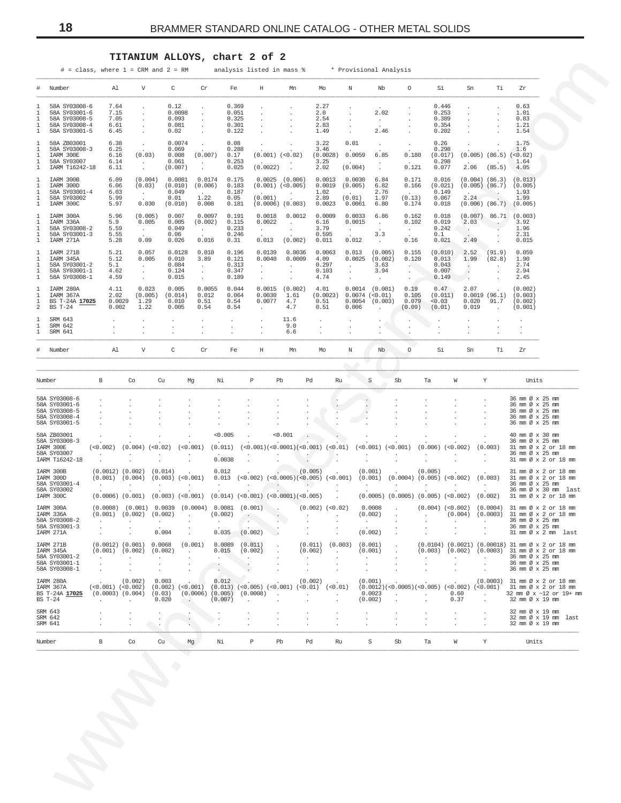# **TITANIUM ALLOYS, chart 2 of 2**

<span id="page-17-0"></span>

|                                                                                                                       |                                                                |                                                                 | $#$ = class, where $1$ = CRM and $2$ = RM          |                                             |                                           | analysis listed in mass %                                                                                                                                                                      |                                                                                     |                                                     |                                                                  | * Provisional Analysis                                  |                                                    |                                             |                                                    |                                                                                                        |                                                                                                                                                                                       |
|-----------------------------------------------------------------------------------------------------------------------|----------------------------------------------------------------|-----------------------------------------------------------------|----------------------------------------------------|---------------------------------------------|-------------------------------------------|------------------------------------------------------------------------------------------------------------------------------------------------------------------------------------------------|-------------------------------------------------------------------------------------|-----------------------------------------------------|------------------------------------------------------------------|---------------------------------------------------------|----------------------------------------------------|---------------------------------------------|----------------------------------------------------|--------------------------------------------------------------------------------------------------------|---------------------------------------------------------------------------------------------------------------------------------------------------------------------------------------|
| Number                                                                                                                | Al                                                             | V                                                               | C                                                  | Cr                                          | Fe                                        | H                                                                                                                                                                                              | Mn                                                                                  | Mo                                                  | N                                                                | Nb                                                      | $\circ$                                            | Si                                          | Sn                                                 | Тi                                                                                                     | Zr                                                                                                                                                                                    |
| 58A SY03008-6<br>58A SY03001-6<br>58A SY03008-5<br>1<br>58A SY03008-4<br>1<br>58A SY03001-5<br>1                      | 7.64<br>7.15<br>7.05<br>6.61<br>6.45                           | $\cdot$<br>$\cdot$<br>$\sim$<br>$\cdot$<br>$\ddot{\phantom{a}}$ | 0.12<br>0.0098<br>0.093<br>0.081<br>0.02           | $\cdot$<br>$\ddot{\phantom{a}}$             | 0.369<br>0.051<br>0.325<br>0.301<br>0.122 | $\cdot$<br>$\cdot$<br>$\cdot$<br>$\cdot$                                                                                                                                                       |                                                                                     | 2.27<br>2.0<br>2.54<br>2.83<br>1.49                 | $\cdot$<br>$\cdot$<br>$\cdot$<br>$\cdot$<br>$\ddot{\phantom{a}}$ | 2.02<br>$\sim$<br>2.46                                  |                                                    | 0.446<br>0.253<br>0.389<br>0.354<br>0.202   | $\cdot$<br>$\cdot$<br>$\cdot$<br>$\cdot$           | $\cdot$<br>$\cdot$                                                                                     | 0.63<br>1.01<br>0.83<br>1.21<br>1.54                                                                                                                                                  |
| 58A ZB03001<br>58A SY03008-3<br>$\mathbf{1}$<br>IARM 300E<br>-1<br>58A SY03007<br>1<br>IARM Ti6242-18<br>$\mathbf{1}$ | 6.38<br>6.25<br>6.16<br>6.14<br>6.11                           | $\sim$<br>(0.03)<br>$\sim 10^{-1}$<br>$\sim$                    | 0.0074<br>0.069<br>0.008<br>0.061<br>(0.007)       | $\cdot$<br>(0.007)<br>$\sim$<br>$\sim$      | 0.08<br>0.288<br>0.17<br>0.253<br>0.025   | $\cdot$<br>$(0.001)$ $(<0.02)$<br>(0.0022)                                                                                                                                                     | $\cdot$<br>$\cdot$                                                                  | 3.22<br>3.46<br>(0.0028) 0.0059<br>3.25<br>2.02     | 0.01<br><b>Carl Corporation</b><br>(0.004)                       | $\sim$<br>6.85<br>$\sim$<br>$\sim$                      | $\cdot$<br>0.180<br>0.121                          | 0.26<br>0.298<br>(0.017)<br>0.298<br>0.077  | $\cdot$<br>2.06                                    | $(0.005)$ $(86.5)$ $(<0.02)$<br>(85.5)                                                                 | 1.75<br>1.6<br>1.64<br>4.05                                                                                                                                                           |
| IARM 300B<br>IARM 300D<br>58A SY03001-4<br>58A SY03002<br>$\mathbf{1}$<br>IARM 300C                                   | 6.09<br>6.06<br>6.03<br>5.99<br>5.97                           | (0.004)<br>(0.03)<br>$\sim 10^{-11}$<br>0.030                   | 0.0081<br>(0.010)<br>0.049<br>0.01<br>(0.010)      | 0.0174<br>(0.006)<br>1.22<br>0.008          | 0.175<br>0.183<br>0.187<br>0.05<br>0.181  | (0.001)                                                                                                                                                                                        | $0.0025$ $(0.006)$<br>$(0.001)$ $(<0.005)$ 0.0019<br>$\sim$<br>$(0.0006)$ $(0.003)$ | 0.0013<br>1.02<br>2.89<br>0.0023                    | 0.0030<br>(0.005)<br>(0.01)<br>0.0061                            | 6.84<br>6.82<br>2.76<br>1.97<br>6.80                    | 0.171<br>0.166<br>(0.13)<br>0.174                  | 0.016<br>(0.021)<br>0.149<br>0.067<br>0.018 | 2.24                                               | $(0.004)$ $(86.3)$ $(0.013)$<br>$(0.005)$ $(86.7)$ $(0.005)$<br>$\sim$<br>$(0.006)$ $(86.7)$ $(0.005)$ | 1.93<br>1.99                                                                                                                                                                          |
| IARM 300A<br>IARM 336A<br>58A SY03008-2<br>58A SY03001-3<br>IARM 271A                                                 | 5.96<br>5.9<br>5.59<br>5.55<br>5.28                            | (0.005)<br>0.005<br>$\sim 10^{-11}$<br>0.09                     | 0.007<br>0.005<br>0.049<br>0.06<br>0.026           | 0.0097<br>(0.002)<br>$\sim$<br>0.016        | 0.191<br>0.115<br>0.233<br>0.246<br>0.31  | 0.0018<br>0.0022<br><b>Contract</b><br>0.013                                                                                                                                                   | 0.0012<br><b>Contract</b><br>$\sim$<br>(0.002)                                      | 0.0009<br>6.16<br>3.79<br>0.595<br>0.011            | 0.0033<br>0.0015<br>$\sim 10^{-11}$<br>0.012                     | 6.86<br>$\sim 10^{-11}$<br>3.3<br>$\sim$                | 0.162<br>0.102<br>$\sim$ $-$<br>0.16               | 0.018<br>0.019<br>0.242<br>0.1<br>0.021     | 2.03<br>$\sim$<br>2.49                             | $(0.007)$ 86.71 $(0.003)$<br>$\sim$ $\sim$ $\sim$                                                      | 3.92<br>1.96<br>2.31<br>0.015                                                                                                                                                         |
| IARM 271B<br>IARM 345A<br>58A SY03001-2<br>58A SY03001-1<br>58A SY03008-1                                             | 5.21<br>5.12<br>5.1<br>4.62<br>4.59                            | 0.057<br>0.005<br>$\sim 10^{-11}$<br>$\sim$<br>$\sim$           | 0.0128<br>0.010<br>0.084<br>0.124<br>0.015         | 0.010<br>3.89<br>$\sim$<br>$\sim$<br>$\sim$ | 0.196<br>0.121<br>0.313<br>0.347<br>0.189 | 0.0139<br>0.0040<br>$\sim 10^{-11}$<br>$\sim$<br>$\sim$                                                                                                                                        | 0.0036<br>0.0009<br>$\sim$<br>$\cdot$<br>$\cdot$                                    | 0.0063<br>4.09<br>0.297<br>0.103<br>4.74            | 0.013<br>$\sim$ $-$<br>$\ddot{\phantom{a}}$<br>$\sim$            | (0.005)<br>$0.0025$ $(0.002)$<br>3.63<br>3.94<br>$\sim$ | 0.155<br>0.120<br><b>SALE</b><br>$\sim$<br>$\cdot$ | (0.010)<br>0.013<br>0.043<br>0.007<br>0.149 | 2.52<br>1.99<br>$\sim$<br>$\cdot$<br>$\sim$ $\sim$ | (91.9)<br>(82.8)<br>$\sim$<br>$\blacksquare$                                                           | 0.059<br>1.90<br>2.74<br>2.94<br>2.45                                                                                                                                                 |
| IARM 280A<br>IARM 367A<br>BS T-24A 17025<br>$BS T-24$                                                                 | 4.11<br>2.02<br>0.0029<br>0.002                                | 0.023<br>(0.005)<br>1.29<br>1.22                                | 0.005<br>(0.014)<br>0.010<br>0.005                 | 0.0055<br>0.012<br>0.51<br>0.54             | 0.044<br>0.064<br>0.54<br>0.54            | 0.0030<br>$0.0077$ 4.7<br>$\sim$                                                                                                                                                               | $0.0015$ $(0.002)$<br>1.61<br>4.7                                                   | 4.01<br>$(0.0023)$ 0.0074 $(<0.01)$<br>0.51<br>0.51 | 0.006                                                            | $0.0014$ $(0.001)$<br>$0.0054$ (0.003)<br>$\sim$        | 0.19<br>0.105<br>0.079<br>(0.09)                   | 0.47<br>(0.011)<br>< 0.03<br>(0.01)         | 2.07<br>0.020<br>0.019                             | 0.0019(96.1)<br>91.7<br>$\sim$                                                                         | (0.002)<br>(0.003)<br>(0.002)<br>(0.001)                                                                                                                                              |
| SRM 643<br>SRM 642<br>SRM 641                                                                                         |                                                                | $\cdot$<br>$\cdot$<br>$\cdot$                                   | $\cdot$                                            |                                             | $\cdot$                                   |                                                                                                                                                                                                | 11.6<br>9.0<br>6.6                                                                  | $\cdot$<br>$\cdot$<br>$\cdot$                       | $\cdot$                                                          | $\ddot{\phantom{0}}$<br>$\cdot$                         | $\cdot$                                            |                                             |                                                    |                                                                                                        |                                                                                                                                                                                       |
| Number                                                                                                                | Al                                                             | V                                                               | $\mathbb{C}$                                       | Cr                                          | Fe                                        | H                                                                                                                                                                                              | Mn                                                                                  | Mo                                                  | Ν                                                                | Nb                                                      | $\circ$                                            | Si                                          | Sn                                                 | Ti                                                                                                     | Zr                                                                                                                                                                                    |
| Number                                                                                                                | B                                                              | Co                                                              | Cu                                                 | Mg                                          | Νi                                        | $\, {\bf P}$                                                                                                                                                                                   | Pb<br>Pd                                                                            | Ru                                                  |                                                                  | S.                                                      | Sb                                                 | Ta                                          | W                                                  | Y                                                                                                      | Units                                                                                                                                                                                 |
| 58A SY03008-6<br>58A SY03001-6<br>58A SY03008-5<br>58A SY03008-4<br>58A SY03001-5                                     |                                                                |                                                                 |                                                    |                                             |                                           |                                                                                                                                                                                                |                                                                                     | $\cdot$                                             | $\,$ .                                                           |                                                         |                                                    |                                             |                                                    |                                                                                                        | 36 mm Ø x 25 mm<br>36 mm Ø x 25 mm<br>36 mm Ø x 25 mm<br>36 mm Ø x 25 mm<br>36 mm Ø x 25 mm                                                                                           |
| 58A ZB03001<br>58A SY03008-3<br>IARM 300E<br>58A SY03007<br>IARM Ti6242-18                                            | $(<0.002)$ $(0.004)$ $(<0.02)$<br>$\overline{a}$<br>$\cdot$    | $\cdot$                                                         |                                                    | (<0.001)<br>$\cdot$                         | 0.005<br>(0.011)<br>0.0038                | $(<0.001)(<0.0001)(<0.001)(<0.01)(<0.01)(<0.001)(<0.001)$<br>$\cdot$                                                                                                                           | 0.001<br>$\cdot$<br>$\sim$<br>$\sim$<br>$\blacksquare$                              | $\sim$                                              |                                                                  | $\ddot{\phantom{0}}$<br>$\cdot$<br>$\cdot$              | $\cdot$<br>$\ddot{\phantom{a}}$                    | $\cdot$<br>$\cdot$<br>$\cdot$               | $(0.006)$ $(<0.002)$<br>$\sim$                     | (0.003)<br>$\sim 10^{-11}$<br>$\ddot{\phantom{a}}$                                                     | 40 mm Ø x 30 mm<br>36 mm Ø x 25 mm<br>31 mm Ø x 2 or 18 mm<br>36 mm Ø x 25 mm<br>31 mm Ø x 2 or 18 mm                                                                                 |
| IARM 300B<br>IARM 300D<br>58A SY03001-4<br>58A SY03002<br>IARM 300C                                                   | $(0.0012)$ $(0.002)$<br>$(0.001)$ $(0.004)$<br><b>Contract</b> | $\sim 10^{-1}$                                                  | (0.014)<br>$(0.003)$ $(<0.001)$<br>$\sim 10^{-11}$ | <b>Section</b>                              | 0.012<br>$\sim 10^{-10}$                  | $0.013$ (<0.002) (<0.0005)(<0.005) (<0.001) (0.001) (0.0004) (0.005) (<0.002) (0.003)<br>$\sim 100$<br>$(0.0006)$ $(0.001)$ $(0.003)$ $(<0.001)$ $(0.014)$ $(<0.001)$ $(<0.0001)$ $(<0.005)$ . | (0.005)<br><b>Contract Contract Contract</b>                                        | And the state of the state                          |                                                                  | (0.001)<br><b>Contractor</b>                            | <b>Contractor</b>                                  | (0.005)                                     | the control of the control of the con-             |                                                                                                        | 31 mm Ø x 2 or 18 mm<br>31 mm Ø x 2 or 18 mm<br>36 mm Ø x 25 mm<br>36 mm Ø x 30 mm last<br>$(0.0005)$ $(0.0005)$ $(0.005)$ $(<0.002)$ $(0.002)$ 31 mm $\varnothing \times 2$ or 18 mm |
| IARM 300A<br>IARM 336A<br>58A SY03008-2<br>58A SY03001-3<br>IARM 271A                                                 | $\cdot$<br>$\cdot$                                             | $(0.001)$ $(0.002)$ $(0.002)$                                   | 0.004                                              |                                             | (0.002)<br>0.035                          | $(0.0008)$ $(0.001)$ $0.0039$ $(0.0004)$ $0.0081$ $(0.001)$ $(0.002)$ $(0.02)$ $(0.02)$ $(0.0008)$<br>(0.002)                                                                                  |                                                                                     |                                                     |                                                                  | (0.002)<br>$\cdot$<br>(0.002)                           | <b>Contractor</b>                                  |                                             |                                                    |                                                                                                        | $(0.004)$ $(<0.002)$ $(0.0004)$ 31 mm Ø x 2 or 18 mm<br>$(0.004)$ $(0.0003)$ 31 mm Ø x 2 or 18 mm<br>36 mm Ø x 25 mm<br>36 mm Ø x 25 mm<br>31 mm Ø x 2 mm last                        |
| IARM 271B<br>IARM 345A<br>58A SY03001-2<br>58A SY03001-1<br>58A SY03008-1                                             | $(0.001)$ $(0.002)$<br>$\sim$                                  | $(0.0012)$ $(0.001)$<br>$\cdot$                                 | 0.0068<br>(0.002)<br>$\cdot$                       | (0.001)<br>$\cdot$                          | 0.0089<br>0.015<br>$\cdot$                | (0.011)<br>(0.002)<br>$\ddot{\phantom{a}}$                                                                                                                                                     | (0.002)<br>$\cdot$                                                                  | $(0.011)$ $(0.003)$<br>$\cdot$                      |                                                                  | (0.001)<br>(0.001)<br>$\ddot{\phantom{a}}$              |                                                    | $\ddot{\phantom{a}}$                        | $\cdot$                                            | $\cdot$                                                                                                | $(0.0104)$ $(0.0021)$ $(0.00018)$ 31 mm Ø x 2 or 18 mm<br>$(0.003)$ $(0.002)$ $(0.0003)$ 31 mm Ø x 2 or 18 mm<br>36 mm Ø x 25 mm<br>36 mm Ø x 25 mm<br>36 mm Ø x 25 mm                |
| IARM 280A<br>IARM 367A<br>BS T-24A 17025<br>BS T-24                                                                   | $(<0.001)$ $(<0.002)$<br>$(0.0003)$ $(0.004)$<br>$\cdot$       | (0.002)                                                         | 0.003<br>(0.002)<br>(0.03)<br>0.020                | $(0.0006)$ $(0.005)$<br><b>Contract</b>     | 0.012<br>(0.007)                          | $(<0.001)$ $(0.013)$ $(<0.005)$ $(<0.001)$<br>(0.0008)<br>$\overline{\phantom{a}}$<br>$\ddot{\phantom{a}}$                                                                                     | (0.002)<br>$\ddot{\phantom{a}}$                                                     | $(<0.01)$ $(<0.01)$<br>$\cdot$                      |                                                                  | (0.001)<br>0.0023<br>(0.002)                            |                                                    | $\cdot$                                     | 0.60<br>0.37                                       | $\sim$<br>$\cdot$                                                                                      | $(0.0003)$ 31 mm $\emptyset$ x 2 or 18 mm<br>$(0.0012)$ (<0.0005) (<0.005) (<0.002) (<0.001) 31 mm $\emptyset \times 2$ or 18 mm<br>32 mm Ø x ~12 or 19+ mm<br>32 mm Ø x 19 mm        |
| SRM 643<br>SRM 642                                                                                                    |                                                                | $\cdot$                                                         | $\cdot$                                            |                                             |                                           |                                                                                                                                                                                                |                                                                                     |                                                     |                                                                  |                                                         |                                                    |                                             |                                                    |                                                                                                        | 32 mm Ø x 19 mm<br>32 mm Ø x 19 mm last<br>32 mm Ø x 19 mm                                                                                                                            |
| SRM 641                                                                                                               | В                                                              | Co                                                              | Cu                                                 | Mg                                          | Νi                                        | $\mathbb P$                                                                                                                                                                                    | Pb<br>Pd                                                                            | Ru                                                  |                                                                  | $\mbox{\scriptsize S}$                                  | Sb                                                 | Ta                                          | W                                                  | Y                                                                                                      | Units                                                                                                                                                                                 |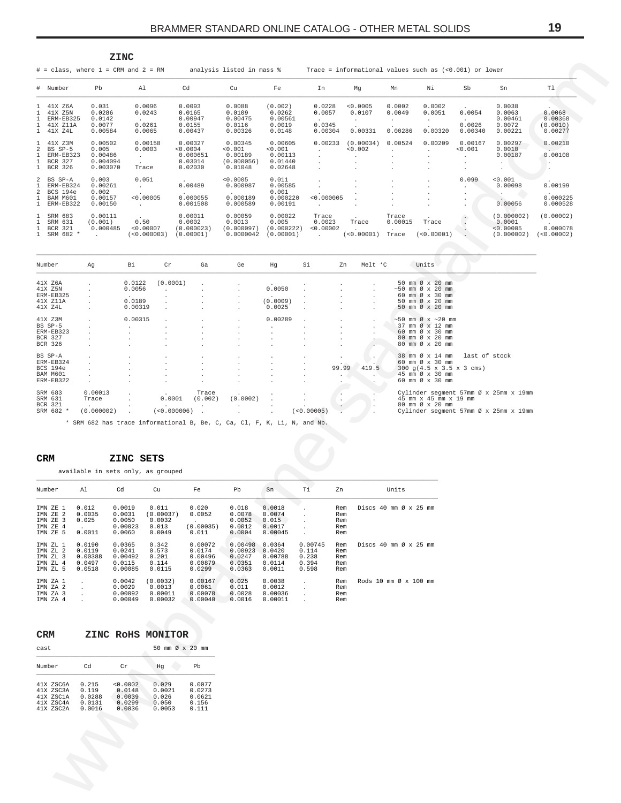<span id="page-18-0"></span>

|                     |                                                                  | <b>ZINC</b>                                         |                                           |                                                       |                                                        |                                                     |                                                        |                               |                             |                                        |                                             |                                                                   |                                                         |
|---------------------|------------------------------------------------------------------|-----------------------------------------------------|-------------------------------------------|-------------------------------------------------------|--------------------------------------------------------|-----------------------------------------------------|--------------------------------------------------------|-------------------------------|-----------------------------|----------------------------------------|---------------------------------------------|-------------------------------------------------------------------|---------------------------------------------------------|
|                     |                                                                  |                                                     | $#$ = class, where $1$ = CRM and $2$ = RM |                                                       | analysis listed in mass %                              |                                                     | Trace = informational values such as (<0.001) or lower |                               |                             |                                        |                                             |                                                                   |                                                         |
|                     | # Number                                                         | Pb                                                  | Al                                        | Cd                                                    | Cu                                                     | Fe                                                  | In                                                     | Mg                            | Mn                          | Νi                                     | Sb                                          | Sn                                                                | T1                                                      |
|                     | 1 41X Z6A<br>41X Z5N<br>ERM-EB325<br>41X Z11A<br>1 41X Z4L       | 0.031<br>0.0286<br>0.0142<br>0.0077<br>0.00584      | 0.0096<br>0.0243<br>0.0261<br>0.0065      | 0.0093<br>0.0165<br>0.00947<br>0.0155<br>0.00437      | 0.0088<br>0.0109<br>0.00475<br>0.0116<br>0.00326       | (0.002)<br>0.0262<br>0.00561<br>0.0019<br>0.0148    | 0.0228<br>0.0057<br>0.0345<br>0.00304                  | < 0.0005<br>0.0107<br>0.00331 | 0.0002<br>0.0049<br>0.00286 | 0.0002<br>0.0051<br>$\cdot$<br>0.00320 | $\sim$<br>0.0054<br>0.0026<br>0.00340       | 0.0038<br>0.0063<br>0.00461<br>0.0072<br>0.00221                  | $\cdot$<br>0.0068<br>0.00368<br>(0.0010)<br>0.00277     |
|                     | 41X Z3M<br>BS SP-5<br>ERM-EB323<br><b>BCR 327</b><br>BCR 326     | 0.00502<br>0.005<br>0.00486<br>0.004094<br>0.003070 | 0.00158<br>0.0003<br>Trace                | 0.00327<br>< 0.0004<br>0.000651<br>0.03014<br>0.02030 | 0.00345<br>< 0.001<br>0.00189<br>(0.000056)<br>0.01048 | 0.00605<br>< 0.001<br>0.00113<br>0.01440<br>0.02648 | 0.00233<br>$\mathbf{r}$                                | (0.00034)<br>< 0.002          | 0.00524                     | 0.00209<br>$\cdot$<br>$\cdot$          | 0.00167<br>< 0.001<br>$\cdot$<br>$\cdot$    | 0.00297<br>0.0010<br>0.00187<br>$\ddot{\phantom{0}}$<br>$\bullet$ | 0.00210<br>0.00108<br>$\sim$<br>$\cdot$                 |
| $\overline{a}$<br>2 | BS SP-A<br>ERM-EB324<br><b>BCS 194e</b><br>BAM M601<br>ERM-EB322 | 0.003<br>0.00261<br>0.002<br>0.00157<br>0.00150     | 0.051<br>< 0.00005                        | 0.00489<br>$\sim$<br>0.000055<br>0.001508             | < 0.0005<br>0.000987<br>0.000189<br>0.000589           | 0.011<br>0.00585<br>0.001<br>0.000220<br>0.00191    | < 0.000005                                             |                               |                             |                                        | 0.099<br>$\mathbf{r}$<br>$\cdot$<br>$\cdot$ | < 0.001<br>0.00098<br>$\overline{a}$<br>0.00056                   | 0.00199<br>$\ddot{\phantom{0}}$<br>0.000225<br>0.000528 |
|                     | SRM 683<br>SRM 631<br><b>BCR 321</b><br>SRM 682 *                | 0.00111<br>(0.001)<br>0.000485<br>$\sim$            | 0.50<br>< 0.00007<br>(<0.000003)          | 0.00011<br>0.0002<br>(0.000023)<br>(0.00001)          | 0.00059<br>0.0013<br>(0.000097)<br>0.0000042           | 0.00022<br>0.005<br>(0.000222)<br>(0.00001)         | Trace<br>0.0023<br>< 0.00002<br>$\sim$                 | Trace<br>(<0.00001)           | Trace<br>0.00015<br>Trace   | Trace<br>(<0.00001)                    | $\blacksquare$                              | (0.000002)<br>0.0001<br>< 0.00005<br>(0.000002)                   | (0.00002)<br>0.000078<br>(<0.00002)                     |
|                     | Number                                                           | Αq                                                  | Bi<br>Cr                                  | Ga                                                    | Ge                                                     | Hq                                                  | Si<br>Zn                                               | Melt 'C                       |                             | Units                                  |                                             |                                                                   |                                                         |

| MUILIDET        | -44                  | D T                  | ᅩ            | Gd                   | ಆರ                   | ny                   | DТ                       | 411             | METL C               | <b>UITT CR</b>                                       |
|-----------------|----------------------|----------------------|--------------|----------------------|----------------------|----------------------|--------------------------|-----------------|----------------------|------------------------------------------------------|
|                 |                      |                      |              |                      |                      |                      |                          |                 |                      |                                                      |
| 41X Z6A         |                      | 0.0122               | (0.0001)     |                      |                      | $\cdot$              |                          |                 |                      | 50 mm Ø x 20 mm                                      |
| 41X Z5N         | $\mathbf{r}$         | 0.0056               |              |                      | $\cdot$              | 0.0050               | $\ddot{\phantom{a}}$     |                 | $\mathbf{r}$         | $\sim$ 50 mm Ø x 20 mm                               |
| ERM-EB325       | $\mathbf{r}$         | $\sim$               |              |                      | $\mathbf{r}$         |                      |                          | $\sim$          | $\mathbf{r}$         | 60 mm Ø x 30 mm                                      |
| 41X Z11A        |                      | 0.0189               |              |                      | $\ddot{\phantom{0}}$ | (0.0009)             | $\lambda$                |                 | $\mathbf{r}$         | 50 mm Ø x 20 mm                                      |
| 41X Z4L         | $\mathbf{r}$         | 0.00319              |              |                      | $\mathbf{r}$         | 0.0025               |                          |                 | $\mathbf{r}$         | 50 mm Ø x 20 mm                                      |
| 41X Z3M         |                      | 0.00315              |              |                      |                      | 0.00289              |                          |                 |                      | $\sim$ 50 mm Ø x $\sim$ 20 mm                        |
|                 |                      |                      | $\mathbf{r}$ |                      | $\cdot$              |                      | $\mathbf{r}$             |                 | $\ddot{\phantom{0}}$ |                                                      |
| BS SP-5         | $\mathbf{r}$         | $\ddot{\phantom{0}}$ |              |                      | $\cdot$              | $\cdot$              |                          | $\mathbf{r}$    | $\ddot{\phantom{0}}$ | 37 mm Ø x 12 mm                                      |
| ERM-EB323       | $\ddot{\phantom{0}}$ |                      |              |                      | $\cdot$              | $\cdot$              | $\ddot{\phantom{0}}$     | $\cdot$         |                      | 60 mm Ø x 30 mm                                      |
| BCR 327         | $\mathbf{r}$         |                      |              |                      | $\cdot$              | $\cdot$              | $\mathbf{r}$             |                 |                      | 80 mm Ø x 20 mm                                      |
| BCR 326         | $\cdot$              |                      |              |                      | $\cdot$              | $\cdot$              | $\cdot$                  |                 |                      | 80 mm Ø x 20 mm                                      |
| BS SP-A         | $\mathbf{r}$         |                      |              | $\ddot{\phantom{0}}$ | $\cdot$              | $\cdot$              |                          |                 |                      | 38 mm Ø x 14 mm<br>last of stock                     |
| ERM-EB324       | $\mathbf{r}$         |                      |              | $\ddot{\phantom{0}}$ | $\ddot{\phantom{0}}$ |                      |                          |                 |                      | 60 mm Ø x 30 mm                                      |
| <b>BCS 194e</b> | $\mathbf{r}$         |                      |              |                      |                      |                      |                          | $\sim$<br>99.99 | 419.5                | $300 \text{ q}(4.5 \times 3.5 \times 3 \text{ cms})$ |
| BAM M601        |                      |                      |              | $\ddot{\phantom{0}}$ | $\cdot$              | $\ddot{\phantom{0}}$ | $\ddot{\phantom{0}}$     |                 |                      | 45 mm Ø x 30 mm                                      |
|                 | $\mathbf{r}$         |                      |              | $\ddot{\phantom{0}}$ | $\cdot$              | $\cdot$              | $\ddot{\phantom{0}}$     | $\cdot$         |                      |                                                      |
| ERM-EB322       | $\ddot{\phantom{0}}$ |                      |              | $\ddot{\phantom{0}}$ | $\cdot$              | $\cdot$              | $\overline{\phantom{a}}$ |                 |                      | 60 mm Ø x 30 mm                                      |
| SRM 683         | 0.00013              | $\mathbf{r}$         | $\sim$       | Trace                | $\cdot$              |                      | $\cdot$                  |                 |                      | Cylinder segment 57mm Ø x 25mm x 19mm                |
| SRM 631         | Trace                |                      | 0.0001       | (0.002)              | (0.0002)             | $\cdot$              |                          |                 |                      | 45 mm x 45 mm x 19 mm                                |
| BCR 321         | $\sim$               | $\cdot$              |              | $\cdot$              | $\cdot$              | $\cdot$              | $\ddot{\phantom{0}}$     |                 |                      | 80 mm Ø x 20 mm                                      |
| SRM 682 *       | (0.000002)           |                      | (<0.000006)  |                      |                      | $\mathbf{r}$         | (<0.00005)               |                 |                      | Cylinder segment 57mm Ø x 25mm x 19mm                |

\* SRM 682 has trace informational B, Be, C, Ca, Cl, F, K, Li, N, and Nb.

#### $\mathtt{CRM}$ ZINC SETS

available in sets only, as grouped

| Number                                                   | Al                                              | Cd                                               | Cu                                              | Fe                                                | Pb                                               | Sn                                              | Τi                                                           | Zn                              | Units                                                 |
|----------------------------------------------------------|-------------------------------------------------|--------------------------------------------------|-------------------------------------------------|---------------------------------------------------|--------------------------------------------------|-------------------------------------------------|--------------------------------------------------------------|---------------------------------|-------------------------------------------------------|
| IMN ZE 1<br>IMN ZE 2<br>IMN ZE 3<br>IMN ZE 4<br>IMN ZE 5 | 0.012<br>0.0035<br>0.025<br>0.0011              | 0.0019<br>0.0031<br>0.0050<br>0.00023<br>0.0060  | 0.011<br>(0.00037)<br>0.0032<br>0.013<br>0.0049 | 0.020<br>0.0052<br>(0.00035)<br>0.011             | 0.018<br>0.0078<br>0.0052<br>0.0012<br>0.0004    | 0.0018<br>0.0074<br>0.015<br>0.0017<br>0.00045  | $\overline{\phantom{a}}$<br>×.<br>$\ddot{\phantom{0}}$<br>×. | Rem<br>Rem<br>Rem<br>Rem<br>Rem | Discs $40 \text{ mm}$ $\varnothing$ x $25 \text{ mm}$ |
| IMN ZL 1<br>IMN ZL 2<br>IMN ZL 3<br>IMN ZL 4<br>IMN ZL 5 | 0.0190<br>0.0119<br>0.00388<br>0.0497<br>0.0518 | 0.0365<br>0.0241<br>0.00492<br>0.0115<br>0.00085 | 0.342<br>0.573<br>0.201<br>0.114<br>0.0115      | 0.00072<br>0.0174<br>0.00496<br>0.00879<br>0.0299 | 0.00498<br>0.00923<br>0.0247<br>0.0351<br>0.0363 | 0.0364<br>0.0420<br>0.00788<br>0.0114<br>0.0011 | 0.00745<br>0.114<br>0.238<br>0.394<br>0.598                  | Rem<br>Rem<br>Rem<br>Rem<br>Rem | Discs $40 \text{ mm}$ $\varnothing$ x $25 \text{ mm}$ |
| IMN ZA 1<br>IMN ZA 2<br>IMN ZA 3<br>IMN ZA 4             |                                                 | 0.0042<br>0.0029<br>0.00092<br>0.00049           | (0.0032)<br>0.0013<br>0.00011<br>0.00032        | 0.00167<br>0.0061<br>0.00078<br>0.00040           | 0.025<br>0.011<br>0.0028<br>0.0016               | 0.0038<br>0.0012<br>0.00036<br>0.00011          | ÷.<br>×.<br>$\mathbf{r}$                                     | Rem<br>Rem<br>Rem<br>Rem        | Rods $10 \text{ mm}$ $\alpha$ x $100 \text{ mm}$      |

| CRM    |                                                               |                                              |                                                  | ZINC ROHS MONITOR                           |                                              |
|--------|---------------------------------------------------------------|----------------------------------------------|--------------------------------------------------|---------------------------------------------|----------------------------------------------|
| cast   |                                                               |                                              |                                                  | 50 mm $\varnothing \times 20$               | mm                                           |
| Number |                                                               | Cd                                           | Cr                                               | Ηq                                          | Pb                                           |
|        | 41X ZSC6A<br>41X ZSC3A<br>41X ZSC1A<br>41X ZSC4A<br>41X ZSC2A | 0.215<br>0.119<br>0.0288<br>0.0131<br>0.0016 | < 0.0002<br>0.0148<br>0.0039<br>0.0299<br>0.0036 | 0.029<br>0.0021<br>0.026<br>0.050<br>0.0053 | 0.0077<br>0.0273<br>0.0621<br>0.156<br>0.111 |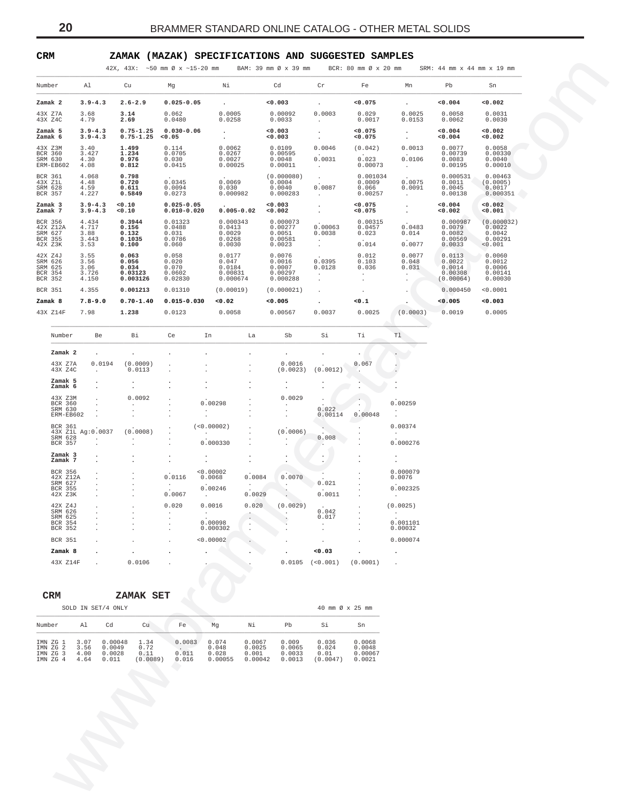# <span id="page-19-0"></span>**CRM ZAMAK (MAZAK) SPECIFICATIONS AND SUGGESTED SAMPLES**

| Number<br>Al<br>Cu<br>Νi<br>Cd<br>Cr<br>Fe<br>Pb<br>Mg<br>Mn<br>Sn<br>0.002<br>Zamak 2<br>$3.9 - 4.3$<br>$2.6 - 2.9$<br>$0.025 - 0.05$<br>0.003<br>0.075<br>0.004<br>$\sim$<br>$\ddot{\phantom{0}}$<br>$\ddot{\phantom{0}}$<br>0.0003<br>43X Z7A<br>3.68<br>3.14<br>0.062<br>0.0005<br>0.00092<br>0.029<br>0.0025<br>0.0058<br>0.0031<br>0.0480<br>0.0258<br>0.0030<br>43X Z4C<br>4.79<br>2.69<br>0.0033<br>0.0017<br>0.0153<br>0.0062<br>$\ddot{\phantom{a}}$<br>$3.9 - 4.3$<br>$0.75 - 1.25$<br>$0.030 - 0.06$<br>Zamak 5<br>0.003<br>0.075<br>0.004<br>0.002<br>$\bullet$<br>٠<br>$3.9 - 4.3$<br>$0.75 - 1.25$<br>0.004<br>0.002<br>Zamak 6<br>0.05<br>0.003<br>< 0.075<br>$\bullet$<br>$\bullet$<br>$\bullet$<br>3.40<br>0.0062<br>0.0109<br>0.0046<br>(0.042)<br>0.0013<br>0.0077<br>0.0058<br>43X Z3M<br>1.499<br>0.114<br>0.00595<br>0.0705<br>0.0267<br>0.00739<br>0.00330<br>BCR 360<br>3.427<br>1.234<br>0.0048<br>0.0031<br>0.023<br>0.0106<br>SRM 630<br>4.30<br>0.976<br>0.030<br>0.0027<br>0.0083<br>0.0040<br>ERM-EB602<br>4.08<br>0.812<br>0.0415<br>0.00025<br>0.00011<br>0.00073<br>0.00195<br>0.00010<br><b>Service</b><br><b>Allen</b><br>BCR 361<br>4.068<br>0.798<br>(0.000080)<br>0.001034<br>0.000531<br>0.00463<br>$\sim$<br>0.0075<br>43X Z1L<br>4.48<br>0.720<br>0.0345<br>0.0069<br>0.0004<br>0.0009<br>0.0011<br>(0.0005)<br>$\ddot{\phantom{a}}$<br>0.0087<br>0.0040<br>SRM 628<br>4.59<br>0.611<br>0.0094<br>0.030<br>0.066<br>0.0091<br>0.0045<br>0.0017<br>0.000982<br>0.000283<br>BCR 357<br>4.227<br>0.5849<br>0.0273<br>0.00257<br>0.00138<br>0.000351<br>$\sim$<br>$\sim$<br>$3.9 - 4.3$<br>$0.025 - 0.05$<br>0.003<br>0.075<br>0.002<br>Zamak 3<br>0.10<br>0.004<br>$\bullet$<br>٠<br>$0.005 - 0.02$<br>Zamak 7<br>$3.9 - 4.3$<br>0.10<br>$0.010 - 0.020$<br>0.002<br>0.075<br>0.002<br>0.001<br>$\bullet$<br>$\ddot{\phantom{0}}$<br>BCR 356<br>4.434<br>0.3944<br>0.01323<br>0.000343<br>0.000073<br>0.00315<br>0.000987<br>(0.000032)<br>0.00063<br>0.0483<br>42X Z12A<br>4.717<br>0.156<br>0.0488<br>0.0413<br>0.00277<br>0.0457<br>0.0079<br>0.0022<br>0.0029<br>0.0038<br>SRM 627<br>3.88<br>0.132<br>0.031<br>0.0051<br>0.023<br>0.014<br>0.0082<br>0.0042<br>0.00581<br>0.0786<br>0.0268<br>0.00569<br>BCR 355<br>3.443<br>0.1035<br>0.00291<br>$\cdot$<br>42X Z3K<br>0.014<br>0.0077<br>3.53<br>0.100<br>0.060<br>0.0030<br>0.0023<br>0.0033<br>0.001<br>42X Z4J<br>3.55<br>0.063<br>0.058<br>0.0177<br>0.0076<br>0.012<br>0.0077<br>0.0113<br>0.0060<br>0.0016<br>0.0395<br>SRM 626<br>3.56<br>0.056<br>0.020<br>0.047<br>0.103<br>0.048<br>0.0022<br>0.0012<br>SRM 625<br>3.06<br>0.034<br>0.070<br>0.0184<br>0.0007<br>0.0128<br>0.036<br>0.031<br>0.0014<br>0.0006<br>0.00308<br>BCR 354<br>3.726<br>0.03123<br>0.0602<br>0.00831<br>0.00297<br>0.00141<br>$\cdot$<br>$\cdot$<br>$\cdot$<br>0.003126<br>0.02830<br>0.000674<br>0.000288<br>0.00030<br>BCR 352<br>4.150<br>(0.00064)<br>$\cdot$<br>4.355<br>0.001213<br>(0.00019)<br>BCR 351<br>0.01310<br>(0.000021)<br>0.000450<br>0.0001<br>$\cdot$<br>$\cdot$<br>Zamak 8<br>$7.8 - 9.0$<br>$0.70 - 1.40$<br>$0.015 - 0.030$<br>0.02<br>0.005<br><0.1<br>0.005<br>0.003<br>$\ddot{\phantom{0}}$<br>٠<br>43X Z14F<br>7.98<br>1.238<br>0.0123<br>0.0058<br>0.00567<br>0.0037<br>0.0025<br>(0.0003)<br>0.0019<br>0.0005<br>Number<br>Тi<br>Tl.<br>Be<br>Bi<br>Ce<br>In<br>La<br>Sb<br>Si<br>Zamak 2<br>$\bullet$<br>٠<br>$\bullet$<br>$\bullet$<br>٠<br>$\bullet$<br>0.0194<br>(0.0009)<br>0.0016<br>0.067<br>43X Z7A<br>43X Z4C<br>(0.0023)<br>(0.0012)<br>0.0113<br>Zamak 5<br>Zamak 6<br>$\bullet$<br>$\bullet$<br>$\bullet$<br>$\bullet$<br>٠<br>0.0092<br>0.0029<br>43X Z3M<br>$\cdot$<br>0.00298<br>0.00259<br>BCR 360<br>$\cdot$<br>$\cdot$<br>$\cdot$<br>$\cdot$<br>0.022<br>SRM 630<br>$\cdot$<br>ERM-EB602<br>0.00114<br>0.00048<br>(<0.00002)<br>0.00374<br>BCR 361<br>$\sim$<br>(0.0006)<br>43X Z1L Ag:0.0037<br>(0.0008)<br>$\sim$<br>$\sim$<br>SRM 628<br>0.008<br>$\cdot$<br>$\cdot$<br>0.000330<br>0.000276<br>BCR 357<br>$\cdot$<br>$\ddot{\phantom{1}}$<br>$\cdot$<br>Zamak 3<br>$\bullet$<br>Zamak 7<br>$\bullet$<br>$\bullet$<br>$\bullet$<br>$\ddot{\phantom{0}}$<br>$\ddot{\phantom{0}}$<br>$\bullet$<br>$\bullet$<br>٠<br>< 0.00002<br>0.000079<br>BCR 356<br>42X Z12A<br>0.0116<br>0.0068<br>0.0084<br>0.0070<br>0.0076<br>SRM 627<br>0.021<br>$\sim$<br>$\cdot$<br>$\blacksquare$<br>0.00246<br>0.002325<br>BCR 355<br>0.0067<br>0.0029<br>0.0011<br>42X Z3K<br>$\sim$<br>$\sim$<br>42X Z4J<br>0.020<br>0.0016<br>0.020<br>(0.0029)<br>(0.0025)<br>0.042<br>SRM 626<br>SRM 625<br>0.017<br>0.001101<br>BCR 354<br>0.00098<br>$\cdot$<br>0.000302<br>0.00032<br>BCR 352<br>BCR 351<br>< 0.00002<br>0.000074<br>Zamak 8<br>0.03<br>$\bullet$<br>$\bullet$<br>43X Z14F<br>0.0106<br>0.0105<br>(<0.001)<br>(0.0001)<br>$\cdot$<br>ZAMAK SET<br>CRM<br>SOLD IN SET/4 ONLY<br>40 mm Ø x 25 mm<br>Number<br>Νi<br>Pb<br>Al<br>Cd<br>Cu<br>Fe<br>Mg<br>Si<br>Sn<br>0.0083<br>0.0067<br>0.0068<br>IMN ZG 1<br>3.07<br>0.00048<br>1.34<br>0.074<br>0.009<br>0.036<br>3.56<br>0.0049<br>IMN ZG 2<br>0.72<br>0.048<br>0.0025<br>0.0065<br>0.024<br>0.0048<br>0.011<br>IMN ZG 3<br>4.00<br>0.0028<br>0.11<br>0.028<br>0.001<br>0.0033<br>$0.01\,$<br>0.00067<br>IMN ZG 4<br>4.64<br>0.011<br>0.00055<br>(0.0089)<br>0.016<br>0.00042<br>0.0013<br>(0.0047)<br>0.0021 |  | 42X, 43X: ~50 mm $\varnothing$ x ~15-20 mm |  | BAM: 39 mm Ø x 39 mm | BCR: 80 mm Ø x 20 mm | SRM: 44 mm x 44 mm x 19 mm |  |
|------------------------------------------------------------------------------------------------------------------------------------------------------------------------------------------------------------------------------------------------------------------------------------------------------------------------------------------------------------------------------------------------------------------------------------------------------------------------------------------------------------------------------------------------------------------------------------------------------------------------------------------------------------------------------------------------------------------------------------------------------------------------------------------------------------------------------------------------------------------------------------------------------------------------------------------------------------------------------------------------------------------------------------------------------------------------------------------------------------------------------------------------------------------------------------------------------------------------------------------------------------------------------------------------------------------------------------------------------------------------------------------------------------------------------------------------------------------------------------------------------------------------------------------------------------------------------------------------------------------------------------------------------------------------------------------------------------------------------------------------------------------------------------------------------------------------------------------------------------------------------------------------------------------------------------------------------------------------------------------------------------------------------------------------------------------------------------------------------------------------------------------------------------------------------------------------------------------------------------------------------------------------------------------------------------------------------------------------------------------------------------------------------------------------------------------------------------------------------------------------------------------------------------------------------------------------------------------------------------------------------------------------------------------------------------------------------------------------------------------------------------------------------------------------------------------------------------------------------------------------------------------------------------------------------------------------------------------------------------------------------------------------------------------------------------------------------------------------------------------------------------------------------------------------------------------------------------------------------------------------------------------------------------------------------------------------------------------------------------------------------------------------------------------------------------------------------------------------------------------------------------------------------------------------------------------------------------------------------------------------------------------------------------------------------------------------------------------------------------------------------------------------------------------------------------------------------------------------------------------------------------------------------------------------------------------------------------------------------------------------------------------------------------------------------------------------------------------------------------------------------------------------------------------------------------------------------------------------------------------------------------------------------------------------------------------------------------------------------------------------------------------------------------------------------------------------------------------------------------------------------------------------------------------------------------------------------------------------------------------------------------------------------------------------------------------------------------------------------------------------------------------------------------------------------------------------------------------------------------------------------------------------------------------------------------------------------------------------------------------------------------------------------------------------------------------------------------------------------------------------------------------------------------------------------------------------------------------------------------------------------------------------------------------------------------------------------------------------------------------------------------|--|--------------------------------------------|--|----------------------|----------------------|----------------------------|--|
|                                                                                                                                                                                                                                                                                                                                                                                                                                                                                                                                                                                                                                                                                                                                                                                                                                                                                                                                                                                                                                                                                                                                                                                                                                                                                                                                                                                                                                                                                                                                                                                                                                                                                                                                                                                                                                                                                                                                                                                                                                                                                                                                                                                                                                                                                                                                                                                                                                                                                                                                                                                                                                                                                                                                                                                                                                                                                                                                                                                                                                                                                                                                                                                                                                                                                                                                                                                                                                                                                                                                                                                                                                                                                                                                                                                                                                                                                                                                                                                                                                                                                                                                                                                                                                                                                                                                                                                                                                                                                                                                                                                                                                                                                                                                                                                                                                                                                                                                                                                                                                                                                                                                                                                                                                                                                                                                                                                    |  |                                            |  |                      |                      |                            |  |
|                                                                                                                                                                                                                                                                                                                                                                                                                                                                                                                                                                                                                                                                                                                                                                                                                                                                                                                                                                                                                                                                                                                                                                                                                                                                                                                                                                                                                                                                                                                                                                                                                                                                                                                                                                                                                                                                                                                                                                                                                                                                                                                                                                                                                                                                                                                                                                                                                                                                                                                                                                                                                                                                                                                                                                                                                                                                                                                                                                                                                                                                                                                                                                                                                                                                                                                                                                                                                                                                                                                                                                                                                                                                                                                                                                                                                                                                                                                                                                                                                                                                                                                                                                                                                                                                                                                                                                                                                                                                                                                                                                                                                                                                                                                                                                                                                                                                                                                                                                                                                                                                                                                                                                                                                                                                                                                                                                                    |  |                                            |  |                      |                      |                            |  |
|                                                                                                                                                                                                                                                                                                                                                                                                                                                                                                                                                                                                                                                                                                                                                                                                                                                                                                                                                                                                                                                                                                                                                                                                                                                                                                                                                                                                                                                                                                                                                                                                                                                                                                                                                                                                                                                                                                                                                                                                                                                                                                                                                                                                                                                                                                                                                                                                                                                                                                                                                                                                                                                                                                                                                                                                                                                                                                                                                                                                                                                                                                                                                                                                                                                                                                                                                                                                                                                                                                                                                                                                                                                                                                                                                                                                                                                                                                                                                                                                                                                                                                                                                                                                                                                                                                                                                                                                                                                                                                                                                                                                                                                                                                                                                                                                                                                                                                                                                                                                                                                                                                                                                                                                                                                                                                                                                                                    |  |                                            |  |                      |                      |                            |  |
|                                                                                                                                                                                                                                                                                                                                                                                                                                                                                                                                                                                                                                                                                                                                                                                                                                                                                                                                                                                                                                                                                                                                                                                                                                                                                                                                                                                                                                                                                                                                                                                                                                                                                                                                                                                                                                                                                                                                                                                                                                                                                                                                                                                                                                                                                                                                                                                                                                                                                                                                                                                                                                                                                                                                                                                                                                                                                                                                                                                                                                                                                                                                                                                                                                                                                                                                                                                                                                                                                                                                                                                                                                                                                                                                                                                                                                                                                                                                                                                                                                                                                                                                                                                                                                                                                                                                                                                                                                                                                                                                                                                                                                                                                                                                                                                                                                                                                                                                                                                                                                                                                                                                                                                                                                                                                                                                                                                    |  |                                            |  |                      |                      |                            |  |
|                                                                                                                                                                                                                                                                                                                                                                                                                                                                                                                                                                                                                                                                                                                                                                                                                                                                                                                                                                                                                                                                                                                                                                                                                                                                                                                                                                                                                                                                                                                                                                                                                                                                                                                                                                                                                                                                                                                                                                                                                                                                                                                                                                                                                                                                                                                                                                                                                                                                                                                                                                                                                                                                                                                                                                                                                                                                                                                                                                                                                                                                                                                                                                                                                                                                                                                                                                                                                                                                                                                                                                                                                                                                                                                                                                                                                                                                                                                                                                                                                                                                                                                                                                                                                                                                                                                                                                                                                                                                                                                                                                                                                                                                                                                                                                                                                                                                                                                                                                                                                                                                                                                                                                                                                                                                                                                                                                                    |  |                                            |  |                      |                      |                            |  |
|                                                                                                                                                                                                                                                                                                                                                                                                                                                                                                                                                                                                                                                                                                                                                                                                                                                                                                                                                                                                                                                                                                                                                                                                                                                                                                                                                                                                                                                                                                                                                                                                                                                                                                                                                                                                                                                                                                                                                                                                                                                                                                                                                                                                                                                                                                                                                                                                                                                                                                                                                                                                                                                                                                                                                                                                                                                                                                                                                                                                                                                                                                                                                                                                                                                                                                                                                                                                                                                                                                                                                                                                                                                                                                                                                                                                                                                                                                                                                                                                                                                                                                                                                                                                                                                                                                                                                                                                                                                                                                                                                                                                                                                                                                                                                                                                                                                                                                                                                                                                                                                                                                                                                                                                                                                                                                                                                                                    |  |                                            |  |                      |                      |                            |  |
|                                                                                                                                                                                                                                                                                                                                                                                                                                                                                                                                                                                                                                                                                                                                                                                                                                                                                                                                                                                                                                                                                                                                                                                                                                                                                                                                                                                                                                                                                                                                                                                                                                                                                                                                                                                                                                                                                                                                                                                                                                                                                                                                                                                                                                                                                                                                                                                                                                                                                                                                                                                                                                                                                                                                                                                                                                                                                                                                                                                                                                                                                                                                                                                                                                                                                                                                                                                                                                                                                                                                                                                                                                                                                                                                                                                                                                                                                                                                                                                                                                                                                                                                                                                                                                                                                                                                                                                                                                                                                                                                                                                                                                                                                                                                                                                                                                                                                                                                                                                                                                                                                                                                                                                                                                                                                                                                                                                    |  |                                            |  |                      |                      |                            |  |
|                                                                                                                                                                                                                                                                                                                                                                                                                                                                                                                                                                                                                                                                                                                                                                                                                                                                                                                                                                                                                                                                                                                                                                                                                                                                                                                                                                                                                                                                                                                                                                                                                                                                                                                                                                                                                                                                                                                                                                                                                                                                                                                                                                                                                                                                                                                                                                                                                                                                                                                                                                                                                                                                                                                                                                                                                                                                                                                                                                                                                                                                                                                                                                                                                                                                                                                                                                                                                                                                                                                                                                                                                                                                                                                                                                                                                                                                                                                                                                                                                                                                                                                                                                                                                                                                                                                                                                                                                                                                                                                                                                                                                                                                                                                                                                                                                                                                                                                                                                                                                                                                                                                                                                                                                                                                                                                                                                                    |  |                                            |  |                      |                      |                            |  |
|                                                                                                                                                                                                                                                                                                                                                                                                                                                                                                                                                                                                                                                                                                                                                                                                                                                                                                                                                                                                                                                                                                                                                                                                                                                                                                                                                                                                                                                                                                                                                                                                                                                                                                                                                                                                                                                                                                                                                                                                                                                                                                                                                                                                                                                                                                                                                                                                                                                                                                                                                                                                                                                                                                                                                                                                                                                                                                                                                                                                                                                                                                                                                                                                                                                                                                                                                                                                                                                                                                                                                                                                                                                                                                                                                                                                                                                                                                                                                                                                                                                                                                                                                                                                                                                                                                                                                                                                                                                                                                                                                                                                                                                                                                                                                                                                                                                                                                                                                                                                                                                                                                                                                                                                                                                                                                                                                                                    |  |                                            |  |                      |                      |                            |  |
|                                                                                                                                                                                                                                                                                                                                                                                                                                                                                                                                                                                                                                                                                                                                                                                                                                                                                                                                                                                                                                                                                                                                                                                                                                                                                                                                                                                                                                                                                                                                                                                                                                                                                                                                                                                                                                                                                                                                                                                                                                                                                                                                                                                                                                                                                                                                                                                                                                                                                                                                                                                                                                                                                                                                                                                                                                                                                                                                                                                                                                                                                                                                                                                                                                                                                                                                                                                                                                                                                                                                                                                                                                                                                                                                                                                                                                                                                                                                                                                                                                                                                                                                                                                                                                                                                                                                                                                                                                                                                                                                                                                                                                                                                                                                                                                                                                                                                                                                                                                                                                                                                                                                                                                                                                                                                                                                                                                    |  |                                            |  |                      |                      |                            |  |
|                                                                                                                                                                                                                                                                                                                                                                                                                                                                                                                                                                                                                                                                                                                                                                                                                                                                                                                                                                                                                                                                                                                                                                                                                                                                                                                                                                                                                                                                                                                                                                                                                                                                                                                                                                                                                                                                                                                                                                                                                                                                                                                                                                                                                                                                                                                                                                                                                                                                                                                                                                                                                                                                                                                                                                                                                                                                                                                                                                                                                                                                                                                                                                                                                                                                                                                                                                                                                                                                                                                                                                                                                                                                                                                                                                                                                                                                                                                                                                                                                                                                                                                                                                                                                                                                                                                                                                                                                                                                                                                                                                                                                                                                                                                                                                                                                                                                                                                                                                                                                                                                                                                                                                                                                                                                                                                                                                                    |  |                                            |  |                      |                      |                            |  |
|                                                                                                                                                                                                                                                                                                                                                                                                                                                                                                                                                                                                                                                                                                                                                                                                                                                                                                                                                                                                                                                                                                                                                                                                                                                                                                                                                                                                                                                                                                                                                                                                                                                                                                                                                                                                                                                                                                                                                                                                                                                                                                                                                                                                                                                                                                                                                                                                                                                                                                                                                                                                                                                                                                                                                                                                                                                                                                                                                                                                                                                                                                                                                                                                                                                                                                                                                                                                                                                                                                                                                                                                                                                                                                                                                                                                                                                                                                                                                                                                                                                                                                                                                                                                                                                                                                                                                                                                                                                                                                                                                                                                                                                                                                                                                                                                                                                                                                                                                                                                                                                                                                                                                                                                                                                                                                                                                                                    |  |                                            |  |                      |                      |                            |  |
|                                                                                                                                                                                                                                                                                                                                                                                                                                                                                                                                                                                                                                                                                                                                                                                                                                                                                                                                                                                                                                                                                                                                                                                                                                                                                                                                                                                                                                                                                                                                                                                                                                                                                                                                                                                                                                                                                                                                                                                                                                                                                                                                                                                                                                                                                                                                                                                                                                                                                                                                                                                                                                                                                                                                                                                                                                                                                                                                                                                                                                                                                                                                                                                                                                                                                                                                                                                                                                                                                                                                                                                                                                                                                                                                                                                                                                                                                                                                                                                                                                                                                                                                                                                                                                                                                                                                                                                                                                                                                                                                                                                                                                                                                                                                                                                                                                                                                                                                                                                                                                                                                                                                                                                                                                                                                                                                                                                    |  |                                            |  |                      |                      |                            |  |
|                                                                                                                                                                                                                                                                                                                                                                                                                                                                                                                                                                                                                                                                                                                                                                                                                                                                                                                                                                                                                                                                                                                                                                                                                                                                                                                                                                                                                                                                                                                                                                                                                                                                                                                                                                                                                                                                                                                                                                                                                                                                                                                                                                                                                                                                                                                                                                                                                                                                                                                                                                                                                                                                                                                                                                                                                                                                                                                                                                                                                                                                                                                                                                                                                                                                                                                                                                                                                                                                                                                                                                                                                                                                                                                                                                                                                                                                                                                                                                                                                                                                                                                                                                                                                                                                                                                                                                                                                                                                                                                                                                                                                                                                                                                                                                                                                                                                                                                                                                                                                                                                                                                                                                                                                                                                                                                                                                                    |  |                                            |  |                      |                      |                            |  |
|                                                                                                                                                                                                                                                                                                                                                                                                                                                                                                                                                                                                                                                                                                                                                                                                                                                                                                                                                                                                                                                                                                                                                                                                                                                                                                                                                                                                                                                                                                                                                                                                                                                                                                                                                                                                                                                                                                                                                                                                                                                                                                                                                                                                                                                                                                                                                                                                                                                                                                                                                                                                                                                                                                                                                                                                                                                                                                                                                                                                                                                                                                                                                                                                                                                                                                                                                                                                                                                                                                                                                                                                                                                                                                                                                                                                                                                                                                                                                                                                                                                                                                                                                                                                                                                                                                                                                                                                                                                                                                                                                                                                                                                                                                                                                                                                                                                                                                                                                                                                                                                                                                                                                                                                                                                                                                                                                                                    |  |                                            |  |                      |                      |                            |  |
|                                                                                                                                                                                                                                                                                                                                                                                                                                                                                                                                                                                                                                                                                                                                                                                                                                                                                                                                                                                                                                                                                                                                                                                                                                                                                                                                                                                                                                                                                                                                                                                                                                                                                                                                                                                                                                                                                                                                                                                                                                                                                                                                                                                                                                                                                                                                                                                                                                                                                                                                                                                                                                                                                                                                                                                                                                                                                                                                                                                                                                                                                                                                                                                                                                                                                                                                                                                                                                                                                                                                                                                                                                                                                                                                                                                                                                                                                                                                                                                                                                                                                                                                                                                                                                                                                                                                                                                                                                                                                                                                                                                                                                                                                                                                                                                                                                                                                                                                                                                                                                                                                                                                                                                                                                                                                                                                                                                    |  |                                            |  |                      |                      |                            |  |
|                                                                                                                                                                                                                                                                                                                                                                                                                                                                                                                                                                                                                                                                                                                                                                                                                                                                                                                                                                                                                                                                                                                                                                                                                                                                                                                                                                                                                                                                                                                                                                                                                                                                                                                                                                                                                                                                                                                                                                                                                                                                                                                                                                                                                                                                                                                                                                                                                                                                                                                                                                                                                                                                                                                                                                                                                                                                                                                                                                                                                                                                                                                                                                                                                                                                                                                                                                                                                                                                                                                                                                                                                                                                                                                                                                                                                                                                                                                                                                                                                                                                                                                                                                                                                                                                                                                                                                                                                                                                                                                                                                                                                                                                                                                                                                                                                                                                                                                                                                                                                                                                                                                                                                                                                                                                                                                                                                                    |  |                                            |  |                      |                      |                            |  |
|                                                                                                                                                                                                                                                                                                                                                                                                                                                                                                                                                                                                                                                                                                                                                                                                                                                                                                                                                                                                                                                                                                                                                                                                                                                                                                                                                                                                                                                                                                                                                                                                                                                                                                                                                                                                                                                                                                                                                                                                                                                                                                                                                                                                                                                                                                                                                                                                                                                                                                                                                                                                                                                                                                                                                                                                                                                                                                                                                                                                                                                                                                                                                                                                                                                                                                                                                                                                                                                                                                                                                                                                                                                                                                                                                                                                                                                                                                                                                                                                                                                                                                                                                                                                                                                                                                                                                                                                                                                                                                                                                                                                                                                                                                                                                                                                                                                                                                                                                                                                                                                                                                                                                                                                                                                                                                                                                                                    |  |                                            |  |                      |                      |                            |  |
|                                                                                                                                                                                                                                                                                                                                                                                                                                                                                                                                                                                                                                                                                                                                                                                                                                                                                                                                                                                                                                                                                                                                                                                                                                                                                                                                                                                                                                                                                                                                                                                                                                                                                                                                                                                                                                                                                                                                                                                                                                                                                                                                                                                                                                                                                                                                                                                                                                                                                                                                                                                                                                                                                                                                                                                                                                                                                                                                                                                                                                                                                                                                                                                                                                                                                                                                                                                                                                                                                                                                                                                                                                                                                                                                                                                                                                                                                                                                                                                                                                                                                                                                                                                                                                                                                                                                                                                                                                                                                                                                                                                                                                                                                                                                                                                                                                                                                                                                                                                                                                                                                                                                                                                                                                                                                                                                                                                    |  |                                            |  |                      |                      |                            |  |
|                                                                                                                                                                                                                                                                                                                                                                                                                                                                                                                                                                                                                                                                                                                                                                                                                                                                                                                                                                                                                                                                                                                                                                                                                                                                                                                                                                                                                                                                                                                                                                                                                                                                                                                                                                                                                                                                                                                                                                                                                                                                                                                                                                                                                                                                                                                                                                                                                                                                                                                                                                                                                                                                                                                                                                                                                                                                                                                                                                                                                                                                                                                                                                                                                                                                                                                                                                                                                                                                                                                                                                                                                                                                                                                                                                                                                                                                                                                                                                                                                                                                                                                                                                                                                                                                                                                                                                                                                                                                                                                                                                                                                                                                                                                                                                                                                                                                                                                                                                                                                                                                                                                                                                                                                                                                                                                                                                                    |  |                                            |  |                      |                      |                            |  |
|                                                                                                                                                                                                                                                                                                                                                                                                                                                                                                                                                                                                                                                                                                                                                                                                                                                                                                                                                                                                                                                                                                                                                                                                                                                                                                                                                                                                                                                                                                                                                                                                                                                                                                                                                                                                                                                                                                                                                                                                                                                                                                                                                                                                                                                                                                                                                                                                                                                                                                                                                                                                                                                                                                                                                                                                                                                                                                                                                                                                                                                                                                                                                                                                                                                                                                                                                                                                                                                                                                                                                                                                                                                                                                                                                                                                                                                                                                                                                                                                                                                                                                                                                                                                                                                                                                                                                                                                                                                                                                                                                                                                                                                                                                                                                                                                                                                                                                                                                                                                                                                                                                                                                                                                                                                                                                                                                                                    |  |                                            |  |                      |                      |                            |  |
|                                                                                                                                                                                                                                                                                                                                                                                                                                                                                                                                                                                                                                                                                                                                                                                                                                                                                                                                                                                                                                                                                                                                                                                                                                                                                                                                                                                                                                                                                                                                                                                                                                                                                                                                                                                                                                                                                                                                                                                                                                                                                                                                                                                                                                                                                                                                                                                                                                                                                                                                                                                                                                                                                                                                                                                                                                                                                                                                                                                                                                                                                                                                                                                                                                                                                                                                                                                                                                                                                                                                                                                                                                                                                                                                                                                                                                                                                                                                                                                                                                                                                                                                                                                                                                                                                                                                                                                                                                                                                                                                                                                                                                                                                                                                                                                                                                                                                                                                                                                                                                                                                                                                                                                                                                                                                                                                                                                    |  |                                            |  |                      |                      |                            |  |
|                                                                                                                                                                                                                                                                                                                                                                                                                                                                                                                                                                                                                                                                                                                                                                                                                                                                                                                                                                                                                                                                                                                                                                                                                                                                                                                                                                                                                                                                                                                                                                                                                                                                                                                                                                                                                                                                                                                                                                                                                                                                                                                                                                                                                                                                                                                                                                                                                                                                                                                                                                                                                                                                                                                                                                                                                                                                                                                                                                                                                                                                                                                                                                                                                                                                                                                                                                                                                                                                                                                                                                                                                                                                                                                                                                                                                                                                                                                                                                                                                                                                                                                                                                                                                                                                                                                                                                                                                                                                                                                                                                                                                                                                                                                                                                                                                                                                                                                                                                                                                                                                                                                                                                                                                                                                                                                                                                                    |  |                                            |  |                      |                      |                            |  |
|                                                                                                                                                                                                                                                                                                                                                                                                                                                                                                                                                                                                                                                                                                                                                                                                                                                                                                                                                                                                                                                                                                                                                                                                                                                                                                                                                                                                                                                                                                                                                                                                                                                                                                                                                                                                                                                                                                                                                                                                                                                                                                                                                                                                                                                                                                                                                                                                                                                                                                                                                                                                                                                                                                                                                                                                                                                                                                                                                                                                                                                                                                                                                                                                                                                                                                                                                                                                                                                                                                                                                                                                                                                                                                                                                                                                                                                                                                                                                                                                                                                                                                                                                                                                                                                                                                                                                                                                                                                                                                                                                                                                                                                                                                                                                                                                                                                                                                                                                                                                                                                                                                                                                                                                                                                                                                                                                                                    |  |                                            |  |                      |                      |                            |  |
|                                                                                                                                                                                                                                                                                                                                                                                                                                                                                                                                                                                                                                                                                                                                                                                                                                                                                                                                                                                                                                                                                                                                                                                                                                                                                                                                                                                                                                                                                                                                                                                                                                                                                                                                                                                                                                                                                                                                                                                                                                                                                                                                                                                                                                                                                                                                                                                                                                                                                                                                                                                                                                                                                                                                                                                                                                                                                                                                                                                                                                                                                                                                                                                                                                                                                                                                                                                                                                                                                                                                                                                                                                                                                                                                                                                                                                                                                                                                                                                                                                                                                                                                                                                                                                                                                                                                                                                                                                                                                                                                                                                                                                                                                                                                                                                                                                                                                                                                                                                                                                                                                                                                                                                                                                                                                                                                                                                    |  |                                            |  |                      |                      |                            |  |
|                                                                                                                                                                                                                                                                                                                                                                                                                                                                                                                                                                                                                                                                                                                                                                                                                                                                                                                                                                                                                                                                                                                                                                                                                                                                                                                                                                                                                                                                                                                                                                                                                                                                                                                                                                                                                                                                                                                                                                                                                                                                                                                                                                                                                                                                                                                                                                                                                                                                                                                                                                                                                                                                                                                                                                                                                                                                                                                                                                                                                                                                                                                                                                                                                                                                                                                                                                                                                                                                                                                                                                                                                                                                                                                                                                                                                                                                                                                                                                                                                                                                                                                                                                                                                                                                                                                                                                                                                                                                                                                                                                                                                                                                                                                                                                                                                                                                                                                                                                                                                                                                                                                                                                                                                                                                                                                                                                                    |  |                                            |  |                      |                      |                            |  |
|                                                                                                                                                                                                                                                                                                                                                                                                                                                                                                                                                                                                                                                                                                                                                                                                                                                                                                                                                                                                                                                                                                                                                                                                                                                                                                                                                                                                                                                                                                                                                                                                                                                                                                                                                                                                                                                                                                                                                                                                                                                                                                                                                                                                                                                                                                                                                                                                                                                                                                                                                                                                                                                                                                                                                                                                                                                                                                                                                                                                                                                                                                                                                                                                                                                                                                                                                                                                                                                                                                                                                                                                                                                                                                                                                                                                                                                                                                                                                                                                                                                                                                                                                                                                                                                                                                                                                                                                                                                                                                                                                                                                                                                                                                                                                                                                                                                                                                                                                                                                                                                                                                                                                                                                                                                                                                                                                                                    |  |                                            |  |                      |                      |                            |  |
|                                                                                                                                                                                                                                                                                                                                                                                                                                                                                                                                                                                                                                                                                                                                                                                                                                                                                                                                                                                                                                                                                                                                                                                                                                                                                                                                                                                                                                                                                                                                                                                                                                                                                                                                                                                                                                                                                                                                                                                                                                                                                                                                                                                                                                                                                                                                                                                                                                                                                                                                                                                                                                                                                                                                                                                                                                                                                                                                                                                                                                                                                                                                                                                                                                                                                                                                                                                                                                                                                                                                                                                                                                                                                                                                                                                                                                                                                                                                                                                                                                                                                                                                                                                                                                                                                                                                                                                                                                                                                                                                                                                                                                                                                                                                                                                                                                                                                                                                                                                                                                                                                                                                                                                                                                                                                                                                                                                    |  |                                            |  |                      |                      |                            |  |
|                                                                                                                                                                                                                                                                                                                                                                                                                                                                                                                                                                                                                                                                                                                                                                                                                                                                                                                                                                                                                                                                                                                                                                                                                                                                                                                                                                                                                                                                                                                                                                                                                                                                                                                                                                                                                                                                                                                                                                                                                                                                                                                                                                                                                                                                                                                                                                                                                                                                                                                                                                                                                                                                                                                                                                                                                                                                                                                                                                                                                                                                                                                                                                                                                                                                                                                                                                                                                                                                                                                                                                                                                                                                                                                                                                                                                                                                                                                                                                                                                                                                                                                                                                                                                                                                                                                                                                                                                                                                                                                                                                                                                                                                                                                                                                                                                                                                                                                                                                                                                                                                                                                                                                                                                                                                                                                                                                                    |  |                                            |  |                      |                      |                            |  |
|                                                                                                                                                                                                                                                                                                                                                                                                                                                                                                                                                                                                                                                                                                                                                                                                                                                                                                                                                                                                                                                                                                                                                                                                                                                                                                                                                                                                                                                                                                                                                                                                                                                                                                                                                                                                                                                                                                                                                                                                                                                                                                                                                                                                                                                                                                                                                                                                                                                                                                                                                                                                                                                                                                                                                                                                                                                                                                                                                                                                                                                                                                                                                                                                                                                                                                                                                                                                                                                                                                                                                                                                                                                                                                                                                                                                                                                                                                                                                                                                                                                                                                                                                                                                                                                                                                                                                                                                                                                                                                                                                                                                                                                                                                                                                                                                                                                                                                                                                                                                                                                                                                                                                                                                                                                                                                                                                                                    |  |                                            |  |                      |                      |                            |  |
|                                                                                                                                                                                                                                                                                                                                                                                                                                                                                                                                                                                                                                                                                                                                                                                                                                                                                                                                                                                                                                                                                                                                                                                                                                                                                                                                                                                                                                                                                                                                                                                                                                                                                                                                                                                                                                                                                                                                                                                                                                                                                                                                                                                                                                                                                                                                                                                                                                                                                                                                                                                                                                                                                                                                                                                                                                                                                                                                                                                                                                                                                                                                                                                                                                                                                                                                                                                                                                                                                                                                                                                                                                                                                                                                                                                                                                                                                                                                                                                                                                                                                                                                                                                                                                                                                                                                                                                                                                                                                                                                                                                                                                                                                                                                                                                                                                                                                                                                                                                                                                                                                                                                                                                                                                                                                                                                                                                    |  |                                            |  |                      |                      |                            |  |
|                                                                                                                                                                                                                                                                                                                                                                                                                                                                                                                                                                                                                                                                                                                                                                                                                                                                                                                                                                                                                                                                                                                                                                                                                                                                                                                                                                                                                                                                                                                                                                                                                                                                                                                                                                                                                                                                                                                                                                                                                                                                                                                                                                                                                                                                                                                                                                                                                                                                                                                                                                                                                                                                                                                                                                                                                                                                                                                                                                                                                                                                                                                                                                                                                                                                                                                                                                                                                                                                                                                                                                                                                                                                                                                                                                                                                                                                                                                                                                                                                                                                                                                                                                                                                                                                                                                                                                                                                                                                                                                                                                                                                                                                                                                                                                                                                                                                                                                                                                                                                                                                                                                                                                                                                                                                                                                                                                                    |  |                                            |  |                      |                      |                            |  |
|                                                                                                                                                                                                                                                                                                                                                                                                                                                                                                                                                                                                                                                                                                                                                                                                                                                                                                                                                                                                                                                                                                                                                                                                                                                                                                                                                                                                                                                                                                                                                                                                                                                                                                                                                                                                                                                                                                                                                                                                                                                                                                                                                                                                                                                                                                                                                                                                                                                                                                                                                                                                                                                                                                                                                                                                                                                                                                                                                                                                                                                                                                                                                                                                                                                                                                                                                                                                                                                                                                                                                                                                                                                                                                                                                                                                                                                                                                                                                                                                                                                                                                                                                                                                                                                                                                                                                                                                                                                                                                                                                                                                                                                                                                                                                                                                                                                                                                                                                                                                                                                                                                                                                                                                                                                                                                                                                                                    |  |                                            |  |                      |                      |                            |  |
|                                                                                                                                                                                                                                                                                                                                                                                                                                                                                                                                                                                                                                                                                                                                                                                                                                                                                                                                                                                                                                                                                                                                                                                                                                                                                                                                                                                                                                                                                                                                                                                                                                                                                                                                                                                                                                                                                                                                                                                                                                                                                                                                                                                                                                                                                                                                                                                                                                                                                                                                                                                                                                                                                                                                                                                                                                                                                                                                                                                                                                                                                                                                                                                                                                                                                                                                                                                                                                                                                                                                                                                                                                                                                                                                                                                                                                                                                                                                                                                                                                                                                                                                                                                                                                                                                                                                                                                                                                                                                                                                                                                                                                                                                                                                                                                                                                                                                                                                                                                                                                                                                                                                                                                                                                                                                                                                                                                    |  |                                            |  |                      |                      |                            |  |
|                                                                                                                                                                                                                                                                                                                                                                                                                                                                                                                                                                                                                                                                                                                                                                                                                                                                                                                                                                                                                                                                                                                                                                                                                                                                                                                                                                                                                                                                                                                                                                                                                                                                                                                                                                                                                                                                                                                                                                                                                                                                                                                                                                                                                                                                                                                                                                                                                                                                                                                                                                                                                                                                                                                                                                                                                                                                                                                                                                                                                                                                                                                                                                                                                                                                                                                                                                                                                                                                                                                                                                                                                                                                                                                                                                                                                                                                                                                                                                                                                                                                                                                                                                                                                                                                                                                                                                                                                                                                                                                                                                                                                                                                                                                                                                                                                                                                                                                                                                                                                                                                                                                                                                                                                                                                                                                                                                                    |  |                                            |  |                      |                      |                            |  |

| Number                                                            | Be                                           | Bi                             | Ce                                                                         | In                                                          | La                                  | Sb                                                | Si                                                | Τi                   | T1                                                                  |
|-------------------------------------------------------------------|----------------------------------------------|--------------------------------|----------------------------------------------------------------------------|-------------------------------------------------------------|-------------------------------------|---------------------------------------------------|---------------------------------------------------|----------------------|---------------------------------------------------------------------|
| Zamak <sub>2</sub>                                                | $\bullet$                                    | $\ddot{\phantom{0}}$           | $\ddot{\phantom{0}}$                                                       | $\ddot{\phantom{0}}$                                        | $\ddot{\phantom{0}}$                | $\ddot{\phantom{0}}$                              | $\ddot{\phantom{0}}$                              | $\ddot{\phantom{0}}$ |                                                                     |
| 43X Z7A<br>43X Z4C                                                | 0.0194<br>$\sim$                             | (0.0009)<br>0.0113             | $\mathbf{r}$<br>$\mathbf{r}$                                               |                                                             | $\mathbf{r}$                        | 0.0016                                            | <b>Contract Contract</b><br>$(0.0023)$ $(0.0012)$ | 0.067                |                                                                     |
| Zamak 5<br>Zamak 6                                                | $\ddot{\phantom{0}}$<br>$\cdot$              | $\ddot{\phantom{0}}$<br>$\sim$ |                                                                            |                                                             |                                     | $\ddot{\phantom{0}}$                              |                                                   |                      |                                                                     |
| 43X Z3M<br>BCR 360<br>SRM 630<br>ERM-EB602                        | $\overline{a}$                               | 0.0092<br>$\mathbf{r}$         |                                                                            | 0.00298<br>$\cdot$                                          |                                     | 0.0029<br>a.<br><b>Contract Contract Contract</b> | $\mathbf{r}$<br>0.022<br>0.00114                  | 0.00048              | 0.00259                                                             |
| <b>BCR 361</b><br>43X Z1L Ag:0.0037<br>SRM 628<br>BCR 357         | $\mathbf{r}$                                 | (0.0008)<br>s.                 | $\mathbf{r}$<br>$\mathbf{r}$<br>$\mathbf{r}$                               | (<0.00002)<br>the committee of the com-<br>0.000330         | $\mathbf{r}$<br>$\mathbf{r}$        | <b>Contract Contract Contract</b><br>(0.0006)     | 0.008                                             |                      | 0.00374<br>0.000276                                                 |
| Zamak 3<br>Zamak 7                                                | $\ddot{\phantom{0}}$<br>$\ddot{\phantom{a}}$ | $\mathbf{r}$                   |                                                                            |                                                             |                                     |                                                   |                                                   |                      |                                                                     |
| BCR 356<br>42X Z12A<br>SRM 627<br><b>BCR 355</b><br>42X Z3K       | $\mathbf{r}$                                 | $\ddot{\phantom{0}}$           | <b>Contract Contract</b><br>0.0116<br>$\mathcal{L}^{\text{max}}$<br>0.0067 | < 0.00002<br>0.0068<br>0.00246<br><b>Contract Contract</b>  | 0.0084<br>$\mathcal{L}$ .<br>0.0029 | 0.0070                                            | $\mathbf{L}$<br>0.021<br>0.0011                   |                      | 0.000079<br>0.0076<br>0.002325<br><b>Contract Contract Contract</b> |
| 42X Z4J<br>SRM 626<br>SRM 625<br><b>BCR 354</b><br><b>BCR 352</b> | $\mathbf{r}$                                 |                                | 0.020<br>$\ddot{\phantom{0}}$<br>$\mathbf{r}$<br>$\mathbf{r}$              | 0.0016<br>$\mathcal{L}_{\text{max}}$<br>0.00098<br>0.000302 | 0.020                               | (0.0029)                                          | 0.042<br>0.017<br>$\sim$ 100 $\sim$               | ÷.                   | (0.0025)<br><b>Contract Contract</b><br>0.001101<br>0.00032         |
| <b>BCR 351</b>                                                    |                                              |                                | $\mathbf{r}$                                                               | < 0.00002                                                   |                                     |                                                   |                                                   |                      | 0.000074                                                            |
| Zamak 8                                                           | $\ddot{\phantom{0}}$                         |                                |                                                                            |                                                             |                                     |                                                   | 0.03                                              |                      |                                                                     |
| 43X Z14F                                                          | $\mathbf{r}$                                 | 0.0106                         |                                                                            |                                                             |                                     |                                                   | $0.0105$ (<0.001) (0.0001)                        |                      | $\mathbf{r}$                                                        |

| <b>CRM</b> |    |                    | ZAMAK SET |    |    |    |    |                 |
|------------|----|--------------------|-----------|----|----|----|----|-----------------|
|            |    | SOLD IN SET/4 ONLY |           |    |    |    |    | 40 mm Ø x 25 mm |
| Number     | Al | Cd                 | Cu        | Fe | Ma | Νi | Pb | Sn              |

| Number                                       | Aì                           | Cd                                   | Cu                               | Fe                       | Mα                                 | Νi                                   | Ph                                  |                                    | Sn                                    |
|----------------------------------------------|------------------------------|--------------------------------------|----------------------------------|--------------------------|------------------------------------|--------------------------------------|-------------------------------------|------------------------------------|---------------------------------------|
| IMN ZG 1<br>IMN ZG 2<br>IMN ZG 3<br>IMN ZG 4 | 3.07<br>3.56<br>4.00<br>4.64 | 0.00048<br>0.0049<br>0.0028<br>0.011 | 1.34<br>0.72<br>0.11<br>(0.0089) | 0.0083<br>0.011<br>0.016 | 0.074<br>0.048<br>0.028<br>0.00055 | 0.0067<br>0.0025<br>0.001<br>0.00042 | 0.009<br>0.0065<br>0.0033<br>0.0013 | 0.036<br>0.024<br>0.01<br>(0.0047) | 0.0068<br>0.0048<br>0.00067<br>0.0021 |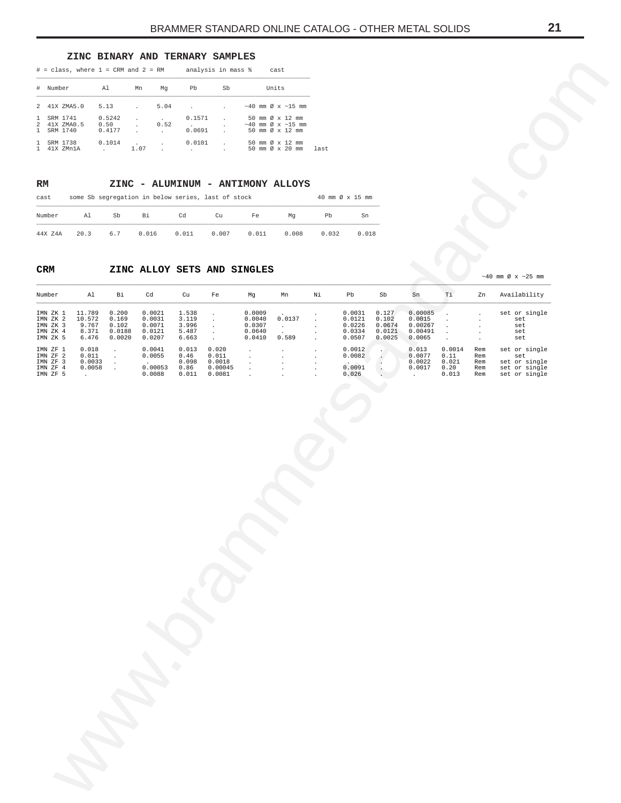## **ZINC BINARY AND TERNARY SAMPLES**

|                              | $#$ = class, where $1$ = CRM and $2$ = RM |                          |      |                 | analysis in mass %                |              | cast                                                                |
|------------------------------|-------------------------------------------|--------------------------|------|-----------------|-----------------------------------|--------------|---------------------------------------------------------------------|
| $^{\#}$                      | Number                                    | Al                       | Mn   | Ma              | Pb                                | Sb           | Units                                                               |
|                              | 2 41X ZMA5.0                              | 5.13                     |      | 5.04            |                                   |              | $\sim$ 40 mm Ø x $\sim$ 15 mm                                       |
| $\mathbf{1}$                 | SRM 1741<br>2 41X ZMA0.5<br>1 SRM 1740    | 0.5242<br>0.50<br>0.4177 |      | $\cdot$<br>0.52 | 0.1571<br>$\sim$ $\sim$<br>0.0691 | $\mathbf{r}$ | 50 mm Ø x 12 mm<br>$\sim$ 40 mm Ø x $\sim$ 15 mm<br>50 mm Ø x 12 mm |
| $\mathbf{1}$<br>$\mathbf{1}$ | SRM 1738<br>41X ZMn1A                     | 0.1014                   | 1.07 | $\mathbf{r}$    | 0.0101                            |              | 50 mm Ø x 12 mm<br>50 mm $\varnothing \times 20$ mm<br>last         |

# **RM ZINC - ALUMINUM - ANTIMONY ALLOYS**

| cast    |      | some Sb segregation in below series, last of stock |       |       |       |       |       | 40 mm $\varnothing$ x 15 mm |       |
|---------|------|----------------------------------------------------|-------|-------|-------|-------|-------|-----------------------------|-------|
| Number  | Al   | Sb                                                 | Вi    | Cd    | Cu    | Fe    | Ma    | Pb                          | Sn    |
| 44X Z4A | 20.3 | 6.7                                                | 0.016 | 0.011 | 0.007 | 0.011 | 0.008 | 0.032                       | 0.018 |

# **CRM ZINC ALLOY SETS AND SINGLES**

<span id="page-20-0"></span>

|                                                          |                               | $#$ = class, where $1$ = CRM and $2$ = RM |                                                    |                              | analysis in mass %                             |                                            | cast                                               |         |                            |                          |                              |                        |                    |                                                 |  |
|----------------------------------------------------------|-------------------------------|-------------------------------------------|----------------------------------------------------|------------------------------|------------------------------------------------|--------------------------------------------|----------------------------------------------------|---------|----------------------------|--------------------------|------------------------------|------------------------|--------------------|-------------------------------------------------|--|
| # Number                                                 |                               | Al                                        | Mn<br>Mg                                           | Pb                           | Sb                                             |                                            | Units                                              |         |                            |                          |                              |                        |                    |                                                 |  |
| 2 41X ZMA5.0                                             |                               | 5.13                                      | 5.04<br>$\cdot$                                    | $\cdot$                      |                                                |                                            | $~\sim$ 40 mm Ø x $~\sim$ 15 mm                    |         |                            |                          |                              |                        |                    |                                                 |  |
| $\mathbf{1}$<br>SRM 1741<br>41X ZMA0.5<br>$\overline{a}$ |                               | 0.5242<br>0.50                            | $\cdot$<br>0.52<br>$\cdot$                         | 0.1571<br><b>All Control</b> | $\cdot$                                        |                                            | 50 mm Ø x 12 mm<br>$~\sim 40$ mm Ø x $~\sim 15$ mm |         |                            |                          |                              |                        |                    |                                                 |  |
| SRM 1740<br>$\mathbf{1}$<br>1 SRM 1738                   |                               | 0.4177<br>0.1014                          | $\cdot$<br>$\cdot$<br>$\cdot$                      | 0.0691<br>0.0101             |                                                |                                            | 50 mm Ø x 12 mm<br>50 mm Ø x 12 mm                 |         |                            |                          |                              |                        |                    |                                                 |  |
| 1 41X ZMn1A                                              |                               | $\sim 10^{-11}$                           | 1.07<br>$\cdot$                                    | $\sim$                       |                                                |                                            | 50 mm Ø x 20 mm                                    | last    |                            |                          |                              |                        |                    |                                                 |  |
|                                                          |                               |                                           |                                                    |                              |                                                |                                            |                                                    |         |                            |                          |                              |                        |                    |                                                 |  |
| RM                                                       |                               |                                           |                                                    |                              |                                                |                                            | ZINC - ALUMINUM - ANTIMONY ALLOYS                  |         |                            |                          |                              |                        |                    |                                                 |  |
| cast                                                     |                               |                                           | some Sb segregation in below series, last of stock |                              |                                                |                                            |                                                    |         | 40 mm Ø x 15 mm            |                          |                              |                        |                    |                                                 |  |
| Number                                                   | Al                            | Sb                                        | Bi                                                 | Cd                           | Cu                                             | Fe                                         | Mg                                                 | Pb      | ${\rm Sn}$                 |                          |                              |                        |                    |                                                 |  |
| 44X Z4A                                                  | 20.3                          | $6.7\,$                                   | 0.016                                              | 0.011                        | 0.007                                          | 0.011                                      | 0.008                                              | 0.032   | 0.018                      |                          |                              |                        |                    |                                                 |  |
| CRM                                                      |                               |                                           | ZINC ALLOY SETS AND SINGLES                        |                              |                                                |                                            |                                                    |         |                            |                          |                              |                        |                    |                                                 |  |
|                                                          |                               |                                           |                                                    |                              |                                                |                                            |                                                    |         |                            |                          |                              |                        |                    | $\sim$ 40 mm Ø x $\sim$ 25 mm                   |  |
| Number                                                   | Al                            | Bi                                        | Cd                                                 | Cu                           | Fe                                             | Mg                                         | Mn                                                 | Νi      | Pb                         | Sb                       | ${\rm Sn}$                   | Ti                     | Zn                 | Availability                                    |  |
| IMN ZK 1<br>IMN ZK 2<br>IMN ZK 3                         | 11.789<br>10.572<br>9.767     | 0.200<br>0.169<br>0.102                   | 0.0021<br>0.0031<br>0.0071                         | 1.538<br>3.119<br>3.996      | $\cdot$<br>$\bullet$                           | 0.0009<br>0.0040<br>0.0307                 | 0.0137                                             |         | 0.0031<br>0.0121<br>0.0226 | 0.127<br>0.102<br>0.0674 | 0.00085<br>0.0015<br>0.00267 |                        |                    | set or single<br>set                            |  |
| IMN ZK 4<br>IMN ZK 5                                     | 8.371<br>6.476                | 0.0188<br>0.0020                          | 0.0121<br>0.0207                                   | 5.487<br>6.663               | $\bullet$<br>$\bullet$<br>$\ddot{\phantom{a}}$ | 0.0640<br>0.0410                           | $\sim$<br>$\ddot{\phantom{a}}$<br>0.589            | $\cdot$ | 0.0334<br>0.0507           | 0.0121<br>0.0025         | 0.00491<br>0.0065            | $\cdot$<br>$\cdot$     | $\cdot$<br>$\cdot$ | set<br>set<br>set                               |  |
| IMN ZF 1<br>IMN ZF 2                                     | 0.018<br>0.011                | $\cdot$<br>$\sim$                         | 0.0041<br>0.0055                                   | 0.013<br>0.46                | 0.020<br>0.011                                 | $\cdot$<br>$\cdot$                         | $\cdot$<br>$\cdot$                                 |         | 0.0012<br>0.0082           |                          | 0.013<br>0.0077              | 0.0014<br>0.11         | Rem<br>Rem         | set or single<br>set                            |  |
| IMN ZF 3<br>IMN ZF 4<br>IMN ZF 5                         | 0.0033<br>0.0058<br>$\bullet$ | $\sim$<br>$\sim$                          | 0.00053<br>0.0088                                  | 0.098<br>0.86<br>0.011       | 0.0018<br>0.00045<br>0.0081                    | $\cdot$<br>$\ddot{\phantom{a}}$<br>$\cdot$ | $\cdot$                                            | $\cdot$ | 0.0091<br>0.026            | $\cdot$<br>$\cdot$       | 0.0022<br>0.0017<br>$\cdot$  | 0.021<br>0.20<br>0.013 | Rem<br>Rem<br>Rem  | set or single<br>set or single<br>set or single |  |
|                                                          |                               |                                           |                                                    |                              |                                                |                                            |                                                    |         |                            |                          |                              |                        |                    |                                                 |  |
|                                                          |                               |                                           |                                                    |                              |                                                |                                            |                                                    |         |                            |                          |                              |                        |                    |                                                 |  |
|                                                          |                               |                                           |                                                    |                              |                                                |                                            |                                                    |         |                            |                          |                              |                        |                    |                                                 |  |
|                                                          |                               |                                           |                                                    |                              |                                                |                                            |                                                    |         |                            |                          |                              |                        |                    |                                                 |  |
|                                                          |                               |                                           |                                                    |                              |                                                |                                            |                                                    |         |                            |                          |                              |                        |                    |                                                 |  |
|                                                          |                               |                                           |                                                    |                              |                                                |                                            |                                                    |         |                            |                          |                              |                        |                    |                                                 |  |
|                                                          |                               |                                           |                                                    |                              |                                                |                                            |                                                    |         |                            |                          |                              |                        |                    |                                                 |  |
|                                                          |                               |                                           |                                                    |                              |                                                |                                            |                                                    |         |                            |                          |                              |                        |                    |                                                 |  |
|                                                          |                               |                                           |                                                    |                              |                                                |                                            |                                                    |         |                            |                          |                              |                        |                    |                                                 |  |
|                                                          |                               |                                           |                                                    |                              |                                                |                                            |                                                    |         |                            |                          |                              |                        |                    |                                                 |  |
|                                                          |                               |                                           |                                                    |                              |                                                |                                            |                                                    |         |                            |                          |                              |                        |                    |                                                 |  |
|                                                          |                               |                                           |                                                    |                              |                                                |                                            |                                                    |         |                            |                          |                              |                        |                    |                                                 |  |
|                                                          |                               |                                           |                                                    |                              |                                                |                                            |                                                    |         |                            |                          |                              |                        |                    |                                                 |  |
|                                                          |                               |                                           |                                                    |                              |                                                |                                            |                                                    |         |                            |                          |                              |                        |                    |                                                 |  |
|                                                          |                               |                                           |                                                    |                              |                                                |                                            |                                                    |         |                            |                          |                              |                        |                    |                                                 |  |
|                                                          |                               |                                           |                                                    |                              |                                                |                                            |                                                    |         |                            |                          |                              |                        |                    |                                                 |  |
|                                                          |                               |                                           |                                                    |                              |                                                |                                            |                                                    |         |                            |                          |                              |                        |                    |                                                 |  |
|                                                          |                               |                                           |                                                    |                              |                                                |                                            |                                                    |         |                            |                          |                              |                        |                    |                                                 |  |
|                                                          |                               |                                           |                                                    |                              |                                                |                                            |                                                    |         |                            |                          |                              |                        |                    |                                                 |  |
|                                                          |                               |                                           |                                                    |                              |                                                |                                            |                                                    |         |                            |                          |                              |                        |                    |                                                 |  |
|                                                          |                               |                                           |                                                    |                              |                                                |                                            |                                                    |         |                            |                          |                              |                        |                    |                                                 |  |
|                                                          |                               |                                           |                                                    |                              |                                                |                                            |                                                    |         |                            |                          |                              |                        |                    |                                                 |  |
|                                                          |                               |                                           |                                                    |                              |                                                |                                            |                                                    |         |                            |                          |                              |                        |                    |                                                 |  |
|                                                          |                               |                                           |                                                    |                              |                                                |                                            |                                                    |         |                            |                          |                              |                        |                    |                                                 |  |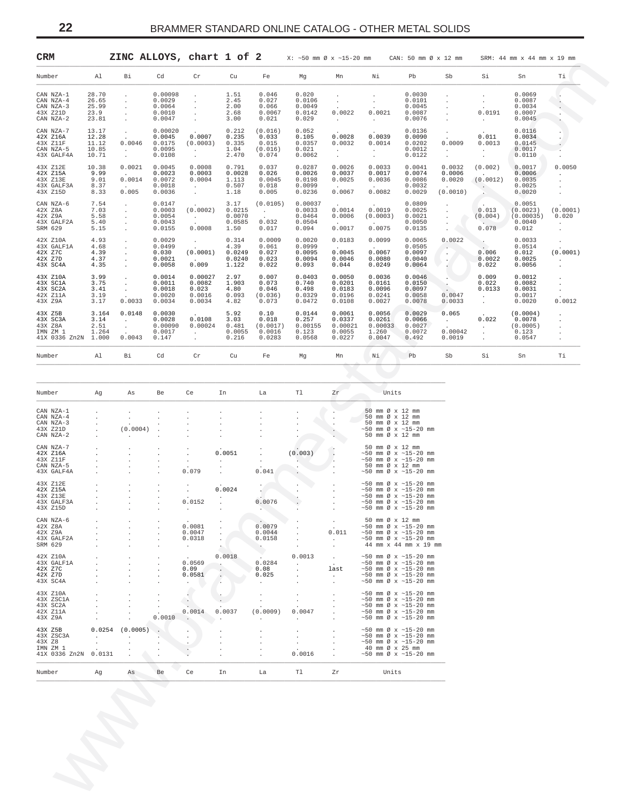|                                                                    |                                           |                                                     |                                                 |                                                                                           | ZINC ALLOYS, chart 1 of 2                  |                                               |                                                | $X: ~ -50$ mm $\varnothing$ x $~ -15 - 20$ mm   |                                                                                                                                                                    | CAN: 50 mm Ø x 12 mm                           |                                        |                                                                                                   | SRM: 44 mm x 44 mm x 19 mm                         |                                           |
|--------------------------------------------------------------------|-------------------------------------------|-----------------------------------------------------|-------------------------------------------------|-------------------------------------------------------------------------------------------|--------------------------------------------|-----------------------------------------------|------------------------------------------------|-------------------------------------------------|--------------------------------------------------------------------------------------------------------------------------------------------------------------------|------------------------------------------------|----------------------------------------|---------------------------------------------------------------------------------------------------|----------------------------------------------------|-------------------------------------------|
| Number                                                             | Al                                        | Вi                                                  | Cd                                              | Cr                                                                                        | Cu                                         | Fe                                            | Mg                                             | Mn                                              | Νi                                                                                                                                                                 | Pb                                             | Sb                                     | Si                                                                                                | Sn                                                 | Τi                                        |
| CAN NZA-1<br>CAN NZA-4<br>CAN NZA-3<br>43X Z21D<br>CAN NZA-2       | 28.70<br>26.65<br>25.99<br>23.9<br>23.81  | $\cdot$<br>$\cdot$<br>$\cdot$<br>$\cdot$            | 0.00098<br>0.0029<br>0.0064<br>0.0010<br>0.0047 | $\cdot$<br>$\cdot$<br>$\cdot$                                                             | 1.51<br>2.45<br>2.00<br>2.68<br>3.00       | 0.046<br>0.027<br>0.066<br>0.0067<br>0.021    | 0.020<br>0.0106<br>0.0049<br>0.0142<br>0.029   | $\cdot$<br>$\cdot$<br>0.0022<br>$\sim$          | $\cdot$<br>0.0021<br>$\sim$                                                                                                                                        | 0.0030<br>0.0101<br>0.0045<br>0.0087<br>0.0076 | $\cdot$                                | $\cdot$<br>$\cdot$<br>0.0191<br>$\sim 10^{-11}$                                                   | 0.0069<br>0.0087<br>0.0034<br>0.0007<br>0.0045     |                                           |
| CAN NZA-7<br>42X Z16A<br>43X Z11F<br>CAN NZA-5<br>43X GALF4A       | 13.17<br>12.28<br>11.12<br>10.85<br>10.71 | $\cdot$<br>0.0046<br>$\sim$                         | 0.00020<br>0.0045<br>0.0175<br>0.0095<br>0.0108 | 0.0007<br>(0.0003)<br><b>All Control</b>                                                  | 0.212<br>0.235<br>0.335<br>1.04<br>2.470   | (0.016)<br>0.033<br>0.015<br>(0.016)<br>0.074 | 0.052<br>0.105<br>0.0357<br>0.021<br>0.0062    | 0.0028<br>0.0032<br>$\sim$<br>$\sim$            | 0.0039<br>0.0014<br>$\sim 100$<br>$\cdot$                                                                                                                          | 0.0136<br>0.0090<br>0.0202<br>0.0012<br>0.0122 | 0.0009<br>$\sim$<br>$\cdot$            | 0.011<br>0.0013<br>$\sim$<br>$\cdot$                                                              | 0.0116<br>0.0034<br>0.0145<br>0.0017<br>0.0110     |                                           |
| 43X Z12E<br>42X Z15A<br>43X Z13E<br>43X GALF3A<br>43X Z15D         | 10.38<br>9.99<br>9.01<br>8.37<br>8.33     | 0.0021<br>$\sim$<br>0.0014<br>0.005                 | 0.0045<br>0.0023<br>0.0072<br>0.0018<br>0.0036  | 0.0008<br>0.0003<br>0.0004<br>$\mathcal{A}^{\mathcal{A}}$ and $\mathcal{A}^{\mathcal{A}}$ | 0.791<br>0.0028<br>1.113<br>0.507<br>1.18  | 0.037<br>0.026<br>0.0045<br>0.018<br>0.005    | 0.0287<br>0.0026<br>0.0198<br>0.0099<br>0.0236 | 0.0026<br>0.0037<br>0.0025<br>0.0067            | 0.0033<br>0.0017<br>0.0036<br>0.0082                                                                                                                               | 0.0041<br>0.0074<br>0.0086<br>0.0032<br>0.0029 | 0.0032<br>0.0006<br>0.0020<br>(0.0010) | (0.002)<br>(0.0012)<br>$\sim$                                                                     | 0.0017<br>0.0006<br>0.0035<br>0.0025<br>0.0020     | 0.0050                                    |
| CAN NZA-6<br>42X Z8A<br>42X Z9A<br>43X GALF2A<br>SRM 629           | 7.54<br>7.03<br>5.58<br>5.40<br>5.15      | $\cdot$<br>$\cdot$<br>$\cdot$<br>$\cdot$<br>$\cdot$ | 0.0147<br>0.0003<br>0.0054<br>0.0043<br>0.0155  | (0.0002)<br><b>Contractor</b><br>0.0008                                                   | 3.17<br>0.0215<br>0.0070<br>0.0585<br>1.50 | (0.0105)<br>$\sim 100$<br>0.032<br>0.017      | 0.00037<br>0.0033<br>0.0464<br>0.0504<br>0.094 | 0.0014<br>0.0006<br>0.0017                      | 0.0019<br>(0.0003)<br>0.0075                                                                                                                                       | 0.0809<br>0.0025<br>0.0021<br>0.0050<br>0.0135 |                                        | 0.013<br>(0.004)<br>0.078                                                                         | 0.0051<br>(0.0023)<br>(0.00035)<br>0.0040<br>0.012 | (0.0001)<br>0.020<br>$\ddot{\phantom{a}}$ |
| 42X Z10A<br>43X GALF1A<br>42X Z7C<br>42X Z7D<br>43X SC4A           | 4.93<br>4.68<br>4.39<br>4.37<br>4.35      | $\cdot$<br>$\cdot$<br>$\cdot$<br>$\cdot$<br>$\cdot$ | 0.0029<br>0.0499<br>0.030<br>0.0021<br>0.0058   | $\sim$<br>(0.0001)<br><b>Contract Contract</b><br>0.009                                   | 0.314<br>4.39<br>0.0249<br>0.0240<br>1.122 | 0.0009<br>0.061<br>0.027<br>0.023<br>0.022    | 0.0020<br>0.0999<br>0.0095<br>0.0094<br>0.093  | 0.0183<br>0.0045<br>0.0046<br>0.044             | 0.0099<br>0.0067<br>0.0080<br>0.0249                                                                                                                               | 0.0065<br>0.0505<br>0.0097<br>0.0040<br>0.0064 | 0.0022<br>$\sim$<br>$\cdot$            | 0.006<br>0.0022<br>0.022                                                                          | 0.0033<br>0.0514<br>0.012<br>0.0025<br>0.0056      | (0.0001)<br>$\cdot$                       |
| 43X Z10A<br>43X SC1A<br>43X SC2A<br>42X Z11A<br>43X Z9A            | 3.99<br>3.75<br>3.41<br>3.19<br>3.17      | $\blacksquare$<br>$\cdot$<br>$\cdot$<br>0.0033      | 0.0014<br>0.0011<br>0.0018<br>0.0020<br>0.0034  | 0.00027<br>0.0082<br>0.023<br>0.0016<br>0.0034                                            | 2.97<br>1.903<br>4.80<br>0.093<br>4.82     | 0.007<br>0.073<br>0.046<br>(0.036)<br>0.073   | 0.0403<br>0.740<br>0.498<br>0.0329<br>0.0472   | 0.0050<br>0.0201<br>0.0183<br>0.0196<br>0.0108  | 0.0036<br>0.0161<br>0.0096<br>0.0241<br>0.0027                                                                                                                     | 0.0046<br>0.0150<br>0.0097<br>0.0058<br>0.0078 | 0.0047<br>0.0033                       | 0.009<br>0.022<br>0.0133<br>$\mathcal{A}^{\mathcal{A}}$ and $\mathcal{A}^{\mathcal{A}}$<br>$\sim$ | 0.0012<br>0.0082<br>0.0031<br>0.0017<br>0.0020     | 0.0012                                    |
| 43X Z5B<br>43X SC3A<br>43X Z8A<br>IMN ZM 1<br>41X 0336 Zn2N 1.000  | 3.164<br>3.14<br>2.51<br>1.264            | 0.0148<br>$\cdot$<br>$\sim$<br>0.0043               | 0.0030<br>0.0028<br>0.00090<br>0.0017<br>0.147  | 0.0108<br>0.00024<br>$\sim$                                                               | 5.92<br>3.03<br>0.481<br>0.0055<br>0.216   | 0.10<br>0.018<br>(0.0017)<br>0.0016<br>0.0283 | 0.0144<br>0.257<br>0.00155<br>0.123<br>0.0568  | 0.0061<br>0.0337<br>0.00021<br>0.0055<br>0.0227 | 0.0056<br>0.0261<br>0.00033<br>1.260<br>0.0047                                                                                                                     | 0.0029<br>0.0066<br>0.0027<br>0.0072<br>0.492  | 0.065<br>$\sim$<br>0.00042<br>0.0019   | 0.022<br>$\sim$<br>$\cdot$<br>$\cdot$                                                             | (0.0004)<br>0.0078<br>(0.0005)<br>0.123<br>0.0547  |                                           |
| Number                                                             | Al                                        | Вi                                                  | Cd                                              | Cr                                                                                        | Cu                                         | Fe                                            | Mg                                             | Mn                                              | Νi                                                                                                                                                                 | Pb                                             | Sb                                     | Si                                                                                                | Sn                                                 | Τi                                        |
|                                                                    |                                           |                                                     |                                                 |                                                                                           |                                            |                                               |                                                |                                                 |                                                                                                                                                                    |                                                |                                        |                                                                                                   |                                                    |                                           |
| Number                                                             | Ag                                        | As                                                  | Be                                              | Ce                                                                                        | In                                         | La                                            | T1                                             | Zr                                              | Units                                                                                                                                                              |                                                |                                        |                                                                                                   |                                                    |                                           |
| CAN NZA-1<br>CAN NZA-4<br>CAN NZA-3<br>43X Z21D<br>CAN NZA-2       |                                           | (0.0004)                                            | $\ddot{\phantom{a}}$                            |                                                                                           |                                            |                                               |                                                |                                                 | 50 mm Ø x 12 mm<br>50 mm Ø x 12 mm<br>50 mm Ø x 12 mm<br>$~50$ mm Ø x $~15-20$ mm<br>50 mm Ø x 12 mm                                                               |                                                |                                        |                                                                                                   |                                                    |                                           |
| CAN NZA-7<br>42X Z16A<br>43X Z11F<br>CAN NZA-5<br>43X GALF4A       |                                           |                                                     |                                                 | 0.079                                                                                     | 0.0051                                     | 0.041                                         | (0.003)                                        | $\cdot$                                         | 50 mm Ø x 12 mm<br>$~50$ mm Ø x $~15-20$ mm<br>$~50$ mm Ø x $~15-20$ mm<br>50 mm Ø x 12 mm<br>$~50$ mm Ø x $~15-20$ mm                                             |                                                |                                        |                                                                                                   |                                                    |                                           |
| 43X Z12E<br>42X Z15A<br>43X Z13E<br>43X GALF3A<br>43X Z15D         |                                           |                                                     |                                                 | 0.0152<br>$\sim$                                                                          | 0.0024                                     | 0.0076                                        |                                                |                                                 | $~50$ mm Ø x $~15-20$ mm<br>$~50$ mm Ø x $~15-20$ mm<br>$~50$ mm Ø x $~15-20$ mm<br>$~50$ mm Ø x $~15-20$ mm<br>$\sim$ 50 mm Ø x $\sim$ 15-20 mm                   |                                                |                                        |                                                                                                   |                                                    |                                           |
| CAN NZA-6<br>42X Z8A<br>42X Z9A<br>43X GALF2A<br>SRM 629           |                                           |                                                     |                                                 | 0.0081<br>0.0047<br>0.0318<br>$\sim$                                                      |                                            | 0.0079<br>0.0044<br>0.0158<br>$\sim$          | $\cdot$<br>$\cdot$                             | $\cdot$<br>0.011<br>$\sim$<br>$\sim$            | 50 mm Ø x 12 mm<br>$~150$ mm Ø x $~15-20$ mm<br>$\sim$ 50 mm Ø x $\sim$ 15-20 mm<br>$\sim$ 50 mm Ø x $\sim$ 15-20 mm<br>44 mm x 44 mm x 19 mm                      |                                                |                                        |                                                                                                   |                                                    |                                           |
| 42X Z10A<br>43X GALF1A<br>42X Z7C<br>42X Z7D<br>43X SC4A           |                                           |                                                     | $\cdot$                                         | 0.0569<br>0.09<br>0.0581<br>$\cdot$                                                       | 0.0018<br>$\blacksquare$ .                 | 0.0284<br>0.08<br>0.025<br>$\sim$             | 0.0013<br>$\sim$<br>$\cdot$<br>$\cdot$         | $\sim$<br>$\cdot$<br>last<br>$\sim$             | $\sim$ 50 mm Ø x $\sim$ 15-20 mm<br>$~150$ mm Ø x $~15-20$ mm<br>$\sim$ 50 mm Ø x $\sim$ 15-20 mm<br>$\sim$ 50 mm Ø x $\sim$ 15-20 mm<br>$~150$ mm Ø x $~15-20$ mm |                                                |                                        |                                                                                                   |                                                    |                                           |
| 43X Z10A<br>43X ZSC1A<br>43X SC2A<br>42X Z11A<br>43X Z9A           |                                           |                                                     | $\cdot$<br>0.0010                               | $\sim$<br>0.0014                                                                          | 0.0037                                     | $\cdot$<br>(0.0009)<br>$\cdot$                | $\sim$<br>0.0047<br>$\cdot$                    |                                                 | $\sim$ 50 mm Ø x $\sim$ 15-20 mm<br>$~150$ mm Ø x $~15-20$ mm<br>$~150$ mm Ø x $~15-20$ mm<br>$\sim$ 50 mm Ø x $\sim$ 15-20 mm<br>$~150$ mm Ø x $~15-20$ mm        |                                                |                                        |                                                                                                   |                                                    |                                           |
| 43X Z5B<br>43X ZSC3A<br>43X Z8<br>IMN ZM 1<br>41X 0336 Zn2N 0.0131 | $\ddot{\phantom{a}}$                      | $0.0254$ $(0.0005)$<br>$\cdot$                      |                                                 |                                                                                           |                                            |                                               | $\cdot$<br>$\sim$<br>0.0016                    |                                                 | $\sim$ 50 mm Ø x $\sim$ 15-20 mm<br>$~150$ mm Ø x $~15-20$ mm<br>$~150$ mm Ø x $~15-20$ mm<br>40 mm Ø x 25 mm<br>$~150$ mm Ø x $~15-20$ mm                         |                                                |                                        |                                                                                                   |                                                    |                                           |
|                                                                    | Ag                                        | As                                                  | Be                                              | Ce                                                                                        | In                                         | La                                            | Tl                                             | Zr                                              | Units                                                                                                                                                              |                                                |                                        |                                                                                                   |                                                    |                                           |

| Number Ag  |                      | As                  | Be     | Ce              |                      | In La                      | Tl                       | Zr                       | Units                            |
|------------|----------------------|---------------------|--------|-----------------|----------------------|----------------------------|--------------------------|--------------------------|----------------------------------|
| CAN NZA-1  |                      |                     |        |                 |                      |                            |                          |                          | 50 mm Ø x 12 mm                  |
| CAN NZA-4  | $\blacksquare$       |                     |        |                 |                      |                            |                          |                          | 50 mm Ø x 12 mm                  |
| CAN NZA-3  | $\mathbf{r}$         |                     |        |                 |                      |                            |                          |                          | 50 mm Ø x 12 mm                  |
| 43X Z21D   | $\ddot{\phantom{a}}$ | (0.0004)            |        |                 |                      |                            |                          |                          | $~50$ mm Ø x $~15-20$ mm         |
| CAN NZA-2  | $\ddot{\phantom{a}}$ | $\sim$              |        |                 |                      |                            |                          |                          | 50 mm Ø x 12 mm                  |
|            |                      |                     |        |                 |                      |                            |                          |                          |                                  |
| CAN NZA-7  |                      |                     |        |                 |                      |                            |                          |                          | 50 mm Ø x 12 mm                  |
| 42X Z16A   |                      |                     |        |                 | 0.0051               |                            | (0.003)                  |                          | $\sim$ 50 mm Ø x $\sim$ 15-20 mm |
| 43X Z11F   | ÷                    | $\sim$              |        | $\Delta$        | $\sim$               |                            |                          |                          | $\sim$ 50 mm Ø x $\sim$ 15-20 mm |
| CAN NZA-5  |                      |                     |        |                 |                      |                            |                          |                          | 50 mm Ø x 12 mm                  |
| 43X GALF4A |                      |                     |        | 0.079           |                      | 0.041                      |                          |                          | $\sim$ 50 mm Ø x $\sim$ 15-20 mm |
| 43X Z12E   |                      |                     |        |                 |                      |                            |                          |                          | $\sim$ 50 mm Ø x $\sim$ 15-20 mm |
| 42X Z15A   |                      |                     |        |                 | 0.0024               |                            |                          |                          | $~50$ mm Ø x $~15-20$ mm         |
| 43X Z13E   |                      | ÷                   |        |                 | $\ddot{\phantom{a}}$ |                            |                          |                          | $~50$ mm Ø x $~15-20$ mm         |
| 43X GALF3A |                      | $\mathbf{r}$        |        | 0.0152          |                      | 0.0076                     |                          |                          | $~50$ mm Ø x $~15-20$ mm         |
| 43X Z15D   |                      | $\overline{a}$      |        | $\sim$          |                      | $\mathcal{L}(\mathcal{A})$ |                          |                          | $\sim$ 50 mm Ø x $\sim$ 15-20 mm |
|            |                      |                     |        |                 |                      |                            |                          |                          |                                  |
| CAN NZA-6  |                      |                     |        |                 |                      |                            |                          |                          | 50 mm Ø x 12 mm                  |
| 42X Z8A    | $\mathbf{r}$         | $\mathbf{r}$        |        | 0.0081          |                      | 0.0079                     |                          | $\sim$                   | $\sim$ 50 mm Ø x $\sim$ 15-20 mm |
| 42X Z9A    |                      |                     |        | 0.0047          |                      | 0.0044                     |                          | 0.011                    | $\sim$ 50 mm Ø x $\sim$ 15-20 mm |
| 43X GALF2A |                      | ÷                   |        | 0.0318          |                      | 0.0158                     |                          | <b>Contract Contract</b> | $~50$ mm Ø x $~15-20$ mm         |
| SRM 629    |                      |                     |        | <b>Contract</b> |                      |                            |                          |                          | 44 mm x 44 mm x 19 mm            |
| 42X Z10A   |                      |                     |        |                 | 0.0018               |                            | 0.0013                   |                          | $\sim$ 50 mm Ø x $\sim$ 15-20 mm |
| 43X GALF1A | $\mathbf{r}$         | ÷.                  |        | 0.0569          |                      | 0.0284                     | <b>Contract Contract</b> | <b>Contract</b>          | $\sim$ 50 mm Ø x $\sim$ 15-20 mm |
| 42X Z7C    |                      |                     |        | 0.09            |                      | 0.08                       |                          | last                     | $\sim$ 50 mm Ø x $\sim$ 15-20 mm |
| 42X Z7D    |                      |                     |        | 0.0581          |                      | 0.025                      |                          | $\sim$                   | $\sim$ 50 mm Ø x $\sim$ 15-20 mm |
| 43X SC4A   |                      |                     |        |                 |                      |                            |                          |                          | $\sim$ 50 mm Ø x $\sim$ 15-20 mm |
|            |                      |                     |        |                 |                      |                            |                          |                          |                                  |
| 43X Z10A   |                      |                     |        |                 |                      |                            |                          |                          | $~50$ mm Ø x $~15-20$ mm         |
| 43X ZSC1A  | ÷                    | $\sim$              |        |                 |                      |                            | $\mathbf{r}$             | $\mathbf{r}$             | $\sim$ 50 mm Ø x $\sim$ 15-20 mm |
| 43X SC2A   |                      |                     |        |                 |                      |                            |                          |                          | $~50$ mm Ø x $~15-20$ mm         |
| 42X Z11A   |                      |                     |        | 0.0014          | 0.0037               | (0.0009)                   | 0.0047                   |                          | $\sim$ 50 mm Ø x $\sim$ 15-20 mm |
| 43X Z9A    | $\ddot{\phantom{0}}$ |                     | 0.0010 |                 |                      |                            | $\cdot$                  |                          | $\sim$ 50 mm Ø x $\sim$ 15-20 mm |
| 43X Z5B    |                      | $0.0254$ $(0.0005)$ |        |                 |                      |                            |                          |                          | $\sim$ 50 mm Ø x $\sim$ 15-20 mm |
| 43X ZSC3A  | $\sim$               | $\sim$              |        |                 |                      |                            |                          |                          | $\sim$ 50 mm Ø x $\sim$ 15-20 mm |
| 43X Z8     | $\ddot{\phantom{a}}$ |                     |        |                 |                      |                            |                          |                          | $\sim$ 50 mm Ø x $\sim$ 15-20 mm |
| IMN ZM 1   |                      |                     |        |                 |                      |                            |                          |                          | 40 mm Ø x 25 mm                  |
|            | 41X 0336 Zn2N 0.0131 |                     |        |                 |                      |                            | 0.0016                   |                          | $\sim$ 50 mm Ø x $\sim$ 15-20 mm |
|            |                      |                     |        |                 |                      |                            |                          |                          |                                  |
|            |                      |                     |        |                 |                      |                            |                          |                          |                                  |

<span id="page-21-0"></span>